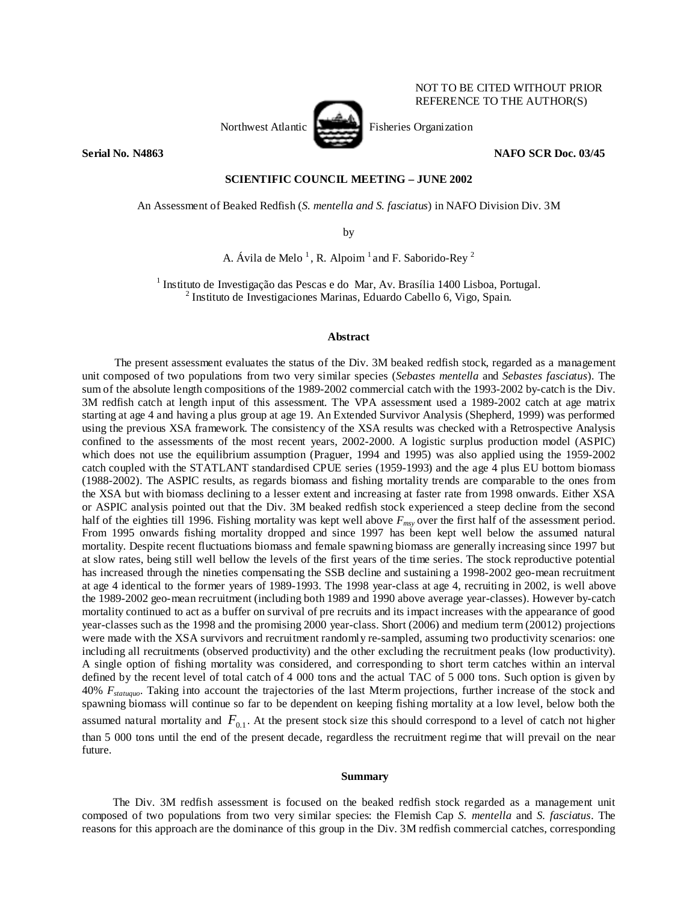

NOT TO BE CITED WITHOUT PRIOR REFERENCE TO THE AUTHOR(S)

## **Serial No. N4863 NAFO SCR Doc. 03/45**

## **SCIENTIFIC COUNCIL MEETING – JUNE 2002**

An Assessment of Beaked Redfish (*S. mentella and S. fasciatus*) in NAFO Division Div. 3M

by

A. Ávila de Melo<sup>1</sup>, R. Alpoim<sup>1</sup> and F. Saborido-Rey<sup>2</sup>

<sup>1</sup> Instituto de Investigação das Pescas e do Mar, Av. Brasília 1400 Lisboa, Portugal. <sup>2</sup> Instituto de Investigaciones Marinas, Eduardo Cabello 6, Vigo, Spain.

## **Abstract**

The present assessment evaluates the status of the Div. 3M beaked redfish stock, regarded as a management unit composed of two populations from two very similar species (*Sebastes mentella* and *Sebastes fasciatus*). The sum of the absolute length compositions of the 1989-2002 commercial catch with the 1993-2002 by-catch is the Div. 3M redfish catch at length input of this assessment. The VPA assessment used a 1989-2002 catch at age matrix starting at age 4 and having a plus group at age 19. An Extended Survivor Analysis (Shepherd, 1999) was performed using the previous XSA framework. The consistency of the XSA results was checked with a Retrospective Analysis confined to the assessments of the most recent years, 2002-2000. A logistic surplus production model (ASPIC) which does not use the equilibrium assumption (Praguer, 1994 and 1995) was also applied using the 1959-2002 catch coupled with the STATLANT standardised CPUE series (1959-1993) and the age 4 plus EU bottom biomass (1988-2002). The ASPIC results, as regards biomass and fishing mortality trends are comparable to the ones from the XSA but with biomass declining to a lesser extent and increasing at faster rate from 1998 onwards. Either XSA or ASPIC analysis pointed out that the Div. 3M beaked redfish stock experienced a steep decline from the second half of the eighties till 1996. Fishing mortality was kept well above  $F_{msv}$  over the first half of the assessment period. From 1995 onwards fishing mortality dropped and since 1997 has been kept well below the assumed natural mortality. Despite recent fluctuations biomass and female spawning biomass are generally increasing since 1997 but at slow rates, being still well bellow the levels of the first years of the time series. The stock reproductive potential has increased through the nineties compensating the SSB decline and sustaining a 1998-2002 geo-mean recruitment at age 4 identical to the former years of 1989-1993. The 1998 year-class at age 4, recruiting in 2002, is well above the 1989-2002 geo-mean recruitment (including both 1989 and 1990 above average year-classes). However by-catch mortality continued to act as a buffer on survival of pre recruits and its impact increases with the appearance of good year-classes such as the 1998 and the promising 2000 year-class. Short (2006) and medium term (20012) projections were made with the XSA survivors and recruitment randomly re-sampled, assuming two productivity scenarios: one including all recruitments (observed productivity) and the other excluding the recruitment peaks (low productivity). A single option of fishing mortality was considered, and corresponding to short term catches within an interval defined by the recent level of total catch of 4 000 tons and the actual TAC of 5 000 tons. Such option is given by 40% *Fstatuquo*. Taking into account the trajectories of the last Mterm projections, further increase of the stock and spawning biomass will continue so far to be dependent on keeping fishing mortality at a low level, below both the assumed natural mortality and  $F_{0,1}$ . At the present stock size this should correspond to a level of catch not higher than 5 000 tons until the end of the present decade, regardless the recruitment regime that will prevail on the near future.

# **Summary**

The Div. 3M redfish assessment is focused on the beaked redfish stock regarded as a management unit composed of two populations from two very similar species: the Flemish Cap *S. mentella* and *S. fasciatus*. The reasons for this approach are the dominance of this group in the Div. 3M redfish commercial catches, corresponding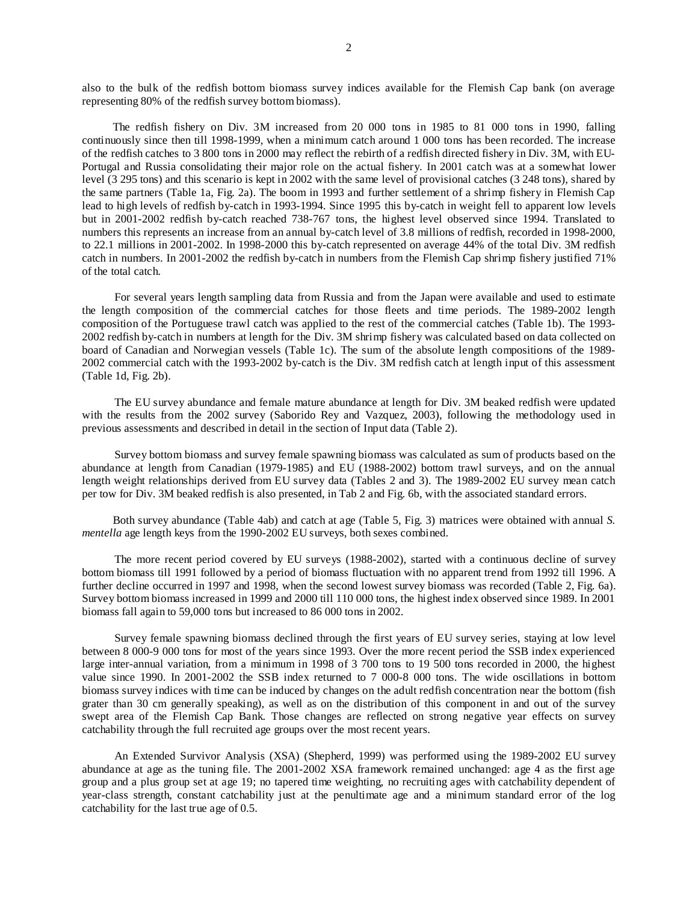also to the bulk of the redfish bottom biomass survey indices available for the Flemish Cap bank (on average representing 80% of the redfish survey bottom biomass).

The redfish fishery on Div. 3M increased from 20 000 tons in 1985 to 81 000 tons in 1990, falling continuously since then till 1998-1999, when a minimum catch around 1 000 tons has been recorded. The increase of the redfish catches to 3 800 tons in 2000 may reflect the rebirth of a redfish directed fishery in Div. 3M, with EU-Portugal and Russia consolidating their major role on the actual fishery. In 2001 catch was at a somewhat lower level (3 295 tons) and this scenario is kept in 2002 with the same level of provisional catches (3 248 tons), shared by the same partners (Table 1a, Fig. 2a). The boom in 1993 and further settlement of a shrimp fishery in Flemish Cap lead to high levels of redfish by-catch in 1993-1994. Since 1995 this by-catch in weight fell to apparent low levels but in 2001-2002 redfish by-catch reached 738-767 tons, the highest level observed since 1994. Translated to numbers this represents an increase from an annual by-catch level of 3.8 millions of redfish, recorded in 1998-2000, to 22.1 millions in 2001-2002. In 1998-2000 this by-catch represented on average 44% of the total Div. 3M redfish catch in numbers. In 2001-2002 the redfish by-catch in numbers from the Flemish Cap shrimp fishery justified 71% of the total catch.

For several years length sampling data from Russia and from the Japan were available and used to estimate the length composition of the commercial catches for those fleets and time periods. The 1989-2002 length composition of the Portuguese trawl catch was applied to the rest of the commercial catches (Table 1b). The 1993- 2002 redfish by-catch in numbers at length for the Div. 3M shrimp fishery was calculated based on data collected on board of Canadian and Norwegian vessels (Table 1c). The sum of the absolute length compositions of the 1989- 2002 commercial catch with the 1993-2002 by-catch is the Div. 3M redfish catch at length input of this assessment (Table 1d, Fig. 2b).

The EU survey abundance and female mature abundance at length for Div. 3M beaked redfish were updated with the results from the 2002 survey (Saborido Rey and Vazquez, 2003), following the methodology used in previous assessments and described in detail in the section of Input data (Table 2).

Survey bottom biomass and survey female spawning biomass was calculated as sum of products based on the abundance at length from Canadian (1979-1985) and EU (1988-2002) bottom trawl surveys, and on the annual length weight relationships derived from EU survey data (Tables 2 and 3). The 1989-2002 EU survey mean catch per tow for Div. 3M beaked redfish is also presented, in Tab 2 and Fig. 6b, with the associated standard errors.

Both survey abundance (Table 4ab) and catch at age (Table 5, Fig. 3) matrices were obtained with annual *S. mentella* age length keys from the 1990-2002 EU surveys, both sexes combined.

The more recent period covered by EU surveys (1988-2002), started with a continuous decline of survey bottom biomass till 1991 followed by a period of biomass fluctuation with no apparent trend from 1992 till 1996. A further decline occurred in 1997 and 1998, when the second lowest survey biomass was recorded (Table 2, Fig. 6a). Survey bottom biomass increased in 1999 and 2000 till 110 000 tons, the highest index observed since 1989. In 2001 biomass fall again to 59,000 tons but increased to 86 000 tons in 2002.

Survey female spawning biomass declined through the first years of EU survey series, staying at low level between 8 000-9 000 tons for most of the years since 1993. Over the more recent period the SSB index experienced large inter-annual variation, from a minimum in 1998 of 3 700 tons to 19 500 tons recorded in 2000, the highest value since 1990. In 2001-2002 the SSB index returned to 7 000-8 000 tons. The wide oscillations in bottom biomass survey indices with time can be induced by changes on the adult redfish concentration near the bottom (fish grater than 30 cm generally speaking), as well as on the distribution of this component in and out of the survey swept area of the Flemish Cap Bank. Those changes are reflected on strong negative year effects on survey catchability through the full recruited age groups over the most recent years.

An Extended Survivor Analysis (XSA) (Shepherd, 1999) was performed using the 1989-2002 EU survey abundance at age as the tuning file. The 2001-2002 XSA framework remained unchanged: age 4 as the first age group and a plus group set at age 19; no tapered time weighting, no recruiting ages with catchability dependent of year-class strength, constant catchability just at the penultimate age and a minimum standard error of the log catchability for the last true age of 0.5.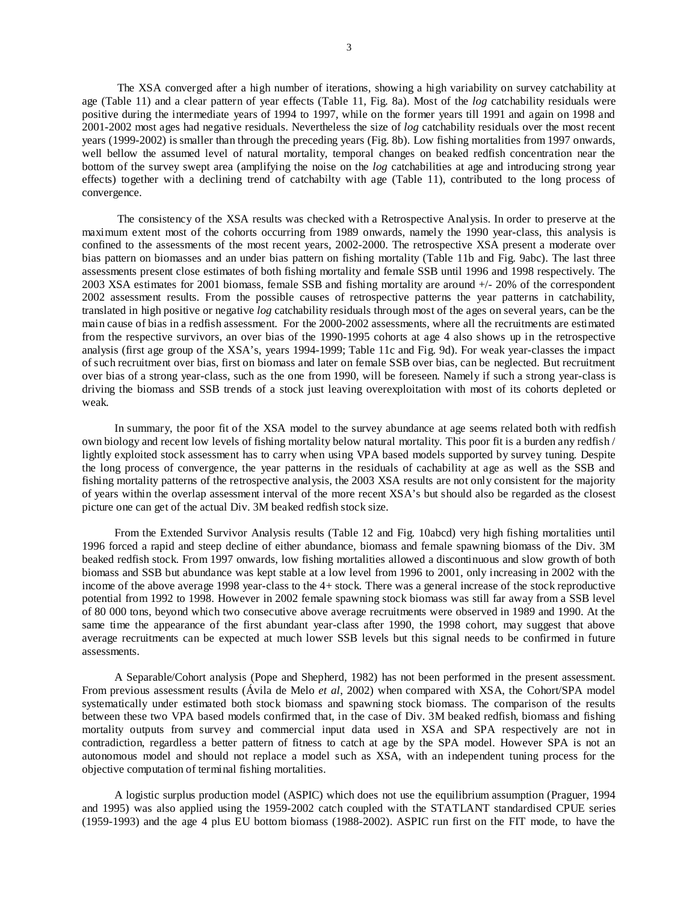The XSA converged after a high number of iterations, showing a high variability on survey catchability at age (Table 11) and a clear pattern of year effects (Table 11, Fig. 8a). Most of the *log* catchability residuals were positive during the intermediate years of 1994 to 1997, while on the former years till 1991 and again on 1998 and 2001-2002 most ages had negative residuals. Nevertheless the size of *log* catchability residuals over the most recent years (1999-2002) is smaller than through the preceding years (Fig. 8b). Low fishing mortalities from 1997 onwards, well bellow the assumed level of natural mortality, temporal changes on beaked redfish concentration near the bottom of the survey swept area (amplifying the noise on the *log* catchabilities at age and introducing strong year effects) together with a declining trend of catchabilty with age (Table 11), contributed to the long process of convergence.

 The consistency of the XSA results was checked with a Retrospective Analysis. In order to preserve at the maximum extent most of the cohorts occurring from 1989 onwards, namely the 1990 year-class, this analysis is confined to the assessments of the most recent years, 2002-2000. The retrospective XSA present a moderate over bias pattern on biomasses and an under bias pattern on fishing mortality (Table 11b and Fig. 9abc). The last three assessments present close estimates of both fishing mortality and female SSB until 1996 and 1998 respectively. The 2003 XSA estimates for 2001 biomass, female SSB and fishing mortality are around +/- 20% of the correspondent 2002 assessment results. From the possible causes of retrospective patterns the year patterns in catchability, translated in high positive or negative *log* catchability residuals through most of the ages on several years, can be the main cause of bias in a redfish assessment. For the 2000-2002 assessments, where all the recruitments are estimated from the respective survivors, an over bias of the 1990-1995 cohorts at age 4 also shows up in the retrospective analysis (first age group of the XSA's, years 1994-1999; Table 11c and Fig. 9d). For weak year-classes the impact of such recruitment over bias, first on biomass and later on female SSB over bias, can be neglected. But recruitment over bias of a strong year-class, such as the one from 1990, will be foreseen. Namely if such a strong year-class is driving the biomass and SSB trends of a stock just leaving overexploitation with most of its cohorts depleted or weak.

In summary, the poor fit of the XSA model to the survey abundance at age seems related both with redfish own biology and recent low levels of fishing mortality below natural mortality. This poor fit is a burden any redfish / lightly exploited stock assessment has to carry when using VPA based models supported by survey tuning. Despite the long process of convergence, the year patterns in the residuals of cachability at age as well as the SSB and fishing mortality patterns of the retrospective analysis, the 2003 XSA results are not only consistent for the majority of years within the overlap assessment interval of the more recent XSA's but should also be regarded as the closest picture one can get of the actual Div. 3M beaked redfish stock size.

From the Extended Survivor Analysis results (Table 12 and Fig. 10abcd) very high fishing mortalities until 1996 forced a rapid and steep decline of either abundance, biomass and female spawning biomass of the Div. 3M beaked redfish stock. From 1997 onwards, low fishing mortalities allowed a discontinuous and slow growth of both biomass and SSB but abundance was kept stable at a low level from 1996 to 2001, only increasing in 2002 with the income of the above average 1998 year-class to the 4+ stock. There was a general increase of the stock reproductive potential from 1992 to 1998. However in 2002 female spawning stock biomass was still far away from a SSB level of 80 000 tons, beyond which two consecutive above average recruitments were observed in 1989 and 1990. At the same time the appearance of the first abundant year-class after 1990, the 1998 cohort, may suggest that above average recruitments can be expected at much lower SSB levels but this signal needs to be confirmed in future assessments.

A Separable/Cohort analysis (Pope and Shepherd, 1982) has not been performed in the present assessment. From previous assessment results (Ávila de Melo *et al*, 2002) when compared with XSA, the Cohort/SPA model systematically under estimated both stock biomass and spawning stock biomass. The comparison of the results between these two VPA based models confirmed that, in the case of Div. 3M beaked redfish, biomass and fishing mortality outputs from survey and commercial input data used in XSA and SPA respectively are not in contradiction, regardless a better pattern of fitness to catch at age by the SPA model. However SPA is not an autonomous model and should not replace a model such as XSA, with an independent tuning process for the objective computation of terminal fishing mortalities.

A logistic surplus production model (ASPIC) which does not use the equilibrium assumption (Praguer, 1994 and 1995) was also applied using the 1959-2002 catch coupled with the STATLANT standardised CPUE series (1959-1993) and the age 4 plus EU bottom biomass (1988-2002). ASPIC run first on the FIT mode, to have the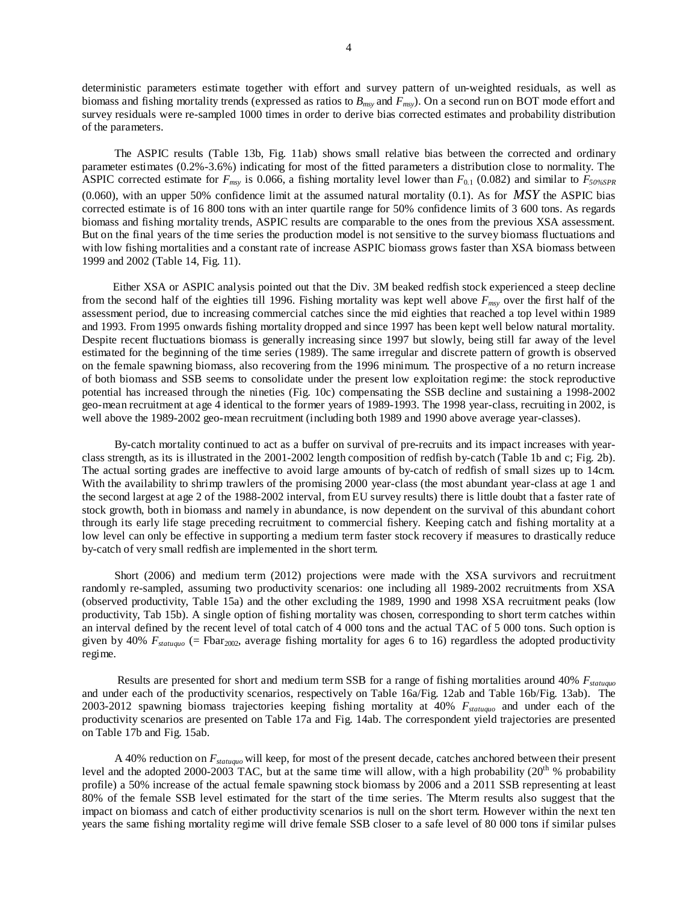deterministic parameters estimate together with effort and survey pattern of un-weighted residuals, as well as biomass and fishing mortality trends (expressed as ratios to *Bmsy* and *Fmsy*). On a second run on BOT mode effort and survey residuals were re-sampled 1000 times in order to derive bias corrected estimates and probability distribution of the parameters.

The ASPIC results (Table 13b, Fig. 11ab) shows small relative bias between the corrected and ordinary parameter estimates (0.2%-3.6%) indicating for most of the fitted parameters a distribution close to normality. The ASPIC corrected estimate for  $F_{msy}$  is 0.066, a fishing mortality level lower than  $F_{0.1}$  (0.082) and similar to  $F_{50\%SPR}$ (0.060), with an upper 50% confidence limit at the assumed natural mortality (0.1). As for *MSY* the ASPIC bias corrected estimate is of 16 800 tons with an inter quartile range for 50% confidence limits of 3 600 tons. As regards biomass and fishing mortality trends, ASPIC results are comparable to the ones from the previous XSA assessment. But on the final years of the time series the production model is not sensitive to the survey biomass fluctuations and with low fishing mortalities and a constant rate of increase ASPIC biomass grows faster than XSA biomass between 1999 and 2002 (Table 14, Fig. 11).

Either XSA or ASPIC analysis pointed out that the Div. 3M beaked redfish stock experienced a steep decline from the second half of the eighties till 1996. Fishing mortality was kept well above *Fmsy* over the first half of the assessment period, due to increasing commercial catches since the mid eighties that reached a top level within 1989 and 1993. From 1995 onwards fishing mortality dropped and since 1997 has been kept well below natural mortality. Despite recent fluctuations biomass is generally increasing since 1997 but slowly, being still far away of the level estimated for the beginning of the time series (1989). The same irregular and discrete pattern of growth is observed on the female spawning biomass, also recovering from the 1996 minimum. The prospective of a no return increase of both biomass and SSB seems to consolidate under the present low exploitation regime: the stock reproductive potential has increased through the nineties (Fig. 10c) compensating the SSB decline and sustaining a 1998-2002 geo-mean recruitment at age 4 identical to the former years of 1989-1993. The 1998 year-class, recruiting in 2002, is well above the 1989-2002 geo-mean recruitment (including both 1989 and 1990 above average year-classes).

By-catch mortality continued to act as a buffer on survival of pre-recruits and its impact increases with yearclass strength, as its is illustrated in the 2001-2002 length composition of redfish by-catch (Table 1b and c; Fig. 2b). The actual sorting grades are ineffective to avoid large amounts of by-catch of redfish of small sizes up to 14cm. With the availability to shrimp trawlers of the promising 2000 year-class (the most abundant year-class at age 1 and the second largest at age 2 of the 1988-2002 interval, from EU survey results) there is little doubt that a faster rate of stock growth, both in biomass and namely in abundance, is now dependent on the survival of this abundant cohort through its early life stage preceding recruitment to commercial fishery. Keeping catch and fishing mortality at a low level can only be effective in supporting a medium term faster stock recovery if measures to drastically reduce by-catch of very small redfish are implemented in the short term.

Short (2006) and medium term (2012) projections were made with the XSA survivors and recruitment randomly re-sampled, assuming two productivity scenarios: one including all 1989-2002 recruitments from XSA (observed productivity, Table 15a) and the other excluding the 1989, 1990 and 1998 XSA recruitment peaks (low productivity, Tab 15b). A single option of fishing mortality was chosen, corresponding to short term catches within an interval defined by the recent level of total catch of 4 000 tons and the actual TAC of 5 000 tons. Such option is given by 40%  $F_{statuquo}$  (= Fbar<sub>2002</sub>, average fishing mortality for ages 6 to 16) regardless the adopted productivity regime.

Results are presented for short and medium term SSB for a range of fishing mortalities around 40% *F<sub>statuquo</sub>* and under each of the productivity scenarios, respectively on Table 16a/Fig. 12ab and Table 16b/Fig. 13ab). The 2003-2012 spawning biomass trajectories keeping fishing mortality at 40% *Fstatuquo* and under each of the productivity scenarios are presented on Table 17a and Fig. 14ab. The correspondent yield trajectories are presented on Table 17b and Fig. 15ab.

A 40% reduction on *Fstatuquo* will keep, for most of the present decade, catches anchored between their present level and the adopted 2000-2003 TAC, but at the same time will allow, with a high probability ( $20<sup>th</sup>$  % probability profile) a 50% increase of the actual female spawning stock biomass by 2006 and a 2011 SSB representing at least 80% of the female SSB level estimated for the start of the time series. The Mterm results also suggest that the impact on biomass and catch of either productivity scenarios is null on the short term. However within the next ten years the same fishing mortality regime will drive female SSB closer to a safe level of 80 000 tons if similar pulses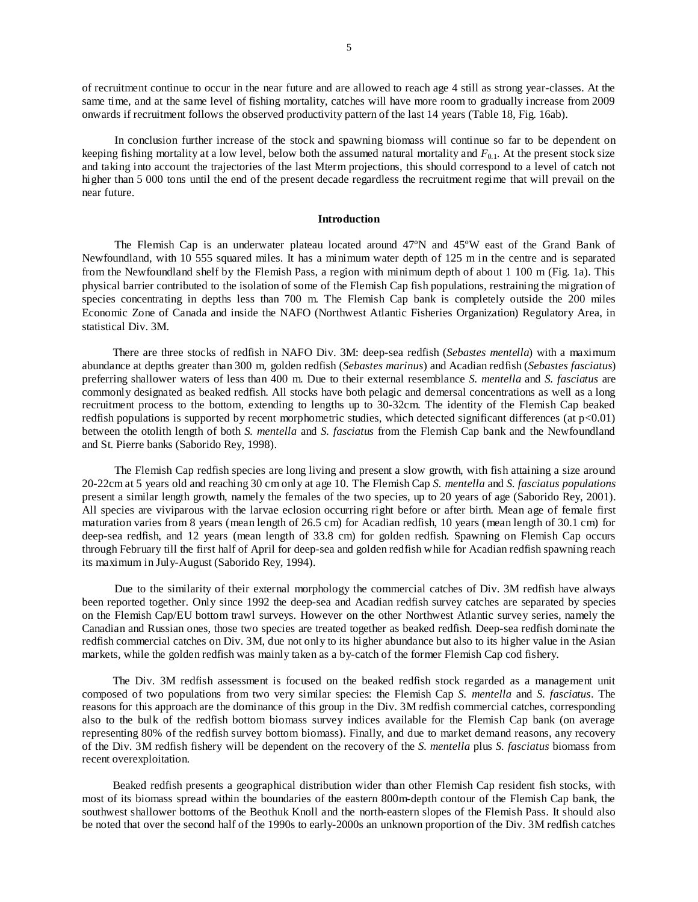of recruitment continue to occur in the near future and are allowed to reach age 4 still as strong year-classes. At the same time, and at the same level of fishing mortality, catches will have more room to gradually increase from 2009 onwards if recruitment follows the observed productivity pattern of the last 14 years (Table 18, Fig. 16ab).

In conclusion further increase of the stock and spawning biomass will continue so far to be dependent on keeping fishing mortality at a low level, below both the assumed natural mortality and  $F_{0,1}$ . At the present stock size and taking into account the trajectories of the last Mterm projections, this should correspond to a level of catch not higher than 5 000 tons until the end of the present decade regardless the recruitment regime that will prevail on the near future.

#### **Introduction**

The Flemish Cap is an underwater plateau located around 47ºN and 45ºW east of the Grand Bank of Newfoundland, with 10 555 squared miles. It has a minimum water depth of 125 m in the centre and is separated from the Newfoundland shelf by the Flemish Pass, a region with minimum depth of about 1 100 m (Fig. 1a). This physical barrier contributed to the isolation of some of the Flemish Cap fish populations, restraining the migration of species concentrating in depths less than 700 m. The Flemish Cap bank is completely outside the 200 miles Economic Zone of Canada and inside the NAFO (Northwest Atlantic Fisheries Organization) Regulatory Area, in statistical Div. 3M.

There are three stocks of redfish in NAFO Div. 3M: deep-sea redfish (*Sebastes mentella*) with a maximum abundance at depths greater than 300 m, golden redfish (*Sebastes marinus*) and Acadian redfish (*Sebastes fasciatus*) preferring shallower waters of less than 400 m. Due to their external resemblance *S. mentella* and *S. fasciatus* are commonly designated as beaked redfish. All stocks have both pelagic and demersal concentrations as well as a long recruitment process to the bottom, extending to lengths up to 30-32cm. The identity of the Flemish Cap beaked redfish populations is supported by recent morphometric studies, which detected significant differences (at  $p<0.01$ ) between the otolith length of both *S. mentella* and *S. fasciatus* from the Flemish Cap bank and the Newfoundland and St. Pierre banks (Saborido Rey, 1998).

The Flemish Cap redfish species are long living and present a slow growth, with fish attaining a size around 20-22cm at 5 years old and reaching 30 cm only at age 10. The Flemish Cap *S. mentella* and *S. fasciatus populations* present a similar length growth, namely the females of the two species, up to 20 years of age (Saborido Rey, 2001). All species are viviparous with the larvae eclosion occurring right before or after birth. Mean age of female first maturation varies from 8 years (mean length of 26.5 cm) for Acadian redfish, 10 years (mean length of 30.1 cm) for deep-sea redfish, and 12 years (mean length of 33.8 cm) for golden redfish. Spawning on Flemish Cap occurs through February till the first half of April for deep-sea and golden redfish while for Acadian redfish spawning reach its maximum in July-August (Saborido Rey, 1994).

Due to the similarity of their external morphology the commercial catches of Div. 3M redfish have always been reported together. Only since 1992 the deep-sea and Acadian redfish survey catches are separated by species on the Flemish Cap/EU bottom trawl surveys. However on the other Northwest Atlantic survey series, namely the Canadian and Russian ones, those two species are treated together as beaked redfish. Deep-sea redfish dominate the redfish commercial catches on Div. 3M, due not only to its higher abundance but also to its higher value in the Asian markets, while the golden redfish was mainly taken as a by-catch of the former Flemish Cap cod fishery.

The Div. 3M redfish assessment is focused on the beaked redfish stock regarded as a management unit composed of two populations from two very similar species: the Flemish Cap *S. mentella* and *S. fasciatus*. The reasons for this approach are the dominance of this group in the Div. 3M redfish commercial catches, corresponding also to the bulk of the redfish bottom biomass survey indices available for the Flemish Cap bank (on average representing 80% of the redfish survey bottom biomass). Finally, and due to market demand reasons, any recovery of the Div. 3M redfish fishery will be dependent on the recovery of the *S. mentella* plus *S. fasciatus* biomass from recent overexploitation.

Beaked redfish presents a geographical distribution wider than other Flemish Cap resident fish stocks, with most of its biomass spread within the boundaries of the eastern 800m-depth contour of the Flemish Cap bank, the southwest shallower bottoms of the Beothuk Knoll and the north-eastern slopes of the Flemish Pass. It should also be noted that over the second half of the 1990s to early-2000s an unknown proportion of the Div. 3M redfish catches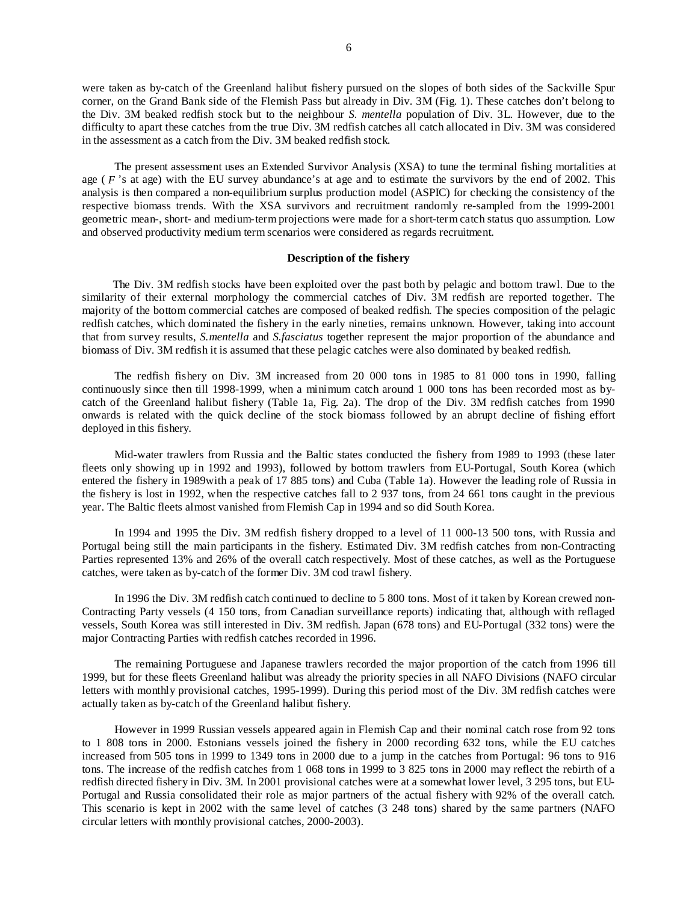were taken as by-catch of the Greenland halibut fishery pursued on the slopes of both sides of the Sackville Spur corner, on the Grand Bank side of the Flemish Pass but already in Div. 3M (Fig. 1). These catches don't belong to the Div. 3M beaked redfish stock but to the neighbour *S. mentella* population of Div. 3L. However, due to the difficulty to apart these catches from the true Div. 3M redfish catches all catch allocated in Div. 3M was considered in the assessment as a catch from the Div. 3M beaked redfish stock.

The present assessment uses an Extended Survivor Analysis (XSA) to tune the terminal fishing mortalities at age ( *F* 's at age) with the EU survey abundance's at age and to estimate the survivors by the end of 2002. This analysis is then compared a non-equilibrium surplus production model (ASPIC) for checking the consistency of the respective biomass trends. With the XSA survivors and recruitment randomly re-sampled from the 1999-2001 geometric mean-, short- and medium-term projections were made for a short-term catch status quo assumption. Low and observed productivity medium term scenarios were considered as regards recruitment.

#### **Description of the fishery**

The Div. 3M redfish stocks have been exploited over the past both by pelagic and bottom trawl. Due to the similarity of their external morphology the commercial catches of Div. 3M redfish are reported together. The majority of the bottom commercial catches are composed of beaked redfish. The species composition of the pelagic redfish catches, which dominated the fishery in the early nineties, remains unknown. However, taking into account that from survey results, *S.mentella* and *S.fasciatus* together represent the major proportion of the abundance and biomass of Div. 3M redfish it is assumed that these pelagic catches were also dominated by beaked redfish.

The redfish fishery on Div. 3M increased from 20 000 tons in 1985 to 81 000 tons in 1990, falling continuously since then till 1998-1999, when a minimum catch around 1 000 tons has been recorded most as bycatch of the Greenland halibut fishery (Table 1a, Fig. 2a). The drop of the Div. 3M redfish catches from 1990 onwards is related with the quick decline of the stock biomass followed by an abrupt decline of fishing effort deployed in this fishery.

Mid-water trawlers from Russia and the Baltic states conducted the fishery from 1989 to 1993 (these later fleets only showing up in 1992 and 1993), followed by bottom trawlers from EU-Portugal, South Korea (which entered the fishery in 1989with a peak of 17 885 tons) and Cuba (Table 1a). However the leading role of Russia in the fishery is lost in 1992, when the respective catches fall to 2 937 tons, from 24 661 tons caught in the previous year. The Baltic fleets almost vanished from Flemish Cap in 1994 and so did South Korea.

In 1994 and 1995 the Div. 3M redfish fishery dropped to a level of 11 000-13 500 tons, with Russia and Portugal being still the main participants in the fishery. Estimated Div. 3M redfish catches from non-Contracting Parties represented 13% and 26% of the overall catch respectively. Most of these catches, as well as the Portuguese catches, were taken as by-catch of the former Div. 3M cod trawl fishery.

In 1996 the Div. 3M redfish catch continued to decline to 5 800 tons. Most of it taken by Korean crewed non-Contracting Party vessels (4 150 tons, from Canadian surveillance reports) indicating that, although with reflaged vessels, South Korea was still interested in Div. 3M redfish. Japan (678 tons) and EU-Portugal (332 tons) were the major Contracting Parties with redfish catches recorded in 1996.

The remaining Portuguese and Japanese trawlers recorded the major proportion of the catch from 1996 till 1999, but for these fleets Greenland halibut was already the priority species in all NAFO Divisions (NAFO circular letters with monthly provisional catches, 1995-1999). During this period most of the Div. 3M redfish catches were actually taken as by-catch of the Greenland halibut fishery.

However in 1999 Russian vessels appeared again in Flemish Cap and their nominal catch rose from 92 tons to 1 808 tons in 2000. Estonians vessels joined the fishery in 2000 recording 632 tons, while the EU catches increased from 505 tons in 1999 to 1349 tons in 2000 due to a jump in the catches from Portugal: 96 tons to 916 tons. The increase of the redfish catches from 1 068 tons in 1999 to 3 825 tons in 2000 may reflect the rebirth of a redfish directed fishery in Div. 3M. In 2001 provisional catches were at a somewhat lower level, 3 295 tons, but EU-Portugal and Russia consolidated their role as major partners of the actual fishery with 92% of the overall catch. This scenario is kept in 2002 with the same level of catches (3 248 tons) shared by the same partners (NAFO circular letters with monthly provisional catches, 2000-2003).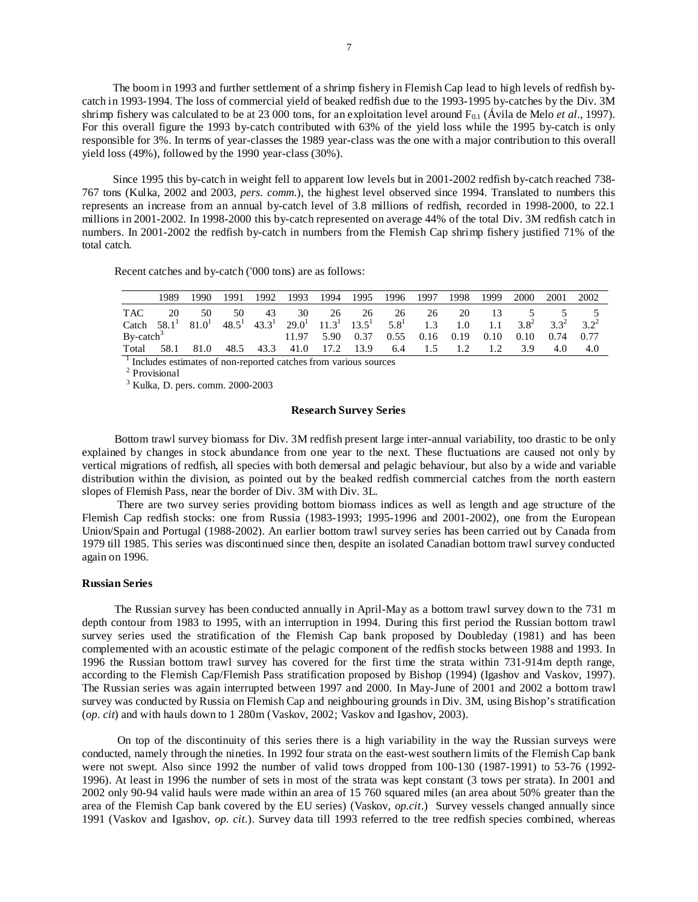The boom in 1993 and further settlement of a shrimp fishery in Flemish Cap lead to high levels of redfish bycatch in 1993-1994. The loss of commercial yield of beaked redfish due to the 1993-1995 by-catches by the Div. 3M shrimp fishery was calculated to be at 23 000 tons, for an exploitation level around  $F_{0.1}$  (Ávila de Melo *et al.*, 1997). For this overall figure the 1993 by-catch contributed with 63% of the yield loss while the 1995 by-catch is only responsible for 3%. In terms of year-classes the 1989 year-class was the one with a major contribution to this overall yield loss (49%), followed by the 1990 year-class (30%).

Since 1995 this by-catch in weight fell to apparent low levels but in 2001-2002 redfish by-catch reached 738- 767 tons (Kulka, 2002 and 2003, *pers. comm*.), the highest level observed since 1994. Translated to numbers this represents an increase from an annual by-catch level of 3.8 millions of redfish, recorded in 1998-2000, to 22.1 millions in 2001-2002. In 1998-2000 this by-catch represented on average 44% of the total Div. 3M redfish catch in numbers. In 2001-2002 the redfish by-catch in numbers from the Flemish Cap shrimp fishery justified 71% of the total catch.

Recent catches and by-catch ('000 tons) are as follows:

|             | 1989 | 1990                    | 1991 |    | 1992 1993 1994 1995                                                                            |       |                               | 1996 | 1997    | 1998 | 1999             | 2000           | 2001 | 2002 |
|-------------|------|-------------------------|------|----|------------------------------------------------------------------------------------------------|-------|-------------------------------|------|---------|------|------------------|----------------|------|------|
| TAC         | - 20 | 50                      | - 50 | 43 | 30                                                                                             | 26 26 |                               | 26   | - 26    |      | 20 13            | 5 <sup>5</sup> |      |      |
|             |      | Catch $58.1^1$ $81.0^1$ |      |    | $48.5^1$ $43.3^1$ $29.0^1$ $11.3^1$ $13.5^1$ $5.8^1$ $1.3$ $1.0$ $1.1$ $3.8^2$ $3.3^2$ $3.2^2$ |       |                               |      |         |      |                  |                |      |      |
| $By-catch3$ |      |                         |      |    | 11.97                                                                                          |       | 5.90 0.37 0.55 0.16 0.19 0.10 |      |         |      |                  | 0.10           | 0.74 | 0.77 |
| Total 58.1  |      |                         |      |    | 81.0 48.5 43.3 41.0 17.2 13.9                                                                  |       |                               |      | 6.4 1.5 |      | $1.2 \qquad 1.2$ | 39             | 4.0  | 4.0  |

1 Includes estimates of non-reported catches from various sources

2 Provisional

3 Kulka, D. pers. comm. 2000-2003

## **Research Survey Series**

Bottom trawl survey biomass for Div. 3M redfish present large inter-annual variability, too drastic to be only explained by changes in stock abundance from one year to the next. These fluctuations are caused not only by vertical migrations of redfish, all species with both demersal and pelagic behaviour, but also by a wide and variable distribution within the division, as pointed out by the beaked redfish commercial catches from the north eastern slopes of Flemish Pass, near the border of Div. 3M with Div. 3L.

 There are two survey series providing bottom biomass indices as well as length and age structure of the Flemish Cap redfish stocks: one from Russia (1983-1993; 1995-1996 and 2001-2002), one from the European Union/Spain and Portugal (1988-2002). An earlier bottom trawl survey series has been carried out by Canada from 1979 till 1985. This series was discontinued since then, despite an isolated Canadian bottom trawl survey conducted again on 1996.

## **Russian Series**

The Russian survey has been conducted annually in April-May as a bottom trawl survey down to the 731 m depth contour from 1983 to 1995, with an interruption in 1994. During this first period the Russian bottom trawl survey series used the stratification of the Flemish Cap bank proposed by Doubleday (1981) and has been complemented with an acoustic estimate of the pelagic component of the redfish stocks between 1988 and 1993. In 1996 the Russian bottom trawl survey has covered for the first time the strata within 731-914m depth range, according to the Flemish Cap/Flemish Pass stratification proposed by Bishop (1994) (Igashov and Vaskov, 1997). The Russian series was again interrupted between 1997 and 2000. In May-June of 2001 and 2002 a bottom trawl survey was conducted by Russia on Flemish Cap and neighbouring grounds in Div. 3M, using Bishop's stratification (*op. cit*) and with hauls down to 1 280m (Vaskov, 2002; Vaskov and Igashov, 2003).

 On top of the discontinuity of this series there is a high variability in the way the Russian surveys were conducted, namely through the nineties. In 1992 four strata on the east-west southern limits of the Flemish Cap bank were not swept. Also since 1992 the number of valid tows dropped from 100-130 (1987-1991) to 53-76 (1992- 1996). At least in 1996 the number of sets in most of the strata was kept constant (3 tows per strata). In 2001 and 2002 only 90-94 valid hauls were made within an area of 15 760 squared miles (an area about 50% greater than the area of the Flemish Cap bank covered by the EU series) (Vaskov, *op.cit*.) Survey vessels changed annually since 1991 (Vaskov and Igashov, *op. cit.*). Survey data till 1993 referred to the tree redfish species combined, whereas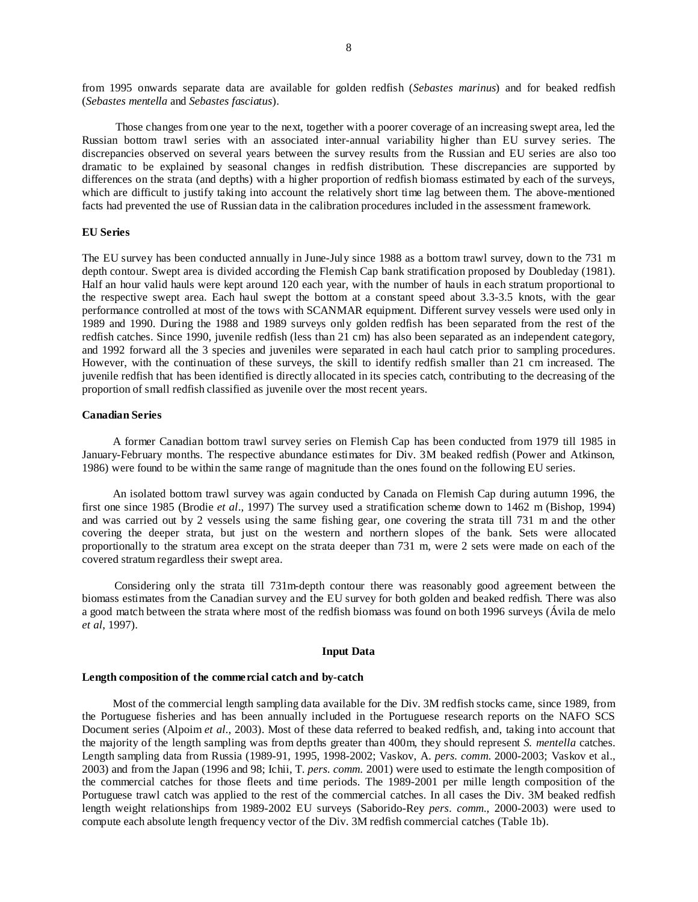from 1995 onwards separate data are available for golden redfish (*Sebastes marinus*) and for beaked redfish (*Sebastes mentella* and *Sebastes fasciatus*).

 Those changes from one year to the next, together with a poorer coverage of an increasing swept area, led the Russian bottom trawl series with an associated inter-annual variability higher than EU survey series. The discrepancies observed on several years between the survey results from the Russian and EU series are also too dramatic to be explained by seasonal changes in redfish distribution. These discrepancies are supported by differences on the strata (and depths) with a higher proportion of redfish biomass estimated by each of the surveys, which are difficult to justify taking into account the relatively short time lag between them. The above-mentioned facts had prevented the use of Russian data in the calibration procedures included in the assessment framework.

# **EU Series**

The EU survey has been conducted annually in June-July since 1988 as a bottom trawl survey, down to the 731 m depth contour. Swept area is divided according the Flemish Cap bank stratification proposed by Doubleday (1981). Half an hour valid hauls were kept around 120 each year, with the number of hauls in each stratum proportional to the respective swept area. Each haul swept the bottom at a constant speed about 3.3-3.5 knots, with the gear performance controlled at most of the tows with SCANMAR equipment. Different survey vessels were used only in 1989 and 1990. During the 1988 and 1989 surveys only golden redfish has been separated from the rest of the redfish catches. Since 1990, juvenile redfish (less than 21 cm) has also been separated as an independent category, and 1992 forward all the 3 species and juveniles were separated in each haul catch prior to sampling procedures. However, with the continuation of these surveys, the skill to identify redfish smaller than 21 cm increased. The juvenile redfish that has been identified is directly allocated in its species catch, contributing to the decreasing of the proportion of small redfish classified as juvenile over the most recent years.

# **Canadian Series**

A former Canadian bottom trawl survey series on Flemish Cap has been conducted from 1979 till 1985 in January-February months. The respective abundance estimates for Div. 3M beaked redfish (Power and Atkinson, 1986) were found to be within the same range of magnitude than the ones found on the following EU series.

An isolated bottom trawl survey was again conducted by Canada on Flemish Cap during autumn 1996, the first one since 1985 (Brodie *et al*., 1997) The survey used a stratification scheme down to 1462 m (Bishop, 1994) and was carried out by 2 vessels using the same fishing gear, one covering the strata till 731 m and the other covering the deeper strata, but just on the western and northern slopes of the bank. Sets were allocated proportionally to the stratum area except on the strata deeper than 731 m, were 2 sets were made on each of the covered stratum regardless their swept area.

Considering only the strata till 731m-depth contour there was reasonably good agreement between the biomass estimates from the Canadian survey and the EU survey for both golden and beaked redfish. There was also a good match between the strata where most of the redfish biomass was found on both 1996 surveys (Ávila de melo *et al*, 1997).

# **Input Data**

# **Length composition of the commercial catch and by-catch**

Most of the commercial length sampling data available for the Div. 3M redfish stocks came, since 1989, from the Portuguese fisheries and has been annually included in the Portuguese research reports on the NAFO SCS Document series (Alpoim *et al.*, 2003). Most of these data referred to beaked redfish, and, taking into account that the majority of the length sampling was from depths greater than 400m, they should represent *S. mentella* catches. Length sampling data from Russia (1989-91, 1995, 1998-2002; Vaskov, A. *pers. comm*. 2000-2003; Vaskov et al., 2003) and from the Japan (1996 and 98; Ichii, T. *pers. comm*. 2001) were used to estimate the length composition of the commercial catches for those fleets and time periods. The 1989-2001 per mille length composition of the Portuguese trawl catch was applied to the rest of the commercial catches. In all cases the Div. 3M beaked redfish length weight relationships from 1989-2002 EU surveys (Saborido-Rey *pers*. *comm*., 2000-2003) were used to compute each absolute length frequency vector of the Div. 3M redfish commercial catches (Table 1b).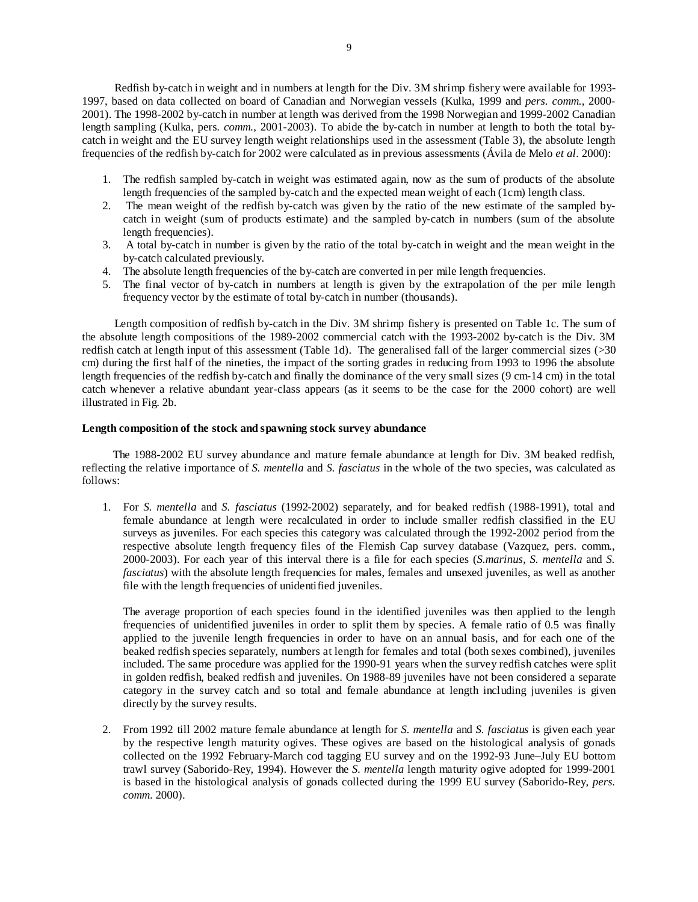Redfish by-catch in weight and in numbers at length for the Div. 3M shrimp fishery were available for 1993- 1997, based on data collected on board of Canadian and Norwegian vessels (Kulka, 1999 and *pers. comm.*, 2000- 2001). The 1998-2002 by-catch in number at length was derived from the 1998 Norwegian and 1999-2002 Canadian length sampling (Kulka, pers*. comm.*, 2001-2003). To abide the by-catch in number at length to both the total bycatch in weight and the EU survey length weight relationships used in the assessment (Table 3), the absolute length frequencies of the redfish by-catch for 2002 were calculated as in previous assessments (Ávila de Melo *et al*. 2000):

- 1. The redfish sampled by-catch in weight was estimated again, now as the sum of products of the absolute length frequencies of the sampled by-catch and the expected mean weight of each (1cm) length class.
- 2. The mean weight of the redfish by-catch was given by the ratio of the new estimate of the sampled bycatch in weight (sum of products estimate) and the sampled by-catch in numbers (sum of the absolute length frequencies).
- 3. A total by-catch in number is given by the ratio of the total by-catch in weight and the mean weight in the by-catch calculated previously.
- 4. The absolute length frequencies of the by-catch are converted in per mile length frequencies.
- 5. The final vector of by-catch in numbers at length is given by the extrapolation of the per mile length frequency vector by the estimate of total by-catch in number (thousands).

Length composition of redfish by-catch in the Div. 3M shrimp fishery is presented on Table 1c. The sum of the absolute length compositions of the 1989-2002 commercial catch with the 1993-2002 by-catch is the Div. 3M redfish catch at length input of this assessment (Table 1d). The generalised fall of the larger commercial sizes (>30 cm) during the first half of the nineties, the impact of the sorting grades in reducing from 1993 to 1996 the absolute length frequencies of the redfish by-catch and finally the dominance of the very small sizes (9 cm-14 cm) in the total catch whenever a relative abundant year-class appears (as it seems to be the case for the 2000 cohort) are well illustrated in Fig. 2b.

# **Length composition of the stock and spawning stock survey abundance**

The 1988-2002 EU survey abundance and mature female abundance at length for Div. 3M beaked redfish, reflecting the relative importance of *S. mentella* and *S. fasciatus* in the whole of the two species, was calculated as follows:

1. For *S. mentella* and *S. fasciatus* (1992-2002) separately, and for beaked redfish (1988-1991), total and female abundance at length were recalculated in order to include smaller redfish classified in the EU surveys as juveniles. For each species this category was calculated through the 1992-2002 period from the respective absolute length frequency files of the Flemish Cap survey database (Vazquez, pers. comm., 2000-2003). For each year of this interval there is a file for each species (*S.marinus*, *S. mentella* and *S. fasciatus*) with the absolute length frequencies for males, females and unsexed juveniles, as well as another file with the length frequencies of unidentified juveniles.

The average proportion of each species found in the identified juveniles was then applied to the length frequencies of unidentified juveniles in order to split them by species. A female ratio of 0.5 was finally applied to the juvenile length frequencies in order to have on an annual basis, and for each one of the beaked redfish species separately, numbers at length for females and total (both sexes combined), juveniles included. The same procedure was applied for the 1990-91 years when the survey redfish catches were split in golden redfish, beaked redfish and juveniles. On 1988-89 juveniles have not been considered a separate category in the survey catch and so total and female abundance at length including juveniles is given directly by the survey results.

2. From 1992 till 2002 mature female abundance at length for *S. mentella* and *S. fasciatus* is given each year by the respective length maturity ogives. These ogives are based on the histological analysis of gonads collected on the 1992 February-March cod tagging EU survey and on the 1992-93 June–July EU bottom trawl survey (Saborido-Rey, 1994). However the *S. mentella* length maturity ogive adopted for 1999-2001 is based in the histological analysis of gonads collected during the 1999 EU survey (Saborido-Rey, *pers. comm*. 2000).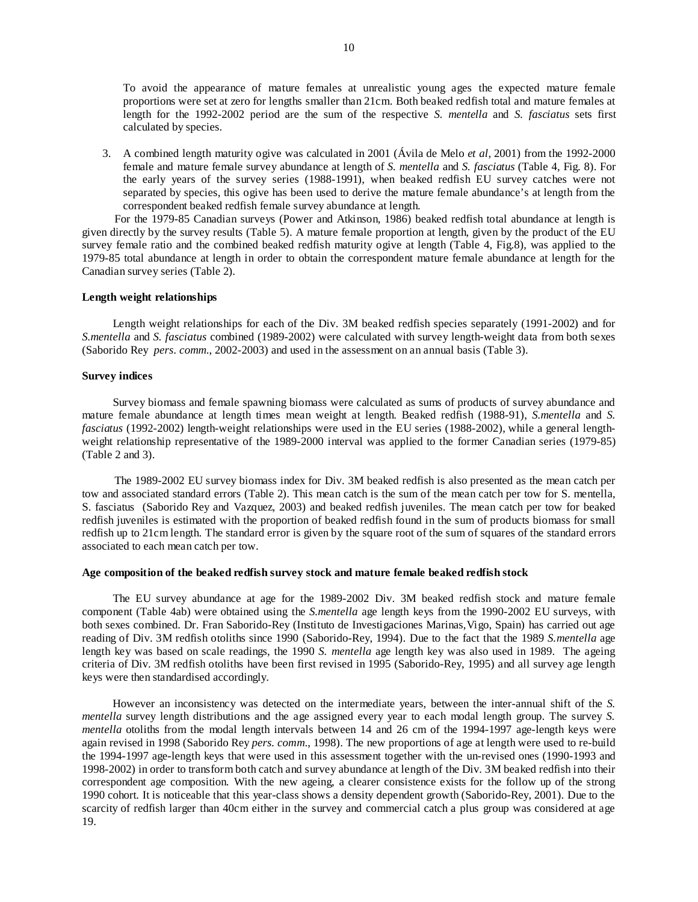To avoid the appearance of mature females at unrealistic young ages the expected mature female proportions were set at zero for lengths smaller than 21cm. Both beaked redfish total and mature females at length for the 1992-2002 period are the sum of the respective *S. mentella* and *S. fasciatus* sets first calculated by species.

3. A combined length maturity ogive was calculated in 2001 (Ávila de Melo *et al*, 2001) from the 1992-2000 female and mature female survey abundance at length of *S. mentella* and *S. fasciatus* (Table 4, Fig. 8). For the early years of the survey series (1988-1991), when beaked redfish EU survey catches were not separated by species, this ogive has been used to derive the mature female abundance's at length from the correspondent beaked redfish female survey abundance at length.

For the 1979-85 Canadian surveys (Power and Atkinson, 1986) beaked redfish total abundance at length is given directly by the survey results (Table 5). A mature female proportion at length, given by the product of the EU survey female ratio and the combined beaked redfish maturity ogive at length (Table 4, Fig.8), was applied to the 1979-85 total abundance at length in order to obtain the correspondent mature female abundance at length for the Canadian survey series (Table 2).

## **Length weight relationships**

Length weight relationships for each of the Div. 3M beaked redfish species separately (1991-2002) and for *S.mentella* and *S. fasciatus* combined (1989-2002) were calculated with survey length-weight data from both sexes (Saborido Rey *pers. comm*., 2002-2003) and used in the assessment on an annual basis (Table 3).

# **Survey indices**

Survey biomass and female spawning biomass were calculated as sums of products of survey abundance and mature female abundance at length times mean weight at length. Beaked redfish (1988-91), *S.mentella* and *S. fasciatus* (1992-2002) length-weight relationships were used in the EU series (1988-2002), while a general lengthweight relationship representative of the 1989-2000 interval was applied to the former Canadian series (1979-85) (Table 2 and 3).

The 1989-2002 EU survey biomass index for Div. 3M beaked redfish is also presented as the mean catch per tow and associated standard errors (Table 2). This mean catch is the sum of the mean catch per tow for S. mentella, S. fasciatus (Saborido Rey and Vazquez, 2003) and beaked redfish juveniles. The mean catch per tow for beaked redfish juveniles is estimated with the proportion of beaked redfish found in the sum of products biomass for small redfish up to 21cm length. The standard error is given by the square root of the sum of squares of the standard errors associated to each mean catch per tow.

# **Age composition of the beaked redfish survey stock and mature female beaked redfish stock**

The EU survey abundance at age for the 1989-2002 Div. 3M beaked redfish stock and mature female component (Table 4ab) were obtained using the *S.mentella* age length keys from the 1990-2002 EU surveys, with both sexes combined. Dr. Fran Saborido-Rey (Instituto de Investigaciones Marinas,Vigo, Spain) has carried out age reading of Div. 3M redfish otoliths since 1990 (Saborido-Rey, 1994). Due to the fact that the 1989 *S.mentella* age length key was based on scale readings, the 1990 *S. mentella* age length key was also used in 1989. The ageing criteria of Div. 3M redfish otoliths have been first revised in 1995 (Saborido-Rey, 1995) and all survey age length keys were then standardised accordingly.

However an inconsistency was detected on the intermediate years, between the inter-annual shift of the *S. mentella* survey length distributions and the age assigned every year to each modal length group. The survey *S. mentella* otoliths from the modal length intervals between 14 and 26 cm of the 1994-1997 age-length keys were again revised in 1998 (Saborido Rey *pers. comm*., 1998). The new proportions of age at length were used to re-build the 1994-1997 age-length keys that were used in this assessment together with the un-revised ones (1990-1993 and 1998-2002) in order to transform both catch and survey abundance at length of the Div. 3M beaked redfish into their correspondent age composition. With the new ageing, a clearer consistence exists for the follow up of the strong 1990 cohort. It is noticeable that this year-class shows a density dependent growth (Saborido-Rey, 2001). Due to the scarcity of redfish larger than 40cm either in the survey and commercial catch a plus group was considered at age 19.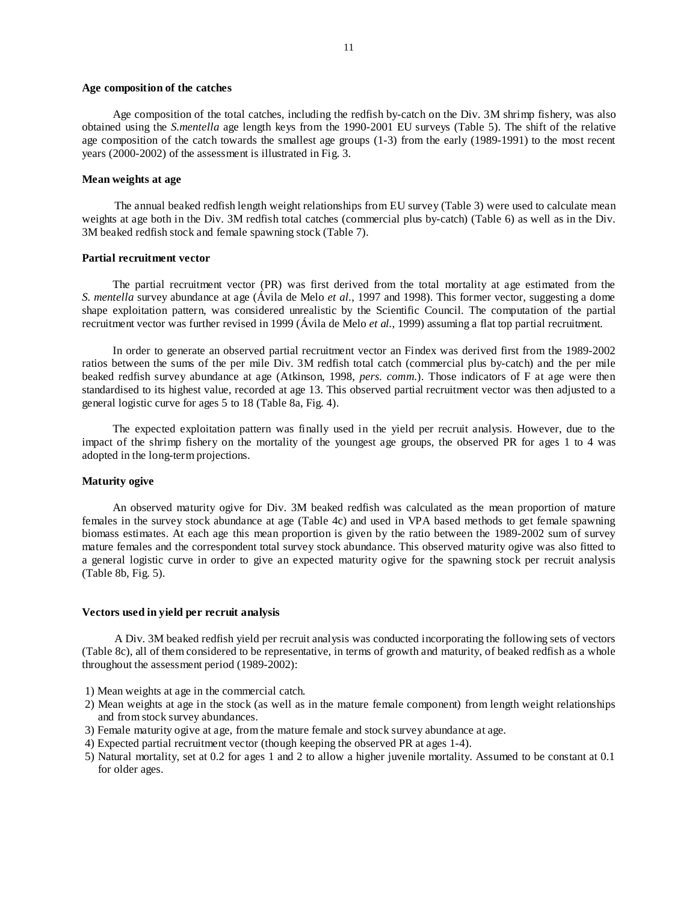## **Age composition of the catches**

Age composition of the total catches, including the redfish by-catch on the Div. 3M shrimp fishery, was also obtained using the *S.mentella* age length keys from the 1990-2001 EU surveys (Table 5). The shift of the relative age composition of the catch towards the smallest age groups (1-3) from the early (1989-1991) to the most recent years (2000-2002) of the assessment is illustrated in Fig. 3.

## **Mean weights at age**

The annual beaked redfish length weight relationships from EU survey (Table 3) were used to calculate mean weights at age both in the Div. 3M redfish total catches (commercial plus by-catch) (Table 6) as well as in the Div. 3M beaked redfish stock and female spawning stock (Table 7).

## **Partial recruitment vector**

The partial recruitment vector (PR) was first derived from the total mortality at age estimated from the *S. mentella* survey abundance at age (Ávila de Melo *et al.*, 1997 and 1998). This former vector, suggesting a dome shape exploitation pattern, was considered unrealistic by the Scientific Council. The computation of the partial recruitment vector was further revised in 1999 (Ávila de Melo *et al.*, 1999) assuming a flat top partial recruitment.

In order to generate an observed partial recruitment vector an Findex was derived first from the 1989-2002 ratios between the sums of the per mile Div. 3M redfish total catch (commercial plus by-catch) and the per mile beaked redfish survey abundance at age (Atkinson, 1998, *pers. comm*.). Those indicators of F at age were then standardised to its highest value, recorded at age 13. This observed partial recruitment vector was then adjusted to a general logistic curve for ages 5 to 18 (Table 8a, Fig. 4).

The expected exploitation pattern was finally used in the yield per recruit analysis. However, due to the impact of the shrimp fishery on the mortality of the youngest age groups, the observed PR for ages 1 to 4 was adopted in the long-term projections.

# **Maturity ogive**

An observed maturity ogive for Div. 3M beaked redfish was calculated as the mean proportion of mature females in the survey stock abundance at age (Table 4c) and used in VPA based methods to get female spawning biomass estimates. At each age this mean proportion is given by the ratio between the 1989-2002 sum of survey mature females and the correspondent total survey stock abundance. This observed maturity ogive was also fitted to a general logistic curve in order to give an expected maturity ogive for the spawning stock per recruit analysis (Table 8b, Fig. 5).

#### **Vectors used in yield per recruit analysis**

A Div. 3M beaked redfish yield per recruit analysis was conducted incorporating the following sets of vectors (Table 8c), all of them considered to be representative, in terms of growth and maturity, of beaked redfish as a whole throughout the assessment period (1989-2002):

- 1) Mean weights at age in the commercial catch.
- 2) Mean weights at age in the stock (as well as in the mature female component) from length weight relationships and from stock survey abundances.
- 3) Female maturity ogive at age, from the mature female and stock survey abundance at age.
- 4) Expected partial recruitment vector (though keeping the observed PR at ages 1-4).
- 5) Natural mortality, set at 0.2 for ages 1 and 2 to allow a higher juvenile mortality. Assumed to be constant at 0.1 for older ages.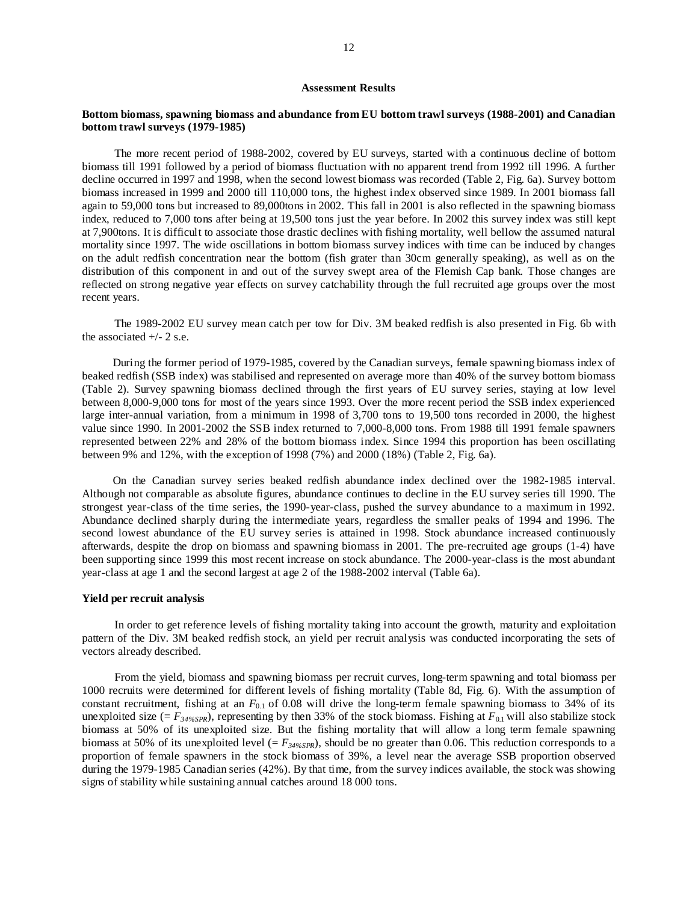#### **Assessment Results**

## **Bottom biomass, spawning biomass and abundance from EU bottom trawl surveys (1988-2001) and Canadian bottom trawl surveys (1979-1985)**

The more recent period of 1988-2002, covered by EU surveys, started with a continuous decline of bottom biomass till 1991 followed by a period of biomass fluctuation with no apparent trend from 1992 till 1996. A further decline occurred in 1997 and 1998, when the second lowest biomass was recorded (Table 2, Fig. 6a). Survey bottom biomass increased in 1999 and 2000 till 110,000 tons, the highest index observed since 1989. In 2001 biomass fall again to 59,000 tons but increased to 89,000tons in 2002. This fall in 2001 is also reflected in the spawning biomass index, reduced to 7,000 tons after being at 19,500 tons just the year before. In 2002 this survey index was still kept at 7,900tons. It is difficult to associate those drastic declines with fishing mortality, well bellow the assumed natural mortality since 1997. The wide oscillations in bottom biomass survey indices with time can be induced by changes on the adult redfish concentration near the bottom (fish grater than 30cm generally speaking), as well as on the distribution of this component in and out of the survey swept area of the Flemish Cap bank. Those changes are reflected on strong negative year effects on survey catchability through the full recruited age groups over the most recent years.

The 1989-2002 EU survey mean catch per tow for Div. 3M beaked redfish is also presented in Fig. 6b with the associated  $+/- 2$  s.e.

During the former period of 1979-1985, covered by the Canadian surveys, female spawning biomass index of beaked redfish (SSB index) was stabilised and represented on average more than 40% of the survey bottom biomass (Table 2). Survey spawning biomass declined through the first years of EU survey series, staying at low level between 8,000-9,000 tons for most of the years since 1993. Over the more recent period the SSB index experienced large inter-annual variation, from a minimum in 1998 of 3,700 tons to 19,500 tons recorded in 2000, the highest value since 1990. In 2001-2002 the SSB index returned to 7,000-8,000 tons. From 1988 till 1991 female spawners represented between 22% and 28% of the bottom biomass index. Since 1994 this proportion has been oscillating between 9% and 12%, with the exception of 1998 (7%) and 2000 (18%) (Table 2, Fig. 6a).

On the Canadian survey series beaked redfish abundance index declined over the 1982-1985 interval. Although not comparable as absolute figures, abundance continues to decline in the EU survey series till 1990. The strongest year-class of the time series, the 1990-year-class, pushed the survey abundance to a maximum in 1992. Abundance declined sharply during the intermediate years, regardless the smaller peaks of 1994 and 1996. The second lowest abundance of the EU survey series is attained in 1998. Stock abundance increased continuously afterwards, despite the drop on biomass and spawning biomass in 2001. The pre-recruited age groups (1-4) have been supporting since 1999 this most recent increase on stock abundance. The 2000-year-class is the most abundant year-class at age 1 and the second largest at age 2 of the 1988-2002 interval (Table 6a).

## **Yield per recruit analysis**

In order to get reference levels of fishing mortality taking into account the growth, maturity and exploitation pattern of the Div. 3M beaked redfish stock, an yield per recruit analysis was conducted incorporating the sets of vectors already described.

From the yield, biomass and spawning biomass per recruit curves, long-term spawning and total biomass per 1000 recruits were determined for different levels of fishing mortality (Table 8d, Fig. 6). With the assumption of constant recruitment, fishing at an  $F_{0,1}$  of 0.08 will drive the long-term female spawning biomass to 34% of its unexploited size (=  $F_{34\%SPR}$ ), representing by then 33% of the stock biomass. Fishing at  $F_{0.1}$  will also stabilize stock biomass at 50% of its unexploited size. But the fishing mortality that will allow a long term female spawning biomass at 50% of its unexploited level ( $=F_{34\%SPR}$ ), should be no greater than 0.06. This reduction corresponds to a proportion of female spawners in the stock biomass of 39%, a level near the average SSB proportion observed during the 1979-1985 Canadian series (42%). By that time, from the survey indices available, the stock was showing signs of stability while sustaining annual catches around 18 000 tons.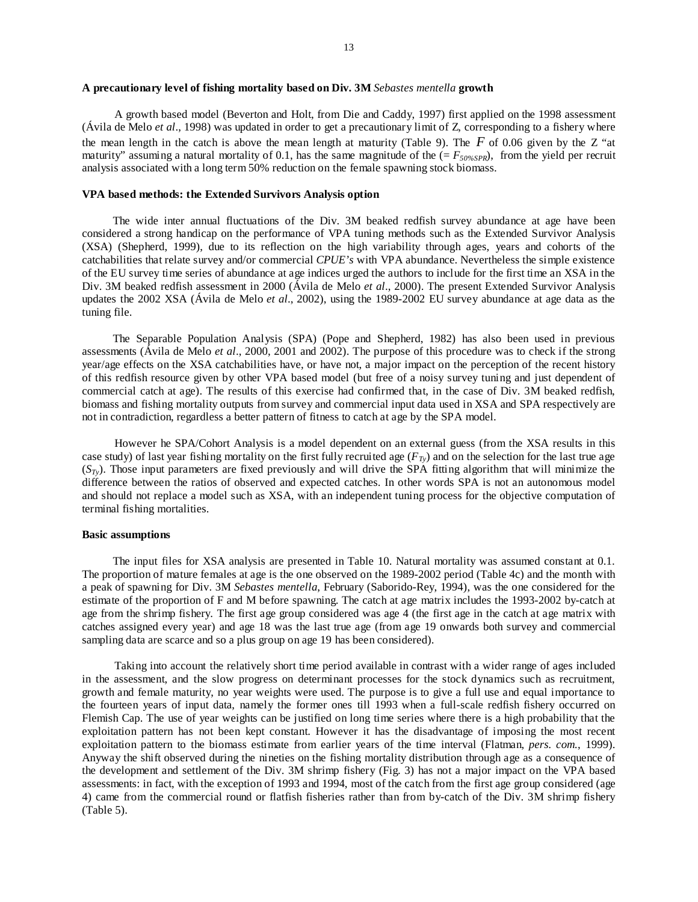# **A precautionary level of fishing mortality based on Div. 3M** *Sebastes mentella* **growth**

A growth based model (Beverton and Holt, from Die and Caddy, 1997) first applied on the 1998 assessment (Ávila de Melo *et al*., 1998) was updated in order to get a precautionary limit of Z, corresponding to a fishery where the mean length in the catch is above the mean length at maturity (Table 9). The  $\overline{F}$  of 0.06 given by the Z "at maturity" assuming a natural mortality of 0.1, has the same magnitude of the  $(= F_{50\%SPR})$ , from the yield per recruit analysis associated with a long term 50% reduction on the female spawning stock biomass.

# **VPA based methods: the Extended Survivors Analysis option**

The wide inter annual fluctuations of the Div. 3M beaked redfish survey abundance at age have been considered a strong handicap on the performance of VPA tuning methods such as the Extended Survivor Analysis (XSA) (Shepherd, 1999), due to its reflection on the high variability through ages, years and cohorts of the catchabilities that relate survey and/or commercial *CPUE's* with VPA abundance. Nevertheless the simple existence of the EU survey time series of abundance at age indices urged the authors to include for the first time an XSA in the Div. 3M beaked redfish assessment in 2000 (Ávila de Melo *et al*., 2000). The present Extended Survivor Analysis updates the 2002 XSA (Ávila de Melo *et al*., 2002), using the 1989-2002 EU survey abundance at age data as the tuning file.

The Separable Population Analysis (SPA) (Pope and Shepherd, 1982) has also been used in previous assessments (Ávila de Melo *et al*., 2000, 2001 and 2002). The purpose of this procedure was to check if the strong year/age effects on the XSA catchabilities have, or have not, a major impact on the perception of the recent history of this redfish resource given by other VPA based model (but free of a noisy survey tuning and just dependent of commercial catch at age). The results of this exercise had confirmed that, in the case of Div. 3M beaked redfish, biomass and fishing mortality outputs from survey and commercial input data used in XSA and SPA respectively are not in contradiction, regardless a better pattern of fitness to catch at age by the SPA model.

However he SPA/Cohort Analysis is a model dependent on an external guess (from the XSA results in this case study) of last year fishing mortality on the first fully recruited age  $(F_T)$  and on the selection for the last true age (*STy*). Those input parameters are fixed previously and will drive the SPA fitting algorithm that will minimize the difference between the ratios of observed and expected catches. In other words SPA is not an autonomous model and should not replace a model such as XSA, with an independent tuning process for the objective computation of terminal fishing mortalities.

#### **Basic assumptions**

The input files for XSA analysis are presented in Table 10. Natural mortality was assumed constant at 0.1. The proportion of mature females at age is the one observed on the 1989-2002 period (Table 4c) and the month with a peak of spawning for Div. 3M *Sebastes mentella*, February (Saborido-Rey, 1994), was the one considered for the estimate of the proportion of F and M before spawning. The catch at age matrix includes the 1993-2002 by-catch at age from the shrimp fishery. The first age group considered was age 4 (the first age in the catch at age matrix with catches assigned every year) and age 18 was the last true age (from age 19 onwards both survey and commercial sampling data are scarce and so a plus group on age 19 has been considered).

Taking into account the relatively short time period available in contrast with a wider range of ages included in the assessment, and the slow progress on determinant processes for the stock dynamics such as recruitment, growth and female maturity, no year weights were used. The purpose is to give a full use and equal importance to the fourteen years of input data, namely the former ones till 1993 when a full-scale redfish fishery occurred on Flemish Cap. The use of year weights can be justified on long time series where there is a high probability that the exploitation pattern has not been kept constant. However it has the disadvantage of imposing the most recent exploitation pattern to the biomass estimate from earlier years of the time interval (Flatman, *pers. com.*, 1999). Anyway the shift observed during the nineties on the fishing mortality distribution through age as a consequence of the development and settlement of the Div. 3M shrimp fishery (Fig. 3) has not a major impact on the VPA based assessments: in fact, with the exception of 1993 and 1994, most of the catch from the first age group considered (age 4) came from the commercial round or flatfish fisheries rather than from by-catch of the Div. 3M shrimp fishery (Table 5).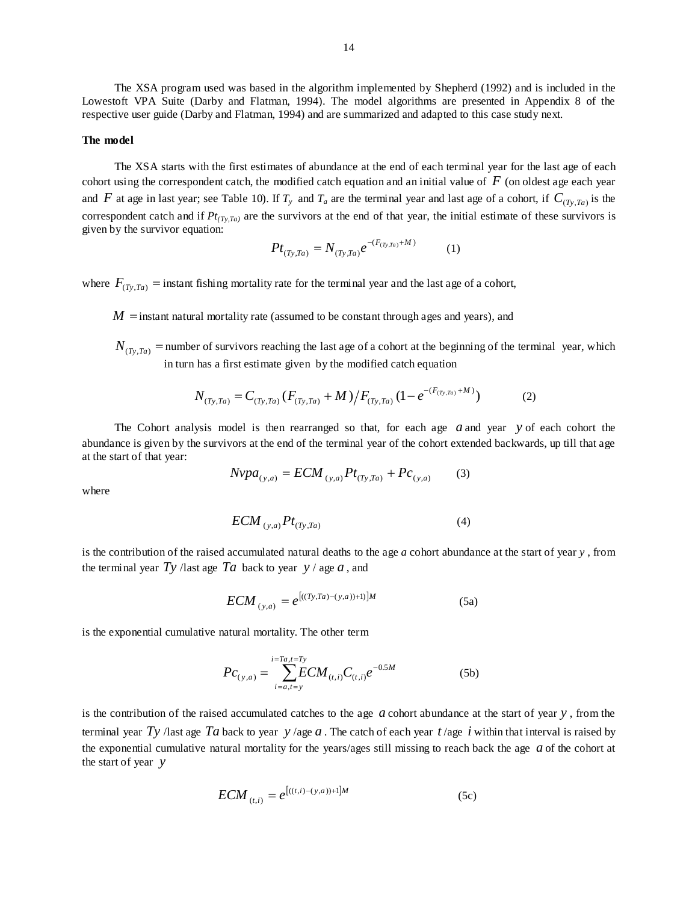The XSA program used was based in the algorithm implemented by Shepherd (1992) and is included in the Lowestoft VPA Suite (Darby and Flatman, 1994). The model algorithms are presented in Appendix 8 of the respective user guide (Darby and Flatman, 1994) and are summarized and adapted to this case study next.

## **The model**

The XSA starts with the first estimates of abundance at the end of each terminal year for the last age of each cohort using the correspondent catch, the modified catch equation and an initial value of *F* (on oldest age each year and *F* at age in last year; see Table 10). If  $T_y$  and  $T_a$  are the terminal year and last age of a cohort, if  $C_{(T_y,T_a)}$  is the correspondent catch and if  $Pt_{(Ty,Ta)}$  are the survivors at the end of that year, the initial estimate of these survivors is given by the survivor equation:

$$
Pt_{(Ty,Ta)} = N_{(Ty,Ta)} e^{-(F_{(Ty,Ta)}+M)}
$$
 (1)

where  $F_{(T_v,T_a)}$  = instant fishing mortality rate for the terminal year and the last age of a cohort,

 $M =$ instant natural mortality rate (assumed to be constant through ages and years), and

 $N_{(T_v, T_a)}$  = number of survivors reaching the last age of a cohort at the beginning of the terminal year, which in turn has a first estimate given by the modified catch equation

$$
N_{(T_{y},T_{a})}=C_{(T_{y},T_{a})}(F_{(T_{y},T_{a})}+M)/F_{(T_{y},T_{a})}(1-e^{-(F_{(T_{y},T_{a})}+M)})
$$
(2)

The Cohort analysis model is then rearranged so that, for each age *a* and year *y* of each cohort the abundance is given by the survivors at the end of the terminal year of the cohort extended backwards, up till that age at the start of that year:

$$
N v p a_{(y,a)} = E C M_{(y,a)} P t_{(Ty,Ta)} + P c_{(y,a)} \tag{3}
$$

where

$$
ECM_{(y,a)}Pt_{(Ty,Ta)}\tag{4}
$$

is the contribution of the raised accumulated natural deaths to the age *a* cohort abundance at the start of year *y* , from the terminal year *Ty* /last age *Ta* back to year  $y$  / age *a*, and

$$
ECM_{(y,a)} = e^{[(Ty,Ta)-(y,a))+1]M}
$$
 (5a)

is the exponential cumulative natural mortality. The other term

$$
P c_{(y,a)} = \sum_{i=a,t=y}^{i=Ta,t=Ty} ECM_{(t,i)} C_{(t,i)} e^{-0.5M}
$$
 (5b)

is the contribution of the raised accumulated catches to the age *a* cohort abundance at the start of year *y* , from the terminal year *Ty* /last age *Ta* back to year *y* /age *a* . The catch of each year *t* /age *i* within that interval is raised by the exponential cumulative natural mortality for the years/ages still missing to reach back the age *a* of the cohort at the start of year *y*

$$
ECM_{(t,i)} = e^{\left[((t,i)-(y,a))+1\right]M}
$$
 (5c)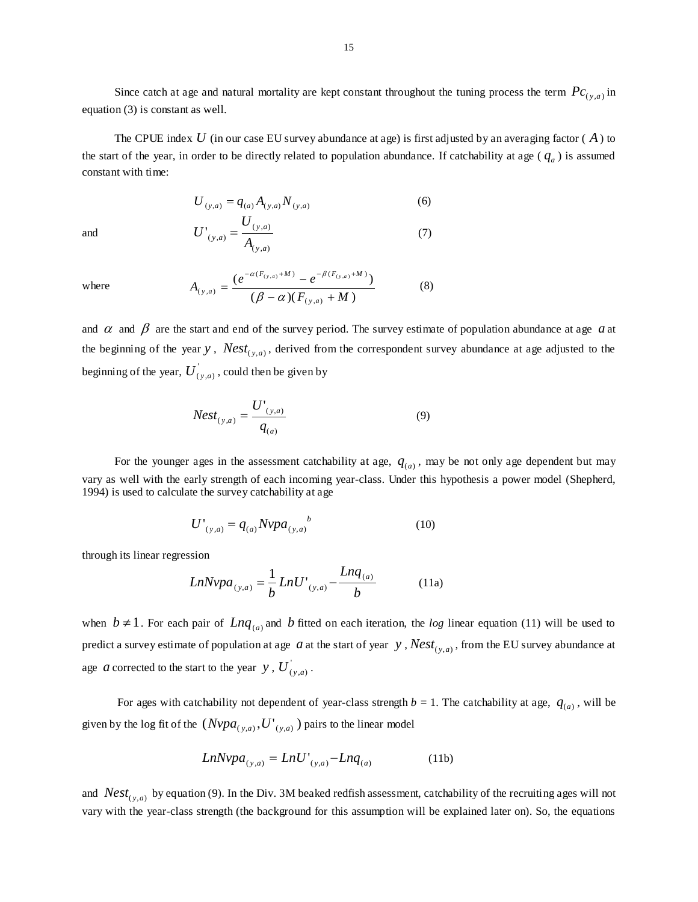Since catch at age and natural mortality are kept constant throughout the tuning process the term  $Pc_{(y,a)}$  in equation (3) is constant as well.

The CPUE index *U* (in our case EU survey abundance at age) is first adjusted by an averaging factor ( *A*) to the start of the year, in order to be directly related to population abundance. If catchability at age ( $q_a$ ) is assumed constant with time:

$$
U_{(y,a)} = q_{(a)} A_{(y,a)} N_{(y,a)}
$$
(6)

$$
U'_{(y,a)} = \frac{U_{(y,a)}}{A_{(y,a)}}
$$
\n(7)

$$
A_{(y,a)} = \frac{(e^{-\alpha(F_{(y,a)} + M)} - e^{-\beta(F_{(y,a)} + M)})}{(\beta - \alpha)(F_{(y,a)} + M)}
$$
(8)

and  $\alpha$  and  $\beta$  are the start and end of the survey period. The survey estimate of population abundance at age  $a$  at the beginning of the year *y*, *Nest*<sub>(*y,a*)</sub>, derived from the correspondent survey abundance at age adjusted to the beginning of the year,  $U_{(y,a)}^{\dagger}$ , could then be given by

$$
Nest_{(y,a)} = \frac{U'_{(y,a)}}{q_{(a)}}
$$
\n(9)

For the younger ages in the assessment catchability at age,  $q_{(a)}$ , may be not only age dependent but may vary as well with the early strength of each incoming year-class. Under this hypothesis a power model (Shepherd, 1994) is used to calculate the survey catchability at age

$$
U'_{(y,a)} = q_{(a)} N v p a_{(y,a)}^b
$$
 (10)

through its linear regression

$$
LnNvpa_{(y,a)} = \frac{1}{b} LnU'_{(y,a)} - \frac{Lnq_{(a)}}{b}
$$
 (11a)

when  $b \neq 1$ . For each pair of  $Lnq_{(a)}$  and *b* fitted on each iteration, the *log* linear equation (11) will be used to predict a survey estimate of population at age *a* at the start of year *y*, *Nest*<sub>(*y,a*)</sub>, from the EU survey abundance at age *a* corrected to the start to the year *y*,  $U_{(v,a)}^{\dagger}$ .

For ages with catchability not dependent of year-class strength  $b = 1$ . The catchability at age,  $q_{(a)}$ , will be given by the log fit of the  $(Nvpa_{(\gamma,a)}, U'_{(\gamma,a)})$  pairs to the linear model

$$
LnNvpa_{(y,a)} = LnU'_{(y,a)} - Lnq_{(a)}
$$
 (11b)

and *Nest*<sub>(*y,a*)</sub> by equation (9). In the Div. 3M beaked redfish assessment, catchability of the recruiting ages will not vary with the year-class strength (the background for this assumption will be explained later on). So, the equations

where

and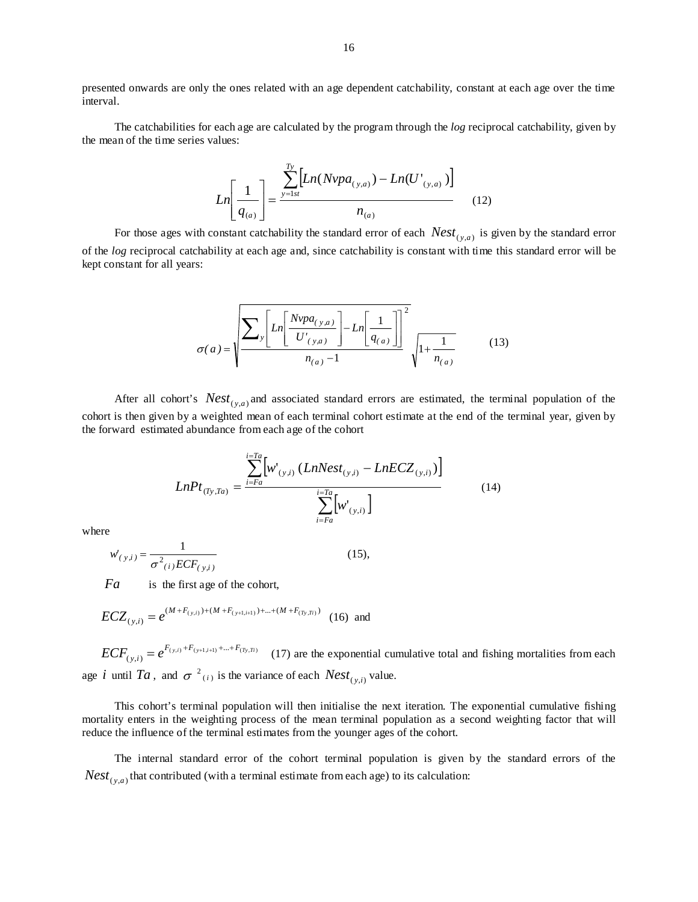presented onwards are only the ones related with an age dependent catchability, constant at each age over the time interval.

The catchabilities for each age are calculated by the program through the *log* reciprocal catchability, given by the mean of the time series values:

$$
Ln\left[\frac{1}{q_{(a)}}\right] = \frac{\sum_{y=1st}^{T_y} [Ln(Nvpa_{(y,a)}) - Ln(U'_{(y,a)})]}{n_{(a)}} \tag{12}
$$

For those ages with constant catchability the standard error of each  $Nest_{(\gamma,a)}$  is given by the standard error of the *log* reciprocal catchability at each age and, since catchability is constant with time this standard error will be kept constant for all years:

$$
\sigma(a) = \sqrt{\frac{\sum_{y} \left[ Ln \left( \frac{Nvpa_{(y,a)}}{U'_{(y,a)}} \right) - Ln \left( \frac{1}{q_{(a)}} \right) \right]^2}{n_{(a)} - 1}} \sqrt{1 + \frac{1}{n_{(a)}}}
$$
(13)

After all cohort's  $Nest_{(\gamma,a)}$  and associated standard errors are estimated, the terminal population of the cohort is then given by a weighted mean of each terminal cohort estimate at the end of the terminal year, given by the forward estimated abundance from each age of the cohort

$$
LnPt_{(Ty,Ta)} = \frac{\sum_{i=Fa}^{i=Ta} [w'_{(y,i)} (LnNest_{(y,i)} - LnECZ_{(y,i)})]}{\sum_{i=Fa}^{i=Ta} [w'_{(y,i)}]}
$$
(14)

where

$$
w'_{(y,i)} = \frac{1}{\sigma^2_{(i)ECF_{(y,i)}}}
$$
(15),

*Fa* is the first age of the cohort,

$$
ECZ_{(y,i)} = e^{(M+F_{(y,i)}) + (M+F_{(y+1,i+1)}) + \dots + (M+F_{(Ty,Ti)})}
$$
 (16) and

 $\textit{ECF}_{( \textit{y}, i )} = e^{F_{( \textit{y}, i )} + F_{( \textit{y} + 1, i + 1 )} + ... + F_{( \textit{Ty}, \textit{T} )}}}$  $ECF_{(y,i)} = e^{F_{(y,i)} + F_{(y+1,i+1)} + \dots + F_{(Ty,Ti)}}$  (17) are the exponential cumulative total and fishing mortalities from each age *i* until *Ta*, and  $\sigma^2(i)$  is the variance of each *Nest*<sub>(*y,i*)</sub> value.

This cohort's terminal population will then initialise the next iteration. The exponential cumulative fishing mortality enters in the weighting process of the mean terminal population as a second weighting factor that will reduce the influence of the terminal estimates from the younger ages of the cohort.

The internal standard error of the cohort terminal population is given by the standard errors of the  $Nest_{(y,a)}$  that contributed (with a terminal estimate from each age) to its calculation: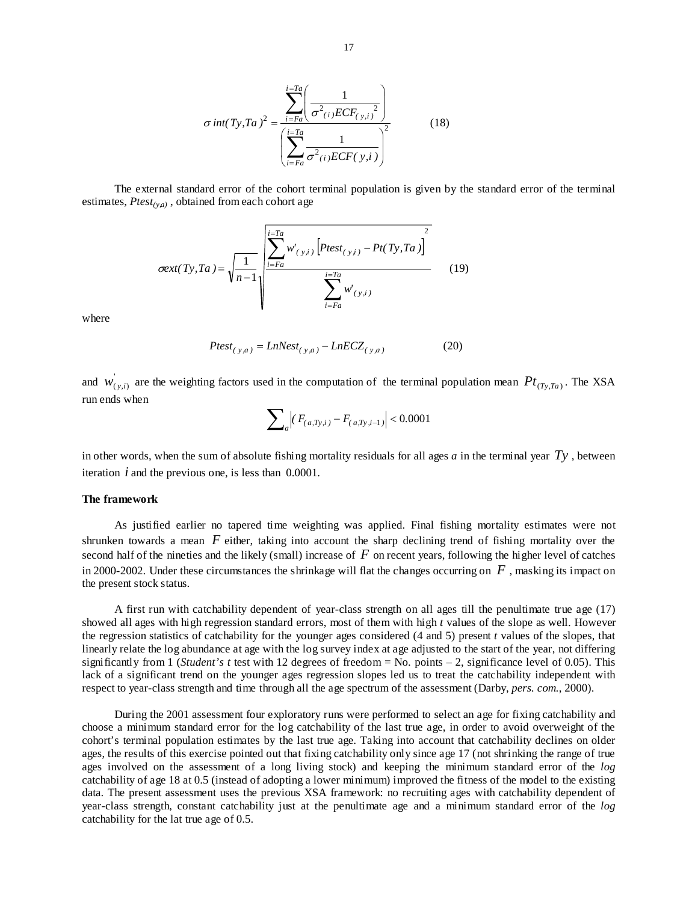$$
\sigma \text{ int}(Ty, Ta)^2 = \frac{\sum_{i=Fa}^{i=Ta} \left( \frac{1}{\sigma^2_{(i)}ECF_{(y,i)}} \right)}{\left( \sum_{i=Fa}^{i=Ta} \frac{1}{\sigma^2_{(i)}ECF_{(y,i)}} \right)^2}
$$
(18)

The external standard error of the cohort terminal population is given by the standard error of the terminal estimates,  $Ptest_{(y,a)}$ , obtained from each cohort age

$$
\sigma ext(Ty, Ta) = \sqrt{\frac{1}{n-1}} \sqrt{\sum_{i=Fa}^{i=Ta} w'_{(y,i)} \left[ Ptest_{(y,i)} - Pt(Ty, Ta) \right]^2 \over \sum_{i=Fa}^{i=Ta} w'_{(y,i)}} \tag{19}
$$

where

$$
Ptest_{(y,a)} = LnNest_{(y,a)} - LnECZ_{(y,a)}
$$
 (20)

and  $w_{(y,i)}$  are the weighting factors used in the computation of the terminal population mean  $Pt_{(Ty,Ta)}$ . The XSA run ends when

$$
\sum_{a} \left| \left( F_{(a,Ty,i)} - F_{(a,Ty,i-1)} \right| < 0.0001 \right|
$$

in other words, when the sum of absolute fishing mortality residuals for all ages  $a$  in the terminal year  $Ty$ , between iteration *i* and the previous one, is less than 0.0001.

#### **The framework**

As justified earlier no tapered time weighting was applied. Final fishing mortality estimates were not shrunken towards a mean *F* either, taking into account the sharp declining trend of fishing mortality over the second half of the nineties and the likely (small) increase of *F* on recent years, following the higher level of catches in 2000-2002. Under these circumstances the shrinkage will flat the changes occurring on *F* , masking its impact on the present stock status.

A first run with catchability dependent of year-class strength on all ages till the penultimate true age (17) showed all ages with high regression standard errors, most of them with high *t* values of the slope as well. However the regression statistics of catchability for the younger ages considered (4 and 5) present *t* values of the slopes, that linearly relate the log abundance at age with the log survey index at age adjusted to the start of the year, not differing significantly from 1 (*Student's t* test with 12 degrees of freedom = No. points – 2, significance level of 0.05). This lack of a significant trend on the younger ages regression slopes led us to treat the catchability independent with respect to year-class strength and time through all the age spectrum of the assessment (Darby, *pers. com.*, 2000).

During the 2001 assessment four exploratory runs were performed to select an age for fixing catchability and choose a minimum standard error for the log catchability of the last true age, in order to avoid overweight of the cohort's terminal population estimates by the last true age. Taking into account that catchability declines on older ages, the results of this exercise pointed out that fixing catchability only since age 17 (not shrinking the range of true ages involved on the assessment of a long living stock) and keeping the minimum standard error of the *log*  catchability of age 18 at 0.5 (instead of adopting a lower minimum) improved the fitness of the model to the existing data. The present assessment uses the previous XSA framework: no recruiting ages with catchability dependent of year-class strength, constant catchability just at the penultimate age and a minimum standard error of the *log*  catchability for the lat true age of 0.5.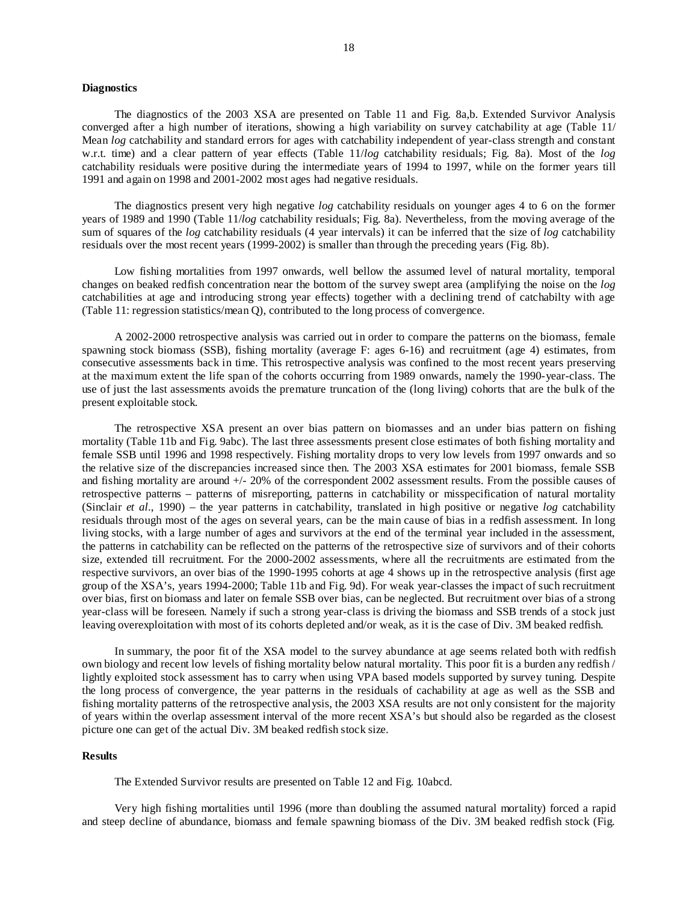#### **Diagnostics**

The diagnostics of the 2003 XSA are presented on Table 11 and Fig. 8a,b. Extended Survivor Analysis converged after a high number of iterations, showing a high variability on survey catchability at age (Table 11/ Mean *log* catchability and standard errors for ages with catchability independent of year-class strength and constant w.r.t. time) and a clear pattern of year effects (Table 11/*log* catchability residuals; Fig. 8a). Most of the *log* catchability residuals were positive during the intermediate years of 1994 to 1997, while on the former years till 1991 and again on 1998 and 2001-2002 most ages had negative residuals.

The diagnostics present very high negative *log* catchability residuals on younger ages 4 to 6 on the former years of 1989 and 1990 (Table 11/*log* catchability residuals; Fig. 8a). Nevertheless, from the moving average of the sum of squares of the *log* catchability residuals (4 year intervals) it can be inferred that the size of *log* catchability residuals over the most recent years (1999-2002) is smaller than through the preceding years (Fig. 8b).

Low fishing mortalities from 1997 onwards, well bellow the assumed level of natural mortality, temporal changes on beaked redfish concentration near the bottom of the survey swept area (amplifying the noise on the *log* catchabilities at age and introducing strong year effects) together with a declining trend of catchabilty with age (Table 11: regression statistics/mean Q), contributed to the long process of convergence.

A 2002-2000 retrospective analysis was carried out in order to compare the patterns on the biomass, female spawning stock biomass (SSB), fishing mortality (average F: ages 6-16) and recruitment (age 4) estimates, from consecutive assessments back in time. This retrospective analysis was confined to the most recent years preserving at the maximum extent the life span of the cohorts occurring from 1989 onwards, namely the 1990-year-class. The use of just the last assessments avoids the premature truncation of the (long living) cohorts that are the bulk of the present exploitable stock.

The retrospective XSA present an over bias pattern on biomasses and an under bias pattern on fishing mortality (Table 11b and Fig. 9abc). The last three assessments present close estimates of both fishing mortality and female SSB until 1996 and 1998 respectively. Fishing mortality drops to very low levels from 1997 onwards and so the relative size of the discrepancies increased since then. The 2003 XSA estimates for 2001 biomass, female SSB and fishing mortality are around +/- 20% of the correspondent 2002 assessment results. From the possible causes of retrospective patterns – patterns of misreporting, patterns in catchability or misspecification of natural mortality (Sinclair *et al*., 1990) – the year patterns in catchability, translated in high positive or negative *log* catchability residuals through most of the ages on several years, can be the main cause of bias in a redfish assessment. In long living stocks, with a large number of ages and survivors at the end of the terminal year included in the assessment, the patterns in catchability can be reflected on the patterns of the retrospective size of survivors and of their cohorts size, extended till recruitment. For the 2000-2002 assessments, where all the recruitments are estimated from the respective survivors, an over bias of the 1990-1995 cohorts at age 4 shows up in the retrospective analysis (first age group of the XSA's, years 1994-2000; Table 11b and Fig. 9d). For weak year-classes the impact of such recruitment over bias, first on biomass and later on female SSB over bias, can be neglected. But recruitment over bias of a strong year-class will be foreseen. Namely if such a strong year-class is driving the biomass and SSB trends of a stock just leaving overexploitation with most of its cohorts depleted and/or weak, as it is the case of Div. 3M beaked redfish.

In summary, the poor fit of the XSA model to the survey abundance at age seems related both with redfish own biology and recent low levels of fishing mortality below natural mortality. This poor fit is a burden any redfish / lightly exploited stock assessment has to carry when using VPA based models supported by survey tuning. Despite the long process of convergence, the year patterns in the residuals of cachability at age as well as the SSB and fishing mortality patterns of the retrospective analysis, the 2003 XSA results are not only consistent for the majority of years within the overlap assessment interval of the more recent XSA's but should also be regarded as the closest picture one can get of the actual Div. 3M beaked redfish stock size.

## **Results**

The Extended Survivor results are presented on Table 12 and Fig. 10abcd.

Very high fishing mortalities until 1996 (more than doubling the assumed natural mortality) forced a rapid and steep decline of abundance, biomass and female spawning biomass of the Div. 3M beaked redfish stock (Fig.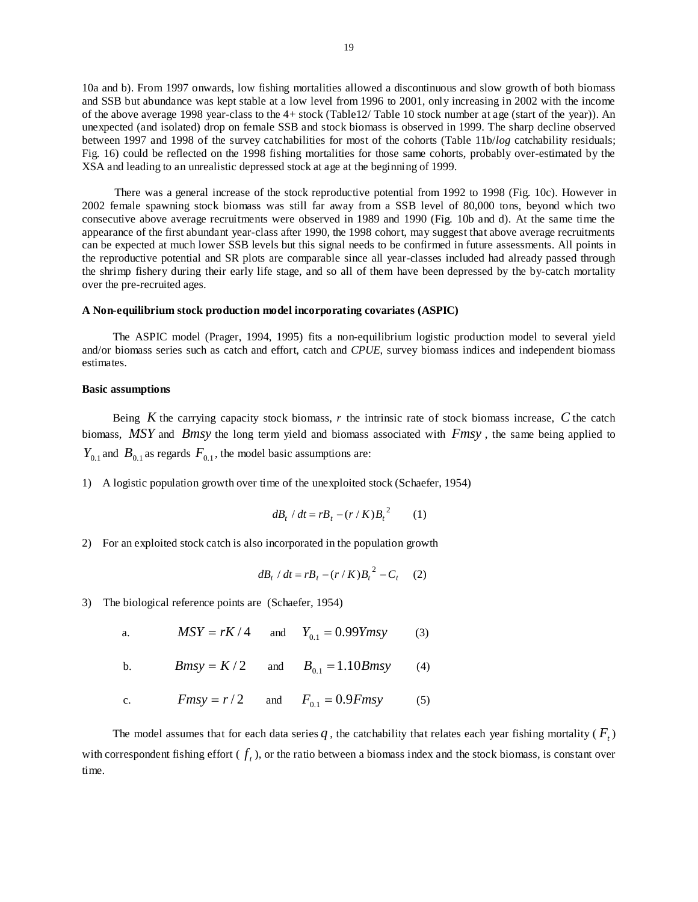10a and b). From 1997 onwards, low fishing mortalities allowed a discontinuous and slow growth of both biomass and SSB but abundance was kept stable at a low level from 1996 to 2001, only increasing in 2002 with the income of the above average 1998 year-class to the 4+ stock (Table12/ Table 10 stock number at age (start of the year)). An unexpected (and isolated) drop on female SSB and stock biomass is observed in 1999. The sharp decline observed between 1997 and 1998 of the survey catchabilities for most of the cohorts (Table 11b/*log* catchability residuals; Fig. 16) could be reflected on the 1998 fishing mortalities for those same cohorts, probably over-estimated by the XSA and leading to an unrealistic depressed stock at age at the beginning of 1999.

There was a general increase of the stock reproductive potential from 1992 to 1998 (Fig. 10c). However in 2002 female spawning stock biomass was still far away from a SSB level of 80,000 tons, beyond which two consecutive above average recruitments were observed in 1989 and 1990 (Fig. 10b and d). At the same time the appearance of the first abundant year-class after 1990, the 1998 cohort, may suggest that above average recruitments can be expected at much lower SSB levels but this signal needs to be confirmed in future assessments. All points in the reproductive potential and SR plots are comparable since all year-classes included had already passed through the shrimp fishery during their early life stage, and so all of them have been depressed by the by-catch mortality over the pre-recruited ages.

#### **A Non-equilibrium stock production model incorporating covariates (ASPIC)**

The ASPIC model (Prager, 1994, 1995) fits a non-equilibrium logistic production model to several yield and/or biomass series such as catch and effort, catch and *CPUE*, survey biomass indices and independent biomass estimates.

# **Basic assumptions**

Being *K* the carrying capacity stock biomass, *r* the intrinsic rate of stock biomass increase, *C* the catch biomass, *MSY* and *Bmsy* the long term yield and biomass associated with *Fmsy* , the same being applied to  $Y_{0,1}$  and  $B_{0,1}$  as regards  $F_{0,1}$ , the model basic assumptions are:

1) A logistic population growth over time of the unexploited stock (Schaefer, 1954)

$$
dB_t / dt = rB_t - (r/K)B_t^2 \qquad (1)
$$

2) For an exploited stock catch is also incorporated in the population growth

$$
dB_t / dt = rB_t - (r / K)B_t^2 - C_t \quad (2)
$$

3) The biological reference points are (Schaefer, 1954)

a. 
$$
MSY = rK/4
$$
 and  $Y_{0.1} = 0.99Ymsy$  (3)

- b. *Bmsy* =  $K/2$  and  $B_{0.1} = 1.10B$ *msy* (4)
- c. *Fmsy* =  $r/2$  and  $F_{0.1} = 0.9$ *Fmsy* (5)

The model assumes that for each data series  $q$ , the catchability that relates each year fishing mortality ( $F_t$ ) with correspondent fishing effort  $(f_t)$ , or the ratio between a biomass index and the stock biomass, is constant over time.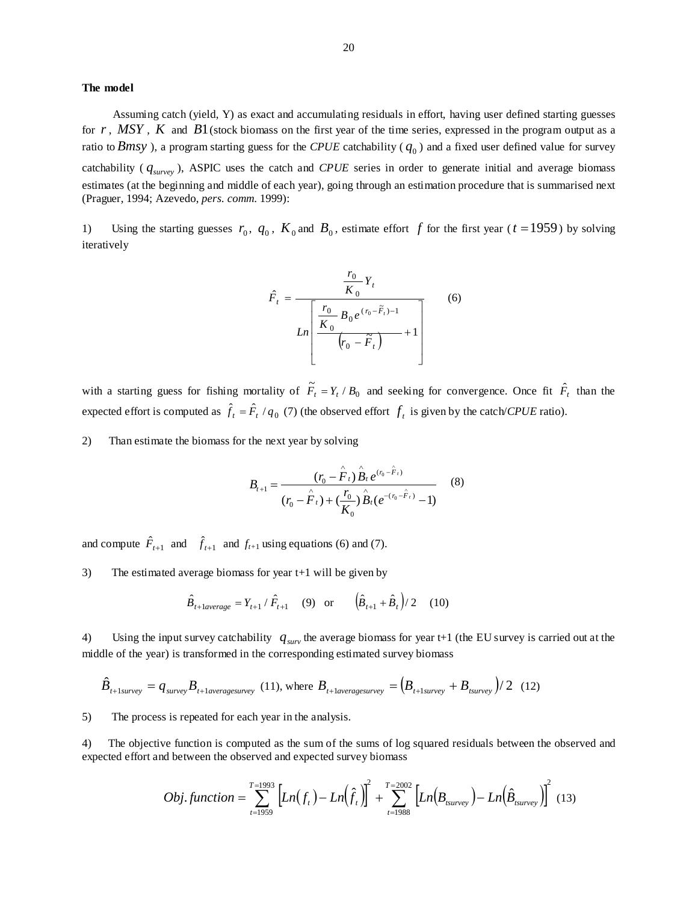# **The model**

Assuming catch (yield, Y) as exact and accumulating residuals in effort, having user defined starting guesses for *r*, *MSY* , *K* and *B*1(stock biomass on the first year of the time series, expressed in the program output as a ratio to *Bmsy*), a program starting guess for the *CPUE* catchability ( $q_0$ ) and a fixed user defined value for survey catchability ( *qsurvey* ), ASPIC uses the catch and *CPUE* series in order to generate initial and average biomass estimates (at the beginning and middle of each year), going through an estimation procedure that is summarised next (Praguer, 1994; Azevedo, *pers. comm*. 1999):

1) Using the starting guesses  $r_0$ ,  $q_0$ ,  $K_0$  and  $B_0$ , estimate effort f for the first year ( $t = 1959$ ) by solving iteratively

$$
\hat{F}_t = \frac{\frac{r_0}{K_0} Y_t}{Ln \left[ \frac{\frac{r_0}{K_0} B_0 e^{(r_0 - \tilde{F}_t) - 1}}{(r_0 - \tilde{F}_t)} + 1 \right]}
$$
(6)

with a starting guess for fishing mortality of  $\tilde{F}_t = Y_t / B_0$  and seeking for convergence. Once fit  $\hat{F}_t$  than the expected effort is computed as  $\hat{f}_t = \hat{F}_t / q_0$  (7) (the observed effort  $f_t$  is given by the catch/*CPUE* ratio).

2) Than estimate the biomass for the next year by solving

$$
B_{t+1} = \frac{(r_0 - \hat{F}_t) \hat{B}_t e^{(r_0 - \hat{F}_t)}}{(r_0 - \hat{F}_t) + (\frac{r_0}{K_0}) \hat{B}_t (e^{-(r_0 - \hat{F}_t)} - 1)}
$$
(8)

and compute  $\hat{F}_{t+1}$  and  $\hat{f}_{t+1}$  and  $f_{t+1}$  using equations (6) and (7).

3) The estimated average biomass for year t+1 will be given by

$$
\hat{B}_{t+1 \text{average}} = Y_{t+1} / \hat{F}_{t+1}
$$
 (9) or  $(\hat{B}_{t+1} + \hat{B}_t)/2$  (10)

4) Using the input survey catchability *qsurv* the average biomass for year t+1 (the EU survey is carried out at the middle of the year) is transformed in the corresponding estimated survey biomass

$$
\hat{B}_{t+1\text{survey}} = q_{\text{survey}} B_{t+1\text{averagesurey}} \quad (11), \text{ where } B_{t+1\text{averagesurey}} = \left(B_{t+1\text{survey}} + B_{\text{survey}}\right) / 2 \quad (12)
$$

5) The process is repeated for each year in the analysis.

4) The objective function is computed as the sum of the sums of log squared residuals between the observed and expected effort and between the observed and expected survey biomass

$$
Obj. function = \sum_{t=1959}^{T=1993} \left[ Ln(f_t) - Ln(\hat{f}_t) \right]^2 + \sum_{t=1988}^{T=2002} \left[ Ln(B_{\text{survey}}) - Ln(\hat{B}_{\text{tsurvey}}) \right]^2
$$
(13)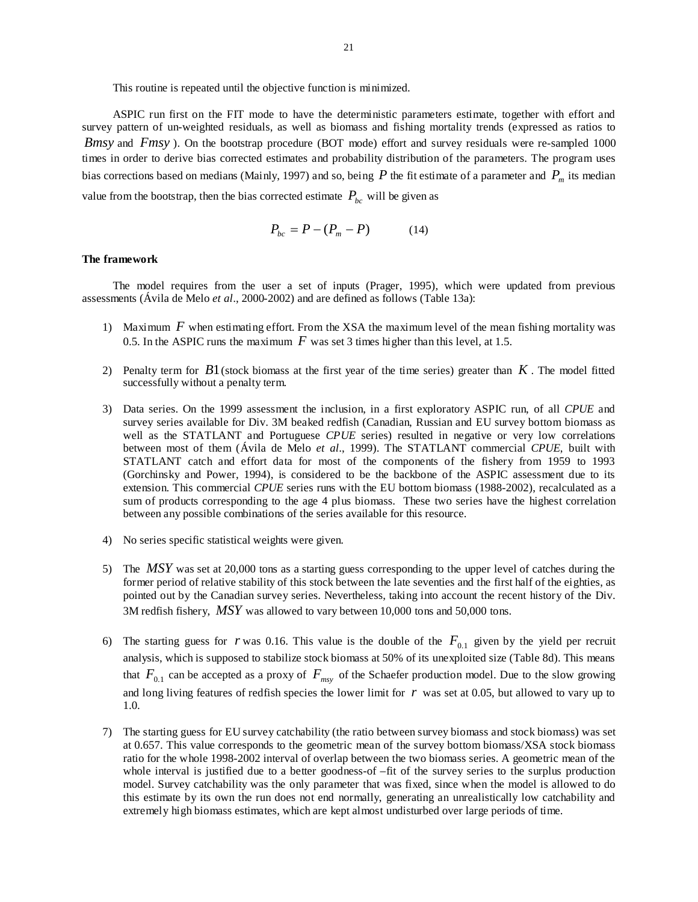This routine is repeated until the objective function is minimized.

ASPIC run first on the FIT mode to have the deterministic parameters estimate, together with effort and survey pattern of un-weighted residuals, as well as biomass and fishing mortality trends (expressed as ratios to *Bmsy* and *Fmsy*). On the bootstrap procedure (BOT mode) effort and survey residuals were re-sampled 1000 times in order to derive bias corrected estimates and probability distribution of the parameters. The program uses bias corrections based on medians (Mainly, 1997) and so, being  $P$  the fit estimate of a parameter and  $P_m$  its median value from the bootstrap, then the bias corrected estimate  $P_{bc}$  will be given as

$$
P_{bc} = P - (P_m - P) \tag{14}
$$

## **The framework**

The model requires from the user a set of inputs (Prager, 1995), which were updated from previous assessments (Ávila de Melo *et al*., 2000-2002) and are defined as follows (Table 13a):

- 1) Maximum *F* when estimating effort. From the XSA the maximum level of the mean fishing mortality was 0.5. In the ASPIC runs the maximum  $F$  was set 3 times higher than this level, at 1.5.
- 2) Penalty term for  $B1$  (stock biomass at the first year of the time series) greater than  $K$ . The model fitted successfully without a penalty term.
- 3) Data series. On the 1999 assessment the inclusion, in a first exploratory ASPIC run, of all *CPUE* and survey series available for Div. 3M beaked redfish (Canadian, Russian and EU survey bottom biomass as well as the STATLANT and Portuguese *CPUE* series) resulted in negative or very low correlations between most of them (Ávila de Melo *et al*., 1999). The STATLANT commercial *CPUE*, built with STATLANT catch and effort data for most of the components of the fishery from 1959 to 1993 (Gorchinsky and Power, 1994), is considered to be the backbone of the ASPIC assessment due to its extension. This commercial *CPUE* series runs with the EU bottom biomass (1988-2002), recalculated as a sum of products corresponding to the age 4 plus biomass. These two series have the highest correlation between any possible combinations of the series available for this resource.
- 4) No series specific statistical weights were given.
- 5) The *MSY* was set at 20,000 tons as a starting guess corresponding to the upper level of catches during the former period of relative stability of this stock between the late seventies and the first half of the eighties, as pointed out by the Canadian survey series. Nevertheless, taking into account the recent history of the Div. 3M redfish fishery, *MSY* was allowed to vary between 10,000 tons and 50,000 tons.
- 6) The starting guess for *r* was 0.16. This value is the double of the  $F_{0.1}$  given by the yield per recruit analysis, which is supposed to stabilize stock biomass at 50% of its unexploited size (Table 8d). This means that  $F_{0,1}$  can be accepted as a proxy of  $F_{msv}$  of the Schaefer production model. Due to the slow growing and long living features of redfish species the lower limit for  $r$  was set at 0.05, but allowed to vary up to 1.0.
- 7) The starting guess for EU survey catchability (the ratio between survey biomass and stock biomass) was set at 0.657. This value corresponds to the geometric mean of the survey bottom biomass/XSA stock biomass ratio for the whole 1998-2002 interval of overlap between the two biomass series. A geometric mean of the whole interval is justified due to a better goodness-of –fit of the survey series to the surplus production model. Survey catchability was the only parameter that was fixed, since when the model is allowed to do this estimate by its own the run does not end normally, generating an unrealistically low catchability and extremely high biomass estimates, which are kept almost undisturbed over large periods of time.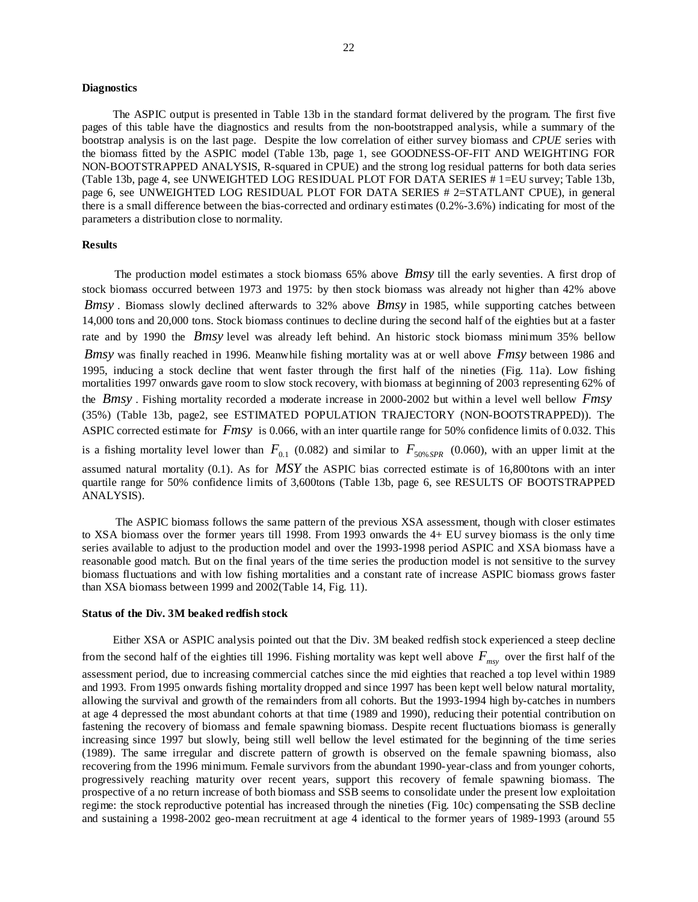#### **Diagnostics**

The ASPIC output is presented in Table 13b in the standard format delivered by the program. The first five pages of this table have the diagnostics and results from the non-bootstrapped analysis, while a summary of the bootstrap analysis is on the last page. Despite the low correlation of either survey biomass and *CPUE* series with the biomass fitted by the ASPIC model (Table 13b, page 1, see GOODNESS-OF-FIT AND WEIGHTING FOR NON-BOOTSTRAPPED ANALYSIS, R-squared in CPUE) and the strong log residual patterns for both data series (Table 13b, page 4, see UNWEIGHTED LOG RESIDUAL PLOT FOR DATA SERIES # 1=EU survey; Table 13b, page 6, see UNWEIGHTED LOG RESIDUAL PLOT FOR DATA SERIES # 2=STATLANT CPUE), in general there is a small difference between the bias-corrected and ordinary estimates (0.2%-3.6%) indicating for most of the parameters a distribution close to normality.

## **Results**

The production model estimates a stock biomass 65% above *Bmsy* till the early seventies. A first drop of stock biomass occurred between 1973 and 1975: by then stock biomass was already not higher than 42% above *Bmsy*. Biomass slowly declined afterwards to 32% above *Bmsy* in 1985, while supporting catches between 14,000 tons and 20,000 tons. Stock biomass continues to decline during the second half of the eighties but at a faster rate and by 1990 the *Bmsy* level was already left behind. An historic stock biomass minimum 35% bellow *Bmsy* was finally reached in 1996. Meanwhile fishing mortality was at or well above *Fmsy* between 1986 and 1995, inducing a stock decline that went faster through the first half of the nineties (Fig. 11a). Low fishing mortalities 1997 onwards gave room to slow stock recovery, with biomass at beginning of 2003 representing 62% of the *Bmsy* . Fishing mortality recorded a moderate increase in 2000-2002 but within a level well bellow *Fmsy* (35%) (Table 13b, page2, see ESTIMATED POPULATION TRAJECTORY (NON-BOOTSTRAPPED)). The ASPIC corrected estimate for *Fmsy* is 0.066, with an inter quartile range for 50% confidence limits of 0.032. This is a fishing mortality level lower than  $F_{0,1}$  (0.082) and similar to  $F_{50\%SPR}$  (0.060), with an upper limit at the assumed natural mortality (0.1). As for *MSY* the ASPIC bias corrected estimate is of 16,800tons with an inter quartile range for 50% confidence limits of 3,600tons (Table 13b, page 6, see RESULTS OF BOOTSTRAPPED ANALYSIS).

 The ASPIC biomass follows the same pattern of the previous XSA assessment, though with closer estimates to XSA biomass over the former years till 1998. From 1993 onwards the 4+ EU survey biomass is the only time series available to adjust to the production model and over the 1993-1998 period ASPIC and XSA biomass have a reasonable good match. But on the final years of the time series the production model is not sensitive to the survey biomass fluctuations and with low fishing mortalities and a constant rate of increase ASPIC biomass grows faster than XSA biomass between 1999 and 2002(Table 14, Fig. 11).

#### **Status of the Div. 3M beaked redfish stock**

Either XSA or ASPIC analysis pointed out that the Div. 3M beaked redfish stock experienced a steep decline from the second half of the eighties till 1996. Fishing mortality was kept well above  $F_{\text{msv}}$  over the first half of the assessment period, due to increasing commercial catches since the mid eighties that reached a top level within 1989 and 1993. From 1995 onwards fishing mortality dropped and since 1997 has been kept well below natural mortality, allowing the survival and growth of the remainders from all cohorts. But the 1993-1994 high by-catches in numbers at age 4 depressed the most abundant cohorts at that time (1989 and 1990), reducing their potential contribution on fastening the recovery of biomass and female spawning biomass. Despite recent fluctuations biomass is generally increasing since 1997 but slowly, being still well bellow the level estimated for the beginning of the time series (1989). The same irregular and discrete pattern of growth is observed on the female spawning biomass, also recovering from the 1996 minimum. Female survivors from the abundant 1990-year-class and from younger cohorts, progressively reaching maturity over recent years, support this recovery of female spawning biomass. The prospective of a no return increase of both biomass and SSB seems to consolidate under the present low exploitation regime: the stock reproductive potential has increased through the nineties (Fig. 10c) compensating the SSB decline and sustaining a 1998-2002 geo-mean recruitment at age 4 identical to the former years of 1989-1993 (around 55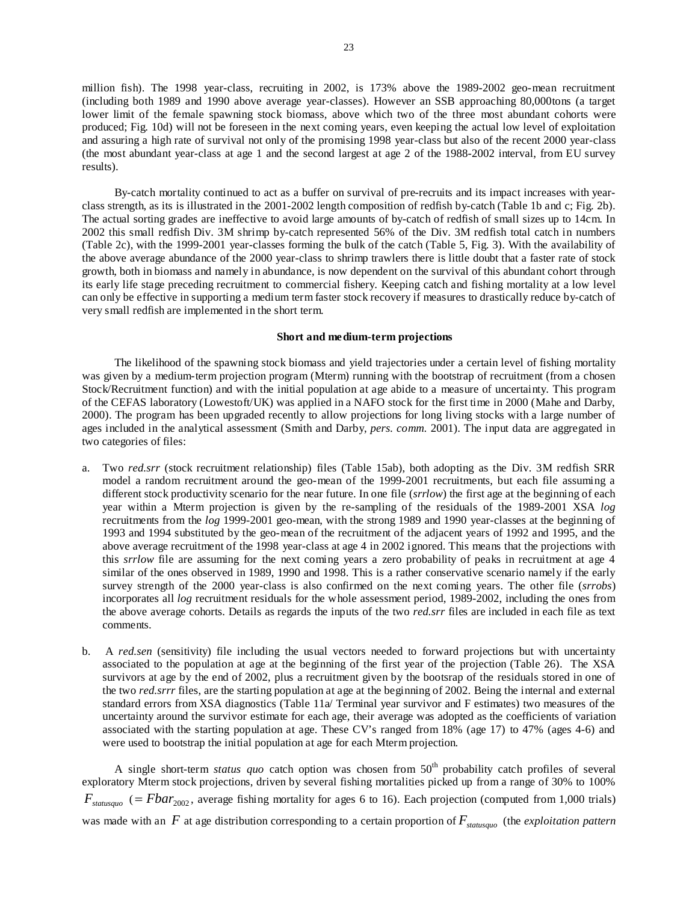million fish). The 1998 year-class, recruiting in 2002, is 173% above the 1989-2002 geo-mean recruitment (including both 1989 and 1990 above average year-classes). However an SSB approaching 80,000tons (a target lower limit of the female spawning stock biomass, above which two of the three most abundant cohorts were produced; Fig. 10d) will not be foreseen in the next coming years, even keeping the actual low level of exploitation and assuring a high rate of survival not only of the promising 1998 year-class but also of the recent 2000 year-class (the most abundant year-class at age 1 and the second largest at age 2 of the 1988-2002 interval, from EU survey results).

By-catch mortality continued to act as a buffer on survival of pre-recruits and its impact increases with yearclass strength, as its is illustrated in the 2001-2002 length composition of redfish by-catch (Table 1b and c; Fig. 2b). The actual sorting grades are ineffective to avoid large amounts of by-catch of redfish of small sizes up to 14cm. In 2002 this small redfish Div. 3M shrimp by-catch represented 56% of the Div. 3M redfish total catch in numbers (Table 2c), with the 1999-2001 year-classes forming the bulk of the catch (Table 5, Fig. 3). With the availability of the above average abundance of the 2000 year-class to shrimp trawlers there is little doubt that a faster rate of stock growth, both in biomass and namely in abundance, is now dependent on the survival of this abundant cohort through its early life stage preceding recruitment to commercial fishery. Keeping catch and fishing mortality at a low level can only be effective in supporting a medium term faster stock recovery if measures to drastically reduce by-catch of very small redfish are implemented in the short term.

# **Short and medium-term projections**

The likelihood of the spawning stock biomass and yield trajectories under a certain level of fishing mortality was given by a medium-term projection program (Mterm) running with the bootstrap of recruitment (from a chosen Stock/Recruitment function) and with the initial population at age abide to a measure of uncertainty. This program of the CEFAS laboratory (Lowestoft/UK) was applied in a NAFO stock for the first time in 2000 (Mahe and Darby, 2000). The program has been upgraded recently to allow projections for long living stocks with a large number of ages included in the analytical assessment (Smith and Darby, *pers. comm*. 2001). The input data are aggregated in two categories of files:

- a. Two *red.srr* (stock recruitment relationship) files (Table 15ab), both adopting as the Div. 3M redfish SRR model a random recruitment around the geo-mean of the 1999-2001 recruitments, but each file assuming a different stock productivity scenario for the near future. In one file (*srrlow*) the first age at the beginning of each year within a Mterm projection is given by the re-sampling of the residuals of the 1989-2001 XSA *log* recruitments from the *log* 1999-2001 geo-mean, with the strong 1989 and 1990 year-classes at the beginning of 1993 and 1994 substituted by the geo-mean of the recruitment of the adjacent years of 1992 and 1995, and the above average recruitment of the 1998 year-class at age 4 in 2002 ignored. This means that the projections with this *srrlow* file are assuming for the next coming years a zero probability of peaks in recruitment at age 4 similar of the ones observed in 1989, 1990 and 1998. This is a rather conservative scenario namely if the early survey strength of the 2000 year-class is also confirmed on the next coming years. The other file (*srrobs*) incorporates all *log* recruitment residuals for the whole assessment period, 1989-2002, including the ones from the above average cohorts. Details as regards the inputs of the two *red.srr* files are included in each file as text comments.
- b. A *red.sen* (sensitivity) file including the usual vectors needed to forward projections but with uncertainty associated to the population at age at the beginning of the first year of the projection (Table 26). The XSA survivors at age by the end of 2002, plus a recruitment given by the bootsrap of the residuals stored in one of the two *red.srrr* files, are the starting population at age at the beginning of 2002. Being the internal and external standard errors from XSA diagnostics (Table 11a/ Terminal year survivor and F estimates) two measures of the uncertainty around the survivor estimate for each age, their average was adopted as the coefficients of variation associated with the starting population at age. These CV's ranged from 18% (age 17) to 47% (ages 4-6) and were used to bootstrap the initial population at age for each Mterm projection.

A single short-term *status quo* catch option was chosen from 50<sup>th</sup> probability catch profiles of several exploratory Mterm stock projections, driven by several fishing mortalities picked up from a range of 30% to 100%  $F_{statusque}$  (= *Fbar*<sub>2002</sub>, average fishing mortality for ages 6 to 16). Each projection (computed from 1,000 trials) was made with an  $F$  at age distribution corresponding to a certain proportion of  $F_{\text{statusque}}$  (the *exploitation pattern*)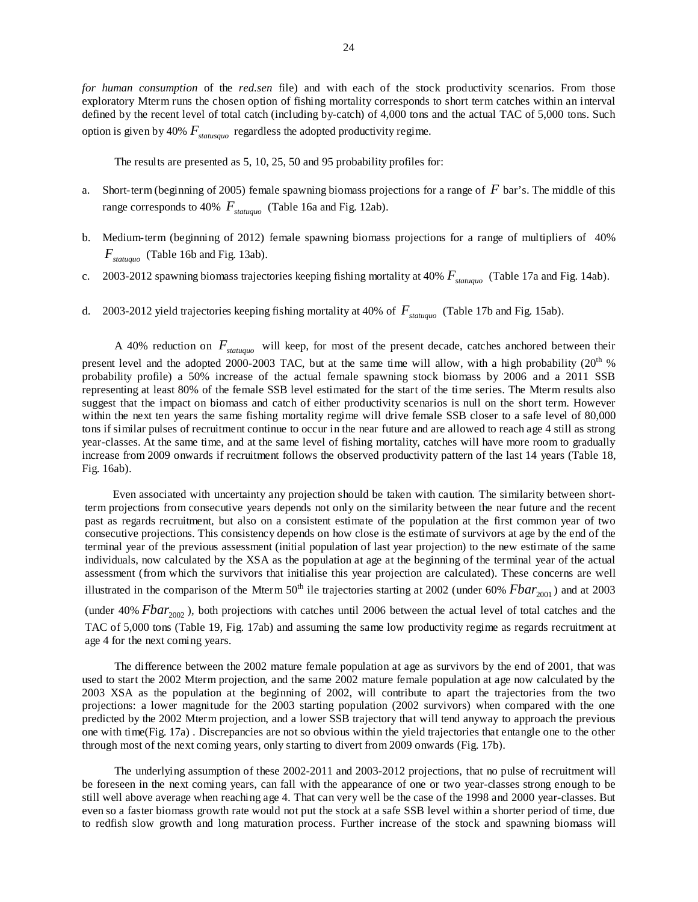*for human consumption* of the *red.sen* file) and with each of the stock productivity scenarios. From those exploratory Mterm runs the chosen option of fishing mortality corresponds to short term catches within an interval defined by the recent level of total catch (including by-catch) of 4,000 tons and the actual TAC of 5,000 tons. Such option is given by 40%  $F_{\text{statusque}}$  regardless the adopted productivity regime.

The results are presented as 5, 10, 25, 50 and 95 probability profiles for:

- a. Short-term (beginning of 2005) female spawning biomass projections for a range of *F* bar's. The middle of this range corresponds to 40%  $F_{statu\alpha\mu\alpha}$  (Table 16a and Fig. 12ab).
- b. Medium-term (beginning of 2012) female spawning biomass projections for a range of multipliers of 40% *Fstatuquo* (Table 16b and Fig. 13ab).
- c. 2003-2012 spawning biomass trajectories keeping fishing mortality at 40%  $F_{stat_{\text{total}}}$  (Table 17a and Fig. 14ab).
- d. 2003-2012 yield trajectories keeping fishing mortality at 40% of  $F_{statuquo}$  (Table 17b and Fig. 15ab).

A 40% reduction on  $F_{statawa}$  will keep, for most of the present decade, catches anchored between their present level and the adopted 2000-2003 TAC, but at the same time will allow, with a high probability (20<sup>th %</sup>) probability profile) a 50% increase of the actual female spawning stock biomass by 2006 and a 2011 SSB representing at least 80% of the female SSB level estimated for the start of the time series. The Mterm results also suggest that the impact on biomass and catch of either productivity scenarios is null on the short term. However within the next ten years the same fishing mortality regime will drive female SSB closer to a safe level of 80,000 tons if similar pulses of recruitment continue to occur in the near future and are allowed to reach age 4 still as strong year-classes. At the same time, and at the same level of fishing mortality, catches will have more room to gradually increase from 2009 onwards if recruitment follows the observed productivity pattern of the last 14 years (Table 18, Fig. 16ab).

Even associated with uncertainty any projection should be taken with caution. The similarity between shortterm projections from consecutive years depends not only on the similarity between the near future and the recent past as regards recruitment, but also on a consistent estimate of the population at the first common year of two consecutive projections. This consistency depends on how close is the estimate of survivors at age by the end of the terminal year of the previous assessment (initial population of last year projection) to the new estimate of the same individuals, now calculated by the XSA as the population at age at the beginning of the terminal year of the actual assessment (from which the survivors that initialise this year projection are calculated). These concerns are well illustrated in the comparison of the Mterm 50<sup>th</sup> ile trajectories starting at 2002 (under 60% *Fbar*<sub>2001</sub>) and at 2003

(under 40%  $Fbar_{2002}$ ), both projections with catches until 2006 between the actual level of total catches and the TAC of 5,000 tons (Table 19, Fig. 17ab) and assuming the same low productivity regime as regards recruitment at age 4 for the next coming years.

The difference between the 2002 mature female population at age as survivors by the end of 2001, that was used to start the 2002 Mterm projection, and the same 2002 mature female population at age now calculated by the 2003 XSA as the population at the beginning of 2002, will contribute to apart the trajectories from the two projections: a lower magnitude for the 2003 starting population (2002 survivors) when compared with the one predicted by the 2002 Mterm projection, and a lower SSB trajectory that will tend anyway to approach the previous one with time(Fig. 17a) . Discrepancies are not so obvious within the yield trajectories that entangle one to the other through most of the next coming years, only starting to divert from 2009 onwards (Fig. 17b).

The underlying assumption of these 2002-2011 and 2003-2012 projections, that no pulse of recruitment will be foreseen in the next coming years, can fall with the appearance of one or two year-classes strong enough to be still well above average when reaching age 4. That can very well be the case of the 1998 and 2000 year-classes. But even so a faster biomass growth rate would not put the stock at a safe SSB level within a shorter period of time, due to redfish slow growth and long maturation process. Further increase of the stock and spawning biomass will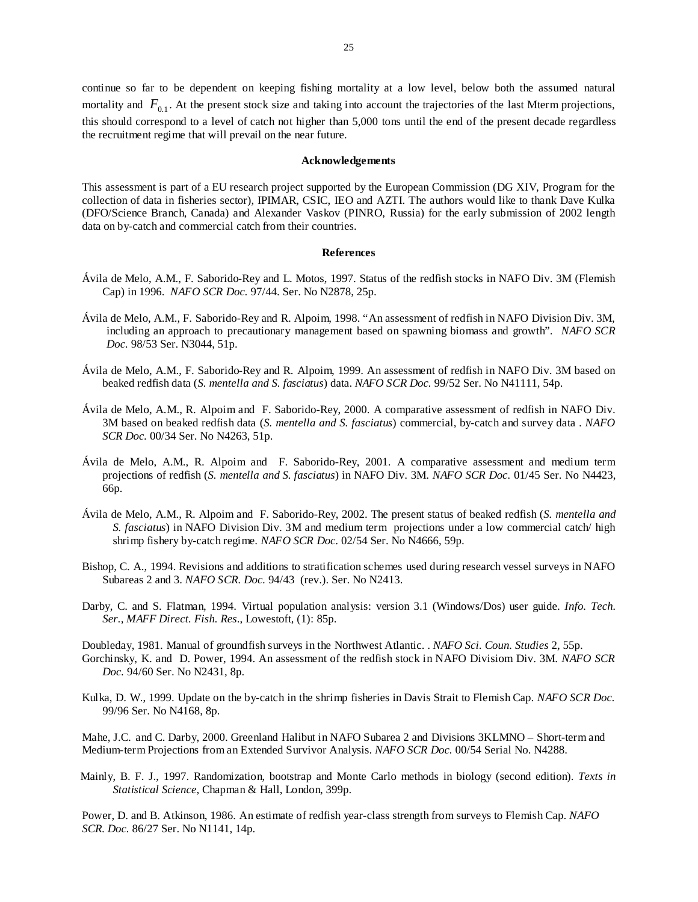continue so far to be dependent on keeping fishing mortality at a low level, below both the assumed natural mortality and  $F_{0,1}$ . At the present stock size and taking into account the trajectories of the last Mterm projections, this should correspond to a level of catch not higher than 5,000 tons until the end of the present decade regardless the recruitment regime that will prevail on the near future.

#### **Acknowledgements**

This assessment is part of a EU research project supported by the European Commission (DG XIV, Program for the collection of data in fisheries sector), IPIMAR, CSIC, IEO and AZTI. The authors would like to thank Dave Kulka (DFO/Science Branch, Canada) and Alexander Vaskov (PINRO, Russia) for the early submission of 2002 length data on by-catch and commercial catch from their countries.

#### **References**

- Ávila de Melo, A.M., F. Saborido-Rey and L. Motos, 1997. Status of the redfish stocks in NAFO Div. 3M (Flemish Cap) in 1996. *NAFO SCR Doc.* 97/44. Ser. No N2878, 25p.
- Ávila de Melo, A.M., F. Saborido-Rey and R. Alpoim, 1998. "An assessment of redfish in NAFO Division Div. 3M, including an approach to precautionary management based on spawning biomass and growth". *NAFO SCR Doc.* 98/53 Ser. N3044, 51p.
- Ávila de Melo, A.M., F. Saborido-Rey and R. Alpoim, 1999. An assessment of redfish in NAFO Div. 3M based on beaked redfish data (*S. mentella and S. fasciatus*) data. *NAFO SCR Doc.* 99/52 Ser. No N41111, 54p.
- Ávila de Melo, A.M., R. Alpoim and F. Saborido-Rey, 2000. A comparative assessment of redfish in NAFO Div. 3M based on beaked redfish data (*S. mentella and S. fasciatus*) commercial, by-catch and survey data . *NAFO SCR Doc.* 00/34 Ser. No N4263, 51p.
- Ávila de Melo, A.M., R. Alpoim and F. Saborido-Rey, 2001. A comparative assessment and medium term projections of redfish (*S. mentella and S. fasciatus*) in NAFO Div. 3M. *NAFO SCR Doc.* 01/45 Ser. No N4423, 66p.
- Ávila de Melo, A.M., R. Alpoim and F. Saborido-Rey, 2002. The present status of beaked redfish (*S. mentella and S. fasciatus*) in NAFO Division Div. 3M and medium term projections under a low commercial catch/ high shrimp fishery by-catch regime. *NAFO SCR Doc.* 02/54 Ser. No N4666, 59p.
- Bishop, C. A., 1994. Revisions and additions to stratification schemes used during research vessel surveys in NAFO Subareas 2 and 3. *NAFO SCR. Doc.* 94/43 (rev.). Ser. No N2413.
- Darby, C. and S. Flatman, 1994. Virtual population analysis: version 3.1 (Windows/Dos) user guide. *Info. Tech. Ser., MAFF Direct. Fish. Res*., Lowestoft, (1): 85p.
- Doubleday, 1981. Manual of groundfish surveys in the Northwest Atlantic. . *NAFO Sci. Coun. Studies* 2, 55p.
- Gorchinsky, K. and D. Power, 1994. An assessment of the redfish stock in NAFO Divisiom Div. 3M. *NAFO SCR Doc.* 94/60 Ser. No N2431, 8p.
- Kulka, D. W., 1999. Update on the by-catch in the shrimp fisheries in Davis Strait to Flemish Cap. *NAFO SCR Doc.*  99/96 Ser. No N4168, 8p.

Mahe, J.C. and C. Darby, 2000. Greenland Halibut in NAFO Subarea 2 and Divisions 3KLMNO – Short-term and Medium-term Projections from an Extended Survivor Analysis. *NAFO SCR Doc.* 00/54 Serial No. N4288.

Mainly, B. F. J., 1997. Randomization, bootstrap and Monte Carlo methods in biology (second edition). *Texts in Statistical Science,* Chapman & Hall, London, 399p.

Power, D. and B. Atkinson, 1986. An estimate of redfish year-class strength from surveys to Flemish Cap. *NAFO SCR. Doc.* 86/27 Ser. No N1141, 14p.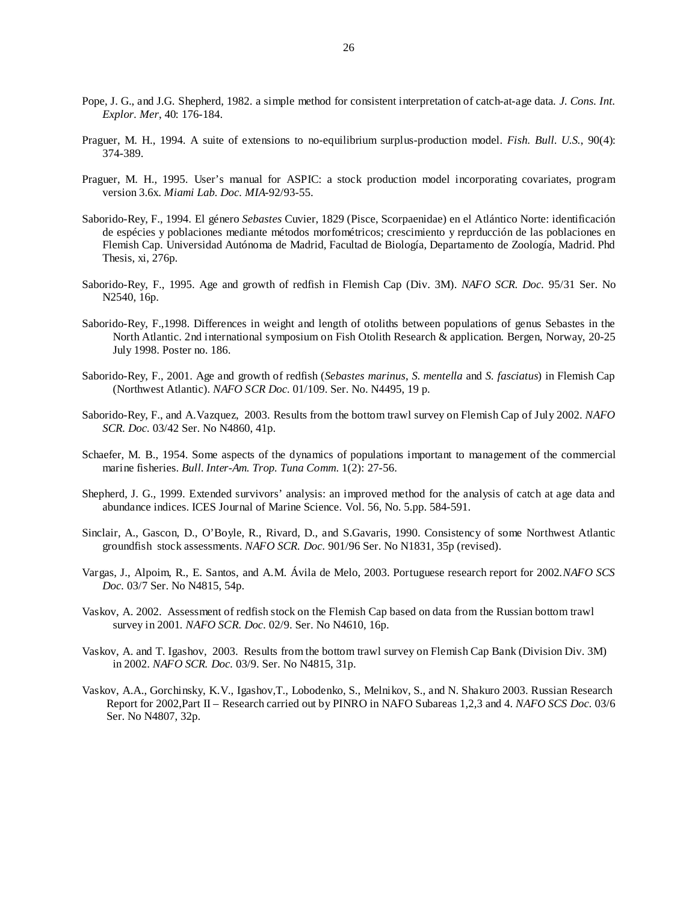- Pope, J. G., and J.G. Shepherd, 1982. a simple method for consistent interpretation of catch-at-age data*. J. Cons. Int. Explor. Mer*, 40: 176-184.
- Praguer, M. H., 1994. A suite of extensions to no-equilibrium surplus-production model. *Fish. Bull. U.S.*, 90(4): 374-389.
- Praguer, M. H., 1995. User's manual for ASPIC: a stock production model incorporating covariates, program version 3.6x. *Miami Lab. Doc. MIA*-92/93-55.
- Saborido-Rey, F., 1994. El género *Sebastes* Cuvier, 1829 (Pisce, Scorpaenidae) en el Atlántico Norte: identificación de espécies y poblaciones mediante métodos morfométricos; crescimiento y reprducción de las poblaciones en Flemish Cap. Universidad Autónoma de Madrid, Facultad de Biología, Departamento de Zoología, Madrid. Phd Thesis, xi, 276p.
- Saborido-Rey, F., 1995. Age and growth of redfish in Flemish Cap (Div. 3M). *NAFO SCR. Doc.* 95/31 Ser. No N2540, 16p.
- Saborido-Rey, F.,1998. Differences in weight and length of otoliths between populations of genus Sebastes in the North Atlantic. 2nd international symposium on Fish Otolith Research & application. Bergen, Norway, 20-25 July 1998. Poster no. 186.
- Saborido-Rey, F., 2001. Age and growth of redfish (*Sebastes marinus*, *S. mentella* and *S. fasciatus*) in Flemish Cap (Northwest Atlantic). *NAFO SCR Doc.* 01/109. Ser. No. N4495, 19 p.
- Saborido-Rey, F., and A.Vazquez, 2003. Results from the bottom trawl survey on Flemish Cap of July 2002. *NAFO SCR. Doc.* 03/42 Ser. No N4860, 41p.
- Schaefer, M. B., 1954. Some aspects of the dynamics of populations important to management of the commercial marine fisheries. *Bull. Inter-Am. Trop. Tuna Comm*. 1(2): 27-56.
- Shepherd, J. G., 1999. Extended survivors' analysis: an improved method for the analysis of catch at age data and abundance indices. ICES Journal of Marine Science. Vol. 56, No. 5.pp. 584-591.
- Sinclair, A., Gascon, D., O'Boyle, R., Rivard, D., and S.Gavaris, 1990. Consistency of some Northwest Atlantic groundfish stock assessments. *NAFO SCR. Doc.* 901/96 Ser. No N1831, 35p (revised).
- Vargas, J., Alpoim, R., E. Santos, and A.M. Ávila de Melo, 2003. Portuguese research report for 2002*.NAFO SCS Doc.* 03/7 Ser. No N4815, 54p.
- Vaskov, A. 2002. Assessment of redfish stock on the Flemish Cap based on data from the Russian bottom trawl survey in 2001*. NAFO SCR. Doc.* 02/9. Ser. No N4610, 16p.
- Vaskov, A. and T. Igashov, 2003. Results from the bottom trawl survey on Flemish Cap Bank (Division Div. 3M) in 2002. *NAFO SCR. Doc.* 03/9. Ser. No N4815, 31p.
- Vaskov, A.A., Gorchinsky, K.V., Igashov,T., Lobodenko, S., Melnikov, S., and N. Shakuro 2003. Russian Research Report for 2002,Part II – Research carried out by PINRO in NAFO Subareas 1,2,3 and 4. *NAFO SCS Doc.* 03/6 Ser. No N4807, 32p.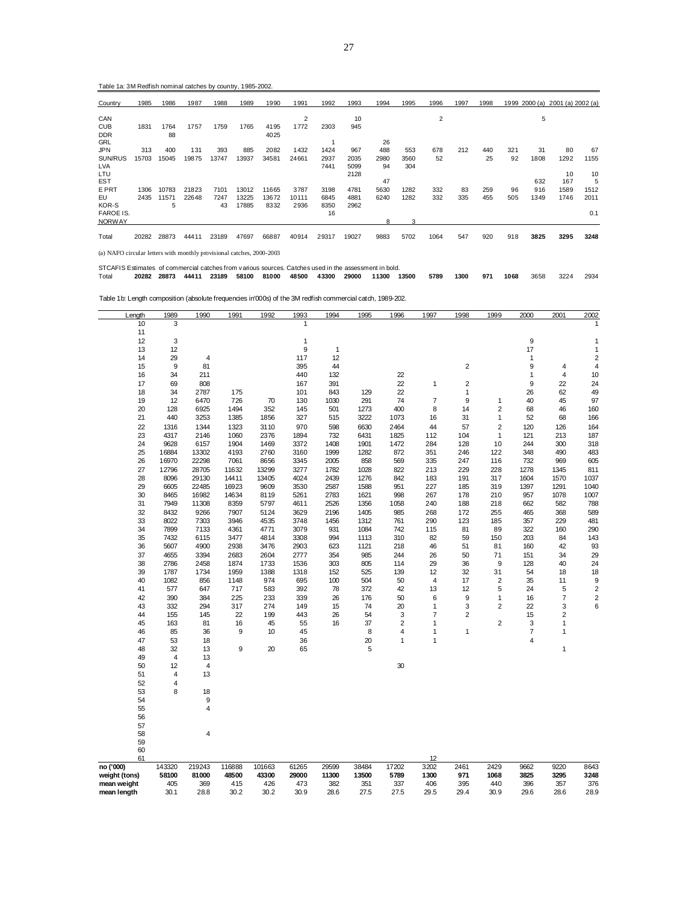Table 1a: 3M Redfish nominal catches by country, 1985-2002.

| Country                                                               | 1985  | 1986  | 1987  | 1988  | 1989  | 1990  | 991   | 1992  | 1993  | 1994 | 1995 | 1996           | 1997 | 1998 |     |      | 1999 2000 (a) 2001 (a) 2002 (a) |      |
|-----------------------------------------------------------------------|-------|-------|-------|-------|-------|-------|-------|-------|-------|------|------|----------------|------|------|-----|------|---------------------------------|------|
| CAN                                                                   |       |       |       |       |       |       | 2     |       | 10    |      |      | $\overline{2}$ |      |      |     | 5    |                                 |      |
| <b>CUB</b>                                                            | 1831  | 1764  | 1757  | 1759  | 1765  | 4195  | 1772  | 2303  | 945   |      |      |                |      |      |     |      |                                 |      |
| <b>DDR</b>                                                            |       | 88    |       |       |       | 4025  |       |       |       |      |      |                |      |      |     |      |                                 |      |
| <b>GRL</b>                                                            |       |       |       |       |       |       |       |       |       | 26   |      |                |      |      |     |      |                                 |      |
| <b>JPN</b>                                                            | 313   | 400   | 131   | 393   | 885   | 2082  | 1432  | 1424  | 967   | 488  | 553  | 678            | 212  | 440  | 321 | 31   | 80                              | 67   |
| <b>SUN/RUS</b>                                                        | 15703 | 15045 | 19875 | 13747 | 13937 | 34581 | 24661 | 2937  | 2035  | 2980 | 3560 | 52             |      | 25   | 92  | 1808 | 1292                            | 1155 |
| <b>LVA</b>                                                            |       |       |       |       |       |       |       | 7441  | 5099  | 94   | 304  |                |      |      |     |      |                                 |      |
| LTU                                                                   |       |       |       |       |       |       |       |       | 2128  |      |      |                |      |      |     |      | 10                              | 10   |
| <b>EST</b>                                                            |       |       |       |       |       |       |       |       |       | 47   |      |                |      |      |     | 632  | 167                             | 5    |
| E PRT                                                                 | 1306  | 10783 | 21823 | 7101  | 13012 | 11665 | 3787  | 3198  | 4781  | 5630 | 1282 | 332            | 83   | 259  | 96  | 916  | 1589                            | 1512 |
| EU                                                                    | 2435  | 11571 | 22648 | 7247  | 13225 | 13672 | 10111 | 6845  | 4881  | 6240 | 1282 | 332            | 335  | 455  | 505 | 1349 | 1746                            | 2011 |
| KOR-S                                                                 |       | 5     |       | 43    | 17885 | 8332  | 2936  | 8350  | 2962  |      |      |                |      |      |     |      |                                 |      |
| FAROE IS.                                                             |       |       |       |       |       |       |       | 16    |       |      |      |                |      |      |     |      |                                 | 0.1  |
| <b>NORWAY</b>                                                         |       |       |       |       |       |       |       |       |       | 8    | 3    |                |      |      |     |      |                                 |      |
|                                                                       |       |       |       |       |       |       |       |       |       |      |      |                |      |      |     |      |                                 |      |
| Total                                                                 | 20282 | 28873 | 44411 | 23189 | 47697 | 66887 | 40914 | 29317 | 19027 | 9883 | 5702 | 1064           | 547  | 920  | 918 | 3825 | 3295                            | 3248 |
| (a) NAFO circular letters with monthly provisional catches, 2000-2003 |       |       |       |       |       |       |       |       |       |      |      |                |      |      |     |      |                                 |      |

STCAFIS Estimates of commercial catches from various sources. Catches used in the assessment in bold. Total **20282 28873 44411 23189 58100 81000 48500 43300 29000 11300 13500 5789 1300 971 1068** 3658 3224 2934

Table 1b: Length composition (absolute frequencies in'000s) of the 3M redfish commercial catch, 1989-202.

| Length        | 1989           | 1990           | 1991         | 1992         | 1993         | 1994         | 1995         | 1996           | 1997           | 1998                    | 1999                    | 2000           | 2001                    | 2002           |
|---------------|----------------|----------------|--------------|--------------|--------------|--------------|--------------|----------------|----------------|-------------------------|-------------------------|----------------|-------------------------|----------------|
| 10            | 3              |                |              |              | 1            |              |              |                |                |                         |                         |                |                         | $\mathbf{1}$   |
| 11            |                |                |              |              |              |              |              |                |                |                         |                         |                |                         |                |
| 12            | 3              |                |              |              | 1            |              |              |                |                |                         |                         | 9              |                         | 1              |
| 13            | 12             |                |              |              | 9            | $\mathbf{1}$ |              |                |                |                         |                         | 17             |                         | $\mathbf{1}$   |
| 14            | 29             | 4              |              |              | 117          | 12           |              |                |                |                         |                         | 1              |                         | $\overline{c}$ |
| 15            | 9              | 81             |              |              | 395          | 44           |              |                |                | $\overline{2}$          |                         | 9              | 4                       | $\overline{4}$ |
| 16            | 34             | 211            |              |              | 440          | 132          |              | 22             |                |                         |                         | 1              | $\overline{\mathbf{4}}$ | 10             |
| 17            | 69             | 808            |              |              | 167          | 391          |              | 22             | 1              | $\overline{\mathbf{c}}$ |                         | 9              | 22                      | 24             |
| 18            | 34             | 2787           | 175          |              | 101          | 843          | 129          | 22             |                | $\mathbf{1}$            |                         | 26             | 62                      | 49             |
| 19            | 12             | 6470           | 726          | 70           | 130          | 1030         | 291          | 74             | 7              | 9                       | $\mathbf{1}$            | 40             | 45                      | 97             |
| 20            | 128            | 6925           | 1494         | 352          | 145          | 501          | 1273         | 400            | 8              | 14                      | $\overline{2}$          | 68             | 46                      | 160            |
| 21            | 440            | 3253           | 1385         | 1856         | 327          | 515          | 3222         | 1073           | 16             | 31                      | 1                       | 52             | 68                      | 166            |
| 22            | 1316           | 1344           | 1323         | 3110         | 970          | 598          | 6630         | 2464           | 44             | 57                      | $\mathbf 2$             | 120            | 126                     | 164            |
| 23            | 4317           | 2146           | 1060         | 2376         | 1894         | 732          | 6431         | 1825           | 112            | 104                     | $\mathbf{1}$            | 121            | 213                     | 187            |
| 24            | 9628           | 6157           | 1904         | 1469         | 3372         | 1408         | 1901         | 1472           | 284            | 128                     | 10                      | 244            | 300                     | 318            |
| 25            | 16884          | 13302          | 4193         | 2760         | 3160         | 1999         | 1282         | 872            | 351            | 246                     | 122                     | 348            | 490                     | 483            |
| 26            | 16970          | 22298          | 7061         | 8656         | 3345         | 2005         | 858          | 569            | 335            | 247                     | 116                     | 732            | 969                     | 605            |
| 27            | 12796          | 28705          | 11632        | 13299        | 3277         | 1782         | 1028         | 822            | 213            | 229                     | 228                     | 1278           | 1345                    | 811            |
| 28            | 8096           | 29130          | 14411        | 13405        | 4024         | 2439         | 1276         | 842            | 183            | 191                     | 317                     | 1604           | 1570                    | 1037           |
| 29            | 6605           | 22485          | 16923        | 9609         | 3530         | 2587         | 1588         | 951            | 227            | 185                     | 319                     | 1397           | 1291                    | 1040           |
| 30            | 8465           | 16982          | 14634        | 8119         | 5261         | 2783         | 1621         | 998            | 267            | 178                     | 210                     | 957            | 1078                    | 1007           |
| 31            | 7949           | 11308          | 8359         | 5797         | 4611         | 2526         | 1356         | 1058           | 240            | 188                     | 218                     | 662            | 582                     | 788            |
| 32            | 8432           | 9266           | 7907         | 5124         | 3629         | 2196         | 1405         | 985            | 268            | 172                     | 255                     | 465            | 368                     | 589            |
| 33            | 8022           | 7303           | 3946         | 4535         | 3748         | 1456         | 1312         | 761            | 290            | 123                     | 185                     | 357<br>322     | 229                     | 481<br>290     |
| 34            | 7899           | 7133           | 4361         | 4771         | 3079         | 931          | 1084         | 742            | 115            | 81                      | 89                      |                | 160                     |                |
| 35<br>36      | 7432           | 6115<br>4900   | 3477         | 4814         | 3308         | 994<br>623   | 1113<br>1121 | 310<br>218     | 82             | 59                      | 150<br>81               | 203<br>160     | 84<br>42                | 143            |
|               | 5607<br>4655   | 3394           | 2938<br>2683 | 3476<br>2604 | 2903<br>2777 |              | 985          |                | 46<br>26       | 51<br>50                |                         | 151            | 34                      | 93<br>29       |
| 37<br>38      | 2786           | 2458           | 1874         | 1733         | 1536         | 354<br>303   | 805          | 244<br>114     | 29             | 36                      | 71<br>9                 | 128            | 40                      | 24             |
| 39            | 1787           | 1734           | 1959         | 1388         | 1318         | 152          | 525          | 139            | 12             | 32                      | 31                      | 54             | 18                      | 18             |
| 40            | 1082           | 856            | 1148         | 974          | 695          | 100          | 504          | 50             | 4              | 17                      | $\overline{\mathbf{c}}$ | 35             | 11                      | 9              |
| 41            | 577            | 647            | 717          | 583          | 392          | 78           | 372          | 42             | 13             | 12                      | 5                       | 24             | 5                       | $\overline{c}$ |
| 42            | 390            | 384            | 225          | 233          | 339          | 26           | 176          | 50             | 6              | 9                       | 1                       | 16             | 7                       | $\overline{c}$ |
| 43            | 332            | 294            | 317          | 274          | 149          | 15           | 74           | 20             | 1              | 3                       | $\overline{2}$          | 22             | 3                       | 6              |
| 44            | 155            | 145            | 22           | 199          | 443          | 26           | 54           | 3              | $\overline{7}$ | $\overline{2}$          |                         | 15             | $\overline{2}$          |                |
| 45            | 163            | 81             | 16           | 45           | 55           | 16           | 37           | $\overline{c}$ | 1              |                         | $\overline{c}$          | 3              | $\mathbf{1}$            |                |
| 46            | 85             | 36             | 9            | 10           | 45           |              | 8            | 4              | 1              | $\mathbf{1}$            |                         | $\overline{7}$ | 1                       |                |
| 47            | 53             | 18             |              |              | 36           |              | 20           | $\mathbf{1}$   | 1              |                         |                         | 4              |                         |                |
| 48            | 32             | 13             | 9            | 20           | 65           |              | 5            |                |                |                         |                         |                | 1                       |                |
| 49            | $\overline{4}$ | 13             |              |              |              |              |              |                |                |                         |                         |                |                         |                |
| 50            | 12             | 4              |              |              |              |              |              | 30             |                |                         |                         |                |                         |                |
| 51            | 4              | 13             |              |              |              |              |              |                |                |                         |                         |                |                         |                |
| 52            | 4              |                |              |              |              |              |              |                |                |                         |                         |                |                         |                |
| 53            | 8              | 18             |              |              |              |              |              |                |                |                         |                         |                |                         |                |
| 54            |                | 9              |              |              |              |              |              |                |                |                         |                         |                |                         |                |
| 55            |                | $\overline{4}$ |              |              |              |              |              |                |                |                         |                         |                |                         |                |
| 56            |                |                |              |              |              |              |              |                |                |                         |                         |                |                         |                |
| 57            |                |                |              |              |              |              |              |                |                |                         |                         |                |                         |                |
| 58            |                | $\overline{4}$ |              |              |              |              |              |                |                |                         |                         |                |                         |                |
| 59            |                |                |              |              |              |              |              |                |                |                         |                         |                |                         |                |
| 60            |                |                |              |              |              |              |              |                |                |                         |                         |                |                         |                |
| 61            |                |                |              |              |              |              |              |                | 12             |                         |                         |                |                         |                |
| no ('000)     | 143320         | 219243         | 116888       | 101663       | 61265        | 29599        | 38484        | 17202          | 3202           | 2461                    | 2429                    | 9662           | 9220                    | 8643           |
| weight (tons) | 58100          | 81000          | 48500        | 43300        | 29000        | 11300        | 13500        | 5789           | 1300           | 971                     | 1068                    | 3825           | 3295                    | 3248           |
| mean weight   | 405            | 369            | 415          | 426          | 473          | 382          | 351          | 337            | 406            | 395                     | 440                     | 396            | 357                     | 376            |
| mean length   | 30.1           | 28.8           | 30.2         | 30.2         | 30.9         | 28.6         | 27.5         | 27.5           | 29.5           | 29.4                    | 30.9                    | 29.6           | 28.6                    | 28.9           |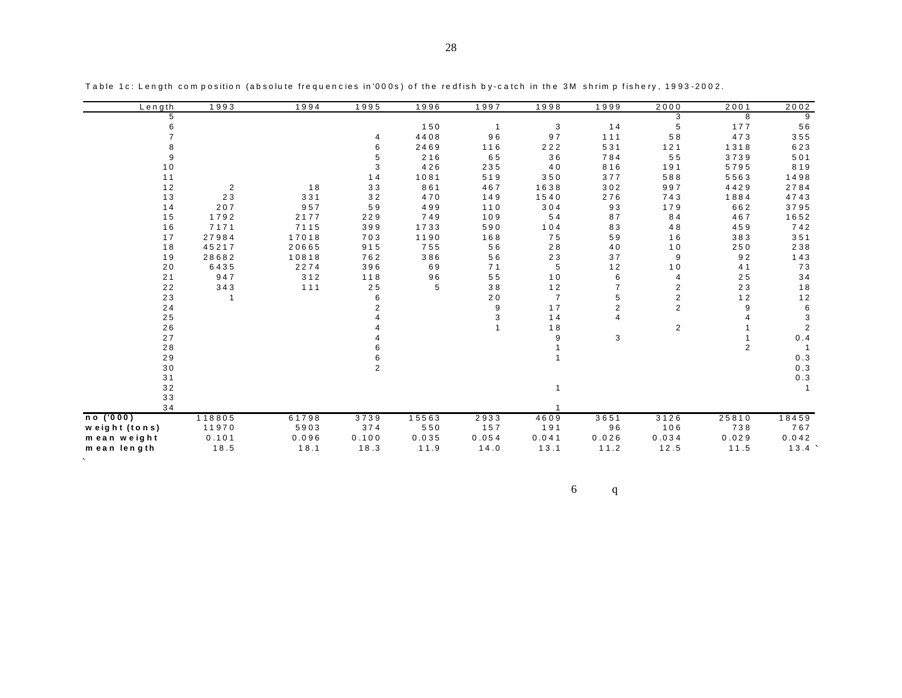| $L$ ength | 1993           | 1994  | 1995           | 1996 | 1997 | 1998           | 1999           | 2000           | 2001           | 2002           |
|-----------|----------------|-------|----------------|------|------|----------------|----------------|----------------|----------------|----------------|
|           | 5              |       |                |      |      |                |                | 3              | 8              | 9              |
|           | 6              |       |                | 150  |      | 3              | 14             | 5              | 177            | 56             |
|           |                |       | 4              | 4408 | 96   | 97             | 111            | 58             | 473            | 355            |
|           |                |       | 6              | 2469 | 116  | 222            | 531            | $121$          | 1318           | 623            |
|           | 9              |       | 5              | 216  | 65   | 36             | 784            | 55             | 3739           | 501            |
| 10        |                |       | 3              | 426  | 235  | 40             | 816            | 191            | 5795           | 819            |
| 11        |                |       | 14             | 1081 | 519  | 350            | 377            | 588            | 5563           | 1498           |
| 12        | $\overline{2}$ | 18    | 33             | 861  | 467  | 1638           | 302            | 997            | 4429           | 2784           |
| 13        | 23             | 331   | 32             | 470  | 149  | 1540           | 276            | 743            | 1884           | 4743           |
| 14        | 207            | 957   | 59             | 499  | 110  | 304            | 93             | 179            | 662            | 3795           |
| 15        | 1792           | 2177  | 229            | 749  | 109  | 54             | 87             | 84             | 467            | 1652           |
| 16        | 7171           | 7115  | 399            | 1733 | 590  | 104            | 83             | 48             | 459            | 742            |
| 17        | 27984          | 17018 | 703            | 1190 | 168  | 75             | 59             | 16             | 383            | 351            |
| 18        | 45217          | 20665 | 915            | 755  | 56   | 28             | 40             | 10             | 250            | 238            |
| 19        | 28682          | 10818 | 762            | 386  | 56   | 23             | 37             | 9              | 92             | 143            |
| 20        | 6435           | 2274  | 396            | 69   | 71   | 5              | 12             | 10             | 41             | 73             |
| 21        | 947            | 312   | 118            | 96   | 55   | 10             | 6              | 4              | 25             | 34             |
| 22        | 343            | 111   | 25             | 5    | 38   | 12             | $\overline{7}$ | $\overline{2}$ | 23             | 18             |
| 23        | -1             |       | 6              |      | 20   | $\overline{7}$ | 5              | $\overline{2}$ | $12$           | 12             |
| 24        |                |       |                |      | 9    | 17             | 2              | $\overline{2}$ | 9              | $\,6$          |
| 25        |                |       |                |      | 3    | 14             | 4              |                |                | 3              |
| 26        |                |       |                |      |      | 18             |                | 2              |                | $\overline{2}$ |
| 27        |                |       |                |      |      | 9              | 3              |                |                | 0.4            |
| 28        |                |       | 6              |      |      |                |                |                | $\overline{2}$ |                |
| 29        |                |       | 6              |      |      |                |                |                |                | $0.3$          |
| 30        |                |       | $\overline{2}$ |      |      |                |                |                |                | 0.3            |
| 31        |                |       |                |      |      |                |                |                |                | $0.3$          |
| 32        |                |       |                |      |      |                |                |                |                |                |
| 33        |                |       |                |      |      |                |                |                |                |                |
| 34        |                |       |                |      |      |                |                |                |                |                |

| Table 1c: Length composition (absolute frequencies in'000s) of the redfish by-catch in the 3M shrimp fishery, 1993-2002. |  |  |
|--------------------------------------------------------------------------------------------------------------------------|--|--|
|                                                                                                                          |  |  |

**<sup>n</sup> <sup>o</sup> ('0 00 )** 118805 61798 3739 15563 2933 4609 3651 3126 25810 18459 **<sup>w</sup> eig h t (to <sup>n</sup> s)** 11970 5903 374 550 157 191 96 106 738 767 **<sup>m</sup> ea <sup>n</sup> <sup>w</sup> <sup>e</sup> ig h t** 0 .10 1 0.0 96 0 .10 0 0.0 35 0 .05 4 0.0 4 1 0 .0 26 0 .03 4 0 .02 9 0.0 42 **<sup>m</sup> ea <sup>n</sup> len g th** 18 .5 1 8.1 18 .3 1 1.9 14 .0 1 3 .1 1 1.2 12 .5 11 .5 1 3.4 `

 $\mathbf{v}$ 

 $6q$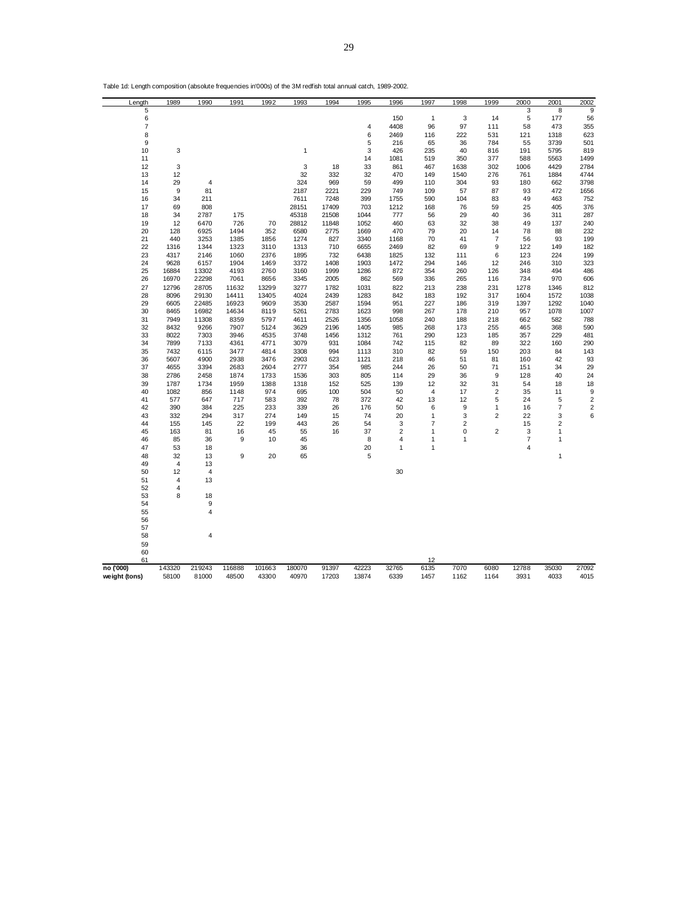| Length         | 1989           | 1990           | 1991   | 1992   | 1993   | 1994  | 1995           | 1996                    | 1997           | 1998           | 1999                    | 2000           | 2001                     | 2002           |
|----------------|----------------|----------------|--------|--------|--------|-------|----------------|-------------------------|----------------|----------------|-------------------------|----------------|--------------------------|----------------|
| 5              |                |                |        |        |        |       |                |                         |                |                |                         | 3              | 8                        | 9              |
| 6              |                |                |        |        |        |       |                | 150                     | $\mathbf{1}$   | 3              | 14                      | 5              | 177                      | 56             |
| $\overline{7}$ |                |                |        |        |        |       | $\overline{4}$ | 4408                    | 96             | 97             | 111                     | 58             | 473                      | 355            |
| 8              |                |                |        |        |        |       | 6              | 2469                    | 116            | 222            | 531                     | 121            | 1318                     | 623            |
| 9              |                |                |        |        |        |       | 5              | 216                     | 65             | 36             | 784                     | 55             | 3739                     | 501            |
| 10             | 3              |                |        |        | 1      |       | 3              | 426                     | 235            | 40             | 816                     | 191            | 5795                     | 819            |
| 11             |                |                |        |        |        |       | 14             | 1081                    | 519            | 350            | 377                     | 588            | 5563                     | 1499           |
| 12             | 3              |                |        |        | 3      | 18    | 33             | 861                     | 467            | 1638           | 302                     | 1006           | 4429                     | 2784           |
| 13             | 12             |                |        |        | 32     | 332   | 32             | 470                     | 149            | 1540           | 276                     | 761            | 1884                     | 4744           |
| 14             | 29             | $\overline{4}$ |        |        | 324    | 969   | 59             | 499                     | 110            | 304            | 93                      | 180            | 662                      | 3798           |
| 15             | 9              | 81             |        |        | 2187   | 2221  | 229            | 749                     | 109            | 57             | 87                      | 93             | 472                      | 1656           |
| 16             | 34             | 211            |        |        | 7611   | 7248  | 399            | 1755                    | 590            | 104            | 83                      | 49             | 463                      | 752            |
| 17             | 69             | 808            |        |        | 28151  | 17409 | 703            | 1212                    | 168            | 76             | 59                      | 25             | 405                      | 376            |
| 18             | 34             | 2787           | 175    |        | 45318  | 21508 | 1044           | 777                     | 56             | 29             | 40                      | 36             | 311                      | 287            |
| 19             | 12             | 6470           | 726    | 70     | 28812  | 11848 | 1052           | 460                     | 63             | 32             | 38                      | 49             | 137                      | 240            |
| 20             | 128            | 6925           | 1494   | 352    | 6580   | 2775  | 1669           | 470                     | 79             | 20             | 14                      | 78             | 88                       | 232            |
| 21             | 440            | 3253           | 1385   | 1856   | 1274   | 827   | 3340           | 1168                    | 70             | 41             | $\overline{7}$          | 56             | 93                       | 199            |
| 22             | 1316           | 1344           | 1323   | 3110   | 1313   | 710   | 6655           | 2469                    | 82             | 69             | 9                       | 122            | 149                      | 182            |
| 23             | 4317           | 2146           | 1060   | 2376   | 1895   | 732   | 6438           | 1825                    | 132            | 111            | 6                       | 123            | 224                      | 199            |
| 24             | 9628           | 6157           | 1904   | 1469   | 3372   | 1408  | 1903           | 1472                    | 294            | 146            | 12                      | 246            | 310                      | 323            |
| 25             | 16884          | 13302          | 4193   | 2760   | 3160   | 1999  | 1286           | 872                     | 354            | 260            | 126                     | 348            | 494                      | 486            |
| 26             | 16970          | 22298          | 7061   | 8656   | 3345   | 2005  | 862            | 569                     | 336            | 265            | 116                     | 734            | 970                      | 606            |
| 27             | 12796          | 28705          | 11632  | 13299  | 3277   | 1782  | 1031           | 822                     | 213            | 238            | 231                     | 1278           | 1346                     | 812            |
| 28             | 8096           | 29130          | 14411  | 13405  | 4024   | 2439  | 1283           | 842                     | 183            | 192            | 317                     | 1604           | 1572                     | 1038           |
| 29             | 6605           | 22485          | 16923  | 9609   | 3530   | 2587  | 1594           | 951                     | 227            | 186            | 319                     | 1397           | 1292                     | 1040           |
| 30             | 8465           | 16982          | 14634  | 8119   | 5261   | 2783  | 1623           | 998                     | 267            | 178            | 210                     | 957            | 1078                     | 1007           |
| 31             | 7949           | 11308          | 8359   | 5797   | 4611   | 2526  | 1356           | 1058                    | 240            | 188            | 218                     | 662            | 582                      | 788            |
| 32             | 8432           | 9266           | 7907   | 5124   | 3629   | 2196  | 1405           | 985                     | 268            | 173            | 255                     | 465            | 368                      | 590            |
| 33             | 8022           | 7303           | 3946   | 4535   | 3748   | 1456  | 1312           | 761                     | 290            | 123            | 185                     | 357            | 229                      | 481            |
| 34             | 7899           | 7133           | 4361   | 4771   | 3079   | 931   | 1084           | 742                     | 115            | 82             | 89                      | 322            | 160                      | 290            |
| 35             | 7432           | 6115           | 3477   | 4814   | 3308   | 994   | 1113           | 310                     | 82             | 59             | 150                     | 203            | 84                       | 143            |
| 36             | 5607           | 4900           | 2938   | 3476   | 2903   | 623   | 1121           | 218                     | 46             | 51             | 81                      | 160            | 42                       | 93             |
| 37             | 4655           | 3394           | 2683   | 2604   | 2777   | 354   | 985            | 244                     | 26             | 50             | 71                      | 151            | 34                       | 29             |
| 38             | 2786           | 2458           | 1874   | 1733   | 1536   | 303   | 805            | 114                     | 29             | 36             | 9                       | 128            | 40                       | 24             |
| 39             | 1787           | 1734           | 1959   | 1388   | 1318   | 152   | 525            | 139                     | 12             | 32             | 31                      | 54             | 18                       | 18             |
| 40             | 1082           | 856            | 1148   | 974    | 695    | 100   | 504            | 50                      | $\overline{4}$ | 17             | $\overline{2}$          | 35             | 11                       | 9              |
| 41             | 577            | 647            | 717    | 583    | 392    | 78    | 372            | 42                      | 13             | 12             | 5                       | 24             | 5                        | $\overline{c}$ |
| 42             | 390            | 384            | 225    | 233    | 339    | 26    | 176            | 50                      | 6              | 9              | 1                       | 16             | $\overline{\mathcal{I}}$ | $\overline{c}$ |
| 43             | 332            | 294            | 317    | 274    | 149    | 15    | 74             | 20                      | 1              | 3              | $\overline{2}$          | 22             | 3                        | 6              |
| 44             | 155            | 145            | 22     | 199    | 443    | 26    | 54             | 3                       | $\overline{7}$ | $\overline{2}$ |                         | 15             | $\overline{\mathbf{c}}$  |                |
| 45             | 163            | 81             | 16     | 45     | 55     | 16    | 37             | $\overline{\mathbf{c}}$ | 1              | 0              | $\overline{\mathbf{c}}$ | 3              | 1                        |                |
| 46             | 85             | 36             | 9      | 10     | 45     |       | 8              | 4                       | $\mathbf{1}$   | $\mathbf{1}$   |                         | $\overline{7}$ | 1                        |                |
| 47             | 53             | 18             |        |        | 36     |       | 20             | 1                       | $\mathbf{1}$   |                |                         | $\overline{4}$ |                          |                |
| 48             | 32             | 13             | 9      | 20     | 65     |       | 5              |                         |                |                |                         |                | 1                        |                |
| 49             | $\overline{4}$ | 13             |        |        |        |       |                |                         |                |                |                         |                |                          |                |
| 50             | 12             | $\overline{4}$ |        |        |        |       |                | 30                      |                |                |                         |                |                          |                |
| 51             | 4              | 13             |        |        |        |       |                |                         |                |                |                         |                |                          |                |
| 52             | 4              |                |        |        |        |       |                |                         |                |                |                         |                |                          |                |
| 53             | 8              | 18             |        |        |        |       |                |                         |                |                |                         |                |                          |                |
| 54             |                | 9              |        |        |        |       |                |                         |                |                |                         |                |                          |                |
| 55             |                | 4              |        |        |        |       |                |                         |                |                |                         |                |                          |                |
| 56             |                |                |        |        |        |       |                |                         |                |                |                         |                |                          |                |
| 57             |                |                |        |        |        |       |                |                         |                |                |                         |                |                          |                |
| 58             |                | 4              |        |        |        |       |                |                         |                |                |                         |                |                          |                |
| 59             |                |                |        |        |        |       |                |                         |                |                |                         |                |                          |                |
| 60             |                |                |        |        |        |       |                |                         |                |                |                         |                |                          |                |
| 61             |                |                |        |        |        |       |                |                         | 12             |                |                         |                |                          |                |
| no ('000)      | 143320         | 219243         | 116888 | 101663 | 180070 | 91397 | 42223          | 32765                   | 6135           | 7070           | 6080                    | 12788          | 35030                    | 27092          |
| weight (tons)  | 58100          | 81000          | 48500  | 43300  | 40970  | 17203 | 13874          | 6339                    | 1457           | 1162           | 1164                    | 3931           | 4033                     | 4015           |
|                |                |                |        |        |        |       |                |                         |                |                |                         |                |                          |                |

Table 1d: Length composition (absolute frequencies in'000s) of the 3M redfish total annual catch, 1989-2002.

÷,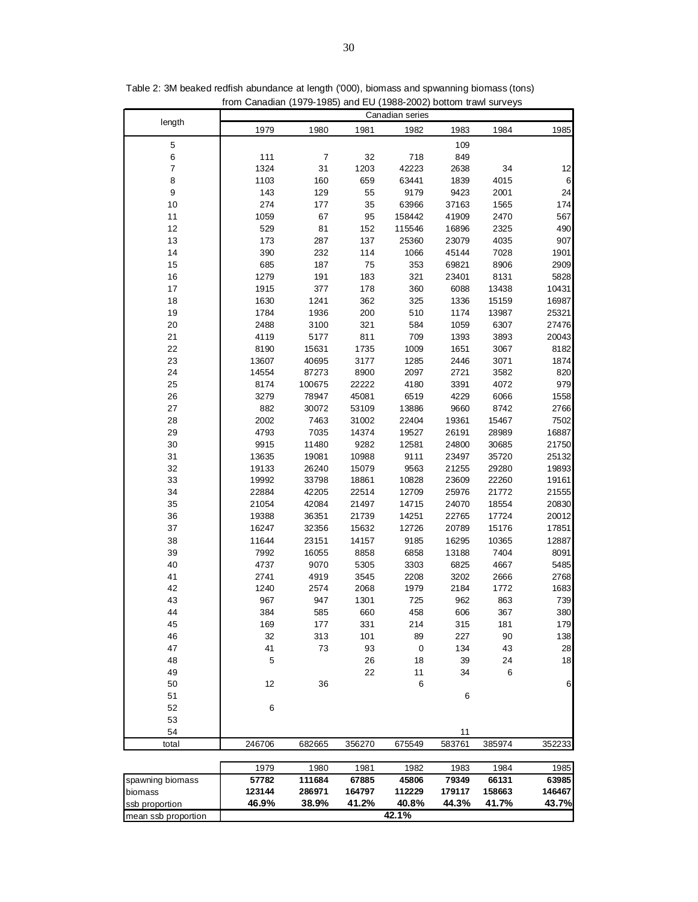|                     |         |        |          | Canadian series |           |          |          |
|---------------------|---------|--------|----------|-----------------|-----------|----------|----------|
| length              | 1979    | 1980   | 1981     | 1982            | 1983      | 1984     | 1985     |
| 5                   |         |        |          |                 | 109       |          |          |
| 6                   | 111     | 7      | 32       | 718             | 849       |          |          |
| $\boldsymbol{7}$    | 1324    | 31     | 1203     | 42223           | 2638      | 34       | 12       |
| 8                   | 1103    | 160    | 659      | 63441           | 1839      | 4015     | $\,6\,$  |
| 9                   | 143     | 129    | 55       | 9179            | 9423      | 2001     | 24       |
| 10                  | 274     | 177    | 35       | 63966           | 37163     | 1565     | 174      |
| 11                  | 1059    | 67     | 95       | 158442          | 41909     | 2470     | 567      |
| 12                  | 529     | 81     | 152      | 115546          | 16896     | 2325     | 490      |
| 13                  | 173     | 287    | 137      | 25360           | 23079     | 4035     | 907      |
| 14                  | 390     | 232    | 114      | 1066            | 45144     | 7028     | 1901     |
| 15                  | 685     | 187    | 75       | 353             | 69821     | 8906     | 2909     |
| 16                  | 1279    | 191    | 183      | 321             | 23401     | 8131     | 5828     |
| 17                  | 1915    | 377    | 178      | 360             | 6088      | 13438    | 10431    |
| 18                  | 1630    | 1241   | 362      | 325             | 1336      | 15159    | 16987    |
| 19                  | 1784    | 1936   | 200      | 510             | 1174      | 13987    | 25321    |
| 20                  | 2488    | 3100   | 321      | 584             | 1059      | 6307     | 27476    |
| 21                  | 4119    | 5177   | 811      | 709             | 1393      | 3893     | 20043    |
| 22                  | 8190    | 15631  | 1735     | 1009            | 1651      | 3067     | 8182     |
| 23                  | 13607   | 40695  | 3177     | 1285            | 2446      | 3071     | 1874     |
| 24                  | 14554   | 87273  | 8900     | 2097            | 2721      | 3582     | 820      |
| 25                  | 8174    | 100675 | 22222    | 4180            | 3391      | 4072     | 979      |
| 26                  | 3279    | 78947  | 45081    | 6519            | 4229      | 6066     | 1558     |
| 27                  | 882     | 30072  | 53109    | 13886           | 9660      | 8742     | 2766     |
| 28                  | 2002    | 7463   | 31002    | 22404           | 19361     | 15467    | 7502     |
| 29                  | 4793    | 7035   | 14374    | 19527           | 26191     | 28989    | 16887    |
| 30                  | 9915    | 11480  | 9282     | 12581           | 24800     | 30685    | 21750    |
| 31                  | 13635   | 19081  | 10988    | 9111            | 23497     | 35720    | 25132    |
| 32                  | 19133   | 26240  | 15079    | 9563            | 21255     | 29280    | 19893    |
| 33                  | 19992   | 33798  | 18861    | 10828           | 23609     | 22260    | 19161    |
| 34                  | 22884   | 42205  | 22514    | 12709           | 25976     | 21772    | 21555    |
| 35                  | 21054   | 42084  | 21497    | 14715           | 24070     | 18554    | 20830    |
| 36                  | 19388   | 36351  | 21739    | 14251           | 22765     | 17724    | 20012    |
| 37                  | 16247   | 32356  | 15632    | 12726           | 20789     | 15176    | 17851    |
| 38                  | 11644   | 23151  | 14157    | 9185            | 16295     | 10365    | 12887    |
| 39                  | 7992    | 16055  | 8858     | 6858            | 13188     | 7404     | 8091     |
| 40                  | 4737    | 9070   | 5305     | 3303            | 6825      | 4667     | 5485     |
| 41                  | 2741    | 4919   | 3545     | 2208            | 3202      | 2666     | 2768     |
| 42                  | 1240    | 2574   | 2068     | 1979            | 2184      | 1772     | 1683     |
| 43                  | 967     | 947    | 1301     | 725             | 962       | 863      | 739      |
| 44                  | 384     | 585    | 660      | 458             | 606       | 367      | 380      |
| 45                  | 169     | 177    | 331      | 214             | 315       | 181      | 179      |
| 46                  | 32      | 313    | 101      | 89              | 227       | 90       | 138      |
| 47<br>48            | 41<br>5 | 73     | 93<br>26 | 0<br>18         | 134<br>39 | 43<br>24 | 28<br>18 |
| 49                  |         |        | 22       | 11              | 34        | 6        |          |
| 50                  | 12      | 36     |          | 6               |           |          | 6        |
| 51                  |         |        |          |                 | 6         |          |          |
| 52                  | $\,6$   |        |          |                 |           |          |          |
| 53                  |         |        |          |                 |           |          |          |
| 54                  |         |        |          |                 | 11        |          |          |
| total               | 246706  | 682665 | 356270   | 675549          | 583761    | 385974   | 352233   |
|                     |         |        |          |                 |           |          |          |
|                     | 1979    | 1980   | 1981     | 1982            | 1983      | 1984     | 1985     |
| spawning biomass    | 57782   | 111684 | 67885    | 45806           | 79349     | 66131    | 63985    |
| biomass             | 123144  | 286971 | 164797   | 112229          | 179117    | 158663   | 146467   |
| ssb proportion      | 46.9%   | 38.9%  | 41.2%    | 40.8%           | 44.3%     | 41.7%    | 43.7%    |
| mean ssb proportion |         |        |          | 42.1%           |           |          |          |

Table 2: 3M beaked redfish abundance at length ('000), biomass and spwanning biomass (tons) from Canadian (1979-1985) and EU (1988-2002) bottom trawl surveys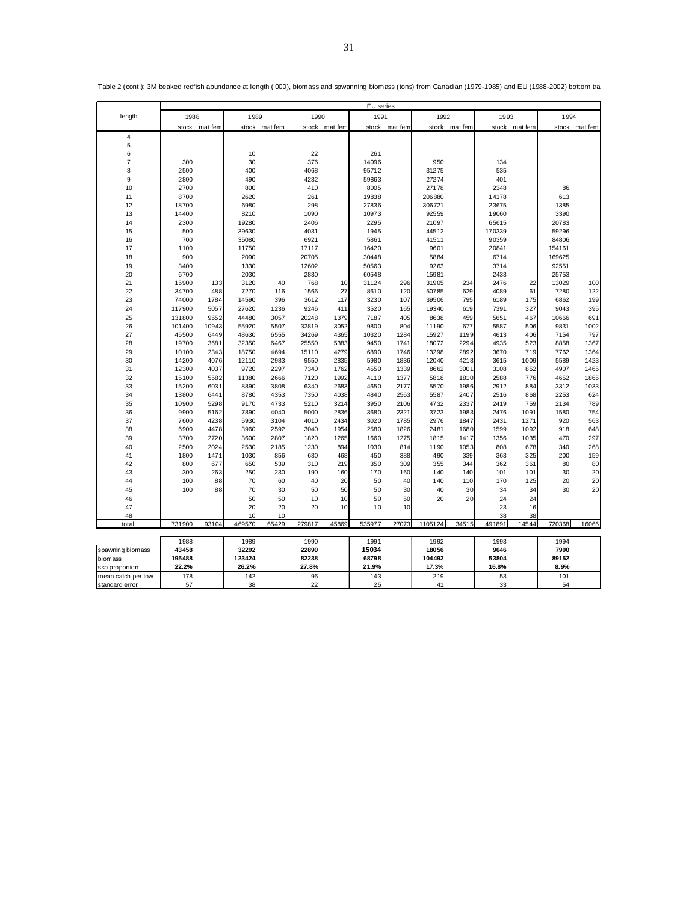|                  |        |               |        |               |        |               | <b>EU</b> series |               |         |               |        |               |        |               |
|------------------|--------|---------------|--------|---------------|--------|---------------|------------------|---------------|---------|---------------|--------|---------------|--------|---------------|
| length           | 1988   |               | 1989   |               | 1990   |               | 1991             |               | 1992    |               | 1993   |               | 1994   |               |
|                  |        |               |        |               |        |               |                  |               |         |               |        |               |        |               |
|                  |        | stock mat fem |        | stock mat fem |        | stock mat fem |                  | stock mat fem |         | stock mat fem |        | stock mat fem |        | stock mat fem |
| 4                |        |               |        |               |        |               |                  |               |         |               |        |               |        |               |
| 5<br>6           |        |               | 10     |               | 22     |               | 261              |               |         |               |        |               |        |               |
| $\boldsymbol{7}$ | 300    |               | 30     |               | 376    |               | 14096            |               | 950     |               | 134    |               |        |               |
| 8                | 2500   |               | 400    |               | 4068   |               | 95712            |               | 31275   |               | 535    |               |        |               |
| 9                | 2800   |               | 490    |               | 4232   |               | 59863            |               | 27274   |               | 401    |               |        |               |
| 10               | 2700   |               | 800    |               | 410    |               | 8005             |               | 27178   |               | 2348   |               | 86     |               |
| 11               | 8700   |               | 2620   |               | 261    |               | 19838            |               | 206880  |               | 14178  |               | 613    |               |
| 12               | 18700  |               | 6980   |               | 298    |               | 27836            |               | 306721  |               | 23675  |               | 1385   |               |
| 13               | 14400  |               | 8210   |               | 1090   |               | 10973            |               | 92559   |               | 19060  |               | 3390   |               |
| 14               | 2300   |               | 19280  |               | 2406   |               | 2295             |               | 21097   |               | 65615  |               | 20783  |               |
| 15               | 500    |               | 39630  |               | 4031   |               | 1945             |               | 44512   |               | 170339 |               | 59296  |               |
| 16               | 700    |               | 35080  |               | 6921   |               | 5861             |               | 41511   |               | 90359  |               | 84806  |               |
| 17               | 1100   |               | 11750  |               | 17117  |               | 16420            |               | 9601    |               | 20841  |               | 154161 |               |
| 18               | 900    |               | 2090   |               | 20705  |               | 30448            |               | 5884    |               | 6714   |               | 169625 |               |
| 19               | 3400   |               | 1330   |               | 12602  |               | 50563            |               | 9263    |               | 3714   |               | 92551  |               |
| 20               | 6700   |               | 2030   |               | 2830   |               | 60548            |               | 15981   |               | 2433   |               | 25753  |               |
| 21               | 15900  | 133           | 3120   | 40            | 768    | 10            | 31124            | 296           | 31905   | 234           | 2476   | 22            | 13029  | 100           |
| 22               | 34700  | 488           | 7270   | 116           | 1566   | 27            | 8610             | 120           | 50785   | 629           | 4089   | 61            | 7280   | 122           |
| 23               | 74000  | 1784          | 14590  | 396           | 3612   | 117           | 3230             | 107           | 39506   | 795           | 6189   | 175           | 6862   | 199           |
| 24               | 117900 | 5057          | 27620  | 1236          | 9246   | 411           | 3520             | 165           | 19340   | 619           | 7391   | 327           | 9043   | 395           |
| 25               | 131800 | 9552          | 44480  | 3057          | 20248  | 1379          | 7187             | 405           | 8638    | 459           | 5651   | 467           | 10666  | 691           |
| 26               | 101400 | 10943         | 55920  | 5507          | 32819  | 3052          | 9800             | 804           | 11190   | 677           | 5587   | 506           | 9831   | 1002          |
| 27               | 45500  | 6449          | 48630  | 6555          | 34269  | 4365          | 10320            | 1284          | 15927   | 1199          | 4613   | 406           | 7154   | 797           |
| 28               | 19700  | 3681          | 32350  | 6467          | 25550  | 5383          | 9450             | 1741          | 18072   | 2294          | 4935   | 523           | 8858   | 1367          |
| 29               | 10100  | 2343          | 18750  | 4694          | 15110  | 4279          | 6890             | 1746          | 13298   | 2892          | 3670   | 719           | 7762   | 1364          |
| 30               | 14200  | 4076          | 12110  | 2983          | 9550   | 2835          | 5980             | 1836          | 12040   | 4213          | 3615   | 1009          | 5589   | 1423          |
| 31               | 12300  | 4037          | 9720   | 2297          | 7340   | 1762          | 4550             | 1339          | 8662    | 3001          | 3108   | 852           | 4907   | 1465          |
| 32               | 15100  | 5582          | 11380  | 2666          | 7120   | 1992          | 4110             | 1377          | 5818    | 1810          | 2588   | 776           | 4652   | 1865          |
| 33               | 15200  | 6031          | 8890   | 3808          | 6340   | 2683          | 4650             | 2177          | 5570    | 1986          | 2912   | 884           | 3312   | 1033          |
| 34               | 13800  | 6441          | 8780   | 4353          | 7350   | 4038          | 4840             | 2563          | 5587    | 2407          | 2516   | 868           | 2253   | 624           |
| 35               | 10900  | 5298          | 9170   | 4733          | 5210   | 3214          | 3950             | 2106          | 4732    | 2337          | 2419   | 759           | 2134   | 789           |
| 36               | 9900   | 5162          | 7890   | 4040          | 5000   | 2836          | 3680             | 2321          | 3723    | 1983          | 2476   | 1091          | 1580   | 754           |
| 37               | 7600   | 4238          | 5930   | 3104          | 4010   | 2434          | 3020             | 1785          | 2976    | 1847          | 2431   | 1271          | 920    | 563           |
| 38               | 6900   | 4478          | 3960   | 2592          | 3040   | 1954          | 2580             | 1826          | 2481    | 1680          | 1599   | 1092          | 918    | 648           |
| 39               | 3700   | 2720          | 3600   | 2807          | 1820   | 1265          | 1660             | 1275          | 1815    | 1417          | 1356   | 1035          | 470    | 297           |
| 40               | 2500   | 2024          | 2530   | 2185          | 1230   | 894           | 1030             | 814           | 1190    | 1053          | 808    | 678           | 340    | 268           |
| 41               | 1800   | 1471          | 1030   | 856           | 630    | 468           | 450              | 388           | 490     | 339           | 363    | 325           | 200    | 159           |
| 42               | 800    | 677           | 650    | 539           | 310    | 219           | 350              | 309           | 355     | 344           | 362    | 361           | 80     | 80            |
| 43               | 300    | 263           | 250    | 230           | 190    | 160           | 170              | 160           | 140     | 140           | 101    | 101           | 30     | 20            |
| 44               | 100    | 88            | 70     | 60            | 40     | 20            | 50               | 40            | 140     | 110           | 170    | 125           | 20     | 20            |
| 45               | 100    | 88            | 70     | 30            | 50     | 50            | 50               | 30            | 40      | 30            | 34     | 34            | 30     | 20            |
| 46               |        |               | 50     | 50            | 10     | 10            | 50               | 50            | 20      | 20            | 24     | 24            |        |               |
| 47               |        |               | 20     | 20            | 20     | 10            | 10               | 10            |         |               | 23     | 16            |        |               |
| 48               |        |               | 10     | 10            |        |               |                  |               |         |               | 38     | 38            |        |               |
| total            | 731900 | 93104         | 469570 | 65429         | 279817 | 45869         | 535977           | 27073         | 1105124 | 34515         | 491891 | 14544         | 720368 | 16066         |
|                  |        |               |        |               |        |               |                  |               |         |               |        |               |        |               |
|                  | 1988   |               | 1989   |               | 1990   |               | 1991             |               | 1992    |               | 1993   |               | 1994   |               |
| spawning biomass | 43458  |               | 32292  |               | 22890  |               | 15034            |               | 18056   |               | 9046   |               | 7900   |               |
| biomass          | 195488 |               | 123424 |               | 82238  |               | 68798            |               | 104492  |               | 53804  |               | 89152  |               |
| ssb proportion   | 22.2%  |               | 26.2%  |               | 27.8%  |               | 21.9%            |               | 17.3%   |               | 16.8%  |               | 8.9%   |               |

mean catch per tow | 178 | 142 | 96 | 143 | 219 | 53 | 101<br>standard error | 57 | 38 | 22 | 25 | 41 | 33 | 54

Table 2 (cont.): 3M beaked redfish abundance at length ('000), biomass and spwanning biomass (tons) from Canadian (1979-1985) and EU (1988-2002) bottom tra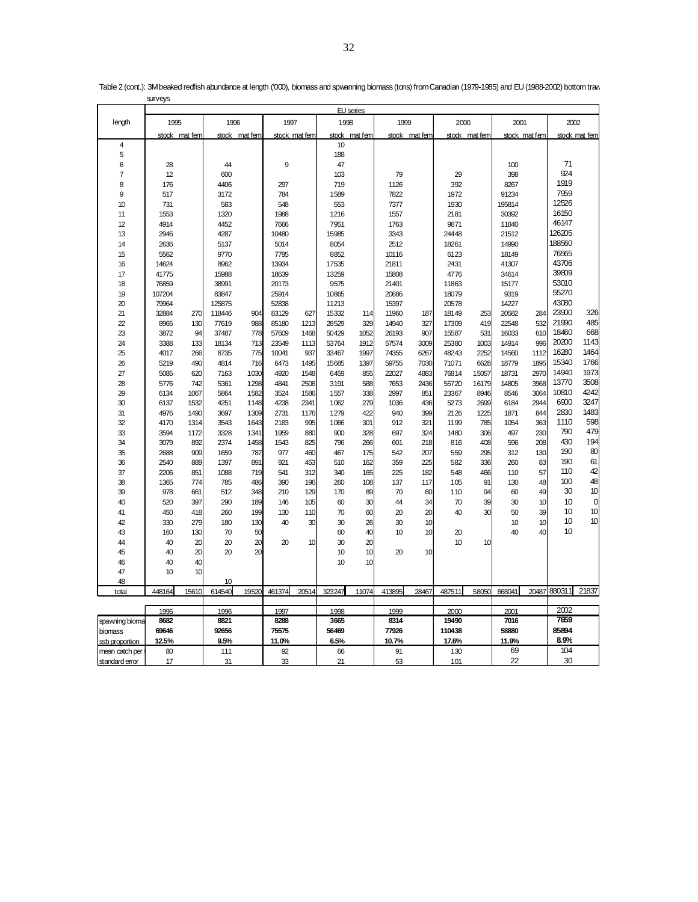|                |        |               |        |         |        |               |             | <b>EU</b> series |        |               |        |               |        |               |              |                  |
|----------------|--------|---------------|--------|---------|--------|---------------|-------------|------------------|--------|---------------|--------|---------------|--------|---------------|--------------|------------------|
| length         | 1995   |               | 1996   |         | 1997   |               | 1998        |                  | 1999   |               | 2000   |               | 2001   |               | 2002         |                  |
|                |        |               |        |         |        |               |             |                  |        |               |        |               |        |               |              |                  |
| $\overline{4}$ |        | stock mat fem | stock  | mat fem |        | stock mat fem | stock<br>10 | mat fem          |        | stock mat fem |        | stock mat fem |        | stock mat fem |              | stock mat fem    |
| 5              |        |               |        |         |        |               |             |                  |        |               |        |               |        |               |              |                  |
|                |        |               |        |         |        |               | 188         |                  |        |               |        |               |        |               |              |                  |
| 6              | 28     |               | 44     |         | 9      |               | 47          |                  |        |               |        |               | 100    |               | 71<br>924    |                  |
| $\overline{7}$ | 12     |               | 600    |         |        |               | 103         |                  | 79     |               | 29     |               | 398    |               |              |                  |
| 8              | 176    |               | 4406   |         | 297    |               | 719         |                  | 1126   |               | 392    |               | 8267   |               | 1919         |                  |
| 9              | 517    |               | 3172   |         | 784    |               | 1589        |                  | 7822   |               | 1972   |               | 91234  |               | 7959         |                  |
| 10             | 731    |               | 583    |         | 548    |               | 553         |                  | 7377   |               | 1930   |               | 195814 |               | 12526        |                  |
| 11             | 1553   |               | 1320   |         | 1988   |               | 1216        |                  | 1557   |               | 2181   |               | 30392  |               | 16150        |                  |
| 12             | 4914   |               | 4452   |         | 7666   |               | 7951        |                  | 1763   |               | 9871   |               | 11840  |               | 46147        |                  |
| 13             | 2946   |               | 4287   |         | 10480  |               | 15985       |                  | 3343   |               | 24448  |               | 21512  |               | 126205       |                  |
| 14             | 2636   |               | 5137   |         | 5014   |               | 8054        |                  | 2512   |               | 18261  |               | 14990  |               | 188560       |                  |
| 15             | 5562   |               | 9770   |         | 7795   |               | 8852        |                  | 10116  |               | 6123   |               | 18149  |               | 76565        |                  |
| 16             | 14624  |               | 8962   |         | 13934  |               | 17535       |                  | 21811  |               | 2431   |               | 41307  |               | 43706        |                  |
| 17             | 41775  |               | 15988  |         | 18639  |               | 13259       |                  | 15808  |               | 4776   |               | 34614  |               | 39809        |                  |
| 18             | 76859  |               | 38991  |         | 20173  |               | 9575        |                  | 21401  |               | 11863  |               | 15177  |               | 53010        |                  |
| 19             | 107204 |               | 83847  |         | 25914  |               | 10865       |                  | 20686  |               | 18079  |               | 9319   |               | 55270        |                  |
| 20             | 79964  |               | 125875 |         | 52838  |               | 11213       |                  | 15397  |               | 20578  |               | 14227  |               | 43080        |                  |
| 21             | 32884  | 270           | 118446 | 904     | 83129  | 627           | 15332       | 114              | 11960  | 187           | 18149  | 253           | 20582  | 284           | 23900        | 326              |
| 22             | 8965   | 130           | 77619  | 988     | 85180  | 1213          | 28529       | 329              | 14940  | 327           | 17309  | 419           | 22548  | 532           | 21990        | 485              |
| 23             | 3872   | 94            | 37487  | 778     | 57609  | 1468          | 50429       | 1052             | 26193  | 907           | 15587  | 531           | 16033  | 610           | 18460        | 668              |
| 24             | 3388   | 133           | 18134  | 713     | 23549  | 1113          | 53764       | 1912             | 57574  | 3009          | 25380  | 1003          | 14914  | 996           | 20200        | 1143             |
| 25             | 4017   | 266           | 8735   | 775     | 10041  | 937           | 33467       | 1997             | 74355  | 6267          | 48243  | 2252          | 14560  | 1112          | 16280        | 1464             |
|                |        |               |        |         |        |               |             |                  |        |               |        |               |        |               | 15340        | 1766             |
| 26             | 5219   | 490           | 4814   | 716     | 6473   | 1495          | 15685       | 1397             | 59755  | 7030          | 71071  | 6628          | 18779  | 1895          | 14940        | 1973             |
| 27             | 5085   | 620           | 7163   | 1030    | 4920   | 1548          | 6459        | 855              | 22027  | 4883          | 76814  | 15057         | 18731  | 2970          | 13770        | 3508             |
| 28             | 5776   | 742           | 5361   | 1298    | 4841   | 2506          | 3191        | 588              | 7653   | 2436          | 55720  | 16179         | 14805  | 3968          |              |                  |
| 29             | 6134   | 1067          | 5864   | 1582    | 3524   | 1586          | 1557        | 338              | 2997   | 851           | 23367  | 8946          | 8546   | 3064          | 10810        | 4242             |
| 30             | 6137   | 1532          | 4251   | 1148    | 4238   | 2341          | 1062        | 279              | 1036   | 436           | 5273   | 2699          | 6184   | 2944          | 6900         | 3247             |
| 31             | 4976   | 1490          | 3697   | 1309    | 2731   | 1176          | 1279        | 422              | 940    | 399           | 2126   | 1225          | 1871   | 844           | 2830         | 1483             |
| 32             | 4170   | 1314          | 3543   | 1643    | 2183   | 995           | 1066        | 301              | 912    | 321           | 1199   | 785           | 1054   | 363           | 1110         | 598              |
| 33             | 3594   | 1172          | 3328   | 1341    | 1959   | 880           | 900         | 328              | 697    | 324           | 1480   | 306           | 497    | 230           | 790          | 479              |
| 34             | 3079   | 892           | 2374   | 1458    | 1543   | 825           | 796         | 266              | 601    | 218           | 816    | 408           | 596    | 208           | 430          | 194              |
| 35             | 2688   | 909           | 1659   | 787     | 977    | 460           | 467         | 175              | 542    | 207           | 559    | 295           | 312    | 130           | 190          | 80               |
| 36             | 2540   | 889           | 1397   | 891     | 921    | 453           | 510         | 162              | 359    | 225           | 582    | 336           | 260    | 83            | 190          | 61               |
| 37             | 2206   | 851           | 1088   | 719     | 541    | 312           | 340         | 165              | 225    | 182           | 548    | 466           | 110    | 57            | 110          | 42               |
| 38             | 1365   | 774           | 785    | 486     | 390    | 196           | 260         | 108              | 137    | 117           | 105    | 91            | 130    | 48            | 100          | 48               |
| 39             | 978    | 661           | 512    | 348     | 210    | 129           | 170         | 89               | 70     | 60            | 110    | 94            | 60     | 49            | 30           | 10               |
| 40             | 520    | 397           | 290    | 189     | 146    | 105           | 60          | 30               | 44     | 34            | 70     | 39            | 30     | 10            | 10           | $\overline{0}$   |
| 41             | 450    | 418           | 260    | 199     | 130    | 110           | 70          | 60               | 20     | 20            | 40     | 30            | 50     | 39            | 10           | 10 <sub>10</sub> |
| 42             | 330    | 279           | 180    | 130     | 40     | 30            | 30          | 26               | 30     | 10            |        |               | 10     | 10            | 10           | 10               |
| 43             | 160    | 130           | 70     | 50      |        |               | 60          | 40               | 10     | 10            | 20     |               | 40     | 40            | 10           |                  |
| 44             | 40     | 20            | 20     | 20      | 20     | 10            | 30          | 20               |        |               | 10     | 10            |        |               |              |                  |
| 45             | 40     | 20            | 20     | 20      |        |               | 10          | 10               | 20     | 10            |        |               |        |               |              |                  |
| 46             | 40     | 40            |        |         |        |               | 10          | 10               |        |               |        |               |        |               |              |                  |
| 47             | 10     | 10            |        |         |        |               |             |                  |        |               |        |               |        |               |              |                  |
| 48             |        |               | 10     |         |        |               |             |                  |        |               |        |               |        |               |              |                  |
| total          | 448164 | 15610         | 614540 | 19520   | 461374 | 20514         | 323247      | 11074            | 413895 | 28467         | 487511 | 58050         | 668041 | 20487         | 880311       | 21837            |
|                |        |               |        |         |        |               |             |                  |        |               |        |               |        |               |              |                  |
|                | 1995   |               | 1996   |         | 1997   |               | 1998        |                  | 1999   |               | 2000   |               | 2001   |               | 2002<br>7659 |                  |
| spawning bioma | 8682   |               | 8821   |         | 8288   |               | 3665        |                  | 8314   |               | 19490  |               | 7016   |               |              |                  |
| biomass        | 69646  |               | 92656  |         | 75575  |               | 56469       |                  | 77926  |               | 110438 |               | 58880  |               | 85894        |                  |
| ssb proportion | 12.5%  |               | 9.5%   |         | 11.0%  |               | 6.5%        |                  | 10.7%  |               | 17.6%  |               | 11.9%  |               | 8.9%         |                  |
| mean catch per | 80     |               | 111    |         | 92     |               | 66          |                  | 91     |               | 130    |               | 69     |               | 104          |                  |
| standard error | 17     |               | 31     |         | 33     |               | 21          |                  | 53     |               | 101    |               | 22     |               | 30           |                  |

Table 2 (cont.): 3M beaked redfish abundance at length ('000), biomass and spwanning biomass (tons) from Canadian (1979-1985) and EU (1988-2002) bottom traw surveys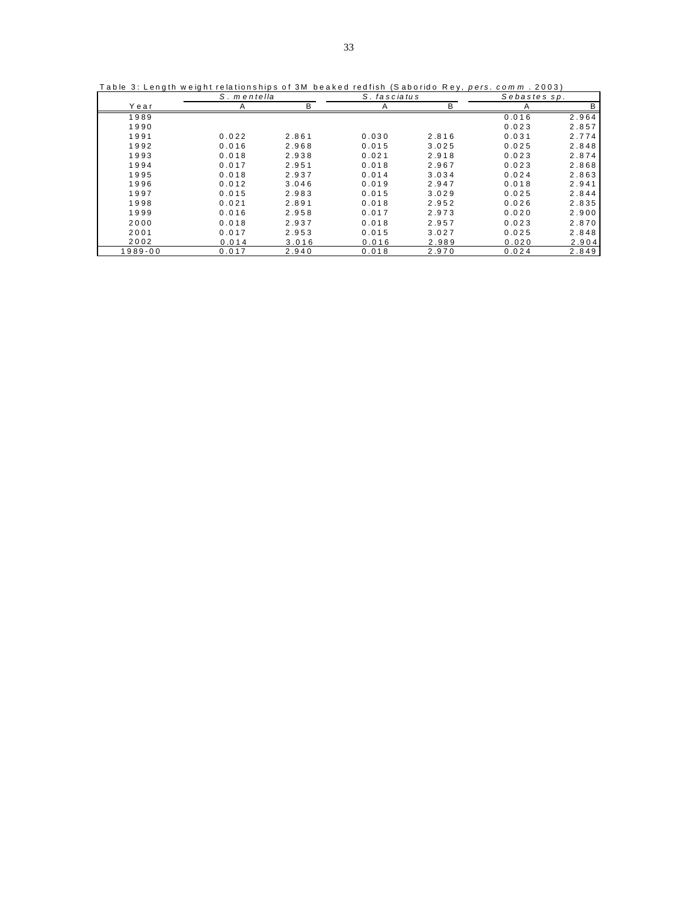Table 3: Length weight relationships of 3M beaked redfish (Saborido Rey, *pers. comm* . 2003)

|         | S. mentella |       | S. fasciatus |       | Sebastes sp. |       |
|---------|-------------|-------|--------------|-------|--------------|-------|
| Year    | Α           | В     | Α            | B     | Α            | B     |
| 1989    |             |       |              |       | 0.016        | 2.964 |
| 1990    |             |       |              |       | 0.023        | 2.857 |
| 1991    | 0.022       | 2.861 | 0.030        | 2.816 | 0.031        | 2.774 |
| 1992    | 0.016       | 2.968 | 0.015        | 3.025 | 0.025        | 2.848 |
| 1993    | 0.018       | 2.938 | 0.021        | 2.918 | 0.023        | 2.874 |
| 1994    | 0.017       | 2.951 | 0.018        | 2.967 | 0.023        | 2.868 |
| 1995    | 0.018       | 2.937 | 0.014        | 3.034 | 0.024        | 2.863 |
| 1996    | 0.012       | 3.046 | 0.019        | 2.947 | 0.018        | 2.941 |
| 1997    | 0.015       | 2.983 | 0.015        | 3.029 | 0.025        | 2.844 |
| 1998    | 0.021       | 2.891 | 0.018        | 2.952 | 0.026        | 2.835 |
| 1999    | 0.016       | 2.958 | 0.017        | 2.973 | 0.020        | 2.900 |
| 2000    | 0.018       | 2.937 | 0.018        | 2.957 | 0.023        | 2.870 |
| 2001    | 0.017       | 2.953 | 0.015        | 3.027 | 0.025        | 2.848 |
| 2002    | 0.014       | 3.016 | 0.016        | 2.989 | 0.020        | 2.904 |
| 1989-00 | 0.017       | 2.940 | 0.018        | 2.970 | 0.024        | 2.849 |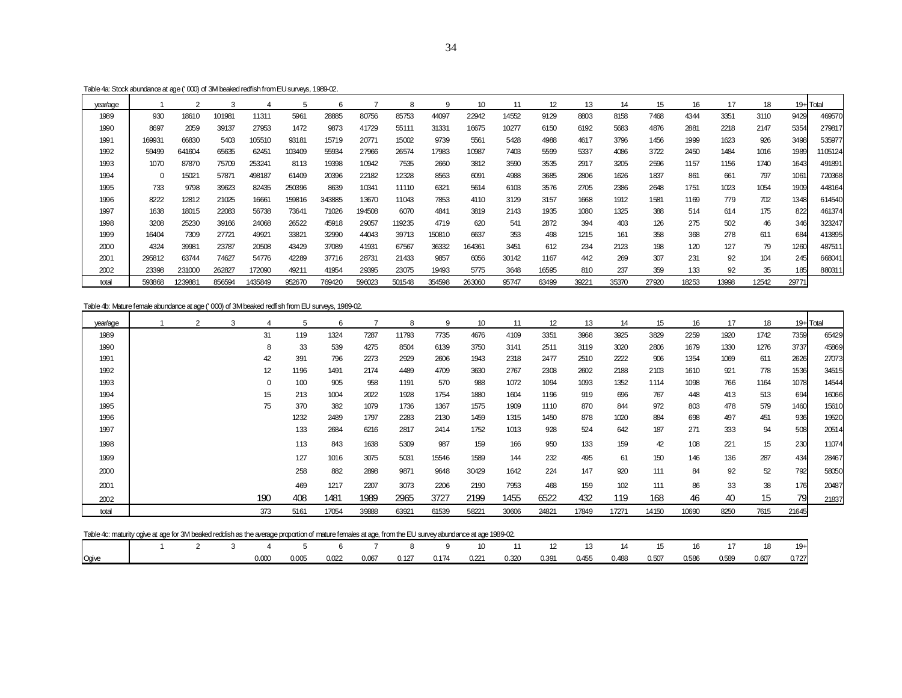Table 4a: Stock abundance at age (' 000) of 3M beaked redfish from EU surveys, 1989-02.

|          |        | ◠       |        |        |        |        |        |        |        |        |       |       |       |       |       |       |       |       |       |           |
|----------|--------|---------|--------|--------|--------|--------|--------|--------|--------|--------|-------|-------|-------|-------|-------|-------|-------|-------|-------|-----------|
| year/age |        |         |        |        | 5      | 6      |        | 8      |        | 10     |       | 12    | 13    | 14    | 15    | 16    | 17    | 18    |       | 19+ Total |
| 1989     | 930    | 18610   | 101981 | 11311  | 5961   | 28885  | 80756  | 85753  | 44097  | 22942  | 14552 | 9129  | 8803  | 8158  | 7468  | 4344  | 3351  | 3110  | 9429  | 469570    |
| 1990     | 8697   | 2059    | 39137  | 27953  | 1472   | 9873   | 41729  | 55111  | 31331  | 16675  | 10277 | 6150  | 6192  | 5683  | 4876  | 2881  | 2218  | 2147  | 5354  | 279817    |
| 1991     | 169931 | 66830   | 5403   | 105510 | 93181  | 15719  | 20771  | 15002  | 9739   | 5561   | 5428  | 4988  | 4617  | 3796  | 1456  | 1999  | 1623  | 926   | 3498  | 535977    |
| 1992     | 59499  | 641604  | 65635  | 62451  | 103409 | 55934  | 27966  | 26574  | 17983  | 10987  | 7403  | 5599  | 5337  | 4086  | 3722  | 2450  | 1484  | 1016  | 1989  | 1105124   |
| 1993     | 1070   | 87870   | 75709  | 253241 | 8113   | 19398  | 10942  | 7535   | 2660   | 3812   | 3590  | 3535  | 2917  | 3205  | 2596  | 1157  | 1156  | 1740  | 1643  | 491891    |
| 1994     |        | 15021   | 57871  | 498187 | 61409  | 20396  | 22182  | 12328  | 8563   | 6091   | 4988  | 3685  | 2806  | 1626  | 1837  | 861   | 661   | 797   | 1061  | 720368    |
| 1995     | 733    | 9798    | 39623  | 82435  | 250396 | 8639   | 10341  | 11110  | 6321   | 5614   | 6103  | 3576  | 2705  | 2386  | 2648  | 1751  | 1023  | 1054  | 1909  | 448164    |
| 1996     | 8222   | 12812   | 21025  | 16661  | 159816 | 343885 | 13670  | 11043  | 7853   | 4110   | 3129  | 3157  | 1668  | 1912  | 1581  | 1169  | 779   | 702   | 1348  | 614540    |
| 1997     | 1638   | 18015   | 22083  | 56738  | 73641  | 71026  | 194508 | 6070   | 4841   | 3819   | 2143  | 1935  | 1080  | 1325  | 388   | 514   | 614   | 175   | 822   | 461374    |
| 1998     | 3208   | 25230   | 39166  | 24068  | 26522  | 45918  | 29057  | 119235 | 4719   | 620    | 541   | 2872  | 394   | 403   | 126   | 275   | 502   | 46    | 346   | 323247    |
| 1999     | 16404  | 7309    | 27721  | 49921  | 33821  | 32990  | 44043  | 39713  | 150810 | 6637   | 353   | 498   | 1215  | 161   | 358   | 368   | 278   | 611   | 684   | 413895    |
| 2000     | 4324   | 39981   | 23787  | 20508  | 43429  | 37089  | 41931  | 67567  | 36332  | 164361 | 3451  | 612   | 234   | 2123  | 198   | 120   | 127   | 79    | 1260  | 487511    |
| 2001     | 295812 | 63744   | 74627  | 54776  | 42289  | 37716  | 28731  | 21433  | 9857   | 6056   | 30142 | 1167  | 442   | 269   | 307   | 231   | 92    | 104   | 245   | 668041    |
| 2002     | 23398  | 231000  | 262827 | 172090 | 49211  | 41954  | 29395  | 23075  | 19493  | 5775   | 3648  | 16595 | 810   | 237   | 359   | 133   | 92    | 35    | 185   | 880311    |
| total    | 593868 | 1239881 | 856594 | 435849 | 952670 | 769420 | 596023 | 501548 | 354598 | 263060 | 95747 | 63499 | 39221 | 35370 | 27920 | 18253 | 13998 | 12542 | 29771 |           |

Table 4b: Mature female abundance at age (' 000) of 3M beaked redfish from EU surveys, 1989-02.

| year/age |  | 2 |             |      | 6     |       | 8     |       | 10    | 11    | 12    | 13    | 14    | 15    | 16    | 17   | 18   |       | 19+ Total |
|----------|--|---|-------------|------|-------|-------|-------|-------|-------|-------|-------|-------|-------|-------|-------|------|------|-------|-----------|
| 1989     |  |   | 31          | 119  | 1324  | 7287  | 11793 | 7735  | 4676  | 4109  | 3351  | 3968  | 3925  | 3829  | 2259  | 1920 | 1742 | 7359  | 65429     |
| 1990     |  |   | 8           | 33   | 539   | 4275  | 8504  | 6139  | 3750  | 3141  | 2511  | 3119  | 3020  | 2806  | 1679  | 1330 | 1276 | 3737  | 45869     |
| 1991     |  |   | 42          | 391  | 796   | 2273  | 2929  | 2606  | 1943  | 2318  | 2477  | 2510  | 2222  | 906   | 1354  | 1069 | 611  | 2626  | 27073     |
| 1992     |  |   | 12          | 1196 | 1491  | 2174  | 4489  | 4709  | 3630  | 2767  | 2308  | 2602  | 2188  | 2103  | 1610  | 921  | 778  | 1536  | 34515     |
| 1993     |  |   | $\mathbf 0$ | 100  | 905   | 958   | 1191  | 570   | 988   | 1072  | 1094  | 1093  | 1352  | 1114  | 1098  | 766  | 1164 | 1078  | 14544     |
| 1994     |  |   | 15          | 213  | 1004  | 2022  | 1928  | 1754  | 1880  | 1604  | 1196  | 919   | 696   | 767   | 448   | 413  | 513  | 694   | 16066     |
| 1995     |  |   | 75          | 370  | 382   | 1079  | 1736  | 1367  | 1575  | 1909  | 1110  | 870   | 844   | 972   | 803   | 478  | 579  | 1460  | 15610     |
| 1996     |  |   |             | 1232 | 2489  | 1797  | 2283  | 2130  | 1459  | 1315  | 1450  | 878   | 1020  | 884   | 698   | 497  | 451  | 936   | 19520     |
| 1997     |  |   |             | 133  | 2684  | 6216  | 2817  | 2414  | 1752  | 1013  | 928   | 524   | 642   | 187   | 271   | 333  | 94   | 508   | 20514     |
| 1998     |  |   |             | 113  | 843   | 1638  | 5309  | 987   | 159   | 166   | 950   | 133   | 159   | 42    | 108   | 221  | 15   | 230   | 11074     |
| 1999     |  |   |             | 127  | 1016  | 3075  | 5031  | 15546 | 1589  | 144   | 232   | 495   | 61    | 150   | 146   | 136  | 287  | 434   | 28467     |
| 2000     |  |   |             | 258  | 882   | 2898  | 9871  | 9648  | 30429 | 1642  | 224   | 147   | 920   | 111   | 84    | 92   | 52   | 792   | 58050     |
| 2001     |  |   |             | 469  | 1217  | 2207  | 3073  | 2206  | 2190  | 7953  | 468   | 159   | 102   | 111   | 86    | 33   | 38   | 176   | 20487     |
| 2002     |  |   | 190         | 408  | 1481  | 1989  | 2965  | 3727  | 2199  | 1455  | 6522  | 432   | 119   | 168   | 46    | 40   | 15   | 79    | 21837     |
| total    |  |   | 373         | 5161 | 17054 | 39888 | 63921 | 61539 | 58221 | 30606 | 24821 | 17849 | 17271 | 14150 | 10690 | 8250 | 7615 | 21645 |           |

|       | Table 4c: maturity ogive at age for 3M beaked reddish as the average proportion of mature females at age, from the EU survey abundance at age 1989-02. |  |  |  |       |       |                                                                             |       |       |       |       |       |                |                 |       |       |       |       |       |       |
|-------|--------------------------------------------------------------------------------------------------------------------------------------------------------|--|--|--|-------|-------|-----------------------------------------------------------------------------|-------|-------|-------|-------|-------|----------------|-----------------|-------|-------|-------|-------|-------|-------|
|       |                                                                                                                                                        |  |  |  |       |       | $1 \quad 1 \quad 2 \quad 3 \quad 4 \quad 5 \quad 6 \quad 7 \quad 8 \quad 9$ |       |       |       |       | 10 11 | $\frac{12}{2}$ | $\overline{13}$ | 14    | 15    |       |       |       | $19+$ |
| Oaive |                                                                                                                                                        |  |  |  | 0.000 | 0.005 | 0.022                                                                       | 0.067 | 0.127 | 0.174 | 0.221 | 0.320 | 0.391          | 0.455           | 0.488 | 0.507 | 0.586 | 0.589 | 0.607 | 0.727 |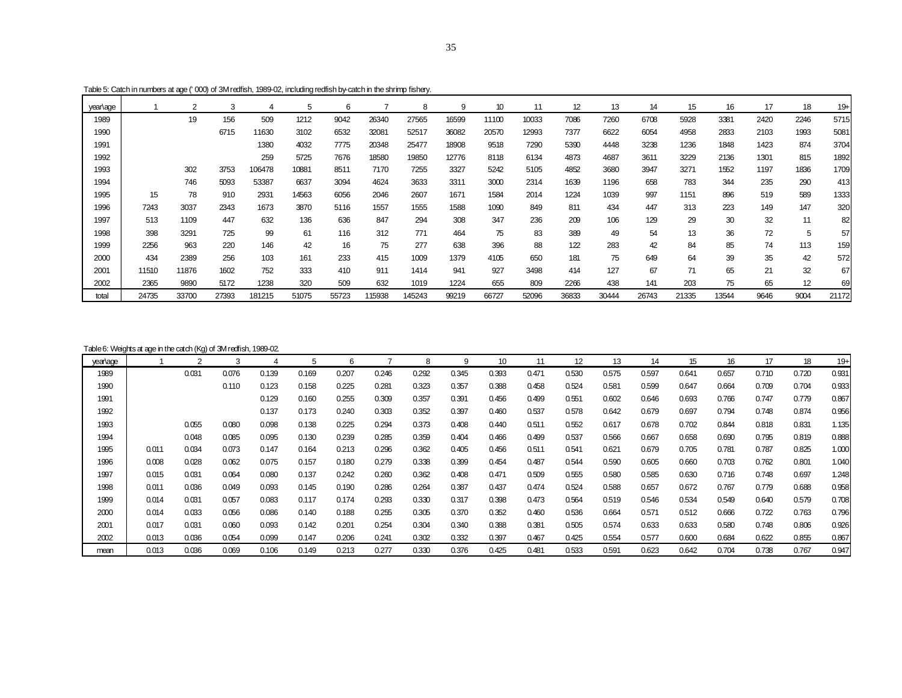| year\age |       | 2     | 3     | 4      | 5     | 6     |        | 8      | 9     | 10    | 11    | 12    | 13    | 14    | 15    | 16    | 17   | 18   | $19 +$ |
|----------|-------|-------|-------|--------|-------|-------|--------|--------|-------|-------|-------|-------|-------|-------|-------|-------|------|------|--------|
| 1989     |       | 19    | 156   | 509    | 1212  | 9042  | 26340  | 27565  | 16599 | 11100 | 10033 | 7086  | 7260  | 6708  | 5928  | 3381  | 2420 | 2246 | 5715   |
| 1990     |       |       | 6715  | 11630  | 3102  | 6532  | 32081  | 52517  | 36082 | 20570 | 12993 | 7377  | 6622  | 6054  | 4958  | 2833  | 2103 | 1993 | 5081   |
| 1991     |       |       |       | 1380   | 4032  | 7775  | 20348  | 25477  | 18908 | 9518  | 7290  | 5390  | 4448  | 3238  | 1236  | 1848  | 1423 | 874  | 3704   |
| 1992     |       |       |       | 259    | 5725  | 7676  | 18580  | 19850  | 12776 | 8118  | 6134  | 4873  | 4687  | 3611  | 3229  | 2136  | 1301 | 815  | 1892   |
| 1993     |       | 302   | 3753  | 106478 | 10881 | 8511  | 7170   | 7255   | 3327  | 5242  | 5105  | 4852  | 3680  | 3947  | 3271  | 1552  | 1197 | 1836 | 1709   |
| 1994     |       | 746   | 5093  | 53387  | 6637  | 3094  | 4624   | 3633   | 3311  | 3000  | 2314  | 1639  | 1196  | 658   | 783   | 344   | 235  | 290  | 413    |
| 1995     | 15    | 78    | 910   | 2931   | 14563 | 6056  | 2046   | 2607   | 1671  | 1584  | 2014  | 1224  | 1039  | 997   | 1151  | 896   | 519  | 589  | 1333   |
| 1996     | 7243  | 3037  | 2343  | 1673   | 3870  | 5116  | 1557   | 1555   | 1588  | 1090  | 849   | 811   | 434   | 447   | 313   | 223   | 149  | 147  | 320    |
| 1997     | 513   | 1109  | 447   | 632    | 136   | 636   | 847    | 294    | 308   | 347   | 236   | 209   | 106   | 129   | 29    | 30    | 32   | 11   | 82     |
| 1998     | 398   | 3291  | 725   | 99     | 61    | 116   | 312    | 771    | 464   | 75    | 83    | 389   | 49    | 54    | 13    | 36    | 72   | 5    | 57     |
| 1999     | 2256  | 963   | 220   | 146    | 42    | 16    | 75     | 277    | 638   | 396   | 88    | 122   | 283   | 42    | 84    | 85    | 74   | 113  | 159    |
| 2000     | 434   | 2389  | 256   | 103    | 161   | 233   | 415    | 1009   | 1379  | 4105  | 650   | 181   | 75    | 649   | 64    | 39    | 35   | 42   | 572    |
| 2001     | 11510 | 11876 | 1602  | 752    | 333   | 410   | 911    | 1414   | 941   | 927   | 3498  | 414   | 127   | 67    | 71    | 65    | 21   | 32   | 67     |
| 2002     | 2365  | 9890  | 5172  | 1238   | 320   | 509   | 632    | 1019   | 1224  | 655   | 809   | 2266  | 438   | 141   | 203   | 75    | 65   | 12   | 69     |
| total    | 24735 | 33700 | 27393 | 181215 | 51075 | 55723 | 115938 | 145243 | 99219 | 66727 | 52096 | 36833 | 30444 | 26743 | 21335 | 13544 | 9646 | 9004 | 21172  |

Table 5: Catch in numbers at age (' 000) of 3M redfish, 1989-02, including redfish by-catch in the shrimp fishery.

Table 6: Weights at age in the catch (Kg) of 3M redfish, 1989-02.

| year\age |       | $\overline{2}$ | 3     |       | 5     | 6     |       | 8     | 9     | 10    | 11    | 12    | 13    | 14    | 15    | 16    | 17    | 18    | $19+$ |
|----------|-------|----------------|-------|-------|-------|-------|-------|-------|-------|-------|-------|-------|-------|-------|-------|-------|-------|-------|-------|
| 1989     |       | 0.031          | 0.076 | 0.139 | 0.169 | 0.207 | 0.246 | 0.292 | 0.345 | 0.393 | 0.471 | 0.530 | 0.575 | 0.597 | 0.641 | 0.657 | 0.710 | 0.720 | 0.931 |
| 1990     |       |                | 0.110 | 0.123 | 0.158 | 0.225 | 0.281 | 0.323 | 0.357 | 0.388 | 0.458 | 0.524 | 0.581 | 0.599 | 0.647 | 0.664 | 0.709 | 0.704 | 0.933 |
| 1991     |       |                |       | 0.129 | 0.160 | 0.255 | 0.309 | 0.357 | 0.391 | 0.456 | 0.499 | 0.551 | 0.602 | 0.646 | 0.693 | 0.766 | 0.747 | 0.779 | 0.867 |
| 1992     |       |                |       | 0.137 | 0.173 | 0.240 | 0.303 | 0.352 | 0.397 | 0.460 | 0.537 | 0.578 | 0.642 | 0.679 | 0.697 | 0.794 | 0.748 | 0.874 | 0.956 |
| 1993     |       | 0.055          | 0.080 | 0.098 | 0.138 | 0.225 | 0.294 | 0.373 | 0.408 | 0.440 | 0.511 | 0.552 | 0.617 | 0.678 | 0.702 | 0.844 | 0.818 | 0.831 | 1.135 |
| 1994     |       | 0.048          | 0.085 | 0.095 | 0.130 | 0.239 | 0.285 | 0.359 | 0.404 | 0.466 | 0.499 | 0.537 | 0.566 | 0.667 | 0.658 | 0.690 | 0.795 | 0.819 | 0.888 |
| 1995     | 0.011 | 0.034          | 0.073 | 0.147 | 0.164 | 0.213 | 0.296 | 0.362 | 0.405 | 0.456 | 0.511 | 0.541 | 0.621 | 0.679 | 0.705 | 0.781 | 0.787 | 0.825 | 1.000 |
| 1996     | 0.008 | 0.028          | 0.062 | 0.075 | 0.157 | 0.180 | 0.279 | 0.338 | 0.399 | 0.454 | 0.487 | 0.544 | 0.590 | 0.605 | 0.660 | 0.703 | 0.762 | 0.801 | 1.040 |
| 1997     | 0.015 | 0.031          | 0.064 | 0.080 | 0.137 | 0.242 | 0.260 | 0.362 | 0.408 | 0.471 | 0.509 | 0.555 | 0.580 | 0.585 | 0.630 | 0.716 | 0.748 | 0.697 | 1.248 |
| 1998     | 0.011 | 0.036          | 0.049 | 0.093 | 0.145 | 0.190 | 0.286 | 0.264 | 0.387 | 0.437 | 0.474 | 0.524 | 0.588 | 0.657 | 0.672 | 0.767 | 0.779 | 0.688 | 0.958 |
| 1999     | 0.014 | 0.031          | 0.057 | 0.083 | 0.117 | 0.174 | 0.293 | 0.330 | 0.317 | 0.398 | 0.473 | 0.564 | 0.519 | 0.546 | 0.534 | 0.549 | 0.640 | 0.579 | 0.708 |
| 2000     | 0.014 | 0.033          | 0.056 | 0.086 | 0.140 | 0.188 | 0.255 | 0.305 | 0.370 | 0.352 | 0.460 | 0.536 | 0.664 | 0.571 | 0.512 | 0.666 | 0.722 | 0.763 | 0.796 |
| 2001     | 0.017 | 0.031          | 0.060 | 0.093 | 0.142 | 0.201 | 0.254 | 0.304 | 0.340 | 0.388 | 0.381 | 0.505 | 0.574 | 0.633 | 0.633 | 0.580 | 0.748 | 0.806 | 0.926 |
| 2002     | 0.013 | 0.036          | 0.054 | 0.099 | 0.147 | 0.206 | 0.241 | 0.302 | 0.332 | 0.397 | 0.467 | 0.425 | 0.554 | 0.577 | 0.600 | 0.684 | 0.622 | 0.855 | 0.867 |
| mean     | 0.013 | 0.036          | 0.069 | 0.106 | 0.149 | 0.213 | 0.277 | 0.330 | 0.376 | 0.425 | 0.481 | 0.533 | 0.591 | 0.623 | 0.642 | 0.704 | 0.738 | 0.767 | 0.947 |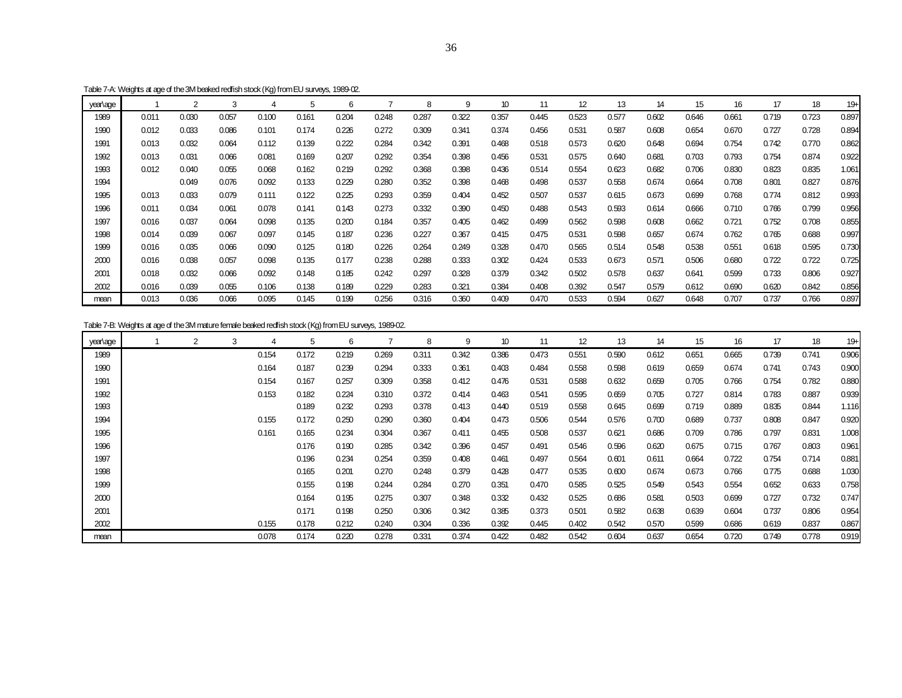Table 7-A: Weights at age of the 3M beaked redfish stock (Kg) from EU surveys, 1989-02.

| year\age |       | $\overline{2}$ | 3     | 4     | 5     | 6     |       | 8     | 9     | 10    | 11    | 12    | 13    | 14    | 15    | 16    |       | 18    | $19 +$            |
|----------|-------|----------------|-------|-------|-------|-------|-------|-------|-------|-------|-------|-------|-------|-------|-------|-------|-------|-------|-------------------|
| 1989     | 0.011 | 0.030          | 0.057 | 0.100 | 0.161 | 0.204 | 0.248 | 0.287 | 0.322 | 0.357 | 0.445 | 0.523 | 0.577 | 0.602 | 0.646 | 0.661 | 0.719 | 0.723 | 0.897             |
| 1990     | 0.012 | 0.033          | 0.086 | 0.101 | 0.174 | 0.226 | 0.272 | 0.309 | 0.341 | 0.374 | 0.456 | 0.531 | 0.587 | 0.608 | 0.654 | 0.670 | 0.727 | 0.728 | 0.894             |
| 1991     | 0.013 | 0.032          | 0.064 | 0.112 | 0.139 | 0.222 | 0.284 | 0.342 | 0.391 | 0.468 | 0.518 | 0.573 | 0.620 | 0.648 | 0.694 | 0.754 | 0.742 | 0.770 | 0.862             |
| 1992     | 0.013 | 0.031          | 0.066 | 0.081 | 0.169 | 0.207 | 0.292 | 0.354 | 0.398 | 0.456 | 0.531 | 0.575 | 0.640 | 0.681 | 0.703 | 0.793 | 0.754 | 0.874 | 0.922             |
| 1993     | 0.012 | 0.040          | 0.055 | 0.068 | 0.162 | 0.219 | 0.292 | 0.368 | 0.398 | 0.436 | 0.514 | 0.554 | 0.623 | 0.682 | 0.706 | 0.830 | 0.823 | 0.835 | 1.06 <sup>4</sup> |
| 1994     |       | 0.049          | 0.076 | 0.092 | 0.133 | 0.229 | 0.280 | 0.352 | 0.398 | 0.468 | 0.498 | 0.537 | 0.558 | 0.674 | 0.664 | 0.708 | 0.801 | 0.827 | 0.876             |
| 1995     | 0.013 | 0.033          | 0.079 | 0.111 | 0.122 | 0.225 | 0.293 | 0.359 | 0.404 | 0.452 | 0.507 | 0.537 | 0.615 | 0.673 | 0.699 | 0.768 | 0.774 | 0.812 | 0.993             |
| 1996     | 0.011 | 0.034          | 0.061 | 0.078 | 0.141 | 0.143 | 0.273 | 0.332 | 0.390 | 0.450 | 0.488 | 0.543 | 0.593 | 0.614 | 0.666 | 0.710 | 0.766 | 0.799 | 0.956             |
| 1997     | 0.016 | 0.037          | 0.064 | 0.098 | 0.135 | 0.200 | 0.184 | 0.357 | 0.405 | 0.462 | 0.499 | 0.562 | 0.598 | 0.608 | 0.662 | 0.721 | 0.752 | 0.708 | 0.855             |
| 1998     | 0.014 | 0.039          | 0.067 | 0.097 | 0.145 | 0.187 | 0.236 | 0.227 | 0.367 | 0.415 | 0.475 | 0.531 | 0.598 | 0.657 | 0.674 | 0.762 | 0.765 | 0.688 | 0.997             |
| 1999     | 0.016 | 0.035          | 0.066 | 0.090 | 0.125 | 0.180 | 0.226 | 0.264 | 0.249 | 0.328 | 0.470 | 0.565 | 0.514 | 0.548 | 0.538 | 0.551 | 0.618 | 0.595 | 0.730             |
| 2000     | 0.016 | 0.038          | 0.057 | 0.098 | 0.135 | 0.177 | 0.238 | 0.288 | 0.333 | 0.302 | 0.424 | 0.533 | 0.673 | 0.571 | 0.506 | 0.680 | 0.722 | 0.722 | 0.725             |
| 2001     | 0.018 | 0.032          | 0.066 | 0.092 | 0.148 | 0.185 | 0.242 | 0.297 | 0.328 | 0.379 | 0.342 | 0.502 | 0.578 | 0.637 | 0.641 | 0.599 | 0.733 | 0.806 | 0.927             |
| 2002     | 0.016 | 0.039          | 0.055 | 0.106 | 0.138 | 0.189 | 0.229 | 0.283 | 0.321 | 0.384 | 0.408 | 0.392 | 0.547 | 0.579 | 0.612 | 0.690 | 0.620 | 0.842 | 0.856             |
| mean     | 0.013 | 0.036          | 0.066 | 0.095 | 0.145 | 0.199 | 0.256 | 0.316 | 0.360 | 0.409 | 0.470 | 0.533 | 0.594 | 0.627 | 0.648 | 0.707 | 0.737 | 0.766 | 0.897             |

## Table 7-B: Weights at age of the 3M mature female beaked redfish stock (Kg) from EU surveys, 1989-02.

| year\age | 2 | 3 | 4     | 5     | 6     |       | 8     | 9     | 10 <sup>°</sup> | 11    | 12    | 13    | 14    | 15    | 16    | 17    | 18    | $19 +$ |
|----------|---|---|-------|-------|-------|-------|-------|-------|-----------------|-------|-------|-------|-------|-------|-------|-------|-------|--------|
| 1989     |   |   | 0.154 | 0.172 | 0.219 | 0.269 | 0.311 | 0.342 | 0.386           | 0.473 | 0.551 | 0.590 | 0.612 | 0.651 | 0.665 | 0.739 | 0.741 | 0.906  |
| 1990     |   |   | 0.164 | 0.187 | 0.239 | 0.294 | 0.333 | 0.361 | 0.403           | 0.484 | 0.558 | 0.598 | 0.619 | 0.659 | 0.674 | 0.741 | 0.743 | 0.900  |
| 1991     |   |   | 0.154 | 0.167 | 0.257 | 0.309 | 0.358 | 0.412 | 0.476           | 0.531 | 0.588 | 0.632 | 0.659 | 0.705 | 0.766 | 0.754 | 0.782 | 0.880  |
| 1992     |   |   | 0.153 | 0.182 | 0.224 | 0.310 | 0.372 | 0.414 | 0.463           | 0.541 | 0.595 | 0.659 | 0.705 | 0.727 | 0.814 | 0.783 | 0.887 | 0.939  |
| 1993     |   |   |       | 0.189 | 0.232 | 0.293 | 0.378 | 0.413 | 0.440           | 0.519 | 0.558 | 0.645 | 0.699 | 0.719 | 0.889 | 0.835 | 0.844 | 1.116  |
| 1994     |   |   | 0.155 | 0.172 | 0.250 | 0.290 | 0.360 | 0.404 | 0.473           | 0.506 | 0.544 | 0.576 | 0.700 | 0.689 | 0.737 | 0.808 | 0.847 | 0.920  |
| 1995     |   |   | 0.161 | 0.165 | 0.234 | 0.304 | 0.367 | 0.411 | 0.455           | 0.508 | 0.537 | 0.621 | 0.686 | 0.709 | 0.786 | 0.797 | 0.831 | 1.008  |
| 1996     |   |   |       | 0.176 | 0.190 | 0.285 | 0.342 | 0.396 | 0.457           | 0.491 | 0.546 | 0.596 | 0.620 | 0.675 | 0.715 | 0.767 | 0.803 | 0.961  |
| 1997     |   |   |       | 0.196 | 0.234 | 0.254 | 0.359 | 0.408 | 0.461           | 0.497 | 0.564 | 0.601 | 0.611 | 0.664 | 0.722 | 0.754 | 0.714 | 0.881  |
| 1998     |   |   |       | 0.165 | 0.201 | 0.270 | 0.248 | 0.379 | 0.428           | 0.477 | 0.535 | 0.600 | 0.674 | 0.673 | 0.766 | 0.775 | 0.688 | 1.030  |
| 1999     |   |   |       | 0.155 | 0.198 | 0.244 | 0.284 | 0.270 | 0.351           | 0.470 | 0.585 | 0.525 | 0.549 | 0.543 | 0.554 | 0.652 | 0.633 | 0.758  |
| 2000     |   |   |       | 0.164 | 0.195 | 0.275 | 0.307 | 0.348 | 0.332           | 0.432 | 0.525 | 0.686 | 0.581 | 0.503 | 0.699 | 0.727 | 0.732 | 0.747  |
| 2001     |   |   |       | 0.171 | 0.198 | 0.250 | 0.306 | 0.342 | 0.385           | 0.373 | 0.501 | 0.582 | 0.638 | 0.639 | 0.604 | 0.737 | 0.806 | 0.954  |
| 2002     |   |   | 0.155 | 0.178 | 0.212 | 0.240 | 0.304 | 0.336 | 0.392           | 0.445 | 0.402 | 0.542 | 0.570 | 0.599 | 0.686 | 0.619 | 0.837 | 0.867  |
| mean     |   |   | 0.078 | 0.174 | 0.220 | 0.278 | 0.331 | 0.374 | 0.422           | 0.482 | 0.542 | 0.604 | 0.637 | 0.654 | 0.720 | 0.749 | 0.778 | 0.919  |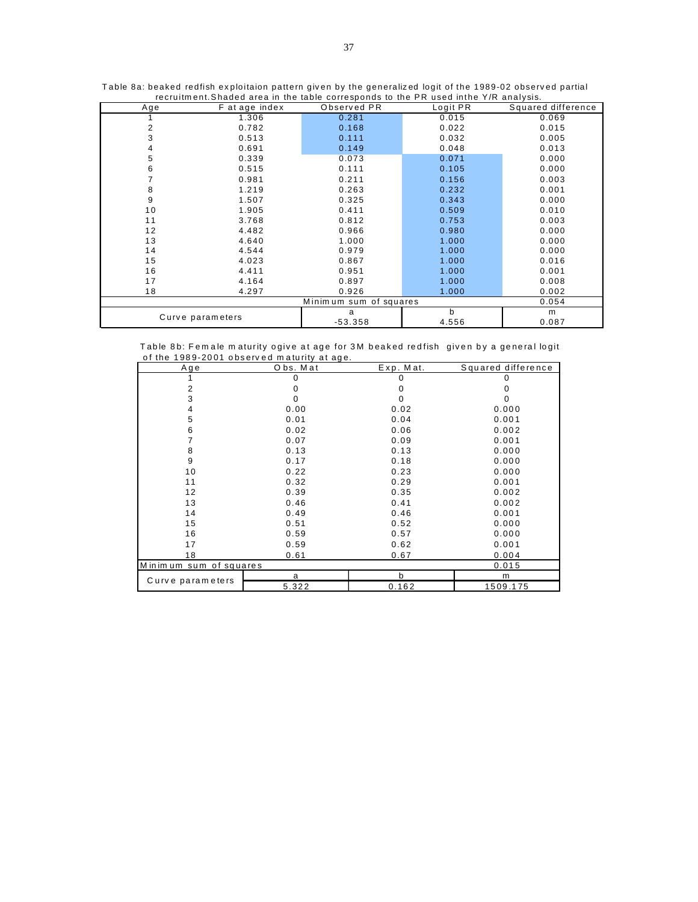|     | Techniment. Shaueu area in the table corresponds to the FIN used inthe T7N analysis. |                        |          |                    |
|-----|--------------------------------------------------------------------------------------|------------------------|----------|--------------------|
| Age | F at age index                                                                       | Observed PR            | Logit PR | Squared difference |
|     | 1.306                                                                                | 0.281                  | 0.015    | 0.069              |
| 2   | 0.782                                                                                | 0.168                  | 0.022    | 0.015              |
| 3   | 0.513                                                                                | 0.111                  | 0.032    | 0.005              |
|     | 0.691                                                                                | 0.149                  | 0.048    | 0.013              |
| 5   | 0.339                                                                                | 0.073                  | 0.071    | 0.000              |
| 6   | 0.515                                                                                | 0.111                  | 0.105    | 0.000              |
|     | 0.981                                                                                | 0.211                  | 0.156    | 0.003              |
| 8   | 1.219                                                                                | 0.263                  | 0.232    | 0.001              |
| 9   | 1.507                                                                                | 0.325                  | 0.343    | 0.000              |
| 10  | 1.905                                                                                | 0.411                  | 0.509    | 0.010              |
| 11  | 3.768                                                                                | 0.812                  | 0.753    | 0.003              |
| 12  | 4.482                                                                                | 0.966                  | 0.980    | 0.000              |
| 13  | 4.640                                                                                | 1.000                  | 1.000    | 0.000              |
| 14  | 4.544                                                                                | 0.979                  | 1.000    | 0.000              |
| 15  | 4.023                                                                                | 0.867                  | 1.000    | 0.016              |
| 16  | 4.411                                                                                | 0.951                  | 1.000    | 0.001              |
| 17  | 4.164                                                                                | 0.897                  | 1.000    | 0.008              |
| 18  | 4.297                                                                                | 0.926                  | 1.000    | 0.002              |
|     |                                                                                      | Minimum sum of squares |          | 0.054              |
|     | Curve parameters                                                                     | a                      | b        | m                  |
|     |                                                                                      | $-53.358$              | 4.556    | 0.087              |

T able 8a: beaked redfish exploitaion pattern given by the generalized logit of the 1989-02 observed partial recruitm ent.Shaded area in the table corresponds to the PR used inthe Y/R analysis.

Table 8b: Female maturity ogive at age for 3M beaked redfish given by a general logit of the 1989-2001 observ ed m aturity at age.

| Age                    | or the 1909-2001 observed maturity at age.<br>Obs. Mat | Exp. Mat. | Squared difference |
|------------------------|--------------------------------------------------------|-----------|--------------------|
|                        | 0                                                      |           |                    |
| 2                      |                                                        |           |                    |
| 3                      | 0                                                      |           |                    |
| 4                      | 0.00                                                   | 0.02      | 0.000              |
| 5                      | 0.01                                                   | 0.04      | 0.001              |
| 6                      | 0.02                                                   | 0.06      | 0.002              |
|                        | 0.07                                                   | 0.09      | 0.001              |
| 8                      | 0.13                                                   | 0.13      | 0.000              |
| 9                      | 0.17                                                   | 0.18      | 0.000              |
| 10                     | 0.22                                                   | 0.23      | 0.000              |
| 11                     | 0.32                                                   | 0.29      | 0.001              |
| 12                     | 0.39                                                   | 0.35      | 0.002              |
| 13                     | 0.46                                                   | 0.41      | 0.002              |
| 14                     | 0.49                                                   | 0.46      | 0.001              |
| 15                     | 0.51                                                   | 0.52      | 0.000              |
| 16                     | 0.59                                                   | 0.57      | 0.000              |
| 17                     | 0.59                                                   | 0.62      | 0.001              |
| 18                     | 0.61                                                   | 0.67      | 0.004              |
| Minimum sum of squares |                                                        |           | 0.015              |
| Curve parameters       | a                                                      | b         | m                  |
|                        | 5.322                                                  | 0.162     | 1509.175           |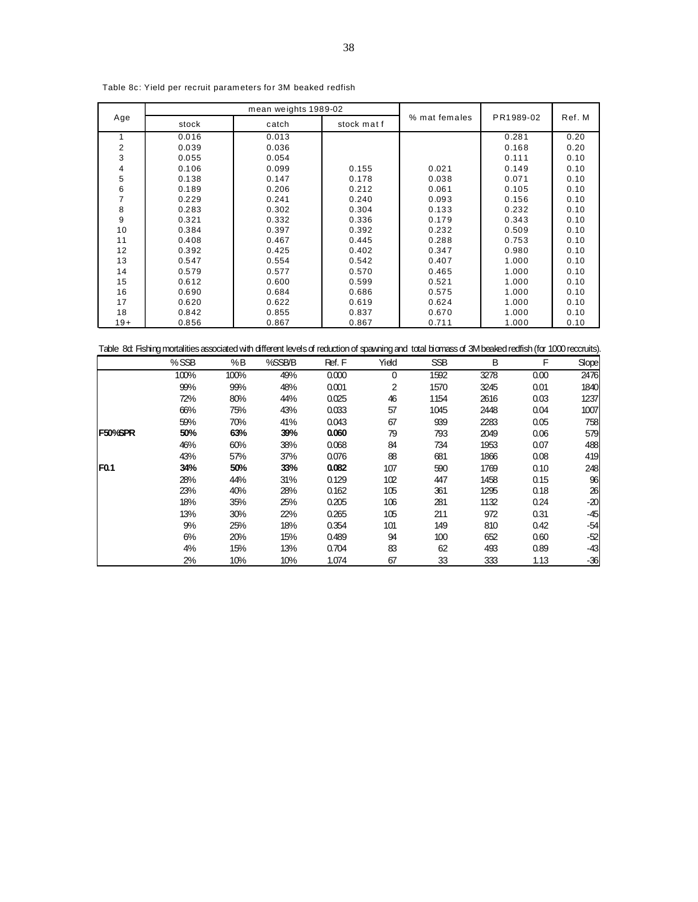| Age   |       | mean weights 1989-02 |             |               |           |       |
|-------|-------|----------------------|-------------|---------------|-----------|-------|
|       | stock | catch                | stock mat f | % mat females | PR1989-02 | Ref.M |
|       | 0.016 | 0.013                |             |               | 0.281     | 0.20  |
| 2     | 0.039 | 0.036                |             |               | 0.168     | 0.20  |
| 3     | 0.055 | 0.054                |             |               | 0.111     | 0.10  |
| 4     | 0.106 | 0.099                | 0.155       | 0.021         | 0.149     | 0.10  |
| 5     | 0.138 | 0.147                | 0.178       | 0.038         | 0.071     | 0.10  |
| 6     | 0.189 | 0.206                | 0.212       | 0.061         | 0.105     | 0.10  |
| 7     | 0.229 | 0.241                | 0.240       | 0.093         | 0.156     | 0.10  |
| 8     | 0.283 | 0.302                | 0.304       | 0.133         | 0.232     | 0.10  |
| 9     | 0.321 | 0.332                | 0.336       | 0.179         | 0.343     | 0.10  |
| 10    | 0.384 | 0.397                | 0.392       | 0.232         | 0.509     | 0.10  |
| 11    | 0.408 | 0.467                | 0.445       | 0.288         | 0.753     | 0.10  |
| 12    | 0.392 | 0.425                | 0.402       | 0.347         | 0.980     | 0.10  |
| 13    | 0.547 | 0.554                | 0.542       | 0.407         | 1.000     | 0.10  |
| 14    | 0.579 | 0.577                | 0.570       | 0.465         | 1.000     | 0.10  |
| 15    | 0.612 | 0.600                | 0.599       | 0.521         | 1.000     | 0.10  |
| 16    | 0.690 | 0.684                | 0.686       | 0.575         | 1.000     | 0.10  |
| 17    | 0.620 | 0.622                | 0.619       | 0.624         | 1.000     | 0.10  |
| 18    | 0.842 | 0.855                | 0.837       | 0.670         | 1.000     | 0.10  |
| $19+$ | 0.856 | 0.867                | 0.867       | 0.711         | 1.000     | 0.10  |

Table 8c: Yield per recruit parameters for 3M beaked redfish

Table 8d: Fishing mortalities associated with different levels of reduction of spawning and total biomass of 3M beaked redfish (for 1000 reccruits).

|                  | $%$ SSB | %B   | %SSB/B | Ref. F | Yield | <b>SSB</b> | B    | F    | Slope |
|------------------|---------|------|--------|--------|-------|------------|------|------|-------|
|                  | 100%    | 100% | 49%    | 0.000  | 0     | 1592       | 3278 | 0.00 | 2476  |
|                  | 99%     | 99%  | 48%    | 0.001  | 2     | 1570       | 3245 | 0.01 | 1840  |
|                  | 72%     | 80%  | 44%    | 0.025  | 46    | 1154       | 2616 | 0.03 | 1237  |
|                  | 66%     | 75%  | 43%    | 0.033  | 57    | 1045       | 2448 | 0.04 | 1007  |
|                  | 59%     | 70%  | 41%    | 0.043  | 67    | 939        | 2283 | 0.05 | 758   |
| F50%SPR          | 50%     | 63%  | 39%    | 0.060  | 79    | 793        | 2049 | 0.06 | 579   |
|                  | 46%     | 60%  | 38%    | 0.068  | 84    | 734        | 1953 | 0.07 | 488   |
|                  | 43%     | 57%  | 37%    | 0.076  | 88    | 681        | 1866 | 0.08 | 419   |
| F <sub>0.1</sub> | 34%     | 50%  | 33%    | 0.082  | 107   | 590        | 1769 | 0.10 | 248   |
|                  | 28%     | 44%  | 31%    | 0.129  | 102   | 447        | 1458 | 0.15 | 96    |
|                  | 23%     | 40%  | 28%    | 0.162  | 105   | 361        | 1295 | 0.18 | 26    |
|                  | 18%     | 35%  | 25%    | 0.205  | 106   | 281        | 1132 | 0.24 | $-20$ |
|                  | 13%     | 30%  | 22%    | 0.265  | 105   | 211        | 972  | 0.31 | $-45$ |
|                  | 9%      | 25%  | 18%    | 0.354  | 101   | 149        | 810  | 0.42 | $-54$ |
|                  | 6%      | 20%  | 15%    | 0.489  | 94    | 100        | 652  | 0.60 | $-52$ |
|                  | 4%      | 15%  | 13%    | 0.704  | 83    | 62         | 493  | 0.89 | $-43$ |
|                  | 2%      | 10%  | 10%    | 1.074  | 67    | 33         | 333  | 1.13 | $-36$ |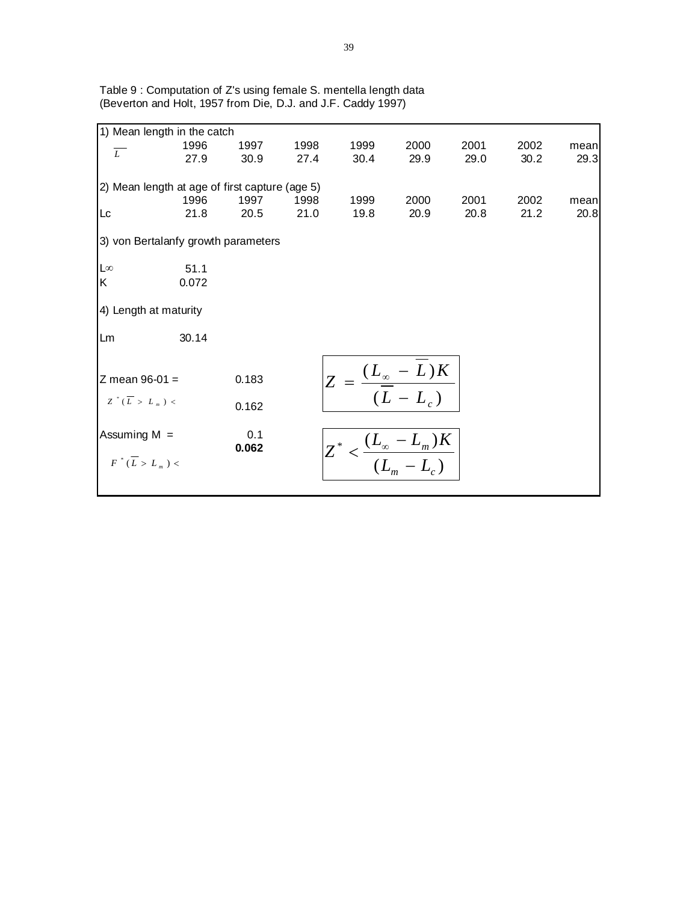| 1) Mean length in the catch                    |       |       |      |                                                               |      |      |      |      |
|------------------------------------------------|-------|-------|------|---------------------------------------------------------------|------|------|------|------|
|                                                | 1996  | 1997  | 1998 | 1999                                                          | 2000 | 2001 | 2002 | mean |
| $\overline{L}$                                 | 27.9  | 30.9  | 27.4 | 30.4                                                          | 29.9 | 29.0 | 30.2 | 29.3 |
|                                                |       |       |      |                                                               |      |      |      |      |
| 2) Mean length at age of first capture (age 5) |       |       |      |                                                               |      |      |      |      |
|                                                | 1996  | 1997  | 1998 | 1999                                                          | 2000 | 2001 | 2002 | mean |
| Lc                                             | 21.8  | 20.5  | 21.0 | 19.8                                                          | 20.9 | 20.8 | 21.2 | 20.8 |
| 3) von Bertalanfy growth parameters            |       |       |      |                                                               |      |      |      |      |
| $\mathsf{L}\infty$                             | 51.1  |       |      |                                                               |      |      |      |      |
| K                                              | 0.072 |       |      |                                                               |      |      |      |      |
| 4) Length at maturity                          |       |       |      |                                                               |      |      |      |      |
| Lm                                             | 30.14 |       |      |                                                               |      |      |      |      |
|                                                |       |       |      |                                                               |      |      |      |      |
| Z mean $96-01 =$                               |       | 0.183 |      | $Z = \frac{(L_{\infty} - L)K}{(\overline{L} - L_c)}$          |      |      |      |      |
| $Z^*(\overline{L} > L_m) <$                    |       | 0.162 |      |                                                               |      |      |      |      |
|                                                |       |       |      |                                                               |      |      |      |      |
| Assuming $M =$                                 |       | 0.1   |      |                                                               |      |      |      |      |
|                                                |       | 0.062 |      | $Z^* < \frac{(L_{\infty} - L_m)K}{(L_{\infty} - L_{\infty})}$ |      |      |      |      |
| $F^*(\overline{L} > L_m)$ <                    |       |       |      |                                                               |      |      |      |      |
|                                                |       |       |      |                                                               |      |      |      |      |

Table 9 : Computation of Z's using female S. mentella length data (Beverton and Holt, 1957 from Die, D.J. and J.F. Caddy 1997)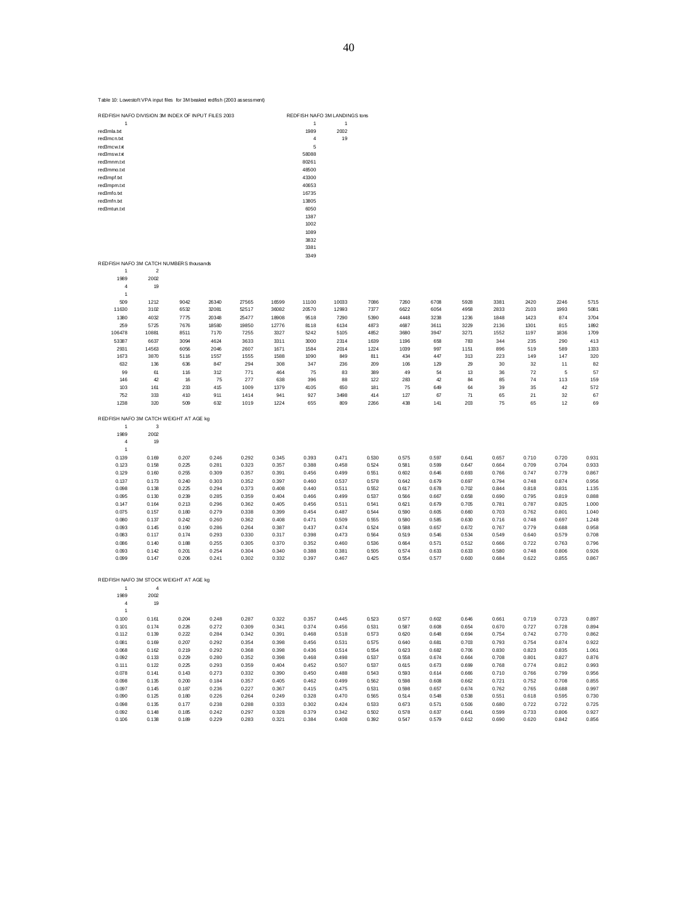| red3mla.txt                                                                        |                 |       |       |       |       | 1989  | 2002  |       |       |       |       |       |       |       |       |
|------------------------------------------------------------------------------------|-----------------|-------|-------|-------|-------|-------|-------|-------|-------|-------|-------|-------|-------|-------|-------|
| red3mcn.txt                                                                        |                 |       |       |       |       | 4     | 19    |       |       |       |       |       |       |       |       |
| red3mcw.txt                                                                        |                 |       |       |       |       | 5     |       |       |       |       |       |       |       |       |       |
|                                                                                    |                 |       |       |       |       |       |       |       |       |       |       |       |       |       |       |
| red3msw.txt                                                                        |                 |       |       |       |       | 58088 |       |       |       |       |       |       |       |       |       |
| red3mnm.txt                                                                        |                 |       |       |       |       | 80261 |       |       |       |       |       |       |       |       |       |
| red3mmo.txt                                                                        |                 |       |       |       |       | 48500 |       |       |       |       |       |       |       |       |       |
|                                                                                    |                 |       |       |       |       |       |       |       |       |       |       |       |       |       |       |
| red3mpf.txt                                                                        |                 |       |       |       |       | 43300 |       |       |       |       |       |       |       |       |       |
| red3mpm.txt                                                                        |                 |       |       |       |       | 40653 |       |       |       |       |       |       |       |       |       |
| red3mfo.txt                                                                        |                 |       |       |       |       | 16735 |       |       |       |       |       |       |       |       |       |
| red3mfn.txt                                                                        |                 |       |       |       |       | 13805 |       |       |       |       |       |       |       |       |       |
|                                                                                    |                 |       |       |       |       |       |       |       |       |       |       |       |       |       |       |
| red3mtun.txt                                                                       |                 |       |       |       |       | 6050  |       |       |       |       |       |       |       |       |       |
|                                                                                    |                 |       |       |       |       | 1387  |       |       |       |       |       |       |       |       |       |
|                                                                                    |                 |       |       |       |       |       |       |       |       |       |       |       |       |       |       |
|                                                                                    |                 |       |       |       |       | 1002  |       |       |       |       |       |       |       |       |       |
|                                                                                    |                 |       |       |       |       | 1089  |       |       |       |       |       |       |       |       |       |
|                                                                                    |                 |       |       |       |       | 3832  |       |       |       |       |       |       |       |       |       |
|                                                                                    |                 |       |       |       |       |       |       |       |       |       |       |       |       |       |       |
|                                                                                    |                 |       |       |       |       | 3381  |       |       |       |       |       |       |       |       |       |
|                                                                                    |                 |       |       |       |       | 3349  |       |       |       |       |       |       |       |       |       |
| REDFISH NAFO 3M CATCH NUMBERS thousands                                            |                 |       |       |       |       |       |       |       |       |       |       |       |       |       |       |
| $\mathbf{1}$                                                                       | $\overline{2}$  |       |       |       |       |       |       |       |       |       |       |       |       |       |       |
|                                                                                    |                 |       |       |       |       |       |       |       |       |       |       |       |       |       |       |
| 1989                                                                               | 2002            |       |       |       |       |       |       |       |       |       |       |       |       |       |       |
| $\overline{4}$                                                                     | 19              |       |       |       |       |       |       |       |       |       |       |       |       |       |       |
| 1                                                                                  |                 |       |       |       |       |       |       |       |       |       |       |       |       |       |       |
|                                                                                    |                 |       |       |       |       |       |       |       |       |       |       |       |       |       |       |
| 509                                                                                | 1212            | 9042  | 26340 | 27565 | 16599 | 11100 | 10033 | 7086  | 7260  | 6708  | 5928  | 3381  | 2420  | 2246  | 5715  |
| 11630                                                                              | 3102            | 6532  | 32081 | 52517 | 36082 | 20570 | 12993 | 7377  | 6622  | 6054  | 4958  | 2833  | 2103  | 1993  | 5081  |
|                                                                                    | 4032            | 7775  |       | 25477 |       |       |       | 5390  |       | 3238  |       |       | 1423  | 874   |       |
| 1380                                                                               |                 |       | 20348 |       | 18908 | 9518  | 7290  |       | 4448  |       | 1236  | 1848  |       |       | 3704  |
| 259                                                                                | 5725            | 7676  | 18580 | 19850 | 12776 | 8118  | 6134  | 4873  | 4687  | 3611  | 3229  | 2136  | 1301  | 815   | 1892  |
| 106478                                                                             | 10881           | 8511  | 7170  | 7255  | 3327  | 5242  | 5105  | 4852  | 3680  | 3947  | 3271  | 1552  | 1197  | 1836  | 1709  |
|                                                                                    |                 |       |       |       |       |       |       |       |       |       |       |       |       |       |       |
| 53387                                                                              | 6637            | 3094  | 4624  | 3633  | 3311  | 3000  | 2314  | 1639  | 1196  | 658   | 783   | 344   | 235   | 290   | 413   |
| 2931                                                                               | 14563           | 6056  | 2046  | 2607  | 1671  | 1584  | 2014  | 1224  | 1039  | 997   | 1151  | 896   | 519   | 589   | 1333  |
| 1673                                                                               | 3870            | 5116  | 1557  | 1555  | 1588  | 1090  | 849   | 811   | 434   | 447   | 313   | 223   | 149   | 147   | 320   |
|                                                                                    |                 |       |       |       |       |       |       |       |       |       |       |       |       |       |       |
| 632                                                                                | 136             | 636   | 847   | 294   | 308   | 347   | 236   | 209   | 106   | 129   | 29    | 30    | 32    | 11    | 82    |
| 99                                                                                 | 61              | 116   | 312   | 771   | 464   | 75    | 83    | 389   | 49    | 54    | 13    | 36    | 72    | 5     | 57    |
| 146                                                                                | 42              | 16    | 75    | 277   | 638   | 396   | 88    | 122   | 283   | 42    | 84    | 85    | 74    | 113   | 159   |
|                                                                                    |                 |       |       |       |       |       |       |       |       |       |       |       |       |       |       |
| 103                                                                                | 161             | 233   | 415   | 1009  | 1379  | 4105  | 650   | 181   | 75    | 649   | 64    | 39    | 35    | 42    | 572   |
| 752                                                                                | 333             | 410   | 911   | 1414  | 941   | 927   | 3498  | 414   | 127   | 67    | 71    | 65    | 21    | 32    | 67    |
| 1238                                                                               | 320             | 509   | 632   | 1019  | 1224  | 655   | 809   | 2266  | 438   | 141   | 203   | 75    | 65    | 12    | 69    |
|                                                                                    |                 |       |       |       |       |       |       |       |       |       |       |       |       |       |       |
| REDFISH NAFO 3M CATCH WEIGHT AT AGE kg<br>$\overline{1}$<br>1989<br>$\overline{4}$ | 3<br>2002<br>19 |       |       |       |       |       |       |       |       |       |       |       |       |       |       |
| 1                                                                                  |                 |       |       |       |       |       |       |       |       |       |       |       |       |       |       |
| 0.139                                                                              | 0.169           | 0.207 | 0.246 | 0.292 | 0.345 | 0.393 | 0.471 | 0.530 | 0.575 | 0.597 | 0.641 | 0.657 | 0.710 | 0.720 | 0.931 |
| 0.123                                                                              | 0.158           | 0.225 | 0.281 | 0.323 | 0.357 | 0.388 | 0.458 | 0.524 | 0.581 | 0.599 | 0.647 | 0.664 | 0.709 | 0.704 | 0.933 |
|                                                                                    |                 |       |       |       |       |       |       |       |       |       |       |       |       |       |       |
| 0.129                                                                              | 0.160           | 0.255 | 0.309 | 0.357 | 0.391 | 0.456 | 0.499 | 0.551 | 0.602 | 0.646 | 0.693 | 0.766 | 0.747 | 0.779 | 0.867 |
| 0.137                                                                              | 0.173           | 0.240 | 0.303 | 0.352 | 0.397 | 0.460 | 0.537 | 0.578 | 0.642 | 0.679 | 0.697 | 0.794 | 0.748 | 0.874 | 0.956 |
| 0.098                                                                              | 0.138           | 0.225 | 0.294 | 0.373 | 0.408 | 0.440 | 0.511 | 0.552 | 0.617 | 0.678 | 0.702 | 0.844 | 0.818 | 0.831 | 1.135 |
|                                                                                    |                 |       |       |       |       |       |       |       |       |       |       |       |       |       |       |
| 0.095                                                                              | 0.130           | 0.239 | 0.285 | 0.359 | 0.404 | 0.466 | 0.499 | 0.537 | 0.566 | 0.667 | 0.658 | 0.690 | 0.795 | 0.819 | 0.888 |
| 0.147                                                                              | 0.164           | 0.213 | 0.296 | 0.362 | 0.405 | 0.456 | 0.511 | 0.541 | 0.621 | 0.679 | 0.705 | 0.781 | 0.787 | 0.825 | 1.000 |
| 0.075                                                                              | 0.157           | 0.180 | 0.279 | 0.338 | 0.399 | 0.454 | 0.487 | 0.544 | 0.590 | 0.605 | 0.660 | 0.703 | 0.762 | 0.801 | 1.040 |
|                                                                                    |                 |       |       |       |       |       |       |       |       |       |       |       |       |       |       |
| 0.080                                                                              | 0.137           | 0.242 | 0.260 | 0.362 | 0.408 | 0.471 | 0.509 | 0.555 | 0.580 | 0.585 | 0.630 | 0.716 | 0.748 | 0.697 | 1.248 |
| 0.093                                                                              | 0.145           | 0.190 | 0.286 | 0.264 | 0.387 | 0.437 | 0.474 | 0.524 | 0.588 | 0.657 | 0.672 | 0.767 | 0.779 | 0.688 | 0.958 |
| 0.083                                                                              | 0.117           | 0.174 | 0.293 | 0.330 | 0.317 | 0.398 | 0.473 | 0.564 | 0.519 | 0.546 | 0.534 | 0.549 | 0.640 | 0.579 | 0.708 |
|                                                                                    |                 |       |       |       |       |       |       |       |       |       |       |       |       |       |       |
| 0.086                                                                              | 0.140           | 0.188 | 0.255 | 0.305 | 0.370 | 0.352 | 0.460 | 0.536 | 0.664 | 0.571 | 0.512 | 0.666 | 0.722 | 0.763 | 0.796 |
| 0.093                                                                              | 0.142           | 0.201 | 0.254 | 0.304 | 0.340 | 0.388 | 0.381 | 0.505 | 0.574 | 0.633 | 0.633 | 0.580 | 0.748 | 0.806 | 0.926 |
| 0.099                                                                              | 0.147           | 0.206 | 0.241 | 0.302 | 0.332 | 0.397 | 0.467 | 0.425 | 0.554 | 0.577 | 0.600 | 0.684 | 0.622 | 0.855 | 0.867 |
|                                                                                    |                 |       |       |       |       |       |       |       |       |       |       |       |       |       |       |
| REDFISH NAFO 3M STOCK WEIGHT AT AGE kg                                             |                 |       |       |       |       |       |       |       |       |       |       |       |       |       |       |
| $\mathbf{1}$                                                                       | $\overline{4}$  |       |       |       |       |       |       |       |       |       |       |       |       |       |       |
| 1989                                                                               | 2002            |       |       |       |       |       |       |       |       |       |       |       |       |       |       |
| 4                                                                                  | 19              |       |       |       |       |       |       |       |       |       |       |       |       |       |       |
|                                                                                    |                 |       |       |       |       |       |       |       |       |       |       |       |       |       |       |
| $\overline{1}$                                                                     |                 |       |       |       |       |       |       |       |       |       |       |       |       |       |       |
| 0.100                                                                              | 0.161           | 0.204 | 0.248 | 0.287 | 0.322 | 0.357 | 0.445 | 0.523 | 0.577 | 0.602 | 0.646 | 0.661 | 0.719 | 0.723 | 0.897 |
| 0.101                                                                              | 0.174           | 0.226 | 0.272 | 0.309 | 0.341 | 0.374 | 0.456 | 0.531 | 0.587 | 0.608 | 0.654 | 0.670 | 0.727 | 0.728 | 0.894 |
|                                                                                    |                 |       |       |       |       |       |       |       |       |       |       |       |       |       |       |
| 0.112                                                                              | 0.139           | 0.222 | 0.284 | 0.342 | 0.391 | 0.468 | 0.518 | 0.573 | 0.620 | 0.648 | 0.694 | 0.754 | 0.742 | 0.770 | 0.862 |
| 0.081                                                                              | 0.169           | 0.207 | 0.292 | 0.354 | 0.398 | 0.456 | 0.531 | 0.575 | 0.640 | 0.681 | 0.703 | 0.793 | 0.754 | 0.874 | 0.922 |
| 0.068                                                                              | 0.162           | 0.219 | 0.292 | 0.368 | 0.398 | 0.436 | 0.514 | 0.554 | 0.623 | 0.682 | 0.706 | 0.830 | 0.823 | 0.835 | 1.061 |
|                                                                                    |                 |       |       |       |       |       |       |       |       |       |       |       |       |       |       |
| 0.092                                                                              | 0.133           | 0.229 | 0.280 | 0.352 | 0.398 | 0.468 | 0.498 | 0.537 | 0.558 | 0.674 | 0.664 | 0.708 | 0.801 | 0.827 | 0.876 |
| 0.111                                                                              | 0.122           | 0.225 | 0.293 | 0.359 | 0.404 | 0.452 | 0.507 | 0.537 | 0.615 | 0.673 | 0.699 | 0.768 | 0.774 | 0.812 | 0.993 |
| 0.078                                                                              | 0.141           | 0.143 | 0.273 | 0.332 | 0.390 | 0.450 | 0.488 | 0.543 | 0.593 | 0.614 | 0.666 | 0.710 | 0.766 | 0.799 | 0.956 |
| 0.098                                                                              |                 |       |       |       |       |       |       |       | 0.598 |       |       |       |       | 0.708 |       |
|                                                                                    | 0.135           | 0.200 | 0.184 | 0.357 | 0.405 | 0.462 | 0.499 | 0.562 |       | 0.608 | 0.662 | 0.721 | 0.752 |       | 0.855 |
| 0.097                                                                              | 0.145           | 0.187 | 0.236 | 0.227 | 0.367 | 0.415 | 0.475 | 0.531 | 0.598 | 0.657 | 0.674 | 0.762 | 0.765 | 0.688 | 0.997 |
| 0.090                                                                              | 0.125           | 0.180 | 0.226 | 0.264 | 0.249 | 0.328 | 0.470 | 0.565 | 0.514 | 0.548 | 0.538 | 0.551 | 0.618 | 0.595 | 0.730 |
| 0.098                                                                              | 0.135           | 0.177 | 0.238 | 0.288 | 0.333 | 0.302 | 0.424 | 0.533 | 0.673 | 0.571 | 0.506 | 0.680 | 0.722 | 0.722 | 0.725 |
|                                                                                    |                 |       |       |       |       |       |       |       |       |       |       |       |       |       |       |
| 0.092                                                                              | 0.148           | 0.185 | 0.242 | 0.297 | 0.328 | 0.379 | 0.342 | 0.502 | 0.578 | 0.637 | 0.641 | 0.599 | 0.733 | 0.806 | 0.927 |
| 0.106                                                                              | 0.138           | 0.189 | 0.229 | 0.283 | 0.321 | 0.384 | 0.408 | 0.392 | 0.547 | 0.579 | 0.612 | 0.690 | 0.620 | 0.842 | 0.856 |

Table 10: Lowestoft VPA input files for 3M beaked redfish (2003 assessment)

REDFISH NAFO DIVISION 3M INDEX OF INPUT FILES 2003 REDFISH NAFO 3M LANDINGS tors<br>
1 1 1<br>
red3mla.td<br>
red3mcn.txt 4 19 1 1<br>1989 2002 11<br>red3mla.txt 1989 2002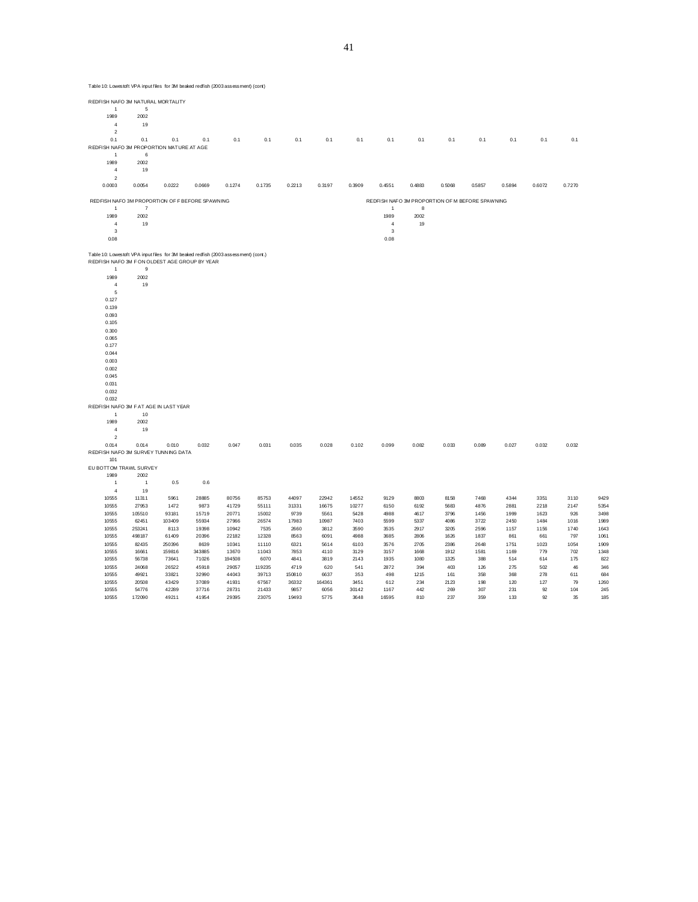Table 10: Lowestoft VPA input files for 3M beaked redfish (2003 assessment) (cont)

REDFISH NAFO 3M NATURAL MORTALITY  $\begin{array}{ccc} & 1 & & 5 \\ 1989 & & 2002 \end{array}$ 2002 4 19 2 0.1 0.1 0.1 0.1 0.1 0.1 0.1 0.1 0.1 0.1 0.1 0.1 0.1 0.1 0.1 0.1 REDFISH NAFO 3M PROPORTION MATURE AT AGE  $\begin{array}{ccc} & 1 & & 6 \\ 1989 & & 2002 \end{array}$ 2002 4 19  $\frac{2}{0.0003}$ 0.0003 0.0054 0.0222 0.0669 0.1274 0.1735 0.2213 0.3197 0.3909 0.4551 0.4883 0.5068 0.5857 0.5894 0.6072 0.7270 REDFISH NAFO 3M PROPORTION OF F BEFORE SPAWNING REDFISH NAFO 3M PROPORTION OF M BEFORE SPAWNING 1  $7$  1 8 1989 2002 1989 2002 4 19 4 19 3 3 0.08 0.08 Table 10: Lowestoft VPA input files for 3M beaked redfish (2003 assessment) (cont.) REDFISH NAFO 3M F ON OLDEST AGE GROUP BY YEAR 1 9 1989 2002 4 19 5 0.127 0.139 0.093 0.105 0.300 0.065 0.177 0.044 0.003 0.002 0.045 0.031 0.032 0.032 REDFISH NAFO 3M F AT AGE IN LAST YEAR  $\begin{array}{ccc} & 1 & & 10 \\ 1989 & & 2002 \end{array}$ 1989 2002 19  $\frac{2}{0.014}$ 0.014 0.014 0.010 0.032 0.047 0.031 0.035 0.028 0.102 0.099 0.082 0.033 0.089 0.027 0.032 0.032 REDFISH NAFO 3M SURVEY TUNNING DATA 101 EU BOTTOM TRAWL SURVEY<br>1989 2002<br>1 1 2002  $\frac{1}{10}$  0.5 0.6 4 19 10555 11311 5961 28885 80756 85753 44097 22942 14552 9129 8803 8158 7468 4344 3351 3110 9429 10555 27953 1472 9873 41729 55111 31331 16675 10277 6150 6192 5683 4876 2881 2218 2147 5354 10555 105510 93181 15719 20771 15002 9739 5561 5428 4988 4617 3796 1456 1999 1623 926 3498 10555 62451 103409 55934 27966 26574 17983 10987 7403 5599 5337 4086 3722 2450 1484 1016 1989 10555 253241 8113 19398 10942 7535 2660 3812 3590 3535 2917 3205 2596 1157 1156 1740 1643 10555 498187 61409 20396 22182 12328 8563 6091 4988 3685 2806 1626 1837 861 661 797 1061 10555 82435 250396 8639 10341 11110 6321 5614 6103 3576 2705 2386 2648 1751 1023 1054 1909 10555 16661 159816 343885 13670 11043 7853 4110 3129 3157 1668 1912 1581 1169 779 702 1348 10555 56738 73641 71026 194508 6070 4841 3819 2143 1935 1080 1325 388 514 614 175 822 10555 24068 26522 45918 29057 119235 4719 620 541 2872 394 403 126 275 502 46 346 10555 49921 33821 32990 44043 39713 150810 6637 353 498 1215 161 358 368 278 611 684 10555 20508 43429 37089 41931 67567 36332 164361 3451 612 234 2123 198 120 127 79 1260 10555 54776 42289 37716 28731 21433 9857 6056 30142 1167 442 269 307 231 92 104 245 10555 172090 49211 41954 29395 23075 19493 5775 3648 16595 810 237 359 133 92 35 185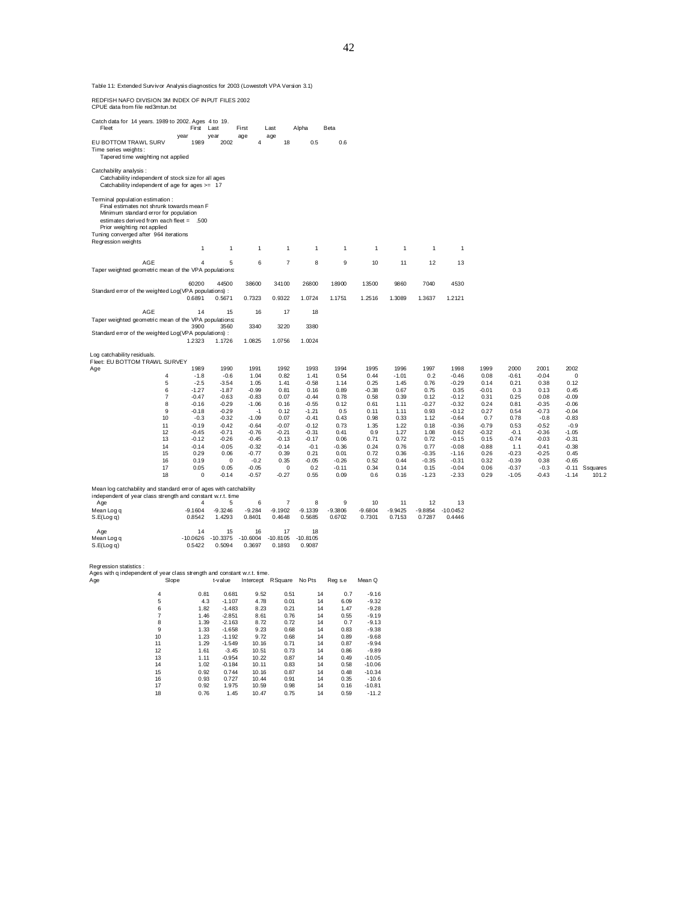Table 11: Extended Survivor Analysis diagnostics for 2003 (Lowestoft VPA Version 3.1)

| REDFISH NAFO DIVISION 3M INDEX OF INPUT FILES 2002<br>CPUE data from file red3mtun.txt                                                                                                                                                     |                  |                   |                    |                 |                 |                 |              |                 |                 |                    |                 |                 |                    |                     |
|--------------------------------------------------------------------------------------------------------------------------------------------------------------------------------------------------------------------------------------------|------------------|-------------------|--------------------|-----------------|-----------------|-----------------|--------------|-----------------|-----------------|--------------------|-----------------|-----------------|--------------------|---------------------|
| Catch data for 14 years. 1989 to 2002. Ages 4 to 19.<br>Fleet                                                                                                                                                                              | First Last       |                   | First              | Last            | Alpha           | Beta            |              |                 |                 |                    |                 |                 |                    |                     |
| EU BOTTOM TRAWL SURV<br>Time series weights:<br>Tapered time weighting not applied                                                                                                                                                         | year<br>1989     | year<br>2002      | age<br>4           | age<br>18       | 0.5             | 0.6             |              |                 |                 |                    |                 |                 |                    |                     |
| Catchability analysis :<br>Catchability independent of stock size for all ages<br>Catchability independent of age for ages >= 17                                                                                                           |                  |                   |                    |                 |                 |                 |              |                 |                 |                    |                 |                 |                    |                     |
| Terminal population estimation :<br>Final estimates not shrunk towards mean F<br>Minimum standard error for population<br>estimates derived from each fleet = .500<br>Prior weighting not applied<br>Tuning converged after 964 iterations |                  |                   |                    |                 |                 |                 |              |                 |                 |                    |                 |                 |                    |                     |
| Regression weights                                                                                                                                                                                                                         | $\mathbf{1}$     | 1                 | $\overline{1}$     | 1               | $\mathbf{1}$    | 1               | 1            | $\overline{1}$  | 1               | 1                  |                 |                 |                    |                     |
|                                                                                                                                                                                                                                            |                  |                   |                    |                 |                 |                 |              |                 |                 |                    |                 |                 |                    |                     |
| AGE<br>Taper weighted geometric mean of the VPA populations:                                                                                                                                                                               | $\overline{4}$   | 5                 | 6                  | $\overline{7}$  | 8               | 9               | 10           | 11              | 12              | 13                 |                 |                 |                    |                     |
|                                                                                                                                                                                                                                            | 60200            | 44500             | 38600              | 34100           | 26800           | 18900           | 13500        | 9860            | 7040            | 4530               |                 |                 |                    |                     |
| Standard error of the weighted Log(VPA populations) :                                                                                                                                                                                      | 0.6891           | 0.5671            | 0.7323             | 0.9322          | 1.0724          | 1.1751          | 1.2516       | 1.3089          | 1.3637          | 1.2121             |                 |                 |                    |                     |
| AGE                                                                                                                                                                                                                                        | 14               | 15                | 16                 | 17              | 18              |                 |              |                 |                 |                    |                 |                 |                    |                     |
| Taper weighted geometric mean of the VPA populations:                                                                                                                                                                                      |                  |                   | 3340               | 3220            | 3380            |                 |              |                 |                 |                    |                 |                 |                    |                     |
| Standard error of the weighted Log(VPA populations) :                                                                                                                                                                                      | 3900             | 3560              |                    |                 |                 |                 |              |                 |                 |                    |                 |                 |                    |                     |
|                                                                                                                                                                                                                                            | 1.2323           | 1.1726            | 1.0825             | 1.0756          | 1.0024          |                 |              |                 |                 |                    |                 |                 |                    |                     |
| Log catchability residuals.                                                                                                                                                                                                                |                  |                   |                    |                 |                 |                 |              |                 |                 |                    |                 |                 |                    |                     |
| Fleet: EU BOTTOM TRAWL SURVEY                                                                                                                                                                                                              |                  |                   |                    |                 |                 |                 |              |                 |                 |                    |                 |                 |                    |                     |
| Age                                                                                                                                                                                                                                        | 1989             | 1990              | 1991               | 1992            | 1993            | 1994            | 1995         | 1996            | 1997            | 1998               | 1999            | 2000            | 2001               | 2002                |
| 4<br>5                                                                                                                                                                                                                                     | $-1.8$<br>$-2.5$ | $-0.6$<br>$-3.54$ | 1.04<br>1.05       | 0.82<br>1.41    | 1.41<br>$-0.58$ | 0.54<br>1.14    | 0.44<br>0.25 | $-1.01$<br>1.45 | 0.2<br>0.76     | $-0.46$<br>$-0.29$ | 0.08<br>0.14    | $-0.61$<br>0.21 | $-0.04$<br>0.38    | $\mathsf 0$<br>0.12 |
| 6                                                                                                                                                                                                                                          | $-1.27$          | $-1.87$           | $-0.99$            | 0.81            | 0.16            | 0.89            | $-0.38$      | 0.67            | 0.75            | 0.35               | $-0.01$         | 0.3             | 0.13               | 0.45                |
| $\overline{7}$                                                                                                                                                                                                                             | $-0.47$          | $-0.63$           | $-0.83$            | 0.07            | $-0.44$         | 0.78            | 0.58         | 0.39            | 0.12            | $-0.12$            | 0.31            | 0.25            | 0.08               | $-0.09$             |
| 8                                                                                                                                                                                                                                          | $-0.16$          | $-0.29$           | $-1.06$            | 0.16            | $-0.55$         | 0.12            | 0.61         | 1.11            | $-0.27$         | $-0.32$            | 0.24            | 0.81            | $-0.35$            | $-0.06$             |
| 9                                                                                                                                                                                                                                          | $-0.18$          | $-0.29$           | $-1$               | 0.12            | $-1.21$         | 0.5             | 0.11         | 1.11            | 0.93            | $-0.12$            | 0.27            | 0.54            | $-0.73$            | $-0.04$             |
| 10                                                                                                                                                                                                                                         | $-0.3$           | $-0.32$           | $-1.09$            | 0.07            | $-0.41$         | 0.43            | 0.98         | 0.33            | 1.12            | $-0.64$            | 0.7             | 0.78            | $-0.8$             | $-0.83$             |
| 11                                                                                                                                                                                                                                         | $-0.19$          | $-0.42$           | $-0.64$            | $-0.07$         | $-0.12$         | 0.73            | 1.35         | 1.22            | 0.18            | $-0.36$            | $-0.79$         | 0.53            | $-0.52$            | $-0.9$              |
| 12                                                                                                                                                                                                                                         | $-0.45$          | $-0.71$           | $-0.76$            | $-0.21$         | $-0.31$         | 0.41            | 0.9          | 1.27            | 1.08            | 0.62               | $-0.32$         | $-0.1$          | $-0.36$            | $-1.05$             |
| 13                                                                                                                                                                                                                                         | $-0.12$          | $-0.26$           | $-0.45$            | $-0.13$         | $-0.17$         | 0.06            | 0.71         | 0.72            | 0.72            | $-0.15$            | 0.15            | $-0.74$         | $-0.03$            | $-0.31$             |
| 14<br>15                                                                                                                                                                                                                                   | $-0.14$<br>0.29  | $-0.05$<br>0.06   | $-0.32$<br>$-0.77$ | $-0.14$<br>0.39 | $-0.1$<br>0.21  | $-0.36$<br>0.01 | 0.24<br>0.72 | 0.76<br>0.36    | 0.77<br>$-0.35$ | $-0.08$<br>$-1.16$ | $-0.88$<br>0.26 | 1.1<br>$-0.23$  | $-0.41$<br>$-0.25$ | $-0.38$<br>0.45     |
| 16                                                                                                                                                                                                                                         | 0.19             | $\pmb{0}$         | $-0.2$             | 0.35            | $-0.05$         | $-0.26$         | 0.52         | 0.44            | $-0.35$         | $-0.31$            | 0.32            | $-0.39$         | 0.38               | $-0.65$             |
| 17                                                                                                                                                                                                                                         | 0.05             | 0.05              | $-0.05$            | $\mathbf 0$     | 0.2             | $-0.11$         | 0.34         | 0.14            | 0.15            | $-0.04$            | 0.06            | $-0.37$         | $-0.3$             | $-0.11$<br>Ssquares |
| 18                                                                                                                                                                                                                                         | 0                | $-0.14$           | $-0.57$            | $-0.27$         | 0.55            | 0.09            | 0.6          | 0.16            | $-1.23$         | $-2.33$            | 0.29            | $-1.05$         | $-0.43$            | 101.2<br>$-1.14$    |
| Mean log catchability and standard error of ages with catchability                                                                                                                                                                         |                  |                   |                    |                 |                 |                 |              |                 |                 |                    |                 |                 |                    |                     |
| independent of year class strength and constant w.r.t. time                                                                                                                                                                                |                  |                   |                    |                 |                 |                 |              |                 |                 |                    |                 |                 |                    |                     |
| Age                                                                                                                                                                                                                                        | 4                | 5                 | 6                  | $\overline{7}$  | 8               | 9               | 10           | 11              | 12              | 13                 |                 |                 |                    |                     |
| Mean Log q                                                                                                                                                                                                                                 | $-9.1604$        | $-9.3246$         | $-9.284$           | $-9.1902$       | $-9.1339$       | $-9.3806$       | $-9.6804$    | $-9.9425$       | $-9.8854$       | $-10.0452$         |                 |                 |                    |                     |
| S.E(Log q)                                                                                                                                                                                                                                 | 0.8542           | 1.4293            | 0.8401             | 0.4648          | 0.5685          | 0.6702          | 0.7301       | 0.7153          | 0.7287          | 0.4446             |                 |                 |                    |                     |
| Age                                                                                                                                                                                                                                        | 14               | 15                | 16                 | 17              | 18              |                 |              |                 |                 |                    |                 |                 |                    |                     |
| Mean Log q                                                                                                                                                                                                                                 | $-10.0626$       | $-10.3375$        | $-10.6004$         | $-10.8105$      | $-10.8105$      |                 |              |                 |                 |                    |                 |                 |                    |                     |
| S.E(log q)                                                                                                                                                                                                                                 | 0.5422           | 0.5094            | 0.3697             | 0.1893          | 0.9087          |                 |              |                 |                 |                    |                 |                 |                    |                     |
|                                                                                                                                                                                                                                            |                  |                   |                    |                 |                 |                 |              |                 |                 |                    |                 |                 |                    |                     |

Regression statistics : Ages with q independent of year class strength and constant w.r.t. time. Age Slope t-value Intercept RSquare No Pts Reg s.e Mean Q

|    | uuu  | t-value  |       | $m$ cicchi induction intro |    | ncq  | <b>IVICAIL V</b> |
|----|------|----------|-------|----------------------------|----|------|------------------|
| 4  | 0.81 | 0.681    | 9.52  | 0.51                       | 14 | 0.7  | $-9.16$          |
| 5  | 4.3  | $-1.107$ | 4.78  | 0.01                       | 14 | 6.09 | $-9.32$          |
| 6  | 1.82 | $-1.483$ | 8.23  | 0.21                       | 14 | 1.47 | $-9.28$          |
| 7  | 1.46 | $-2.851$ | 8.61  | 0.76                       | 14 | 0.55 | $-9.19$          |
| 8  | 1.39 | $-2.163$ | 8.72  | 0.72                       | 14 | 0.7  | $-9.13$          |
| 9  | 1.33 | $-1.658$ | 9.23  | 0.68                       | 14 | 0.83 | $-9.38$          |
| 10 | 1.23 | $-1.192$ | 9.72  | 0.68                       | 14 | 0.89 | $-9.68$          |
| 11 | 1.29 | $-1.549$ | 10.16 | 0.71                       | 14 | 0.87 | $-9.94$          |
| 12 | 1.61 | $-3.45$  | 10.51 | 0.73                       | 14 | 0.86 | $-9.89$          |
| 13 | 1.11 | $-0.954$ | 10.22 | 0.87                       | 14 | 0.49 | $-10.05$         |
| 14 | 1.02 | $-0.184$ | 10.11 | 0.83                       | 14 | 0.58 | $-10.06$         |
| 15 | 0.92 | 0.744    | 10.16 | 0.87                       | 14 | 0.48 | $-10.34$         |
| 16 | 0.93 | 0.727    | 10.44 | 0.91                       | 14 | 0.35 | $-10.6$          |
| 17 | 0.92 | 1.975    | 10.59 | 0.98                       | 14 | 0.16 | $-10.81$         |
| 18 | 0.76 | 1.45     | 10.47 | 0.75                       | 14 | 0.59 | $-11.2$          |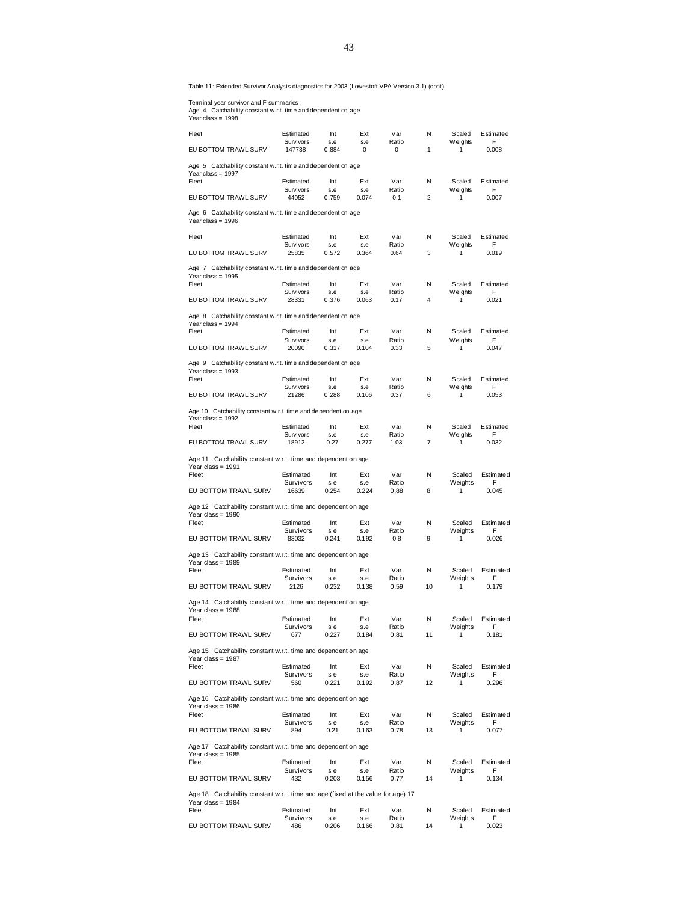Table 11: Extended Survivor Analysis diagnostics for 2003 (Lowestoft VPA Version 3.1) (cont)

Terminal year survivor and F summaries : Age 4 Catchability constant w.r.t. time and dependent on age Year class = 1998

| Fleet                                                                                | Estimated              | Int          | Ext          | Var           | N              | Scaled            | Estimated      |
|--------------------------------------------------------------------------------------|------------------------|--------------|--------------|---------------|----------------|-------------------|----------------|
| EU BOTTOM TRAWL SURV                                                                 | Survivors<br>147738    | s.e<br>0.884 | s.e<br>0     | Ratio<br>0    | 1              | Weights<br>1      | F<br>0.008     |
| Age 5 Catchability constant w.r.t. time and dependent on age<br>Year class = 1997    |                        |              |              |               |                |                   |                |
| Fleet                                                                                | Estimated<br>Survivors | Int<br>s.e   | Ext<br>s.e   | Var<br>Ratio  | N              | Scaled<br>Weights | Estimated<br>F |
| EU BOTTOM TRAWL SURV                                                                 | 44052                  | 0.759        | 0.074        | 0.1           | 2              | 1                 | 0.007          |
| Age 6 Catchability constant w.r.t. time and dependent on age<br>Year class = $1996$  |                        |              |              |               |                |                   |                |
| Fleet                                                                                | Estimated              | Int          | Ext          | Var           | N              | Scaled            | Estimated      |
| EU BOTTOM TRAWL SURV                                                                 | Survivors<br>25835     | s.e<br>0.572 | s.e<br>0.364 | Ratio<br>0.64 | 3              | Weights<br>1      | F<br>0.019     |
| Age 7 Catchability constant w.r.t. time and dependent on age                         |                        |              |              |               |                |                   |                |
| Year class = $1995$<br>Fleet                                                         | Estimated              | Int          | Ext          | Var           | N              | Scaled            | Estimated      |
|                                                                                      | Survivors              | s.e          | s.e          | Ratio         |                | Weights           | F              |
| EU BOTTOM TRAWL SURV                                                                 | 28331                  | 0.376        | 0.063        | 0.17          | 4              | 1                 | 0.021          |
| Age 8 Catchability constant w.r.t. time and dependent on age<br>Year class = $1994$  |                        |              |              |               |                |                   |                |
| Fleet                                                                                | Estimated              | Int          | Ext          | Var           | N              | Scaled            | Estimated      |
| EU BOTTOM TRAWL SURV                                                                 | Survivors<br>20090     | s.e<br>0.317 | s.e<br>0.104 | Ratio<br>0.33 | 5              | Weights<br>1      | F<br>0.047     |
| Age 9 Catchability constant w.r.t. time and dependent on age                         |                        |              |              |               |                |                   |                |
| Year class = $1993$<br>Fleet                                                         | Estimated              | Int          | Ext          | Var           | N              | Scaled            | Estimated      |
|                                                                                      | Survivors              | s.e          | s.e          | Ratio         |                | Weights           | F              |
| EU BOTTOM TRAWL SURV                                                                 | 21286                  | 0.288        | 0.106        | 0.37          | 6              | 1                 | 0.053          |
| Age 10 Catchability constant w.r.t. time and dependent on age<br>Year class = $1992$ |                        |              |              |               |                |                   |                |
| Fleet                                                                                | Estimated              | Int          | Ext          | Var           | N              | Scaled            | Estimated      |
|                                                                                      | Survivors              | s.e          | s.e          | Ratio         |                | Weights           | F              |
| EU BOTTOM TRAWL SURV                                                                 | 18912                  | 0.27         | 0.277        | 1.03          | $\overline{7}$ | 1                 | 0.032          |
| Age 11 Catchability constant w.r.t. time and dependent on age<br>Year class = 1991   |                        |              |              |               |                |                   |                |
| Fleet                                                                                | Estimated              | Int          | Ext          | Var           | N              | Scaled            | Estimated      |
| EU BOTTOM TRAWL SURV                                                                 | Survivors<br>16639     | s.e<br>0.254 | s.e<br>0.224 | Ratio<br>0.88 | 8              | Weights<br>1      | F<br>0.045     |
| Age 12 Catchability constant w.r.t. time and dependent on age<br>Year class = $1990$ |                        |              |              |               |                |                   |                |
| Fleet                                                                                | Estimated              | Int          | Ext          | Var           | N              | Scaled            | Estimated      |
|                                                                                      | Survivors              | s.e          | s.e          | Ratio         |                | Weights           | F              |
| EU BOTTOM TRAWL SURV                                                                 | 83032                  | 0.241        | 0.192        | 0.8           | 9              | 1                 | 0.026          |
| Age 13 Catchability constant w.r.t. time and dependent on age<br>Year class = 1989   |                        |              |              |               |                |                   |                |
| Fleet                                                                                | Estimated<br>Survivors | Int<br>s.e   | Ext<br>s.e   | Var<br>Ratio  | N              | Scaled<br>Weights | Estimated<br>F |
| EU BOTTOM TRAWL SURV                                                                 | 2126                   | 0.232        | 0.138        | 0.59          | 10             | 1                 | 0.179          |
| Age 14 Catchability constant w.r.t. time and dependent on age<br>Year class = 1988   |                        |              |              |               |                |                   |                |
| Fleet                                                                                | Estimated              | Int          | Ext          | Var           | N              | Scaled            | Estimated      |
| EU BOTTOM TRAWL SURV                                                                 | Survivors<br>677       | s.e<br>0.227 | s.e<br>0.184 | Ratio<br>0.81 | 11             | Weights<br>1      | F<br>0.181     |
| Age 15 Catchability constant w.r.t. time and dependent on age                        |                        |              |              |               |                |                   |                |
| Year class = $1987$                                                                  |                        |              |              |               |                |                   |                |
| Fleet                                                                                | Estimated              | Int          | Ext          | Var<br>Ratio  | Ν              | Scaled            | Estimated<br>F |
| EU BOTTOM TRAWL SURV                                                                 | Survivors<br>560       | s.e<br>0.221 | s.e<br>0.192 | 0.87          | 12             | Weights<br>1      | 0.296          |
| Age 16 Catchability constant w.r.t. time and dependent on age                        |                        |              |              |               |                |                   |                |
| Year class = $1986$<br>Fleet                                                         | Estimated              | Int          | Ext          | Var           | Ν              | Scaled            | Estimated      |
|                                                                                      | Survivors              | s.e          | s.e          | Ratio         |                | Weights           | F              |
| EU BOTTOM TRAWL SURV                                                                 | 894                    | 0.21         | 0.163        | 0.78          | 13             | 1                 | 0.077          |
| Age 17 Catchability constant w.r.t. time and dependent on age<br>Year class = $1985$ |                        |              |              |               |                |                   |                |
| Fleet                                                                                | Estimated              | Int          | Ext          | Var           | Ν              | Scaled            | Estimated      |
| EU BOTTOM TRAWL SURV                                                                 | Survivors<br>432       | s.e<br>0.203 | s.e<br>0.156 | Ratio<br>0.77 | 14             | Weights<br>1      | F<br>0.134     |
| Age 18 Catchability constant w.r.t. time and age (fixed at the value for age) 17     |                        |              |              |               |                |                   |                |
| Year class = $1984$<br>Fleet                                                         |                        |              |              | Var           | Ν              | Scaled            |                |
|                                                                                      | Estimated<br>Survivors | Int<br>s.e   | Ext<br>s.e   | Ratio         |                | Weights           | Estimated<br>F |
| EU BOTTOM TRAWL SURV                                                                 | 486                    | 0.206        | 0.166        | 0.81          | 14             | 1                 | 0.023          |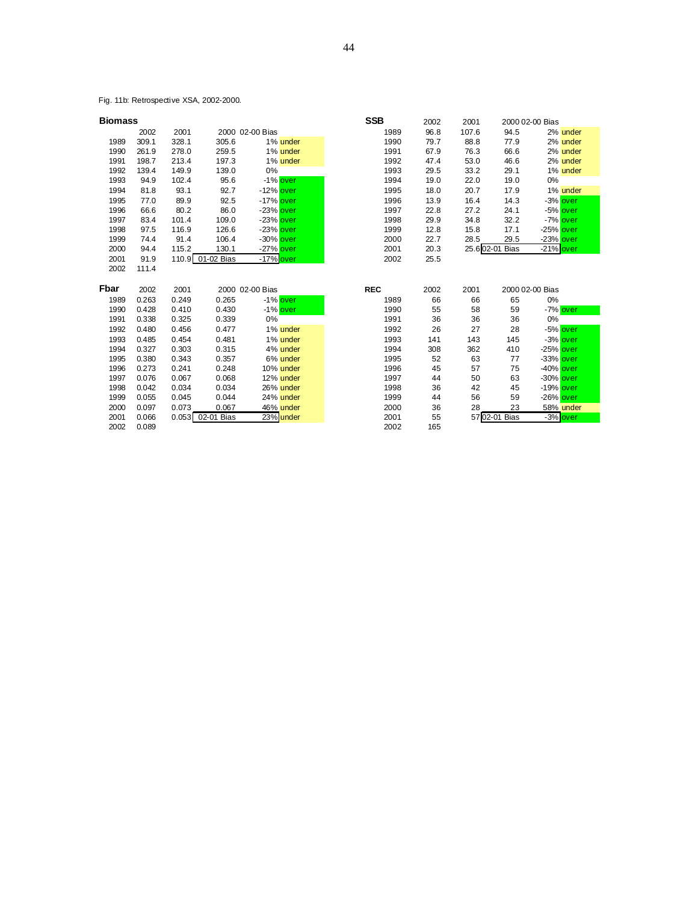# Fig. 11b: Retrospective XSA, 2002-2000.

| <b>Biomass</b> |       |                  |                  |                        |           | <b>SSB</b> | 2002 | 2001     |                 | 2000 02-00 Bias |           |
|----------------|-------|------------------|------------------|------------------------|-----------|------------|------|----------|-----------------|-----------------|-----------|
|                | 2002  | 2001             |                  | 2000 02-00 Bias        |           | 1989       | 96.8 | 107.6    | 94.5            |                 | 2% under  |
| 1989           | 309.1 | 328.1            | 305.6            |                        | 1% under  | 1990       | 79.7 | 88.8     | 77.9            |                 | 2% under  |
| 1990           | 261.9 | 278.0            | 259.5            |                        | 1% under  | 1991       | 67.9 | 76.3     | 66.6            |                 | 2% under  |
| 1991           | 198.7 | 213.4            | 197.3            |                        | 1% under  | 1992       | 47.4 | 53.0     | 46.6            |                 | 2% under  |
| 1992           | 139.4 | 149.9            | 139.0            | 0%                     |           | 1993       | 29.5 | 33.2     | 29.1            |                 | 1% under  |
| 1993           | 94.9  | 102.4            | 95.6             |                        | -1% over  | 1994       | 19.0 | 22.0     | 19.0            | 0%              |           |
| 1994           | 81.8  | 93.1             | 92.7             | -12% <mark>over</mark> |           | 1995       | 18.0 | 20.7     | 17.9            |                 | 1% under  |
| 1995           | 77.0  | 89.9             | 92.5             | -17% over              |           | 1996       | 13.9 | 16.4     | 14.3            |                 | -3% over  |
| 1996           | 66.6  | 80.2             | 86.0             | -23% over              |           | 1997       | 22.8 | 27.2     | 24.1            |                 | -5% over  |
| 1997           | 83.4  | 101.4            | 109.0            | -23% over              |           | 1998       | 29.9 | 34.8     | 32.2            |                 | -7% over  |
| 1998           | 97.5  | 116.9            | 126.6            | -23% over              |           | 1999       | 12.8 | 15.8     | 17.1            | -25% over       |           |
| 1999           | 74.4  | 91.4             | 106.4            | -30% over              |           | 2000       | 22.7 | 28.5     | 29.5            | -23% over       |           |
| 2000           | 94.4  | 115.2            | 130.1            | -27% over              |           | 2001       | 20.3 |          | 25.6 02-01 Bias | -21% over       |           |
| 2001           | 91.9  |                  | 110.9 01-02 Bias | -17% <mark>over</mark> |           | 2002       | 25.5 |          |                 |                 |           |
| 2002           | 111.4 |                  |                  |                        |           |            |      |          |                 |                 |           |
|                |       |                  |                  |                        |           |            |      |          |                 |                 |           |
| Fbar           | 2002  | 2001             |                  | 2000 02-00 Bias        |           | <b>REC</b> | 2002 | 2001     |                 | 2000 02-00 Bias |           |
| 1989           | 0.263 | 0.249            | 0.265            |                        | -1% over  | 1989       | 66   | 66       | 65              | 0%              |           |
| 1990           | 0.428 | 0.410            | 0.430            |                        | -1% over  | 1990       | 55   | 58       | 59              | -7% over        |           |
| 1991           | 0.338 | 0.325            | 0.339            | 0%                     |           | 1991       | 36   | 36       | 36              | 0%              |           |
| 1992           | 0.480 | 0.456            | 0.477            |                        | 1% under  | 1992       | 26   | 27       | 28              |                 | -5% over  |
| 1993           | 0.485 | 0.454            | 0.481            |                        | 1% under  | 1993       | 141  | 143      | 145             |                 | -3% over  |
| 1994           | 0.327 | 0.303            | 0.315            |                        | 4% under  | 1994       | 308  | 362      | 410             | -25% over       |           |
| 1995           | 0.380 | 0.343            | 0.357            |                        | 6% under  | 1995       | 52   | 63       | 77              | -33% over       |           |
| 1996           | 0.273 | 0.241            | 0.248            |                        | 10% under | 1996       | 45   | 57       | 75              | -40% over       |           |
| 1997           | 0.076 | 0.067            | 0.068            |                        | 12% under | 1997       | 44   | 50       | 63              | -30% over       |           |
| 1998           | 0.042 | 0.034            | 0.034            |                        | 26% under | 1998       | 36   | 42       | 45              | -19% over       |           |
| 1999           | 0.055 | 0.045            | 0.044            |                        | 24% under | 1999       | 44   | 56       | 59              | -26% over       |           |
| 2000           | 0.097 | 0.073            | 0.067            |                        | 46% under | 2000       | 36   | 28       | 23              |                 | 58% under |
| 2001           | 0.066 | 0.053 02-01 Bias |                  |                        | 23% under | 2001       | 55   | 57 02-01 | <b>Bias</b>     |                 | -3% over  |
| 2002           | 0.089 |                  |                  |                        |           | 2002       | 165  |          |                 |                 |           |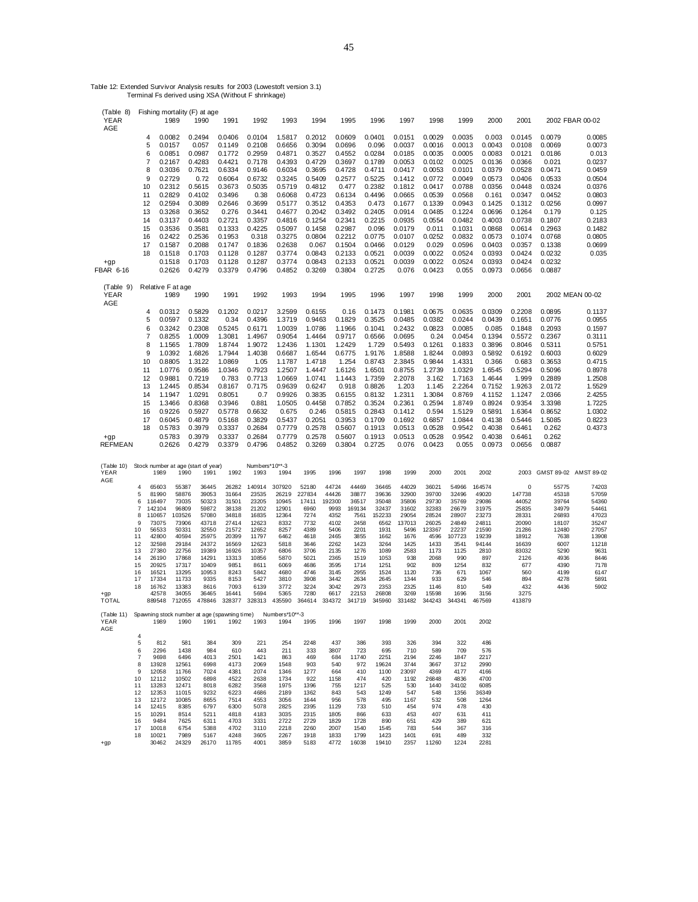Table 12: Extended Survivor Analysis results for 2003 (Lowestoft version 3.1) Terminal Fs derived using XSA (Without F shrinkage)

| (Table 8)                 |                       | Fishing mortality (F) at age        |                 |                  |                                                      |                  |                     |                  |                 |                  |                  |                  |                  |                  |                  |                  |                  |                       |
|---------------------------|-----------------------|-------------------------------------|-----------------|------------------|------------------------------------------------------|------------------|---------------------|------------------|-----------------|------------------|------------------|------------------|------------------|------------------|------------------|------------------|------------------|-----------------------|
| <b>YEAR</b><br>AGE        |                       | 1989                                |                 | 1990             | 1991                                                 | 1992             | 1993                | 1994             |                 | 1995             | 1996             | 1997             | 1998             | 1999             | 2000             | 2001             |                  | 2002 FBAR 00-02       |
|                           | 4                     | 0.0082                              |                 | 0.2494           | 0.0406                                               | 0.0104           | 1.5817              | 0.2012           |                 | 0.0609           | 0.0401           | 0.0151           | 0.0029           | 0.0035           | 0.003            | 0.0145           | 0.0079           | 0.0085                |
|                           | 5                     | 0.0157                              |                 | 0.057            | 0.1149                                               | 0.2108           | 0.6656              | 0.3094           |                 | 0.0696           | 0.096            | 0.0037           | 0.0016           | 0.0013           | 0.0043           | 0.0108           | 0.0069           | 0.0073                |
|                           | 6<br>$\overline{7}$   | 0.0851                              |                 | 0.0987<br>0.4283 | 0.1772<br>0.4421                                     | 0.2959<br>0.7178 | 0.4871              | 0.3527           |                 | 0.4552           | 0.0284<br>0.1789 | 0.0185           | 0.0035<br>0.0102 | 0.0005           | 0.0083<br>0.0136 | 0.0121<br>0.0366 | 0.0186<br>0.021  | 0.013                 |
|                           | 8                     | 0.2167<br>0.3036                    |                 | 0.7621           | 0.6334                                               | 0.9146           | 0.4393<br>0.6034    | 0.4729<br>0.3695 |                 | 0.3697<br>0.4728 | 0.4711           | 0.0053<br>0.0417 | 0.0053           | 0.0025<br>0.0101 | 0.0379           | 0.0528           | 0.0471           | 0.0237<br>0.0459      |
|                           | 9                     | 0.2729                              |                 | 0.72             | 0.6064                                               | 0.6732           | 0.3245              | 0.5409           |                 | 0.2577           | 0.5225           | 0.1412           | 0.0772           | 0.0049           | 0.0573           | 0.0406           | 0.0533           | 0.0504                |
|                           | 10                    | 0.2312                              |                 | 0.5615           | 0.3673                                               | 0.5035           | 0.5719              | 0.4812           |                 | 0.477            | 0.2382           | 0.1812           | 0.0417           | 0.0788           | 0.0356           | 0.0448           | 0.0324           | 0.0376                |
|                           | 11                    | 0.2829                              |                 | 0.4102           | 0.3496                                               | 0.38             | 0.6068              | 0.4723           |                 | 0.6134           | 0.4496           | 0.0665           | 0.0539           | 0.0568           | 0.161            | 0.0347           | 0.0452           | 0.0803                |
|                           | 12                    | 0.2594                              |                 | 0.3089           | 0.2646                                               | 0.3699           | 0.5177              | 0.3512           |                 | 0.4353           | 0.473            | 0.1677           | 0.1339           | 0.0943           | 0.1425           | 0.1312           | 0.0256           | 0.0997                |
|                           | 13<br>14              | 0.3268<br>0.3137                    |                 | 0.3652<br>0.4403 | 0.276<br>0.2721                                      | 0.3441<br>0.3357 | 0.4677<br>0.4816    | 0.2042<br>0.1254 |                 | 0.3492<br>0.2341 | 0.2405<br>0.2215 | 0.0914<br>0.0935 | 0.0485<br>0.0554 | 0.1224<br>0.0482 | 0.0696<br>0.4003 | 0.1264<br>0.0738 | 0.179<br>0.1807  | 0.125<br>0.2183       |
|                           | 15                    | 0.3536                              |                 | 0.3581           | 0.1333                                               | 0.4225           | 0.5097              | 0.1458           |                 | 0.2987           | 0.096            | 0.0179           | 0.011            | 0.1031           | 0.0868           | 0.0614           | 0.2963           | 0.1482                |
|                           | 16                    | 0.2422                              |                 | 0.2536           | 0.1953                                               | 0.318            | 0.3275              | 0.0804           |                 | 0.2212           | 0.0775           | 0.0107           | 0.0252           | 0.0832           | 0.0573           | 0.1074           | 0.0768           | 0.0805                |
|                           | 17                    | 0.1587                              |                 | 0.2088           | 0.1747                                               | 0.1836           | 0.2638              | 0.067            |                 | 0.1504           | 0.0466           | 0.0129           | 0.029            | 0.0596           | 0.0403           | 0.0357           | 0.1338           | 0.0699                |
|                           | 18                    | 0.1518                              |                 | 0.1703           | 0.1128                                               | 0.1287           | 0.3774              | 0.0843           |                 | 0.2133           | 0.0521           | 0.0039           | 0.0022           | 0.0524           | 0.0393           | 0.0424           | 0.0232           | 0.035                 |
| $+qp$<br><b>FBAR 6-16</b> |                       | 0.1518<br>0.2626                    |                 | 0.1703<br>0.4279 | 0.1128<br>0.3379                                     | 0.1287<br>0.4796 | 0.3774<br>0.4852    | 0.0843<br>0.3269 |                 | 0.2133<br>0.3804 | 0.0521<br>0.2725 | 0.0039<br>0.076  | 0.0022<br>0.0423 | 0.0524<br>0.055  | 0.0393<br>0.0973 | 0.0424<br>0.0656 | 0.0232<br>0.0887 |                       |
|                           |                       |                                     |                 |                  |                                                      |                  |                     |                  |                 |                  |                  |                  |                  |                  |                  |                  |                  |                       |
| (Table 9)                 |                       | Relative F at age                   |                 |                  |                                                      |                  |                     |                  |                 |                  |                  |                  |                  |                  |                  |                  |                  |                       |
| <b>YEAR</b><br>AGE        |                       | 1989                                |                 | 1990             | 1991                                                 | 1992             | 1993                | 1994             |                 | 1995             | 1996             | 1997             | 1998             | 1999             | 2000             | 2001             |                  | 2002 MEAN 00-02       |
|                           | 4                     | 0.0312                              |                 | 0.5829           | 0.1202                                               | 0.0217           | 3.2599              | 0.6155           |                 | 0.16             | 0.1473           | 0.1981           | 0.0675           | 0.0635           | 0.0309           | 0.2208           | 0.0895           | 0.1137                |
|                           | 5                     | 0.0597                              |                 | 0.1332           | 0.34                                                 | 0.4396           | 1.3719              | 0.9463           |                 | 0.1829           | 0.3525           | 0.0485           | 0.0382           | 0.0244           | 0.0439           | 0.1651           | 0.0776           | 0.0955                |
|                           | 6                     | 0.3242                              |                 | 0.2308           | 0.5245                                               | 0.6171           | 1.0039              | 1.0786           |                 | 1.1966           | 0.1041           | 0.2432           | 0.0823<br>0.24   | 0.0085           | 0.085            | 0.1848           | 0.2093           | 0.1597                |
|                           | 7<br>8                | 0.8255<br>1.1565                    |                 | 1.0009<br>1.7809 | 1.3081<br>1.8744                                     | 1.4967<br>1.9072 | 0.9054<br>1.2436    | 1.4464<br>1.1301 |                 | 0.9717<br>1.2429 | 0.6566<br>1.729  | 0.0695<br>0.5493 | 0.1261           | 0.0454<br>0.1833 | 0.1394<br>0.3896 | 0.5572<br>0.8046 | 0.2367<br>0.5311 | 0.3111<br>0.5751      |
|                           | 9                     | 1.0392                              |                 | 1.6826           | 1.7944                                               | 1.4038           | 0.6687              | 1.6544           |                 | 0.6775           | 1.9176           | 1.8588           | 1.8244           | 0.0893           | 0.5892           | 0.6192           | 0.6003           | 0.6029                |
|                           | 10                    | 0.8805                              |                 | 1.3122           | 1.0869                                               | 1.05             | 1.1787              | 1.4718           |                 | 1.254            | 0.8743           | 2.3845           | 0.9844           | 1.4331           | 0.366            | 0.683            | 0.3653           | 0.4715                |
|                           | 11                    | 1.0776                              |                 | 0.9586           | 1.0346                                               | 0.7923           | 1.2507              | 1.4447           |                 | 1.6126           | 1.6501           | 0.8755           | 1.2739           | 1.0329           | 1.6545           | 0.5294           | 0.5096           | 0.8978                |
|                           | 12                    | 0.9881                              |                 | 0.7219           | 0.783                                                | 0.7713           | 1.0669              | 1.0741           |                 | 1.1443           | 1.7359           | 2.2078           | 3.162            | 1.7163           | 1.4644           | 1.999            | 0.2889           | 1.2508                |
|                           | 13<br>14              | 1.2445<br>1.1947                    |                 | 0.8534<br>1.0291 | 0.8167<br>0.8051                                     | 0.7175<br>0.7    | 0.9639<br>0.9926    | 0.6247<br>0.3835 |                 | 0.918<br>0.6155  | 0.8826<br>0.8132 | 1.203<br>1.2311  | 1.145<br>1.3084  | 2.2264<br>0.8769 | 0.7152<br>4.1152 | 1.9263<br>1.1247 | 2.0172<br>2.0366 | 1.5529<br>2.4255      |
|                           | 15                    | 1.3466                              |                 | 0.8368           | 0.3946                                               | 0.881            | 1.0505              | 0.4458           |                 | 0.7852           | 0.3524           | 0.2361           | 0.2594           | 1.8749           | 0.8924           | 0.9354           | 3.3398           | 1.7225                |
|                           | 16                    | 0.9226                              |                 | 0.5927           | 0.5778                                               | 0.6632           | 0.675               | 0.246            |                 | 0.5815           | 0.2843           | 0.1412           | 0.594            | 1.5129           | 0.5891           | 1.6364           | 0.8652           | 1.0302                |
|                           | 17                    | 0.6045                              |                 | 0.4879           | 0.5168                                               | 0.3829           | 0.5437              | 0.2051           |                 | 0.3953           | 0.1709           | 0.1692           | 0.6857           | 1.0844           | 0.4138           | 0.5446           | 1.5085           | 0.8223                |
|                           | 18                    | 0.5783                              |                 | 0.3979           | 0.3337                                               | 0.2684           | 0.7779              | 0.2578           |                 | 0.5607           | 0.1913           | 0.0513           | 0.0528           | 0.9542           | 0.4038           | 0.6461           | 0.262            | 0.4373                |
| $+qp$<br><b>REFMEAN</b>   |                       | 0.5783<br>0.2626                    |                 | 0.3979<br>0.4279 | 0.3337<br>0.3379                                     | 0.2684<br>0.4796 | 0.7779<br>0.4852    | 0.2578<br>0.3269 |                 | 0.5607<br>0.3804 | 0.1913<br>0.2725 | 0.0513<br>0.076  | 0.0528<br>0.0423 | 0.9542<br>0.055  | 0.4038<br>0.0973 | 0.6461<br>0.0656 | 0.262<br>0.0887  |                       |
|                           |                       |                                     |                 |                  |                                                      |                  |                     |                  |                 |                  |                  |                  |                  |                  |                  |                  |                  |                       |
| (Table 10)                |                       | Stock number at age (start of year) |                 |                  |                                                      | Numbers*10**-3   |                     |                  |                 |                  |                  |                  |                  |                  |                  |                  |                  |                       |
| YEAR<br>AGE               |                       | 1989                                | 1990            | 1991             | 1992                                                 | 1993             | 1994                | 1995             | 1996            | 1997             | 1998             | 1999             | 2000             | 2001             | 2002             | 2003             |                  | GMST 89-02 AMST 89-02 |
|                           | 4                     | 65603                               | 55387           | 36445            | 26282                                                | 140914           | 307920              | 52180            | 44724           | 44469            | 36465            | 44029            | 36021            | 54966            | 164574           | 0                | 55775            | 74203                 |
|                           | 5<br>6                | 81990<br>116497                     | 58876<br>73035  | 39053<br>50323   | 31664<br>31501                                       | 23535<br>23205   | 26219<br>10945      | 227834<br>17411  | 44426<br>192300 | 38877<br>36517   | 39636<br>35048   | 32900<br>35806   | 39700<br>29730   | 32496<br>35769   | 49020<br>29086   | 147738<br>44052  | 45318<br>39764   | 57059<br>54360        |
|                           | $\overline{7}$        | 142104                              | 96809           | 59872            | 38138                                                | 21202            | 12901               | 6960             | 9993            | 169134           | 32437            | 31602            | 32383            | 26679            | 31975            | 25835            | 34979            | 54461                 |
|                           | 8                     | 110657                              | 103526          | 57080            | 34818                                                | 16835            | 12364               | 7274             | 4352            | 7561             | 152233           | 29054            | 28524            | 28907            | 23273            | 28331            | 26893            | 47023                 |
|                           | 9<br>10               | 73075<br>56533                      | 73906<br>50331  | 43718<br>32550   | 27414<br>21572                                       | 12623<br>12652   | 8332<br>8257        | 7732<br>4389     | 4102<br>5406    | 2458<br>2201     | 6562<br>1931     | 137013<br>5496   | 26025<br>123367  | 24849<br>22237   | 24811<br>21590   | 20090<br>21286   | 18107<br>12480   | 35247<br>27057        |
|                           | 11                    | 42800                               | 40594           | 25975            | 20399                                                | 11797            | 6462                | 4618             | 2465            | 3855             | 1662             | 1676             | 4596             | 107723           | 19239            | 18912            | 7638             | 13908                 |
|                           | 12<br>13              | 32598<br>27380                      | 29184<br>22756  | 24372<br>19389   | 16569<br>16926                                       | 12623<br>10357   | 5818<br>6806        | 3646<br>3706     | 2262<br>2135    | 1423<br>1276     | 3264<br>1089     | 1425<br>2583     | 1433<br>1173     | 3541<br>1125     | 94144<br>2810    | 16639<br>83032   | 6007<br>5290     | 11218<br>9631         |
|                           | 14                    | 26190                               | 17868           | 14291            | 13313                                                | 10856            | 5870                | 5021             | 2365            | 1519             | 1053             | 938              | 2068             | 990              | 897              | 2126             | 4936             | 8446                  |
|                           | 15                    | 20925                               | 17317           | 10409            | 9851                                                 | 8611             | 6069                | 4686             | 3595            | 1714             | 1251             | 902              | 809              | 1254             | 832              | 677              | 4390             | 7178                  |
|                           | 16<br>17              | 16521<br>17334                      | 13295<br>11733  | 10953<br>9335    | 8243<br>8153                                         | 5842<br>5427     | 4680<br>3810        | 4746<br>3908     | 3145<br>3442    | 2955<br>2634     | 1524<br>2645     | 1120<br>1344     | 736<br>933       | 671<br>629       | 1067<br>546      | 560<br>894       | 4199<br>4278     | 6147<br>5891          |
|                           | 18                    | 16762                               | 13383           | 8616             | 7093                                                 | 6139             | 3772                | 3224             | 3042            | 2973             | 2353             | 2325             | 1146             | 810              | 549              | 432              | 4436             | 5902                  |
| +gp<br><b>TOTAL</b>       |                       | 42578<br>889548                     | 34055<br>712055 | 36465<br>478846  | 16441<br>328377                                      | 5694<br>328313   | 5365<br>435590      | 7280<br>364614   | 6617<br>334372  | 22153<br>341719  | 26808<br>345960  | 3269<br>331482   | 15598<br>344243  | 1696<br>344341   | 3156<br>467569   | 3275<br>413879   |                  |                       |
|                           |                       |                                     |                 |                  |                                                      |                  |                     |                  |                 |                  |                  |                  |                  |                  |                  |                  |                  |                       |
| (lable 11)<br>YEAR        |                       | 1989                                | 1990            | 1991             | Spawning stock number at age (spawning time)<br>1992 | 1993             | Numbers*10'<br>1994 | -3<br>1995       | 1996            | 1997             | 1998             | 1999             | 2000             | 2001             | 2002             |                  |                  |                       |
| AGE                       | 4                     |                                     |                 |                  |                                                      |                  |                     |                  |                 |                  |                  |                  |                  |                  |                  |                  |                  |                       |
|                           | 5                     | 812                                 | 581             | 384              | 309                                                  | 221              | 254                 | 2248             | 437             | 386              | 393              | 326              | 394              | 322              | 486              |                  |                  |                       |
|                           | 6<br>$\boldsymbol{7}$ | 2296<br>9698                        | 1438<br>6496    | 984<br>4013      | 610<br>2501                                          | 443<br>1421      | 211<br>863          | 333<br>469       | 3807<br>684     | 723<br>11740     | 695<br>2251      | 710<br>2194      | 589<br>2246      | 709<br>1847      | 576<br>2217      |                  |                  |                       |
|                           | 8                     | 13928                               | 12561           | 6998             | 4173                                                 | 2069             | 1548                | 903              | 540             | 972              | 19624            | 3744             | 3667             | 3712             | 2990             |                  |                  |                       |
|                           | 9<br>10               | 12058<br>12112                      | 11766<br>10502  | 7024<br>6898     | 4381<br>4522                                         | 2074<br>2638     | 1346<br>1734        | 1277<br>922      | 664<br>1158     | 410<br>474       | 1100<br>420      | 23097<br>1192    | 4369<br>26848    | 4177<br>4836     | 4166<br>4700     |                  |                  |                       |
|                           | 11                    | 13283                               | 12471           | 8018             | 6282                                                 | 3568             | 1975                | 1396             | 755             | 1217             | 525              | 530              | 1440             | 34102            | 6085             |                  |                  |                       |
|                           | 12<br>13              | 12353<br>12172                      | 11015<br>10085  | 9232<br>8655     | 6223<br>7514                                         | 4686<br>4553     | 2189<br>3056        | 1362<br>1644     | 843<br>956      | 543<br>578       | 1249<br>495      | 547<br>1167      | 548<br>532       | 1356<br>508      | 36349<br>1264    |                  |                  |                       |
|                           | 14                    | 12415                               | 8385            | 6797             | 6300                                                 | 5078             | 2825                | 2395             | 1129            | 733              | 510              | 454              | 974              | 478              | 430              |                  |                  |                       |
|                           | 15                    | 10291                               | 8514            | 5211             | 4818                                                 | 4183             | 3035                | 2315             | 1805            | 866              | 633              | 453              | 407              | 631              | 411              |                  |                  |                       |
|                           | 16<br>17              | 9484<br>10018                       | 7625<br>6754    | 6311<br>5388     | 4703<br>4702                                         | 3331<br>3110     | 2722<br>2218        | 2729<br>2260     | 1829<br>2007    | 1728<br>1540     | 890<br>1545      | 651<br>783       | 429<br>544       | 389<br>367       | 621<br>316       |                  |                  |                       |
|                           | 18                    | 10021                               | 7989            | 5167             | 4248                                                 | 3605             | 2267                | 1918             | 1833            | 1799             | 1423             | 1401             | 691              | 489              | 332              |                  |                  |                       |
| $+gp$                     |                       | 30462                               | 24329           | 26170            | 11785                                                | 4001             | 3859                | 5183             | 4772            | 16038            | 19410            | 2357             | 11260            | 1224             | 2281             |                  |                  |                       |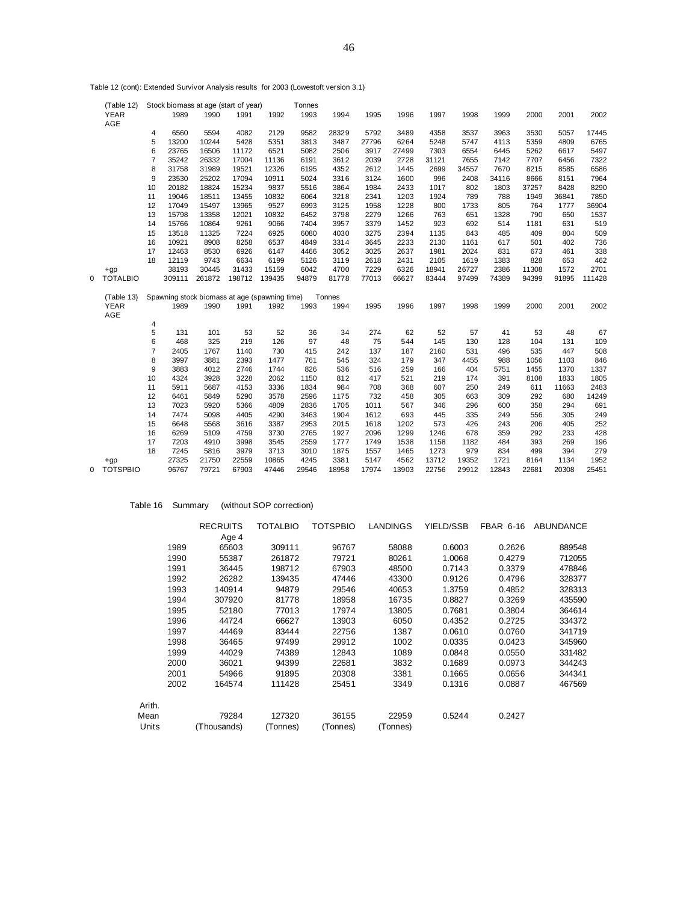Table 12 (cont): Extended Survivor Analysis results for 2003 (Lowestoft version 3.1)

|   | (Table 12)         |                |        | Stock biomass at age (start of year) |        |                                               | Tonnes |        |       |       |       |       |       |       |       |        |
|---|--------------------|----------------|--------|--------------------------------------|--------|-----------------------------------------------|--------|--------|-------|-------|-------|-------|-------|-------|-------|--------|
|   | <b>YEAR</b><br>AGE |                | 1989   | 1990                                 | 1991   | 1992                                          | 1993   | 1994   | 1995  | 1996  | 1997  | 1998  | 1999  | 2000  | 2001  | 2002   |
|   |                    | 4              | 6560   | 5594                                 | 4082   | 2129                                          | 9582   | 28329  | 5792  | 3489  | 4358  | 3537  | 3963  | 3530  | 5057  | 17445  |
|   |                    | 5              | 13200  | 10244                                | 5428   | 5351                                          | 3813   | 3487   | 27796 | 6264  | 5248  | 5747  | 4113  | 5359  | 4809  | 6765   |
|   |                    | 6              | 23765  | 16506                                | 11172  | 6521                                          | 5082   | 2506   | 3917  | 27499 | 7303  | 6554  | 6445  | 5262  | 6617  | 5497   |
|   |                    | $\overline{7}$ | 35242  | 26332                                | 17004  | 11136                                         | 6191   | 3612   | 2039  | 2728  | 31121 | 7655  | 7142  | 7707  | 6456  | 7322   |
|   |                    | 8              | 31758  | 31989                                | 19521  | 12326                                         | 6195   | 4352   | 2612  | 1445  | 2699  | 34557 | 7670  | 8215  | 8585  | 6586   |
|   |                    | 9              | 23530  | 25202                                | 17094  | 10911                                         | 5024   | 3316   | 3124  | 1600  | 996   | 2408  | 34116 | 8666  | 8151  | 7964   |
|   |                    | 10             | 20182  | 18824                                | 15234  | 9837                                          | 5516   | 3864   | 1984  | 2433  | 1017  | 802   | 1803  | 37257 | 8428  | 8290   |
|   |                    | 11             | 19046  | 18511                                | 13455  | 10832                                         | 6064   | 3218   | 2341  | 1203  | 1924  | 789   | 788   | 1949  | 36841 | 7850   |
|   |                    | 12             | 17049  | 15497                                | 13965  | 9527                                          | 6993   | 3125   | 1958  | 1228  | 800   | 1733  | 805   | 764   | 1777  | 36904  |
|   |                    | 13             | 15798  | 13358                                | 12021  | 10832                                         | 6452   | 3798   | 2279  | 1266  | 763   | 651   | 1328  | 790   | 650   | 1537   |
|   |                    | 14             | 15766  | 10864                                | 9261   | 9066                                          | 7404   | 3957   | 3379  | 1452  | 923   | 692   | 514   | 1181  | 631   | 519    |
|   |                    | 15             | 13518  | 11325                                | 7224   | 6925                                          | 6080   | 4030   | 3275  | 2394  | 1135  | 843   | 485   | 409   | 804   | 509    |
|   |                    | 16             | 10921  | 8908                                 | 8258   | 6537                                          | 4849   | 3314   | 3645  | 2233  | 2130  | 1161  | 617   | 501   | 402   | 736    |
|   |                    | 17             | 12463  | 8530                                 | 6926   | 6147                                          | 4466   | 3052   | 3025  | 2637  | 1981  | 2024  | 831   | 673   | 461   | 338    |
|   |                    | 18             | 12119  | 9743                                 | 6634   | 6199                                          | 5126   | 3119   | 2618  | 2431  | 2105  | 1619  | 1383  | 828   | 653   | 462    |
|   | $+qp$              |                | 38193  | 30445                                | 31433  | 15159                                         | 6042   | 4700   | 7229  | 6326  | 18941 | 26727 | 2386  | 11308 | 1572  | 2701   |
| 0 | <b>TOTALBIO</b>    |                | 309111 | 261872                               | 198712 | 139435                                        | 94879  | 81778  | 77013 | 66627 | 83444 | 97499 | 74389 | 94399 | 91895 | 111428 |
|   | (Table 13)         |                |        |                                      |        | Spawning stock biomass at age (spawning time) |        | Tonnes |       |       |       |       |       |       |       |        |
|   | <b>YEAR</b><br>AGE |                | 1989   | 1990                                 | 1991   | 1992                                          | 1993   | 1994   | 1995  | 1996  | 1997  | 1998  | 1999  | 2000  | 2001  | 2002   |
|   |                    | 4              |        |                                      |        |                                               |        |        |       |       |       |       |       |       |       |        |
|   |                    | 5              | 131    | 101                                  | 53     | 52                                            | 36     | 34     | 274   | 62    | 52    | 57    | 41    | 53    | 48    | 67     |
|   |                    | 6              | 468    | 325                                  | 219    | 126                                           | 97     | 48     | 75    | 544   | 145   | 130   | 128   | 104   | 131   | 109    |
|   |                    | $\overline{7}$ | 2405   | 1767                                 | 1140   | 730                                           | 415    | 242    | 137   | 187   | 2160  | 531   | 496   | 535   | 447   | 508    |
|   |                    | 8              | 3997   | 3881                                 | 2393   | 1477                                          | 761    | 545    | 324   | 179   | 347   | 4455  | 988   | 1056  | 1103  | 846    |
|   |                    | 9              | 3883   | 4012                                 | 2746   | 1744                                          | 826    | 536    | 516   | 259   | 166   | 404   | 5751  | 1455  | 1370  | 1337   |
|   |                    | 10             | 4324   | 3928                                 | 3228   | 2062                                          | 1150   | 812    | 417   | 521   | 219   | 174   | 391   | 8108  | 1833  | 1805   |
|   |                    | 11             | 5911   | 5687                                 | 4153   | 3336                                          | 1834   | 984    | 708   | 368   | 607   | 250   | 249   | 611   | 11663 | 2483   |
|   |                    | 12             | 6461   | 5849                                 | 5290   | 3578                                          | 2596   | 1175   | 732   | 458   | 305   | 663   | 309   | 292   | 680   | 14249  |
|   |                    | 13             | 7023   | 5920                                 | 5366   | 4809                                          | 2836   | 1705   | 1011  | 567   | 346   | 296   | 600   | 358   | 294   | 691    |
|   |                    | 14             | 7474   | 5098                                 | 4405   | 4290                                          | 3463   | 1904   | 1612  | 693   | 445   | 335   | 249   | 556   | 305   | 249    |
|   |                    | 15             | 6648   | 5568                                 | 3616   | 3387                                          | 2953   | 2015   | 1618  | 1202  | 573   | 426   | 243   | 206   | 405   | 252    |
|   |                    | 16             | 6269   | 5109                                 | 4759   | 3730                                          | 2765   | 1927   | 2096  | 1299  | 1246  | 678   | 359   | 292   | 233   | 428    |
|   |                    | 17             | 7203   | 4910                                 | 3998   | 3545                                          | 2559   | 1777   | 1749  | 1538  | 1158  | 1182  | 484   | 393   | 269   | 196    |
|   |                    | 18             | 7245   | 5816                                 | 3979   | 3713                                          | 3010   | 1875   | 1557  | 1465  | 1273  | 979   | 834   | 499   | 394   | 279    |
|   | $+qp$              |                | 27325  | 21750                                | 22559  | 10865                                         | 4245   | 3381   | 5147  | 4562  | 13712 | 19352 | 1721  | 8164  | 1134  | 1952   |
| 0 | <b>TOTSPBIO</b>    |                | 96767  | 79721                                | 67903  | 47446                                         | 29546  | 18958  | 17974 | 13903 | 22756 | 29912 | 12843 | 22681 | 20308 | 25451  |

Table 16 Summary (without SOP correction)

|        |      | <b>RECRUITS</b> | <b>TOTALBIO</b> | <b>TOTSPBIO</b> | <b>LANDINGS</b> | YIELD/SSB | <b>FBAR 6-16</b> | ABUNDANCE |
|--------|------|-----------------|-----------------|-----------------|-----------------|-----------|------------------|-----------|
|        | 1989 | Age 4<br>65603  | 309111          | 96767           | 58088           | 0.6003    | 0.2626           | 889548    |
|        | 1990 | 55387           | 261872          | 79721           | 80261           | 1.0068    | 0.4279           | 712055    |
|        | 1991 | 36445           | 198712          | 67903           | 48500           | 0.7143    | 0.3379           | 478846    |
|        | 1992 | 26282           | 139435          | 47446           | 43300           | 0.9126    | 0.4796           | 328377    |
|        | 1993 | 140914          | 94879           | 29546           | 40653           | 1.3759    | 0.4852           | 328313    |
|        | 1994 | 307920          | 81778           | 18958           | 16735           | 0.8827    | 0.3269           | 435590    |
|        | 1995 | 52180           | 77013           | 17974           | 13805           | 0.7681    | 0.3804           | 364614    |
|        | 1996 | 44724           | 66627           | 13903           | 6050            | 0.4352    | 0.2725           | 334372    |
|        | 1997 | 44469           | 83444           | 22756           | 1387            | 0.0610    | 0.0760           | 341719    |
|        | 1998 | 36465           | 97499           | 29912           | 1002            | 0.0335    | 0.0423           | 345960    |
|        | 1999 | 44029           | 74389           | 12843           | 1089            | 0.0848    | 0.0550           | 331482    |
|        | 2000 | 36021           | 94399           | 22681           | 3832            | 0.1689    | 0.0973           | 344243    |
|        | 2001 | 54966           | 91895           | 20308           | 3381            | 0.1665    | 0.0656           | 344341    |
|        | 2002 | 164574          | 111428          | 25451           | 3349            | 0.1316    | 0.0887           | 467569    |
| Arith. |      |                 |                 |                 |                 |           |                  |           |
| Mean   |      | 79284           | 127320          | 36155           | 22959           | 0.5244    | 0.2427           |           |
| Units  |      | (Thousands)     | (Tonnes)        | (Tonnes)        | (Tonnes)        |           |                  |           |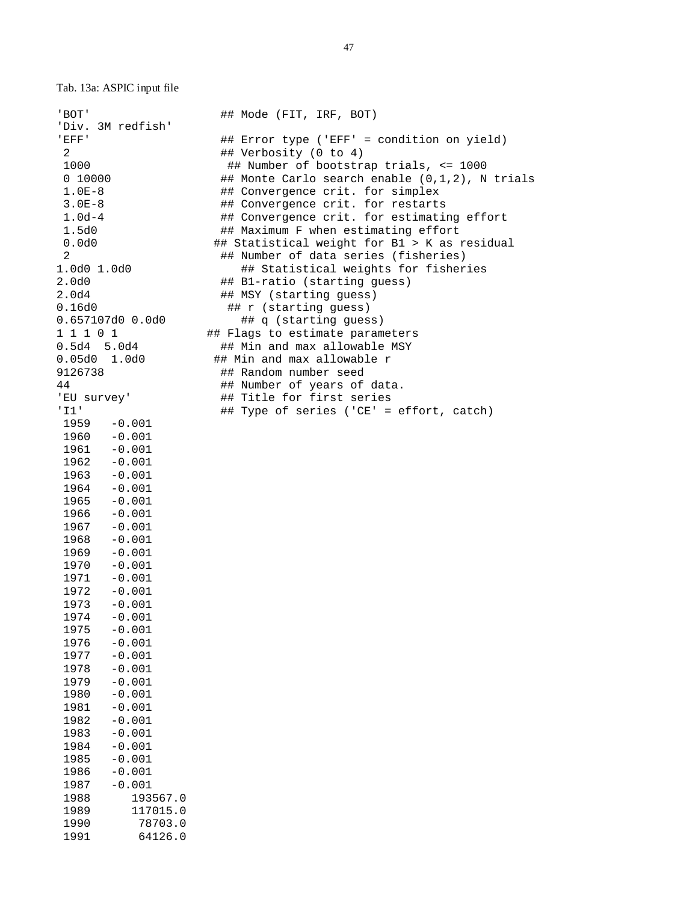Tab. 13a: ASPIC input file

'BOT' ## Mode (FIT, IRF, BOT) 'Div. 3M redfish' 'EFF'  $\qquad$  ## Error type ('EFF' = condition on yield) 2 **## Verbosity (0 to 4)**  1000 ## Number of bootstrap trials, <= 1000 0 10000 ## Monte Carlo search enable (0,1,2), N trials 1.0E-8 ## Convergence crit. for simplex 3.0E-8 ## Convergence crit. for restarts 1.0d-4 ## Convergence crit. for estimating effort 1.5d0 ## Maximum F when estimating effort 0.0d0 ## Statistical weight for B1 > K as residual 2 **## Number of data series (fisheries)** 1.0d0 1.0d0 ## Statistical weights for fisheries 2.0d0 ## B1-ratio (starting guess) 2.0d4 ## MSY (starting guess) 0.16d0 ## r (starting guess) ## q (starting guess) 1 1 1 0 1  $\#$  Flags to estimate parameters 0.5d4 5.0d4 ## Min and max allowable MSY 0.05d0 1.0d0 ## Min and max allowable r 9126738 ## Random number seed 44 ## Number of years of data.<br>EU survey' ## Title for first series ## Title for first series 'I1' ## Type of series ('CE' = effort, catch) 1959 -0.001 1960 -0.001 1961 -0.001 1962 -0.001 1963 -0.001 1964 -0.001 1965 -0.001 1966 -0.001 1967 -0.001 1968 -0.001 1969 -0.001 1970 -0.001<br>1971 -0.001  $-0.001$  1972 -0.001 1973 -0.001 1974 -0.001 1975 -0.001 1976 -0.001 1977 -0.001 1978 -0.001 1979 -0.001<br>1980 -0.001  $-0.001$  1981 -0.001 1982 -0.001 1983 -0.001 1984 -0.001 1985 -0.001 1986 -0.001 1987 -0.001 1988 193567.0 1989 117015.0 1990 78703.0 1991 64126.0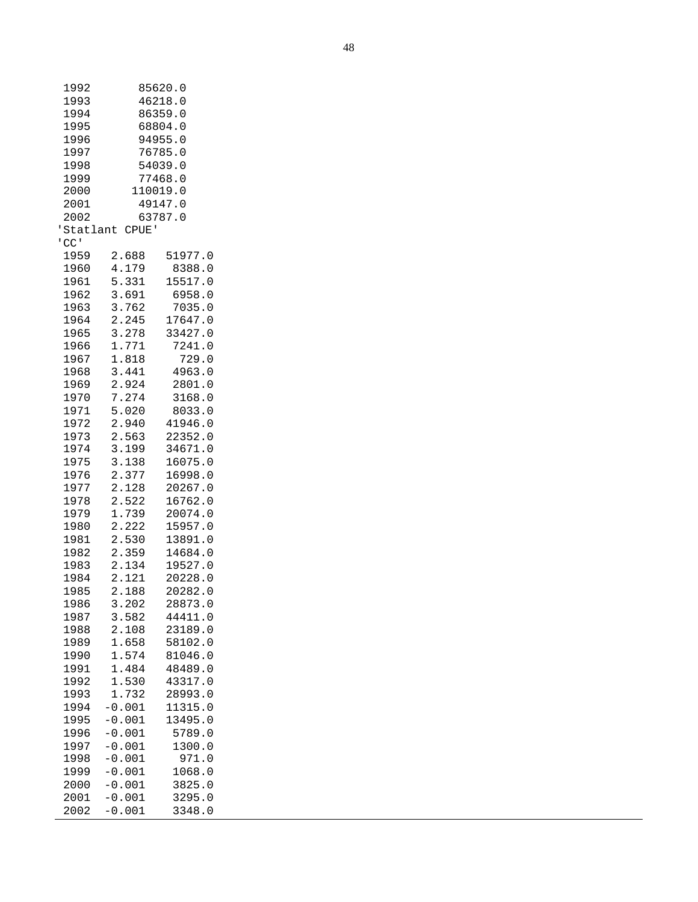| 1992                    |          | 85620.0  |         |
|-------------------------|----------|----------|---------|
| 1993                    |          | 46218.0  |         |
| 1994                    |          | 86359.0  |         |
| 1995                    |          | 68804.0  |         |
| 1996                    |          | 94955.0  |         |
| 1997                    |          | 76785.0  |         |
| 1998                    |          | 54039.0  |         |
| 1999                    |          | 77468.0  |         |
| 2000                    |          | 110019.0 |         |
| 2001                    |          | 49147.0  |         |
| 2002<br>'Statlant CPUE' |          | 63787.0  |         |
| 'CC'                    |          |          |         |
| 1959                    | 2.688    |          | 51977.0 |
| 1960                    | 4.179    |          | 8388.0  |
| 1961                    | 5.331    |          | 15517.0 |
| 1962                    | 3.691    |          | 6958.0  |
| 1963                    | 3.762    |          | 7035.0  |
| 1964                    | 2.245    |          | 17647.0 |
| 1965                    | 3.278    |          | 33427.0 |
| 1966                    | 1.771    |          | 7241.0  |
| 1967                    | 1.818    |          | 729.0   |
| 1968                    | 3.441    |          | 4963.0  |
| 1969                    | 2.924    |          | 2801.0  |
| 1970                    | 7.274    |          | 3168.0  |
| 1971                    | 5.020    |          | 8033.0  |
| 1972                    | 2.940    |          | 41946.0 |
| 1973                    | 2.563    |          | 22352.0 |
| 1974                    | 3.199    |          | 34671.0 |
| 1975                    | 3.138    |          | 16075.0 |
| 1976                    | 2.377    |          | 16998.0 |
| 1977                    | 2.128    |          | 20267.0 |
| 1978                    | 2.522    |          | 16762.0 |
| 1979                    | 1.739    |          | 20074.0 |
| 1980                    | 2.222    |          | 15957.0 |
| 1981                    | 2.530    |          | 13891.0 |
| 1982                    | 2.359    |          | 14684.0 |
| 1983                    | 2.134    |          | 19527.0 |
| 1984                    | 2.121    |          | 20228.0 |
| 1985                    | 2.188    |          | 20282.0 |
| 1986                    | 3.202    |          | 28873.0 |
| 1987                    | 3.582    |          | 44411.0 |
| 1988                    | 2.108    |          | 23189.0 |
| 1989                    | 1.658    |          | 58102.0 |
| 1990                    | 1.574    |          | 81046.0 |
| 1991                    | 1.484    |          | 48489.0 |
| 1992                    | 1.530    |          | 43317.0 |
| 1993                    | 1.732    |          | 28993.0 |
| 1994                    | $-0.001$ |          | 11315.0 |
| 1995                    | $-0.001$ |          | 13495.0 |
| 1996                    | $-0.001$ |          | 5789.0  |
| 1997                    | $-0.001$ |          | 1300.0  |
| 1998                    | $-0.001$ |          | 971.0   |
| 1999                    | $-0.001$ |          | 1068.0  |
| 2000                    | $-0.001$ |          | 3825.0  |
| 2001                    | $-0.001$ |          | 3295.0  |
| 2002                    | $-0.001$ |          | 3348.0  |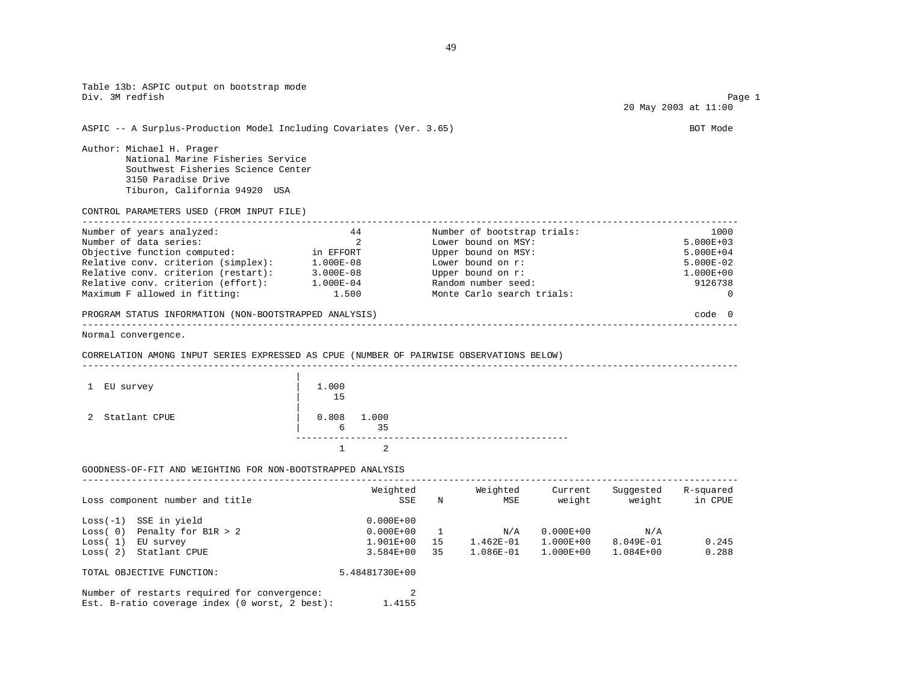Table 13b: ASPIC output on bootstrap mode Div. 3M redfish Page 1 20 May 2003 at 11:00 ASPIC -- A Surplus-Production Model Including Covariates (Ver. 3.65) SOT Mode Author: Michael H. Prager National Marine Fisheries Service Southwest Fisheries Science Center 3150 Paradise Drive Tiburon, California 94920 USA CONTROL PARAMETERS USED (FROM INPUT FILE) ------------------------------------------------------------------------------------------------------------------------ Number of years analyzed: 44 Number of bootstrap trials: 1000 Number of data series: 2 Lower bound on MSY: 5.000E+03 Objective function computed: in EFFORT Upper bound on MSY: 5.000E+04 Relative conv. criterion (simplex): 1.000E-08 Lower bound on r: 5.000E-02 Relative conv. criterion (restart): 3.000E-08 Upper bound on r: 1.000E+00 Relative conv. criterion (effort): 1.000E-04 Random number seed: 9126738 Maximum F allowed in fitting: 1.500 Monte Carlo search trials: 0 PROGRAM STATUS INFORMATION (NON-BOOTSTRAPPED ANALYSIS) code 0 ------------------------------------------------------------------------------------------------------------------------ Normal convergence. CORRELATION AMONG INPUT SERIES EXPRESSED AS CPUE (NUMBER OF PAIRWISE OBSERVATIONS BELOW) ------------------------------------------------------------------------------------------------------------------------ | 1 EU survey 1 1.000 | 15 | 2 Statlant CPUE | 0.808 1.000 | 6 35 -------------------------------------------------- 1 2 GOODNESS-OF-FIT AND WEIGHTING FOR NON-BOOTSTRAPPED ANALYSIS ------------------------------------------------------------------------------------------------------------------------ Weighted Weighted Current Suggested R-squared Loss component number and title  $SSE$  N MSE weight weight in CPUE Loss(-1) SSE in yield 0.000E+00 Loss( 0) Penalty for BlR > 2 0.000E+00 1 N/A 0.000E+00 N/A Loss( 1) EU survey 1.901E+00 15 1.462E-01 1.000E+00 8.049E-01 0.245 Loss( 2) Statlant CPUE 3.584E+00 35 1.086E-01 1.000E+00 1.084E+00 0.288 TOTAL OBJECTIVE FUNCTION: 5.48481730E+00 Number of restarts required for convergence: 2 Est. B-ratio coverage index (0 worst, 2 best): 1.4155

49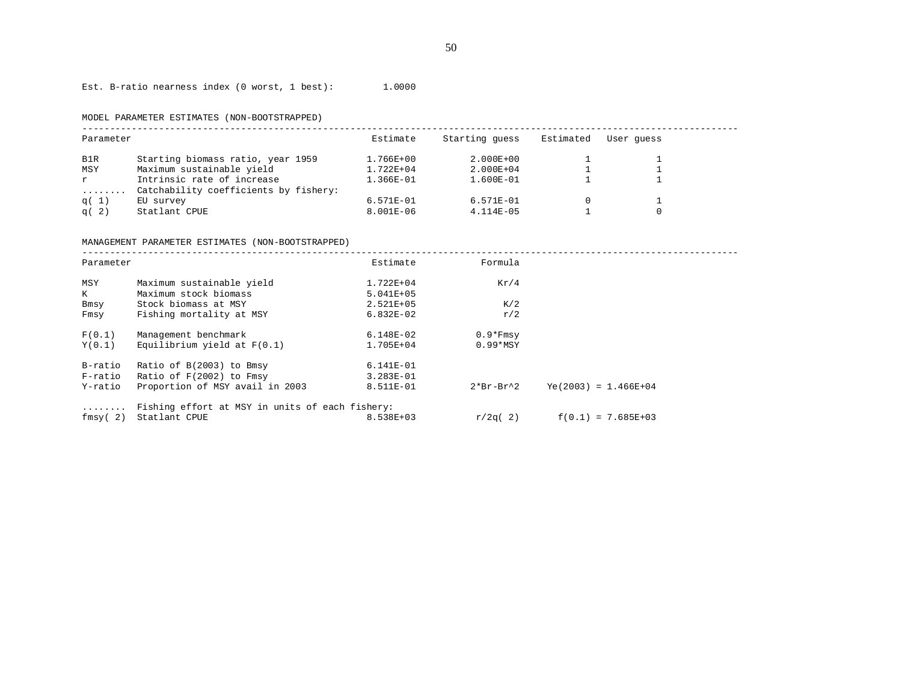Est. B-ratio nearness index (0 worst, 1 best): 1.0000

### MODEL PARAMETER ESTIMATES (NON-BOOTSTRAPPED)

| Parameter |                                       | Estimate      | Starting quess | Estimated | User quess |
|-----------|---------------------------------------|---------------|----------------|-----------|------------|
| B1R       | Starting biomass ratio, year 1959     | 1.766E+00     | $2.000E + 00$  |           |            |
| MSY       | Maximum sustainable yield             | 1.722E+04     | $2.000E + 04$  |           |            |
| r         | Intrinsic rate of increase            | $1.366E - 01$ | $1.600E - 01$  |           |            |
| $\cdots$  | Catchability coefficients by fishery: |               |                |           |            |
| q( 1)     | EU survey                             | $6.571E - 01$ | $6.571E - 01$  | 0         |            |
| q(2)      | Statlant CPUE                         | 8.001E-06     | 4.114E-05      |           | $\Omega$   |

#### MANAGEMENT PARAMETER ESTIMATES (NON-BOOTSTRAPPED)

| Parameter |                                                 | Estimate    | Formula     |                        |
|-----------|-------------------------------------------------|-------------|-------------|------------------------|
| MSY       | Maximum sustainable yield                       | 1.722E+04   | Kr/4        |                        |
| K         | Maximum stock biomass                           | 5.041E+05   |             |                        |
| Bmsy      | Stock biomass at MSY                            | $2.521E+05$ | K/2         |                        |
| Fmsy      | Fishing mortality at MSY                        | $6.832E-02$ | r/2         |                        |
| F(0,1)    | Management benchmark                            | $6.148E-02$ | $0.9*Fmsy$  |                        |
| Y(0,1)    | Equilibrium yield at $F(0,1)$                   | 1.705E+04   | $0.99*$ MSY |                        |
| B-ratio   | Ratio of B(2003) to Bmsy                        | $6.141E-01$ |             |                        |
| F-ratio   | Ratio of F(2002) to Fmsy                        | $3.283E-01$ |             |                        |
| Y-ratio   | Proportion of MSY avail in 2003                 | 8.511E-01   | $2*Br-Br^2$ | $Ye(2003) = 1.466E+04$ |
|           | Fishing effort at MSY in units of each fishery: |             |             |                        |
| fmsy(2)   | Statlant CPUE                                   | 8.538E+03   | r/2q(2)     | $f(0.1) = 7.685E+03$   |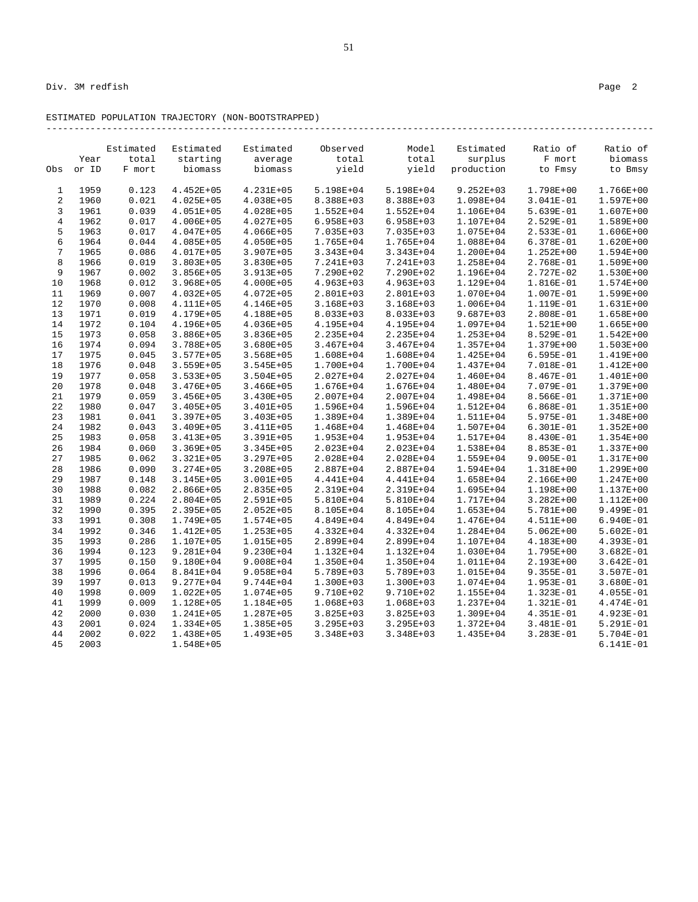ESTIMATED POPULATION TRAJECTORY (NON-BOOTSTRAPPED)

|                |       | Estimated | Estimated     | Estimated | Observed      | Model         | Estimated     | Ratio of      | Ratio of      |
|----------------|-------|-----------|---------------|-----------|---------------|---------------|---------------|---------------|---------------|
|                | Year  | total     | starting      | average   | total         | total         | surplus       | F mort        | biomass       |
| Obs            | or ID | F mort    | biomass       | biomass   | yield         | yield         | production    | to Fmsy       | to Bmsy       |
| 1              | 1959  | 0.123     | $4.452E + 05$ | 4.231E+05 | 5.198E+04     | 5.198E+04     | $9.252E + 03$ | 1.798E+00     | 1.766E+00     |
| $\overline{2}$ | 1960  | 0.021     | $4.025E + 05$ | 4.038E+05 | 8.388E+03     | 8.388E+03     | 1.098E+04     | $3.041E-01$   | $1.597E + 00$ |
| 3              | 1961  | 0.039     | $4.051E + 05$ | 4.028E+05 | $1.552E + 04$ | $1.552E + 04$ | 1.106E+04     | $5.639E-01$   | $1.607E + 00$ |
| $\overline{4}$ | 1962  | 0.017     | $4.006E + 05$ | 4.027E+05 | $6.958E + 03$ | $6.958E + 03$ | 1.107E+04     | $2.529E-01$   | 1.589E+00     |
| 5              | 1963  | 0.017     | $4.047E + 05$ | 4.066E+05 | 7.035E+03     | 7.035E+03     | 1.075E+04     | $2.533E-01$   | $1.606E + 00$ |
| 6              | 1964  | 0.044     | $4.085E + 05$ | 4.050E+05 | 1.765E+04     | 1.765E+04     | 1.088E+04     | $6.378E-01$   | $1.620E + 00$ |
| 7              | 1965  | 0.086     | $4.017E + 05$ | 3.907E+05 | 3.343E+04     | 3.343E+04     | 1.200E+04     | $1.252E+00$   | $1.594E + 00$ |
| 8              | 1966  | 0.019     | $3.803E + 05$ | 3.830E+05 | 7.241E+03     | 7.241E+03     | 1.258E+04     | 2.768E-01     | 1.509E+00     |
| 9              | 1967  | 0.002     | $3.856E + 05$ | 3.913E+05 | 7.290E+02     | 7.290E+02     | 1.196E+04     | $2.727E-02$   | 1.530E+00     |
| 10             | 1968  | 0.012     | $3.968E + 05$ | 4.000E+05 | 4.963E+03     | 4.963E+03     | 1.129E+04     | 1.816E-01     | $1.574E + 00$ |
| 11             | 1969  | 0.007     | $4.032E + 05$ | 4.072E+05 | 2.801E+03     | 2.801E+03     | 1.070E+04     | 1.007E-01     | 1.599E+00     |
| 12             | 1970  | 0.008     | 4.111E+05     | 4.146E+05 | 3.168E+03     | 3.168E+03     | 1.006E+04     | 1.119E-01     | $1.631E + 00$ |
| 13             | 1971  | 0.019     | 4.179E+05     | 4.188E+05 | 8.033E+03     | 8.033E+03     | $9.687E + 03$ | $2.808E-01$   | 1.658E+00     |
| 14             | 1972  | 0.104     | $4.196E + 05$ | 4.036E+05 | 4.195E+04     | 4.195E+04     | 1.097E+04     | $1.521E+00$   | $1.665E + 00$ |
| 15             | 1973  | 0.058     | $3.886E + 05$ | 3.836E+05 | 2.235E+04     | 2.235E+04     | $1.253E + 04$ | $8.529E-01$   | $1.542E + 00$ |
| 16             | 1974  | 0.094     | $3.788E + 05$ | 3.680E+05 | 3.467E+04     | 3.467E+04     | 1.357E+04     | 1.379E+00     | $1.503E + 00$ |
| 17             | 1975  | 0.045     | $3.577E + 05$ | 3.568E+05 | 1.608E+04     | 1.608E+04     | 1.425E+04     | $6.595E-01$   | 1.419E+00     |
| 18             | 1976  | 0.048     | $3.559E + 05$ | 3.545E+05 | 1.700E+04     | 1.700E+04     | 1.437E+04     | 7.018E-01     | 1.412E+00     |
| 19             | 1977  | 0.058     | $3.533E + 05$ | 3.504E+05 | 2.027E+04     | 2.027E+04     | 1.460E+04     | 8.467E-01     | 1.401E+00     |
| 20             | 1978  | 0.048     | $3.476E + 05$ | 3.466E+05 | 1.676E+04     | 1.676E+04     | 1.480E+04     | 7.079E-01     | 1.379E+00     |
| 21             | 1979  | 0.059     | $3.456E + 05$ | 3.430E+05 | 2.007E+04     | 2.007E+04     | $1.498E + 04$ | 8.566E-01     | $1.371E+00$   |
| 22             | 1980  | 0.047     | $3.405E + 05$ | 3.401E+05 | 1.596E+04     | 1.596E+04     | 1.512E+04     | $6.868E-01$   | 1.351E+00     |
| 23             | 1981  | 0.041     | $3.397E + 05$ | 3.403E+05 | 1.389E+04     | 1.389E+04     | 1.511E+04     | 5.975E-01     | 1.348E+00     |
| 24             | 1982  | 0.043     | $3.409E + 05$ | 3.411E+05 | 1.468E+04     | 1.468E+04     | 1.507E+04     | $6.301E-01$   | $1.352E + 00$ |
| 25             | 1983  | 0.058     | $3.413E + 05$ | 3.391E+05 | 1.953E+04     | 1.953E+04     | 1.517E+04     | 8.430E-01     | $1.354E + 00$ |
| 26             | 1984  | 0.060     | $3.369E + 05$ | 3.345E+05 | 2.023E+04     | 2.023E+04     | 1.538E+04     | $8.853E-01$   | 1.337E+00     |
| 27             | 1985  | 0.062     | $3.321E + 05$ | 3.297E+05 | 2.028E+04     | 2.028E+04     | $1.559E + 04$ | $9.005E - 01$ | 1.317E+00     |
| 28             | 1986  | 0.090     | $3.274E + 05$ | 3.208E+05 | 2.887E+04     | 2.887E+04     | 1.594E+04     | 1.318E+00     | 1.299E+00     |
| 29             | 1987  | 0.148     | $3.145E + 05$ | 3.001E+05 | 4.441E+04     | 4.441E+04     | 1.658E+04     | $2.166E + 00$ | $1.247E + 00$ |
| 30             | 1988  | 0.082     | $2.866E + 05$ | 2.835E+05 | 2.319E+04     | 2.319E+04     | 1.695E+04     | 1.198E+00     | 1.137E+00     |
| 31             | 1989  | 0.224     | $2.804E + 05$ | 2.591E+05 | 5.810E+04     | 5.810E+04     | 1.717E+04     | $3.282E + 00$ | 1.112E+00     |
| 32             | 1990  | 0.395     | $2.395E + 05$ | 2.052E+05 | 8.105E+04     | 8.105E+04     | 1.653E+04     | $5.781E+00$   | 9.499E-01     |
| 33             | 1991  | 0.308     | 1.749E+05     | 1.574E+05 | 4.849E+04     | 4.849E+04     | 1.476E+04     | $4.511E+00$   | $6.940E - 01$ |
| 34             | 1992  | 0.346     | $1.412E + 05$ | 1.253E+05 | 4.332E+04     | 4.332E+04     | 1.284E+04     | $5.062E + 00$ | $5.602E-01$   |
| 35             | 1993  | 0.286     | 1.107E+05     | 1.015E+05 | 2.899E+04     | 2.899E+04     | 1.107E+04     | $4.183E+00$   | 4.393E-01     |
| 36             | 1994  | 0.123     | $9.281E + 04$ | 9.230E+04 | 1.132E+04     | 1.132E+04     | 1.030E+04     | 1.795E+00     | $3.682E - 01$ |
| 37             | 1995  | 0.150     | $9.180E + 04$ | 9.008E+04 | 1.350E+04     | 1.350E+04     | 1.011E+04     | $2.193E + 00$ | $3.642E - 01$ |
| 38             | 1996  | 0.064     | 8.841E+04     | 9.058E+04 | 5.789E+03     | 5.789E+03     | 1.015E+04     | $9.355E-01$   | 3.507E-01     |
| 39             | 1997  | 0.013     | $9.277E + 04$ | 9.744E+04 | 1.300E+03     | $1.300E + 03$ | $1.074E + 04$ | $1.953E-01$   | $3.680E - 01$ |
| 40             | 1998  | 0.009     | $1.022E + 05$ | 1.074E+05 | 9.710E+02     | 9.710E+02     | 1.155E+04     | 1.323E-01     | 4.055E-01     |
| 41             | 1999  | 0.009     | 1.128E+05     | 1.184E+05 | 1.068E+03     | 1.068E+03     | 1.237E+04     | 1.321E-01     | 4.474E-01     |
| 42             | 2000  | 0.030     | $1.241E + 05$ | 1.287E+05 | 3.825E+03     | 3.825E+03     | 1.309E+04     | 4.351E-01     | 4.923E-01     |
| 43             | 2001  | 0.024     | $1.334E + 05$ | 1.385E+05 | 3.295E+03     | 3.295E+03     | 1.372E+04     | 3.481E-01     | 5.291E-01     |
| 44             | 2002  | 0.022     | $1.438E + 05$ | 1.493E+05 | 3.348E+03     | 3.348E+03     | 1.435E+04     | $3.283E-01$   | $5.704E - 01$ |
| 45             | 2003  |           | $1.548E + 05$ |           |               |               |               |               | 6.141E-01     |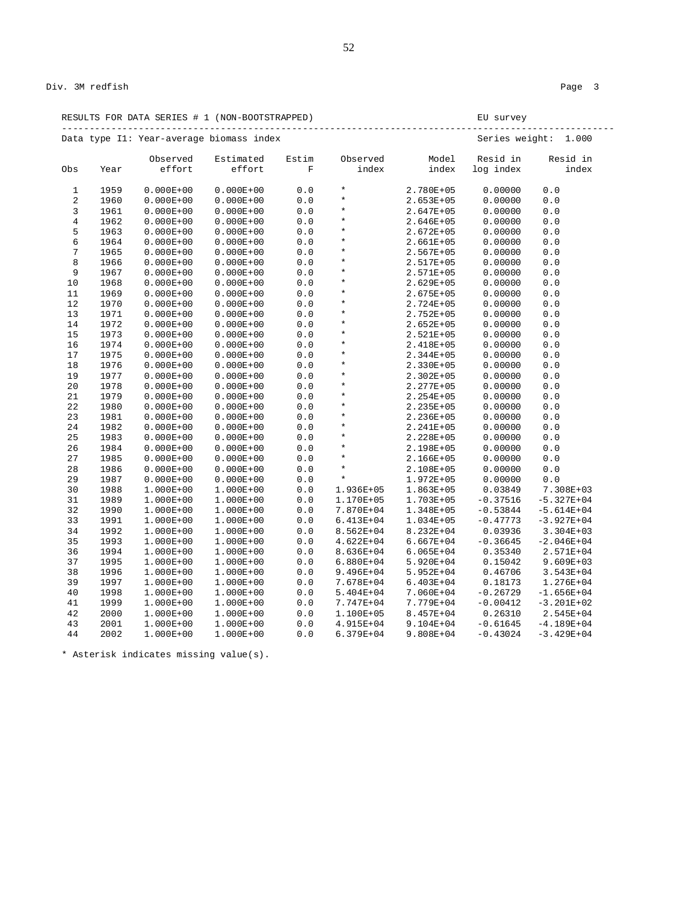Div. 3M redfish Page 3

RESULTS FOR DATA SERIES # 1 (NON-BOOTSTRAPPED) EU survey

|                |      |               | Data type I1: Year-average biomass index |                       |                      |               | Series weight: | 1.000                 |
|----------------|------|---------------|------------------------------------------|-----------------------|----------------------|---------------|----------------|-----------------------|
|                |      | Observed      | Estimated                                | Estim                 | Observed             | Model         | Resid in       | Resid in              |
| Obs            | Year | effort        | effort                                   | $\mathbf F$           | index                | index         | log index      | index                 |
|                |      |               |                                          |                       | $\star$              |               |                |                       |
| $1\,$          | 1959 | $0.000E + 00$ | $0.000E + 00$                            | $0.0$                 | $^\star$             | 2.780E+05     | 0.00000        | $0.0$                 |
| 2              | 1960 | $0.000E + 00$ | $0.000E + 00$                            | $0.0$                 | $\star$              | $2.653E + 05$ | 0.00000        | $0.0$                 |
| 3              | 1961 | $0.000E + 00$ | $0.000E + 00$                            | 0.0                   |                      | $2.647E + 05$ | 0.00000        | 0.0                   |
| $\,4$          | 1962 | $0.000E + 00$ | $0.000E + 00$                            | $0.0$                 | $^\star$<br>$^\star$ | $2.646E + 05$ | 0.00000        | 0.0                   |
| 5              | 1963 | $0.000E + 00$ | $0.000E + 00$                            | 0.0                   |                      | $2.672E + 05$ | 0.00000        | 0.0                   |
| 6              | 1964 | $0.000E + 00$ | $0.000E + 00$                            | $0.0$                 | $^\star$<br>$^\star$ | $2.661E + 05$ | 0.00000        | 0.0                   |
| $\overline{7}$ | 1965 | $0.000E + 00$ | $0.000E + 00$                            | $0.0$                 |                      | $2.567E + 05$ | 0.00000        | $0.0$                 |
| 8              | 1966 | $0.000E + 00$ | $0.000E + 00$                            | 0.0                   | $^\star$<br>$\star$  | $2.517E + 05$ | 0.00000        | 0.0                   |
| 9              | 1967 | $0.000E + 00$ | $0.000E + 00$                            | $0.0$                 |                      | $2.571E+05$   | 0.00000        | 0.0                   |
| 10             | 1968 | $0.000E + 00$ | $0.000E + 00$                            | $0.0$                 | $^\star$             | $2.629E + 05$ | 0.00000        | 0.0                   |
| 11             | 1969 | $0.000E + 00$ | $0.000E + 00$                            | 0.0                   | $^\star$             | $2.675E + 05$ | 0.00000        | 0.0                   |
| 12             | 1970 | $0.000E + 00$ | $0.000E + 00$                            | 0.0                   | $^\star$             | $2.724E + 05$ | 0.00000        | 0.0                   |
| 13             | 1971 | $0.000E + 00$ | $0.000E + 00$                            | $0.0$                 | $^\star$             | $2.752E + 05$ | 0.00000        | $0.0$                 |
| 14             | 1972 | $0.000E + 00$ | $0.000E + 00$                            | $0.0$                 | $^\star$             | $2.652E + 05$ | 0.00000        | 0.0                   |
| 15             | 1973 | $0.000E + 00$ | $0.000E + 00$                            | $0.0$                 | $^\star$             | $2.521E+05$   | 0.00000        | $0.0$                 |
| 16             | 1974 | $0.000E + 00$ | $0.000E + 00$                            | $0.0$                 | $^\star$             | $2.418E + 05$ | 0.00000        | $0.0$                 |
| 17             | 1975 | $0.000E + 00$ | $0.000E + 00$                            | 0.0                   | $^\star$             | $2.344E+05$   | 0.00000        | 0.0                   |
| 18             | 1976 | $0.000E + 00$ | $0.000E + 00$                            | $0.0$                 | $^\star$             | $2.330E + 05$ | 0.00000        | 0.0                   |
| 19             | 1977 | $0.000E + 00$ | $0.000E + 00$                            | 0.0                   | $\star$              | $2.302E + 05$ | 0.00000        | 0.0                   |
| 20             | 1978 | $0.000E + 00$ | $0.000E + 00$                            | $0.0$                 | $^\star$             | $2.277E + 05$ | 0.00000        | 0.0                   |
| 21             | 1979 | $0.000E + 00$ | $0.000E + 00$                            | $0.0$                 | $^\star$             | $2.254E + 05$ | 0.00000        | ${\bf 0}$ . ${\bf 0}$ |
| 22             | 1980 | $0.000E + 00$ | $0.000E + 00$                            | $0.0$                 | $^\star$             | $2.235E + 05$ | 0.00000        | $0.0$                 |
| 23             | 1981 | $0.000E + 00$ | $0.000E + 00$                            | 0.0                   | $^\star$             | $2.236E + 05$ | 0.00000        | 0.0                   |
| 24             | 1982 | $0.000E + 00$ | $0.000E + 00$                            | $0.0$                 | $^\star$             | $2.241E + 05$ | 0.00000        | 0.0                   |
| 25             | 1983 | $0.000E + 00$ | $0.000E + 00$                            | 0.0                   | $\star$              | 2.228E+05     | 0.00000        | 0.0                   |
| 26             | 1984 | $0.000E + 00$ | $0.000E + 00$                            | ${\bf 0}$ . ${\bf 0}$ | $^\star$             | 2.198E+05     | 0.00000        | $0.0$                 |
| 27             | 1985 | $0.000E + 00$ | $0.000E + 00$                            | $0.0$                 | $^\star$             | $2.166E + 05$ | 0.00000        | $0.0$                 |
| 28             | 1986 | $0.000E + 00$ | $0.000E + 00$                            | $0.0$                 | $^\star$             | 2.108E+05     | 0.00000        | $0.0$                 |
| 29             | 1987 | $0.000E + 00$ | $0.000E + 00$                            | $0.0$                 | $\star$              | $1.972E + 05$ | 0.00000        | 0.0                   |
| 30             | 1988 | 1.000E+00     | $1.000E + 00$                            | $0.0$                 | 1.936E+05            | $1.863E + 05$ | 0.03849        | 7.308E+03             |
| 31             | 1989 | 1.000E+00     | $1.000E + 00$                            | $0.0$                 | 1.170E+05            | $1.703E + 05$ | $-0.37516$     | $-5.327E + 04$        |
| 32             | 1990 | $1.000E + 00$ | $1.000E + 00$                            | ${\bf 0}$ . ${\bf 0}$ | 7.870E+04            | $1.348E + 05$ | $-0.53844$     | $-5.614E+04$          |
| 33             | 1991 | $1.000E + 00$ | $1.000E + 00$                            | 0.0                   | $6.413E+04$          | $1.034E + 05$ | $-0.47773$     | $-3.927E + 04$        |
| 34             | 1992 | 1.000E+00     | $1.000E + 00$                            | $0.0$                 | 8.562E+04            | 8.232E+04     | 0.03936        | $3.304E + 03$         |
| 35             | 1993 | $1.000E + 00$ | $1.000E + 00$                            | $0.0$                 | 4.622E+04            | $6.667E + 04$ | $-0.36645$     | $-2.046E + 04$        |
| 36             | 1994 | 1.000E+00     | $1.000E + 00$                            | 0.0                   | 8.636E+04            | $6.065E + 04$ | 0.35340        | 2.571E+04             |
| 37             | 1995 | $1.000E + 00$ | $1.000E + 00$                            | 0.0                   | $6.880E + 04$        | 5.920E+04     | 0.15042        | $9.609E + 03$         |
| 38             | 1996 | 1.000E+00     | $1.000E + 00$                            | $0.0$                 | $9.496E + 04$        | $5.952E+04$   | 0.46706        | $3.543E + 04$         |
| 39             | 1997 | $1.000E + 00$ | $1.000E + 00$                            | 0.0                   | 7.678E+04            | $6.403E + 04$ | 0.18173        | $1.276E + 04$         |
| 40             | 1998 | $1.000E + 00$ | $1.000E + 00$                            | 0.0                   | $5.404E+04$          | $7.060E + 04$ | $-0.26729$     | $-1.656E + 04$        |
| 41             | 1999 | $1.000E + 00$ | $1.000E + 00$                            | $0.0$                 | 7.747E+04            | 7.779E+04     | $-0.00412$     | $-3.201E+02$          |
| 42             | 2000 | 1.000E+00     | $1.000E + 00$                            | 0.0                   | 1.100E+05            | 8.457E+04     | 0.26310        | $2.545E + 04$         |
| 43             | 2001 | 1.000E+00     | $1.000E + 00$                            | 0.0                   | 4.915E+04            | $9.104E + 04$ | $-0.61645$     | $-4.189E + 04$        |
| 44             | 2002 | 1.000E+00     | $1.000E + 00$                            | 0.0                   | 6.379E+04            | $9.808E + 04$ | $-0.43024$     | $-3.429E + 04$        |

\* Asterisk indicates missing value(s).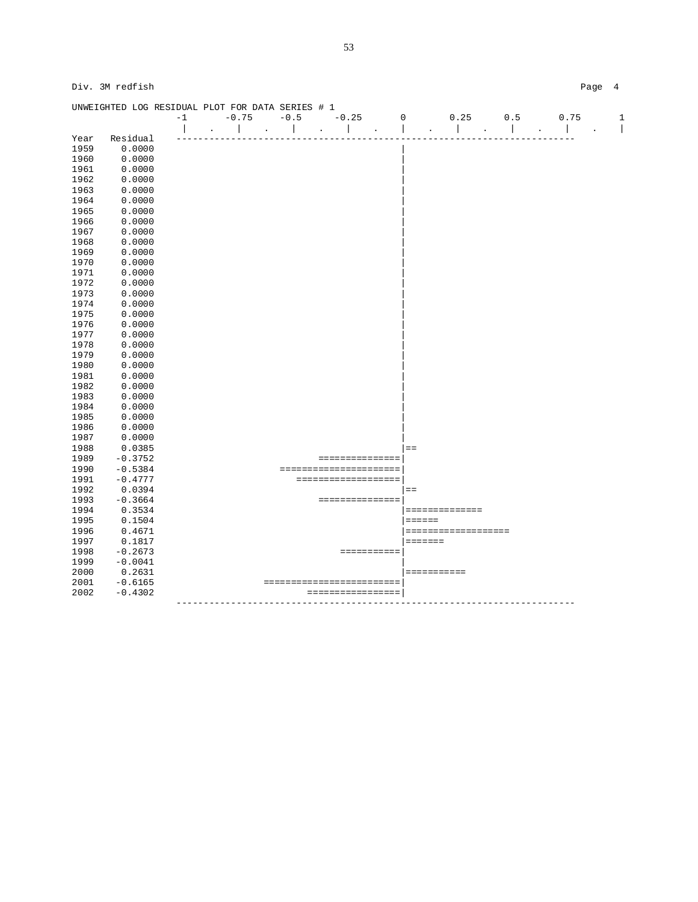|      | UNWEIGHTED LOG RESIDUAL PLOT FOR DATA SERIES # 1 |      |           |         |           |        |         |         |         |          |         |      |         |     |           |      |           |  |
|------|--------------------------------------------------|------|-----------|---------|-----------|--------|---------|---------|---------|----------|---------|------|---------|-----|-----------|------|-----------|--|
|      |                                                  | $-1$ |           | $-0.75$ |           | $-0.5$ |         | $-0.25$ |         | $\Omega$ |         | 0.25 |         | 0.5 |           | 0.75 |           |  |
|      |                                                  |      | $\bullet$ |         | $\bullet$ |        | $\cdot$ |         | $\cdot$ |          | $\cdot$ |      | $\cdot$ |     | $\bullet$ |      | $\bullet$ |  |
| Year | Residual                                         |      |           |         |           |        |         |         |         |          |         |      |         |     |           |      |           |  |
| 1959 | 0.0000                                           |      |           |         |           |        |         |         |         |          |         |      |         |     |           |      |           |  |
| 1960 | 0.0000                                           |      |           |         |           |        |         |         |         |          |         |      |         |     |           |      |           |  |
| 1961 | 0.0000                                           |      |           |         |           |        |         |         |         |          |         |      |         |     |           |      |           |  |
| 1962 | 0.0000                                           |      |           |         |           |        |         |         |         |          |         |      |         |     |           |      |           |  |
| 1963 | 0.0000                                           |      |           |         |           |        |         |         |         |          |         |      |         |     |           |      |           |  |
| 1964 | 0.0000                                           |      |           |         |           |        |         |         |         |          |         |      |         |     |           |      |           |  |
| 1965 | 0.0000                                           |      |           |         |           |        |         |         |         |          |         |      |         |     |           |      |           |  |
| 1966 | 0.0000                                           |      |           |         |           |        |         |         |         |          |         |      |         |     |           |      |           |  |
| 1967 | 0.0000                                           |      |           |         |           |        |         |         |         |          |         |      |         |     |           |      |           |  |
| 1000 | 0.0000                                           |      |           |         |           |        |         |         |         |          |         |      |         |     |           |      |           |  |

| 1967 | 0.0000    |                           |                     |
|------|-----------|---------------------------|---------------------|
| 1968 | 0.0000    |                           |                     |
| 1969 | 0.0000    |                           |                     |
| 1970 | 0.0000    |                           |                     |
| 1971 | 0.0000    |                           |                     |
| 1972 | 0.0000    |                           |                     |
| 1973 | 0.0000    |                           |                     |
| 1974 | 0.0000    |                           |                     |
| 1975 | 0.0000    |                           |                     |
| 1976 | 0.0000    |                           |                     |
| 1977 | 0.0000    |                           |                     |
| 1978 | 0.0000    |                           |                     |
| 1979 | 0.0000    |                           |                     |
| 1980 | 0.0000    |                           |                     |
| 1981 | 0.0000    |                           |                     |
| 1982 | 0.0000    |                           |                     |
| 1983 | 0.0000    |                           |                     |
| 1984 | 0.0000    |                           |                     |
| 1985 | 0.0000    |                           |                     |
| 1986 | 0.0000    |                           |                     |
| 1987 | 0.0000    |                           |                     |
| 1988 | 0.0385    |                           | $=$ $=$             |
| 1989 | $-0.3752$ | ===============           |                     |
| 1990 | $-0.5384$ | ======================    |                     |
| 1991 | $-0.4777$ | ===================       |                     |
| 1992 | 0.0394    |                           | $=$ $=$             |
| 1993 | $-0.3664$ | ===============           |                     |
| 1994 | 0.3534    |                           | ==============      |
| 1995 | 0.1504    |                           | ======              |
| 1996 | 0.4671    |                           | =================== |
| 1997 | 0.1817    |                           | $=$                 |
| 1998 | $-0.2673$ | ===========               |                     |
| 1999 | $-0.0041$ |                           |                     |
| 2000 | 0.2631    |                           | ===========         |
| 2001 | $-0.6165$ | ========================= |                     |
| 2002 | $-0.4302$ | =================         |                     |
|      |           |                           |                     |

# Div. 3M redfish Page 4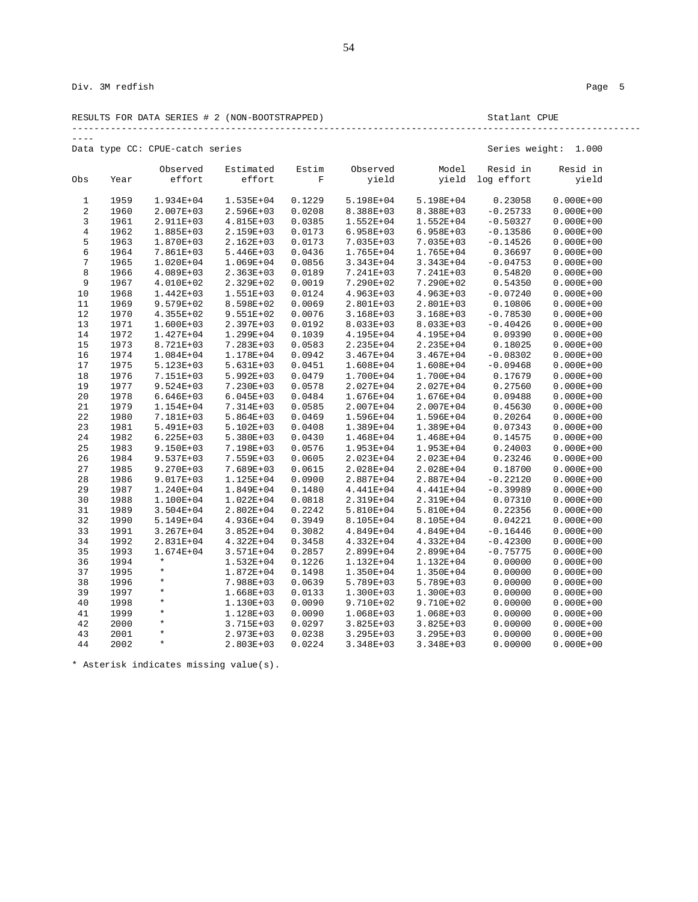## RESULTS FOR DATA SERIES # 2 (NON-BOOTSTRAPPED) Statlant CPUE

 $---$ Data type CC: CPUE-catch series Series Series weight: 1.000

| Obs            | Year         | Observed<br>effort   | Estimated<br>effort | Estim<br>F | Observed<br>yield      | Model<br>yield             | Resid in<br>log effort   | Resid in<br>yield              |
|----------------|--------------|----------------------|---------------------|------------|------------------------|----------------------------|--------------------------|--------------------------------|
| 1              | 1959         | 1.934E+04            | 1.535E+04           | 0.1229     | 5.198E+04              | 5.198E+04                  | 0.23058                  | $0.000E + 00$                  |
| $\overline{c}$ | 1960         | 2.007E+03            | $2.596E + 03$       | 0.0208     | 8.388E+03              | 8.388E+03                  | $-0.25733$               | $0.000E + 00$                  |
| 3              | 1961         | 2.911E+03            | 4.815E+03           | 0.0385     | 1.552E+04              | $1.552E + 04$              | $-0.50327$               | $0.000E + 00$                  |
| $\overline{4}$ | 1962         | 1.885E+03            | 2.159E+03           | 0.0173     |                        |                            |                          | $0.000E + 00$                  |
| 5              | 1963         | 1.870E+03            | $2.162E + 03$       | 0.0173     | 6.958E+03              | $6.958E + 03$<br>7.035E+03 | $-0.13586$<br>$-0.14526$ | $0.000E + 00$                  |
| 6              |              | 7.861E+03            | $5.446E + 03$       | 0.0436     | 7.035E+03<br>1.765E+04 | 1.765E+04                  | 0.36697                  | $0.000E + 00$                  |
| 7              | 1964<br>1965 | 1.020E+04            | 1.069E+04           | 0.0856     | 3.343E+04              | $3.343E + 04$              | $-0.04753$               | $0.000E + 00$                  |
| 8              | 1966         | 4.089E+03            | $2.363E + 03$       | 0.0189     | 7.241E+03              | 7.241E+03                  | 0.54820                  | $0.000E + 00$                  |
| 9              | 1967         | 4.010E+02            | $2.329E + 02$       |            |                        |                            | 0.54350                  | $0.000E + 00$                  |
|                |              |                      |                     | 0.0019     | 7.290E+02              | $7.290E + 02$              |                          |                                |
| 10             | 1968         | $1.442E + 03$        | 1.551E+03           | 0.0124     | 4.963E+03              | 4.963E+03                  | $-0.07240$               | $0.000E + 00$                  |
| 11             | 1969         | 9.579E+02            | 8.598E+02           | 0.0069     | 2.801E+03              | $2.801E + 03$              | 0.10806                  | $0.000E + 00$                  |
| 12             | 1970         | 4.355E+02            | $9.551E+02$         | 0.0076     | 3.168E+03              | $3.168E + 03$              | $-0.78530$               | $0.000E + 00$                  |
| 13             | 1971         | 1.600E+03            | $2.397E + 03$       | 0.0192     | 8.033E+03              | 8.033E+03                  | $-0.40426$               | $0.000E + 00$                  |
| 14             | 1972         | 1.427E+04            | 1.299E+04           | 0.1039     | 4.195E+04              | 4.195E+04                  | 0.09390                  | $0.000E + 00$                  |
| 15             | 1973         | 8.721E+03            | $7.283E + 03$       | 0.0583     | 2.235E+04              | 2.235E+04                  | 0.18025                  | $0.000E + 00$                  |
| 16             | 1974         | 1.084E+04            | 1.178E+04           | 0.0942     | 3.467E+04              | $3.467E + 04$              | $-0.08302$               | $0.000E + 00$                  |
| 17             | 1975         | 5.123E+03            | $5.631E+03$         | 0.0451     | 1.608E+04              | 1.608E+04                  | $-0.09468$               | $0.000E + 00$                  |
| 18             | 1976         | 7.151E+03            | $5.992E + 03$       | 0.0479     | 1.700E+04              | 1.700E+04                  | 0.17679                  | $0.000E + 00$                  |
| 19             | 1977         | $9.524E + 03$        | $7.230E + 03$       | 0.0578     | 2.027E+04              | 2.027E+04                  | 0.27560                  | $0.000E + 00$                  |
| 20             | 1978         | $6.646E + 03$        | $6.045E + 03$       | 0.0484     | 1.676E+04              | 1.676E+04                  | 0.09488                  | $0.000E + 00$                  |
| 21             | 1979         | 1.154E+04            | 7.314E+03           | 0.0585     | 2.007E+04              | $2.007E + 04$              | 0.45630                  | $0.000E + 00$                  |
| 22             | 1980         | 7.181E+03            | $5.864E+03$         | 0.0469     | 1.596E+04              | 1.596E+04                  | 0.20264                  | $0.000E + 00$                  |
| 23<br>24       | 1981<br>1982 | 5.491E+03            | $5.102E + 03$       | 0.0408     | 1.389E+04              | 1.389E+04                  | 0.07343                  | $0.000E + 00$<br>$0.000E + 00$ |
|                |              | $6.225E+03$          | $5.380E+03$         | 0.0430     | 1.468E+04              | $1.468E + 04$              | 0.14575                  |                                |
| 25             | 1983         | 9.150E+03            | 7.198E+03           | 0.0576     | 1.953E+04              | $1.953E + 04$              | 0.24003                  | $0.000E + 00$                  |
| 26             | 1984         | 9.537E+03            | 7.559E+03           | 0.0605     | 2.023E+04              | $2.023E + 04$              | 0.23246                  | $0.000E + 00$                  |
| 27             | 1985         | 9.270E+03            | 7.689E+03           | 0.0615     | 2.028E+04              | $2.028E + 04$              | 0.18700                  | $0.000E + 00$                  |
| 28             | 1986         | $9.017E + 03$        | 1.125E+04           | 0.0900     | 2.887E+04              | 2.887E+04                  | $-0.22120$               | $0.000E + 00$                  |
| 29             | 1987         | 1.240E+04            | 1.849E+04           | 0.1480     | 4.441E+04              | $4.441E+04$                | $-0.39989$               | $0.000E + 00$                  |
| 30             | 1988         | 1.100E+04            | $1.022E + 04$       | 0.0818     | 2.319E+04              | 2.319E+04                  | 0.07310                  | $0.000E + 00$                  |
| 31             | 1989         | $3.504E + 04$        | $2.802E + 04$       | 0.2242     | 5.810E+04              | $5.810E + 04$              | 0.22356                  | $0.000E + 00$                  |
| 32             | 1990         | 5.149E+04            | $4.936E + 04$       | 0.3949     | 8.105E+04              | 8.105E+04                  | 0.04221                  | $0.000E + 00$                  |
| 33             | 1991         | $3.267E + 04$        | $3.852E + 04$       | 0.3082     | 4.849E+04              | 4.849E+04                  | $-0.16446$               | $0.000E + 00$                  |
| 34             | 1992         | 2.831E+04            | $4.322E + 04$       | 0.3458     | $4.332E + 04$          | $4.332E+04$                | $-0.42300$               | $0.000E + 00$                  |
| 35             | 1993         | 1.674E+04<br>$\star$ | $3.571E + 04$       | 0.2857     | 2.899E+04              | 2.899E+04                  | $-0.75775$               | $0.000E + 00$                  |
| 36             | 1994         | $\star$              | $1.532E + 04$       | 0.1226     | 1.132E+04              | $1.132E + 04$              | 0.00000                  | $0.000E + 00$                  |
| 37             | 1995         | $\star$              | $1.872E + 04$       | 0.1498     | 1.350E+04              | $1.350E + 04$              | 0.00000                  | $0.000E + 00$                  |
| 38             | 1996         | $^\star$             | 7.988E+03           | 0.0639     | 5.789E+03              | $5.789E + 03$              | 0.00000                  | $0.000E + 00$                  |
| 39             | 1997         | $^\star$             | $1.668E + 03$       | 0.0133     | 1.300E+03              | $1.300E + 03$              | 0.00000                  | $0.000E + 00$                  |
| 40             | 1998         | $\star$              | 1.130E+03           | 0.0090     | 9.710E+02              | $9.710E+02$                | 0.00000                  | $0.000E + 00$                  |
| 41             | 1999         | $\star$              | 1.128E+03           | 0.0090     | 1.068E+03              | $1.068E + 03$              | 0.00000                  | $0.000E + 00$                  |
| 42             | 2000         | $\star$              | 3.715E+03           | 0.0297     | 3.825E+03              | $3.825E + 03$              | 0.00000                  | $0.000E + 00$                  |
| 43             | 2001         |                      | 2.973E+03           | 0.0238     | 3.295E+03              | $3.295E + 03$              | 0.00000                  | $0.000E + 00$                  |
| 44             | 2002         | $\star$              | $2.803E + 03$       | 0.0224     | 3.348E+03              | $3.348E + 03$              | 0.00000                  | $0.000E + 00$                  |

\* Asterisk indicates missing value(s).

# 54

--------------------------------------------------------------------------------------------------------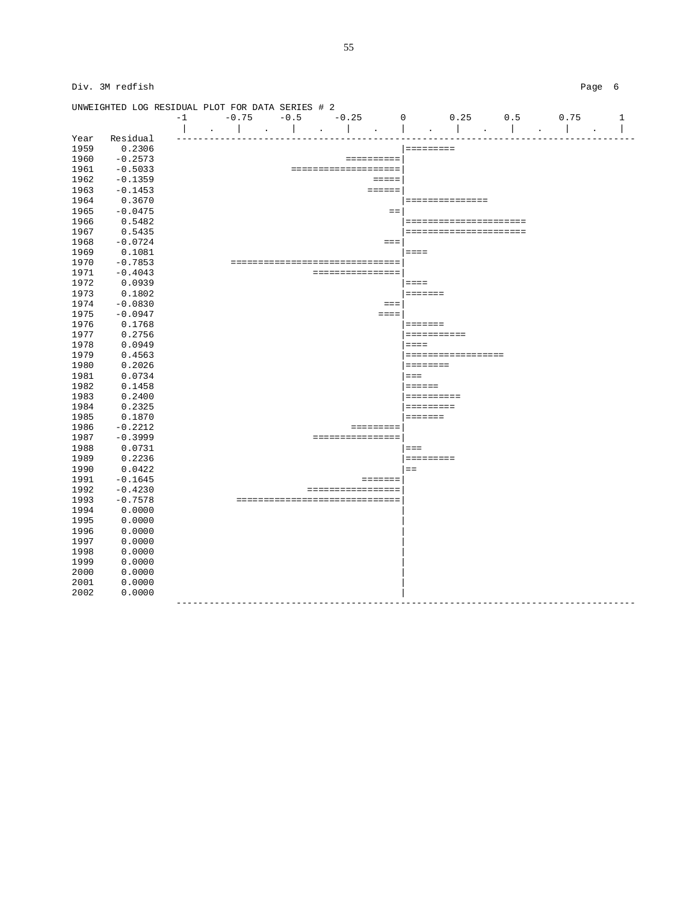|      |           | UNWEIGHTED LOG RESIDUAL PLOT FOR DATA SERIES # 2 |                                                    |
|------|-----------|--------------------------------------------------|----------------------------------------------------|
|      |           | $-1$<br>$-0.75$<br>$-0.5$<br>$-0.25$             | $\mathbf 0$<br>0.25<br>0.5<br>0.75<br>$\mathbf{1}$ |
|      |           |                                                  |                                                    |
| Year | Residual  |                                                  |                                                    |
| 1959 | 0.2306    |                                                  | =========                                          |
| 1960 | $-0.2573$ | ==========                                       |                                                    |
| 1961 | $-0.5033$ | ====================                             |                                                    |
| 1962 | $-0.1359$ | $=$                                              |                                                    |
| 1963 | $-0.1453$ | $= = = = = =$                                    |                                                    |
| 1964 | 0.3670    |                                                  | ===============                                    |
| 1965 | $-0.0475$ | $=$                                              |                                                    |
| 1966 | 0.5482    |                                                  | ======================                             |
| 1967 | 0.5435    |                                                  | =======================                            |
| 1968 | $-0.0724$ | $==$                                             |                                                    |
| 1969 | 0.1081    |                                                  | $= = = =$                                          |
| 1970 | $-0.7853$ | ================================                 |                                                    |
| 1971 | $-0.4043$ | ================                                 |                                                    |
| 1972 | 0.0939    |                                                  | $=$ $=$ $=$ $=$                                    |
| 1973 | 0.1802    |                                                  | $=$ = = = = = =                                    |
| 1974 | $-0.0830$ | $==$                                             |                                                    |
| 1975 | $-0.0947$ | $=$ $=$ $=$                                      |                                                    |
| 1976 | 0.1768    |                                                  | $= 22222222$                                       |
| 1977 | 0.2756    |                                                  | ===========                                        |
| 1978 | 0.0949    |                                                  | $=$ $=$ $=$ $=$                                    |
| 1979 | 0.4563    |                                                  | ==================                                 |
| 1980 | 0.2026    |                                                  | ========                                           |
| 1981 | 0.0734    |                                                  | $=$ $=$ $=$                                        |
| 1982 | 0.1458    |                                                  | $= 12222222$                                       |
| 1983 | 0.2400    |                                                  | ==========                                         |
| 1984 | 0.2325    |                                                  | =========                                          |
| 1985 | 0.1870    |                                                  | $=$ $=$ $=$ $=$ $=$ $=$                            |
| 1986 | $-0.2212$ | $= 22222222222$                                  |                                                    |
| 1987 | $-0.3999$ | ================                                 |                                                    |
| 1988 | 0.0731    |                                                  | $=$ $=$ $=$                                        |
| 1989 | 0.2236    |                                                  | $= 12222222222$                                    |
| 1990 | 0.0422    |                                                  | $=$ $=$                                            |
| 1991 | $-0.1645$ | $=$                                              |                                                    |
| 1992 | $-0.4230$ | =================                                |                                                    |
| 1993 | $-0.7578$ | ===============================                  |                                                    |
| 1994 | 0.0000    |                                                  |                                                    |
| 1995 | 0.0000    |                                                  |                                                    |
| 1996 | 0.0000    |                                                  |                                                    |
| 1997 | 0.0000    |                                                  |                                                    |
| 1998 | 0.0000    |                                                  |                                                    |
| 1999 | 0.0000    |                                                  |                                                    |
| 2000 | 0.0000    |                                                  |                                                    |
| 2001 | 0.0000    |                                                  |                                                    |
| 2002 | 0.0000    |                                                  |                                                    |
|      |           |                                                  |                                                    |

Div. 3M redfish Page 6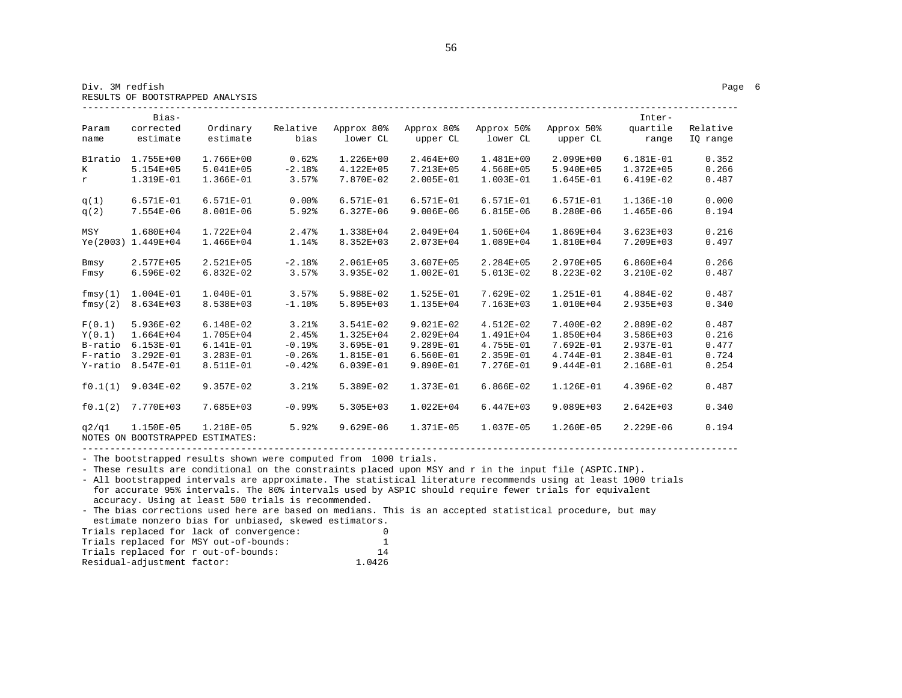Div. 3M redfish Page 6

RESULTS OF BOOTSTRAPPED ANALYSIS

| Param<br>name                  | Bias-<br>corrected<br>estimate         | Ordinary<br>estimate                 | Relative<br>bias  | Approx 80%<br>lower CL       | Approx 80%<br>upper CL | Approx 50%<br>lower CL       | Approx 50%<br>upper CL   | Inter-<br>quartile<br>range | Relative<br>IQ range |
|--------------------------------|----------------------------------------|--------------------------------------|-------------------|------------------------------|------------------------|------------------------------|--------------------------|-----------------------------|----------------------|
| <b>Blratio</b>                 | 1.755E+00                              | 1.766E+00                            | 0.62%             | $1.226E + 00$                | $2.464E+00$            | $1.481E+00$                  | 2.099E+00                | 6.181E-01                   | 0.352                |
| K                              | 5.154E+05                              | 5.041E+05                            | $-2.18%$          | 4.122E+05                    | 7.213E+05              | $4.568E + 05$                | 5.940E+05                | 1.372E+05                   | 0.266                |
| r                              | 1.319E-01                              | 1.366E-01                            | 3.57%             | 7.870E-02                    | 2.005E-01              | $1.003E-01$                  | 1.645E-01                | 6.419E-02                   | 0.487                |
| q(1)                           | 6.571E-01                              | 6.571E-01                            | $0.00$ %          | 6.571E-01                    | 6.571E-01              | $6.571E-01$                  | 6.571E-01                | 1.136E-10                   | 0.000                |
| q(2)                           | 7.554E-06                              | 8.001E-06                            | 5.92%             | $6.327E-06$                  | $9.006E - 06$          | $6.815E-06$                  | 8.280E-06                | 1.465E-06                   | 0.194                |
| <b>MSY</b>                     | 1.680E+04                              | 1.722E+04                            | 2.47%             | 1.338E+04                    | 2.049E+04              | $1.506E + 04$                | $1.869E + 04$            | $3.623E + 03$               | 0.216                |
|                                | Ye (2003) 1.449E+04                    | 1.466E+04                            | 1.14%             | 8.352E+03                    | $2.073E + 04$          | $1.089E + 04$                | 1.810E+04                | 7.209E+03                   | 0.497                |
| Bmsy                           | 2.577E+05                              | 2.521E+05                            | $-2.18%$          | 2.061E+05                    | $3.607E + 05$          | $2.284E+05$                  | 2.970E+05                | $6.860E + 04$               | 0.266                |
| Fmsy                           | $6.596E-02$                            | $6.832E-02$                          | 3.57%             | 3.935E-02                    | $1.002E-01$            | $5.013E-02$                  | 8.223E-02                | 3.210E-02                   | 0.487                |
| fmsy(1)                        | 1.004E-01                              | 1.040E-01                            | 3.57%             | 5.988E-02                    | 1.525E-01              | $7.629E-02$                  | 1.251E-01                | 4.884E-02                   | 0.487                |
| fmsy(2)                        | 8.634E+03                              | 8.538E+03                            | $-1.10%$          | 5.895E+03                    | 1.135E+04              | 7.163E+03                    | 1.010E+04                | 2.935E+03                   | 0.340                |
| F(0,1)                         | 5.936E-02                              | 6.148E-02                            | 3.21%             | 3.541E-02                    | $9.021E-02$            | $4.512E-02$                  | 7.400E-02                | 2.889E-02                   | 0.487                |
| Y(0,1)                         | 1.664E+04                              | 1.705E+04                            | 2.45%             | 1.325E+04                    | 2.029E+04              | $1.491E+04$                  | 1.850E+04                | 3.586E+03                   | 0.216                |
| B-ratio                        | $6.153E-01$                            | $6.141E-01$                          | $-0.19%$          | 3.695E-01                    | 9.289E-01              | $4.755E-01$                  | 7.692E-01                | 2.937E-01                   | 0.477                |
| F-ratio                        | 3.292E-01                              | 3.283E-01                            | $-0.26%$          | 1.815E-01                    | $6.560E-01$            | $2.359E-01$                  | 4.744E-01                | 2.384E-01                   | 0.724                |
| Y-ratio                        | 8.547E-01                              | 8.511E-01                            | $-0.42%$          | $6.039E-01$                  | 9.890E-01              | $7.276E-01$                  | 9.444E-01                | 2.168E-01                   | 0.254                |
| f(0.1(1))                      | $9.034E - 02$                          | 9.357E-02                            | 3.21%             | 5.389E-02                    | 1.373E-01              | $6.866E-02$                  | 1.126E-01                | 4.396E-02                   | 0.487                |
| f(0.1(2))<br>q2/q1<br>NOTES ON | 7.770E+03<br>1.150E-05<br>BOOTSTRAPPED | 7.685E+03<br>1.218E-05<br>ESTIMATES: | $-0.99%$<br>5.92% | $5.305E+03$<br>$9.629E - 06$ | 1.022E+04<br>1.371E-05 | $6.447E + 03$<br>$1.037E-05$ | 9.089E+03<br>$1.260E-05$ | $2.642E + 03$<br>2.229E-06  | 0.340<br>0.194       |

- The bootstrapped results shown were computed from 1000 trials.

- These results are conditional on the constraints placed upon MSY and r in the input file (ASPIC.INP).

- All bootstrapped intervals are approximate. The statistical literature recommends using at least 1000 trials for accurate 95% intervals. The 80% intervals used by ASPIC should require fewer trials for equivalent accuracy. Using at least 500 trials is recommended.

- The bias corrections used here are based on medians. This is an accepted statistical procedure, but may estimate nonzero bias for unbiased, skewed estimators.

|                             | Trials replaced for lack of convergence: |        |
|-----------------------------|------------------------------------------|--------|
|                             | Trials replaced for MSY out-of-bounds:   |        |
|                             | Trials replaced for r out-of-bounds:     | 14     |
| Residual-adjustment factor: |                                          | 1.0426 |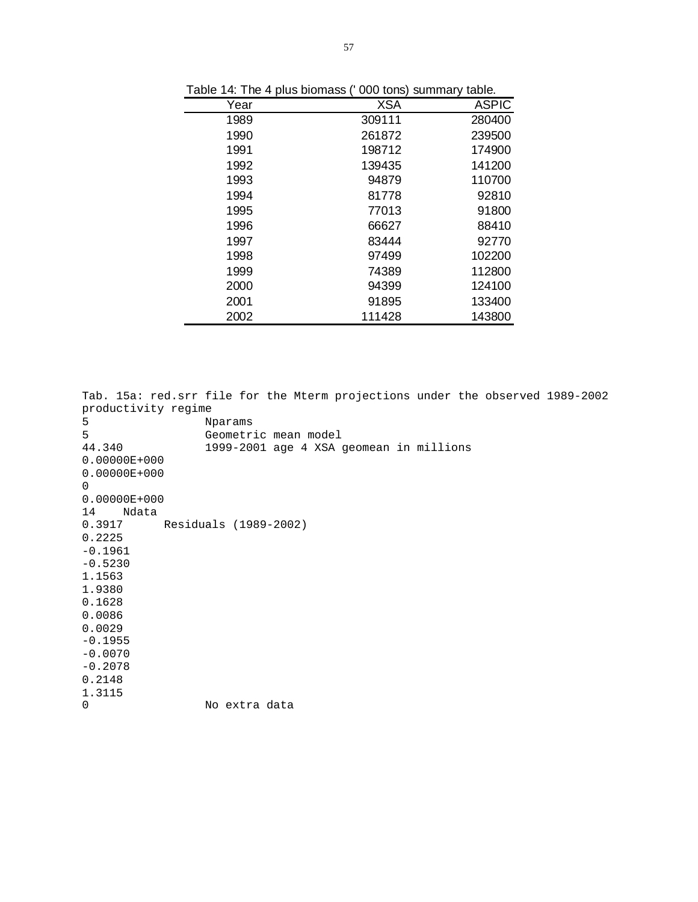| Year | <b>XSA</b> | <b>ASPIC</b> |
|------|------------|--------------|
| 1989 | 309111     | 280400       |
| 1990 | 261872     | 239500       |
| 1991 | 198712     | 174900       |
| 1992 | 139435     | 141200       |
| 1993 | 94879      | 110700       |
| 1994 | 81778      | 92810        |
| 1995 | 77013      | 91800        |
| 1996 | 66627      | 88410        |
| 1997 | 83444      | 92770        |
| 1998 | 97499      | 102200       |
| 1999 | 74389      | 112800       |
| 2000 | 94399      | 124100       |
| 2001 | 91895      | 133400       |
| 2002 | 111428     | 143800       |

Table 14: The 4 plus biomass (' 000 tons) summary table.

Tab. 15a: red.srr file for the Mterm projections under the observed 1989-2002 productivity regime 5 Nparams 5 Geometric mean model 44.340 1999-2001 age 4 XSA geomean in millions 0.00000E+000 0.00000E+000  $\Omega$ 0.00000E+000 14 Ndata 0.3917 Residuals (1989-2002) 0.2225 -0.1961 -0.5230 1.1563 1.9380 0.1628 0.0086 0.0029 -0.1955 -0.0070 -0.2078 0.2148 1.3115 0 No extra data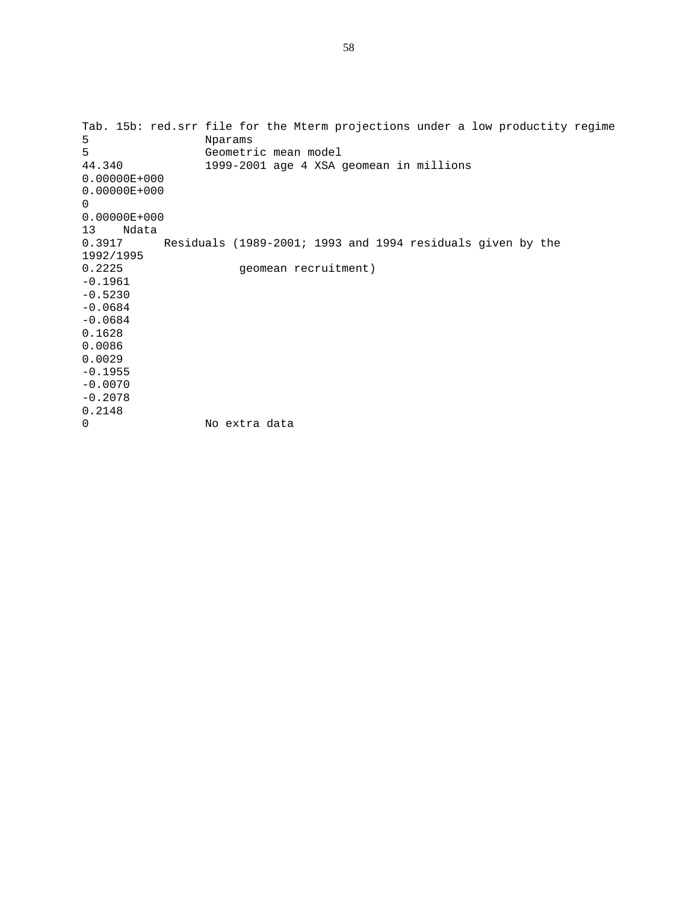Tab. 15b: red.srr file for the Mterm projections under a low productity regime 5 Nparams<br>5 Geometr: 5 Geometric mean model 44.340 1999-2001 age 4 XSA geomean in millions 0.00000E+000 0.00000E+000 0 0.00000E+000 13 Ndata 0.3917 Residuals (1989-2001; 1993 and 1994 residuals given by the 1992/1995 geomean recruitment) -0.1961 -0.5230 -0.0684 -0.0684 0.1628 0.0086 0.0029 -0.1955 -0.0070 -0.2078 0.2148 0 No extra data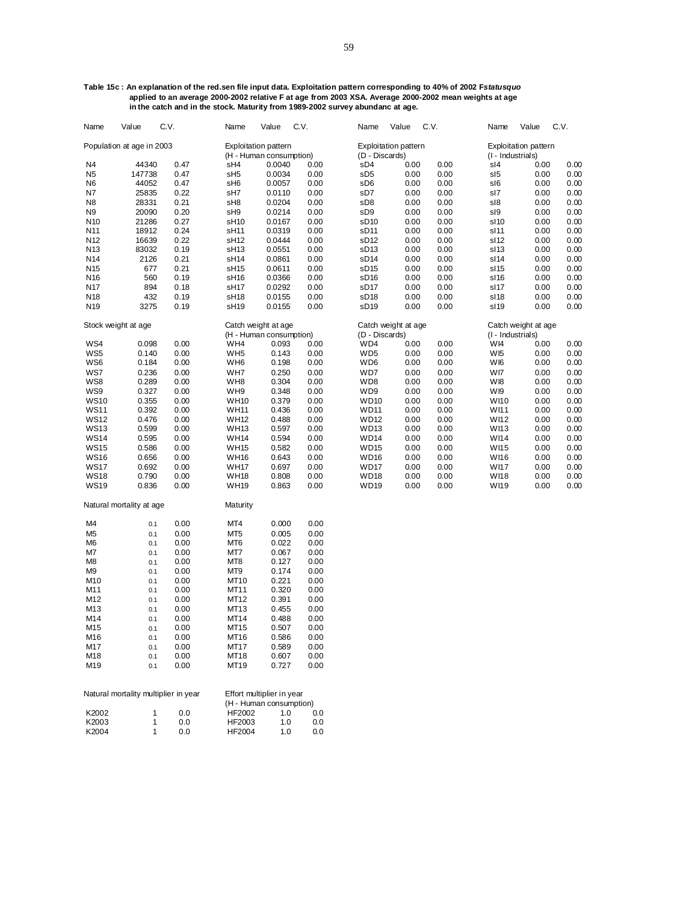**Table 15c : An explanation of the red.sen file input data. Exploitation pattern corresponding to 40% of 2002 F***statusquo*  **applied to an average 2000-2002 relative F at age from 2003 XSA. Average 2000-2002 mean weights at age in the catch and in the stock. Maturity from 1989-2002 survey abundanc at age.**

| Name            | Value                     | C.V.                                 | Name             | Value                     | C.V.         | Name             | Value                | C.V. | Name              | Value                       | C.V. |
|-----------------|---------------------------|--------------------------------------|------------------|---------------------------|--------------|------------------|----------------------|------|-------------------|-----------------------------|------|
|                 | Population at age in 2003 |                                      |                  | Exploitation pattern      |              |                  | Exploitation pattern |      |                   | <b>Exploitation pattern</b> |      |
|                 |                           |                                      |                  | (H - Human consumption)   |              | (D - Discards)   |                      |      | (I - Industrials) |                             |      |
| N4              | 44340                     | 0.47                                 | sH4              | 0.0040                    | 0.00         | sD4              | 0.00                 | 0.00 | sl4               | 0.00                        | 0.00 |
| N <sub>5</sub>  | 147738                    | 0.47                                 | sH <sub>5</sub>  | 0.0034                    | 0.00         | sD <sub>5</sub>  | 0.00                 | 0.00 | sl5               | 0.00                        | 0.00 |
| N <sub>6</sub>  | 44052                     | 0.47                                 | sH <sub>6</sub>  | 0.0057                    | 0.00         | sD6              | 0.00                 | 0.00 | sl6               | 0.00                        | 0.00 |
| N7              | 25835                     | 0.22                                 | sH7              | 0.0110                    | 0.00         | sD7              | 0.00                 | 0.00 | sl7               | 0.00                        | 0.00 |
| N <sub>8</sub>  | 28331                     | 0.21                                 | sH <sub>8</sub>  | 0.0204                    | 0.00         | sD8              | 0.00                 | 0.00 | sl8               | 0.00                        | 0.00 |
| N9              | 20090                     | 0.20                                 | sH9              | 0.0214                    | 0.00         | sD9              | 0.00                 | 0.00 | sl9               | 0.00                        | 0.00 |
| N <sub>10</sub> | 21286                     | 0.27                                 | sH <sub>10</sub> | 0.0167                    | 0.00         | sD <sub>10</sub> | 0.00                 | 0.00 | sl10              | 0.00                        | 0.00 |
| N <sub>11</sub> | 18912                     | 0.24                                 | sH <sub>11</sub> | 0.0319                    | 0.00         | sD <sub>11</sub> | 0.00                 | 0.00 | sl11              | 0.00                        | 0.00 |
| N <sub>12</sub> | 16639                     | 0.22                                 | sH <sub>12</sub> | 0.0444                    | 0.00         | sD <sub>12</sub> | 0.00                 | 0.00 | sl <sub>12</sub>  | 0.00                        | 0.00 |
| N <sub>13</sub> | 83032                     | 0.19                                 | sH <sub>13</sub> | 0.0551                    | 0.00         | sD <sub>13</sub> | 0.00                 | 0.00 | sl <sub>13</sub>  | 0.00                        | 0.00 |
| N <sub>14</sub> | 2126                      | 0.21                                 | sH <sub>14</sub> | 0.0861                    | 0.00         | sD <sub>14</sub> | 0.00                 | 0.00 | sl <sub>14</sub>  | 0.00                        | 0.00 |
| N <sub>15</sub> | 677                       | 0.21                                 | sH <sub>15</sub> | 0.0611                    | 0.00         | sD <sub>15</sub> | 0.00                 | 0.00 | sl <sub>15</sub>  | 0.00                        | 0.00 |
| N16             | 560                       | 0.19                                 | sH <sub>16</sub> | 0.0366                    | 0.00         | sD <sub>16</sub> | 0.00                 | 0.00 | sl16              | 0.00                        | 0.00 |
| N <sub>17</sub> | 894                       | 0.18                                 | sH <sub>17</sub> | 0.0292                    | 0.00         | sD <sub>17</sub> | 0.00                 | 0.00 | sl17              | 0.00                        | 0.00 |
| N <sub>18</sub> | 432                       | 0.19                                 | sH <sub>18</sub> | 0.0155                    | 0.00         | sD <sub>18</sub> | 0.00                 | 0.00 | sl <sub>18</sub>  | 0.00                        | 0.00 |
| N <sub>19</sub> | 3275                      | 0.19                                 | sH <sub>19</sub> | 0.0155                    | 0.00         | sD <sub>19</sub> | 0.00                 | 0.00 | sl <sub>19</sub>  | 0.00                        | 0.00 |
|                 |                           |                                      |                  |                           |              |                  |                      |      |                   |                             |      |
|                 | Stock weight at age       |                                      |                  | Catch weight at age       |              |                  | Catch weight at age  |      |                   | Catch weight at age         |      |
|                 |                           |                                      |                  | (H - Human consumption)   |              | (D - Discards)   |                      |      | (I - Industrials) |                             |      |
| WS4             | 0.098                     | 0.00                                 | WH4              | 0.093                     | 0.00         | WD4              | 0.00                 | 0.00 | WI4               | 0.00                        | 0.00 |
| WS5             | 0.140                     | 0.00                                 | WH <sub>5</sub>  | 0.143                     | 0.00         | WD <sub>5</sub>  | 0.00                 | 0.00 | WI5               | 0.00                        | 0.00 |
| WS6             | 0.184                     | 0.00                                 | WH <sub>6</sub>  | 0.198                     | 0.00         | WD6              | 0.00                 | 0.00 | WI6               | 0.00                        | 0.00 |
| WS7             | 0.236                     | 0.00                                 | WH7              | 0.250                     | 0.00         | WD7              | 0.00                 | 0.00 | WI7               | 0.00                        | 0.00 |
| WS8             | 0.289                     | 0.00                                 | WH8              | 0.304                     | 0.00         | WD8              | 0.00                 | 0.00 | W18               | 0.00                        | 0.00 |
| WS9             | 0.327                     | 0.00                                 | WH9              | 0.348                     | 0.00         | WD9              | 0.00                 | 0.00 | WI9               | 0.00                        | 0.00 |
| <b>WS10</b>     | 0.355                     | 0.00                                 | <b>WH10</b>      | 0.379                     | 0.00         | <b>WD10</b>      | 0.00                 | 0.00 | WI10              | 0.00                        | 0.00 |
| <b>WS11</b>     | 0.392                     | 0.00                                 | <b>WH11</b>      | 0.436                     | 0.00         | <b>WD11</b>      | 0.00                 | 0.00 | WI11              | 0.00                        | 0.00 |
| <b>WS12</b>     | 0.476                     | 0.00                                 | <b>WH12</b>      | 0.488                     | 0.00         | <b>WD12</b>      | 0.00                 | 0.00 | WI12              | 0.00                        | 0.00 |
| <b>WS13</b>     | 0.599                     | 0.00                                 | <b>WH13</b>      | 0.597                     | 0.00         | <b>WD13</b>      | 0.00                 | 0.00 | WI13              | 0.00                        | 0.00 |
| <b>WS14</b>     | 0.595                     | 0.00                                 | <b>WH14</b>      | 0.594                     | 0.00         | <b>WD14</b>      | 0.00                 | 0.00 | WI14              | 0.00                        | 0.00 |
| <b>WS15</b>     | 0.586                     | 0.00                                 | <b>WH15</b>      | 0.582                     | 0.00         | <b>WD15</b>      | 0.00                 | 0.00 | WI15              | 0.00                        | 0.00 |
| <b>WS16</b>     | 0.656                     | 0.00                                 | <b>WH16</b>      | 0.643                     | 0.00         | <b>WD16</b>      | 0.00                 | 0.00 | WI16              | 0.00                        | 0.00 |
| <b>WS17</b>     | 0.692                     | 0.00                                 | <b>WH17</b>      | 0.697                     | 0.00         | <b>WD17</b>      | 0.00                 | 0.00 | <b>WI17</b>       | 0.00                        | 0.00 |
| <b>WS18</b>     | 0.790                     | 0.00                                 | <b>WH18</b>      | 0.808                     | 0.00         | WD18             | 0.00                 | 0.00 | WI18              | 0.00                        | 0.00 |
| <b>WS19</b>     | 0.836                     | 0.00                                 | <b>WH19</b>      | 0.863                     | 0.00         | <b>WD19</b>      | 0.00                 | 0.00 | WI19              | 0.00                        | 0.00 |
|                 | Natural mortality at age  |                                      | Maturity         |                           |              |                  |                      |      |                   |                             |      |
|                 |                           |                                      |                  |                           |              |                  |                      |      |                   |                             |      |
| M4              | 0.1                       | 0.00                                 | MT4              | 0.000                     | 0.00         |                  |                      |      |                   |                             |      |
| M <sub>5</sub>  | 0.1                       | 0.00                                 | MT <sub>5</sub>  | 0.005                     | 0.00         |                  |                      |      |                   |                             |      |
| M6              | 0.1                       | 0.00                                 | MT <sub>6</sub>  | 0.022                     | 0.00         |                  |                      |      |                   |                             |      |
| M7<br>M8        | 0.1                       | 0.00                                 | MT7              | 0.067                     | 0.00         |                  |                      |      |                   |                             |      |
|                 | 0.1                       | 0.00                                 | MT8              | 0.127<br>0.174            | 0.00         |                  |                      |      |                   |                             |      |
| M9              | 0.1                       | 0.00                                 | MT9              |                           | 0.00         |                  |                      |      |                   |                             |      |
| M10             | 0.1                       | 0.00                                 | MT10             | 0.221                     | 0.00         |                  |                      |      |                   |                             |      |
| M11             | 0.1                       | 0.00                                 | MT11             | 0.320                     | 0.00         |                  |                      |      |                   |                             |      |
| M12<br>M13      | 0.1                       | 0.00<br>0.00                         | MT12<br>MT13     | 0.391<br>0.455            | 0.00<br>0.00 |                  |                      |      |                   |                             |      |
| M14             | 0.1                       |                                      | MT14             |                           |              |                  |                      |      |                   |                             |      |
| M15             | 0.1                       | 0.00<br>0.00                         | MT15             | 0.488<br>0.507            | 0.00<br>0.00 |                  |                      |      |                   |                             |      |
|                 | 0.1                       |                                      |                  |                           |              |                  |                      |      |                   |                             |      |
| M16<br>M17      | 0.1                       | 0.00                                 | MT16             | 0.586<br>0.589            | 0.00<br>0.00 |                  |                      |      |                   |                             |      |
| M18             | 0.1                       | 0.00<br>0.00                         | MT17<br>MT18     | 0.607                     | 0.00         |                  |                      |      |                   |                             |      |
| M19             | 0.1<br>0.1                | 0.00                                 | MT19             | 0.727                     | 0.00         |                  |                      |      |                   |                             |      |
|                 |                           |                                      |                  |                           |              |                  |                      |      |                   |                             |      |
|                 |                           | Natural mortality multiplier in year |                  | Effort multiplier in year |              |                  |                      |      |                   |                             |      |
|                 |                           |                                      |                  | (H - Human consumption)   |              |                  |                      |      |                   |                             |      |
| K2002           |                           | 1<br>0.0                             | HF2002           | 1.0                       | 0.0          |                  |                      |      |                   |                             |      |
| K2003           | 1                         | 0.0                                  | HF2003           | 1.0                       | 0.0          |                  |                      |      |                   |                             |      |
| K2004           | $\mathbf{1}$              | 0.0                                  | HF2004           | 1.0                       | 0.0          |                  |                      |      |                   |                             |      |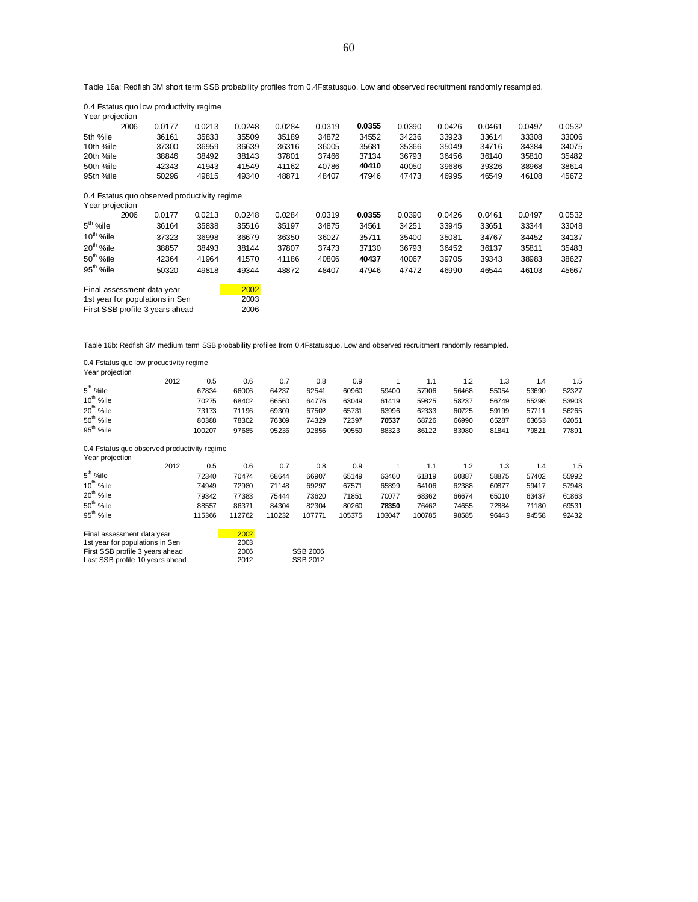Table 16a: Redfish 3M short term SSB probability profiles from 0.4Fstatusquo. Low and observed recruitment randomly resampled.

| 0.4 Fstatus quo low productivity regime<br>Year projection                                                                      |        |        |        |        |        |        |              |       |        |        |        |        |
|---------------------------------------------------------------------------------------------------------------------------------|--------|--------|--------|--------|--------|--------|--------------|-------|--------|--------|--------|--------|
| 2006                                                                                                                            | 0.0177 | 0.0213 | 0.0248 | 0.0284 | 0.0319 | 0.0355 | 0.0390       |       | 0.0426 | 0.0461 | 0.0497 | 0.0532 |
| 5th %ile                                                                                                                        | 36161  | 35833  | 35509  | 35189  | 34872  | 34552  | 34236        |       | 33923  | 33614  | 33308  | 33006  |
| 10th %ile                                                                                                                       | 37300  | 36959  | 36639  | 36316  | 36005  | 35681  | 35366        |       | 35049  | 34716  | 34384  | 34075  |
| 20th %ile                                                                                                                       | 38846  | 38492  | 38143  | 37801  | 37466  | 37134  | 36793        |       | 36456  | 36140  | 35810  | 35482  |
| 50th %ile                                                                                                                       | 42343  | 41943  | 41549  | 41162  | 40786  | 40410  | 40050        |       | 39686  | 39326  | 38968  | 38614  |
| 95th %ile                                                                                                                       | 50296  | 49815  | 49340  | 48871  | 48407  | 47946  | 47473        |       | 46995  | 46549  | 46108  | 45672  |
| 0.4 Fstatus quo observed productivity regime                                                                                    |        |        |        |        |        |        |              |       |        |        |        |        |
| Year projection                                                                                                                 |        |        |        |        |        |        |              |       |        |        |        |        |
| 2006                                                                                                                            | 0.0177 | 0.0213 | 0.0248 | 0.0284 | 0.0319 | 0.0355 | 0.0390       |       | 0.0426 | 0.0461 | 0.0497 | 0.0532 |
| 5 <sup>th</sup> %ile                                                                                                            | 36164  | 35838  | 35516  | 35197  | 34875  | 34561  | 34251        |       | 33945  | 33651  | 33344  | 33048  |
| $10^{th}$ %ile                                                                                                                  | 37323  | 36998  | 36679  | 36350  | 36027  | 35711  | 35400        |       | 35081  | 34767  | 34452  | 34137  |
| $20th$ %ile                                                                                                                     | 38857  | 38493  | 38144  | 37807  | 37473  | 37130  | 36793        |       | 36452  | 36137  | 35811  | 35483  |
| $50th$ %ile                                                                                                                     | 42364  | 41964  | 41570  | 41186  | 40806  | 40437  | 40067        |       | 39705  | 39343  | 38983  | 38627  |
| 95 <sup>th</sup> %ile                                                                                                           | 50320  | 49818  | 49344  | 48872  | 48407  | 47946  | 47472        |       | 46990  | 46544  | 46103  | 45667  |
| Final assessment data year                                                                                                      |        |        | 2002   |        |        |        |              |       |        |        |        |        |
| 1st year for populations in Sen                                                                                                 |        |        | 2003   |        |        |        |              |       |        |        |        |        |
| First SSB profile 3 years ahead                                                                                                 |        |        | 2006   |        |        |        |              |       |        |        |        |        |
|                                                                                                                                 |        |        |        |        |        |        |              |       |        |        |        |        |
| Table 16b: Redfish 3M medium term SSB probability profiles from 0.4Fstatusquo. Low and observed recruitment randomly resampled. |        |        |        |        |        |        |              |       |        |        |        |        |
| 0.4 Fstatus quo low productivity regime<br>Year projection                                                                      |        |        |        |        |        |        |              |       |        |        |        |        |
|                                                                                                                                 | 2012   | 0.5    | 0.6    | 0.7    | 0.8    | 0.9    | $\mathbf{1}$ | 1.1   | 1.2    | 1.3    | 1.4    | 1.5    |
| $5th$ %ile                                                                                                                      |        | 67834  | 66006  | 64237  | 62541  | 60960  | 59400        | 57906 | 56468  | 55054  | 53690  | 52327  |
| 10 <sup>th</sup> %ile                                                                                                           |        | 70275  | 68402  | 66560  | 64776  | 63049  | 61419        | 59825 | 58237  | 56749  | 55298  | 53903  |
| $20th$ %ile                                                                                                                     |        | 73173  | 71196  | 69309  | 67502  | 65731  | 63996        | 62333 | 60725  | 59199  | 57711  | 56265  |
| $50^{\text{th}}$ %ile                                                                                                           |        | 80388  | 78302  | 76309  | 74329  | 72397  | 70537        | 68726 | 66990  | 65287  | 63653  | 62051  |
| 95 <sup>th</sup> %ile                                                                                                           |        | 100207 | 97685  | 95236  | 92856  | 90559  | 88323        | 86122 | 83980  | 81841  | 79821  | 77891  |

0.4 Fstatus quo observed productivity regime

| Year projection       |      |        |        |        |        |        |        |        |       |       |       |       |
|-----------------------|------|--------|--------|--------|--------|--------|--------|--------|-------|-------|-------|-------|
|                       | 2012 | 0.5    | 0.6    | 0.7    | 0.8    | 0.9    |        |        | 1.2   | 1.3   | 1.4   | 1.5   |
| $5th$ %ile            |      | 72340  | 70474  | 68644  | 66907  | 65149  | 63460  | 61819  | 60387 | 58875 | 57402 | 55992 |
| $10^{th}$ %ile        |      | 74949  | 72980  | 71148  | 69297  | 67571  | 65899  | 64106  | 62388 | 60877 | 59417 | 57948 |
| $20th$ %ile           |      | 79342  | 77383  | 75444  | 73620  | 71851  | 70077  | 68362  | 66674 | 65010 | 63437 | 61863 |
| $50th$ %ile           |      | 88557  | 86371  | 84304  | 82304  | 80260  | 78350  | 76462  | 74655 | 72884 | 71180 | 69531 |
| $95^{\text{th}}$ %ile |      | 115366 | 112762 | 110232 | 107771 | 105375 | 103047 | 100785 | 98585 | 96443 | 94558 | 92432 |
|                       |      |        |        |        |        |        |        |        |       |       |       |       |

| Final assessment data year      | 2002 |                 |
|---------------------------------|------|-----------------|
| 1st year for populations in Sen | 2003 |                 |
| First SSB profile 3 years ahead | 2006 | <b>SSB 2006</b> |
| Last SSB profile 10 years ahead | 2012 | SSB 2012        |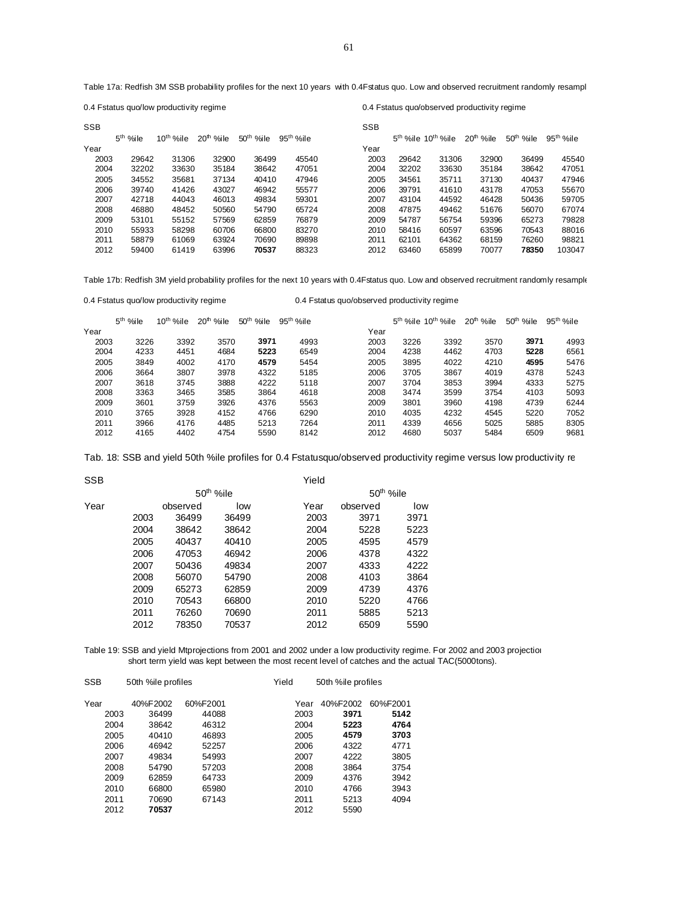Table 17a: Redfish 3M SSB probability profiles for the next 10 years with 0.4Fstatus quo. Low and observed recruitment randomly resampl

|            | 0.4 Fstatus quo/low productivity regime |                |             |             |                       |            | 0.4 Fstatus quo/observed productivity regime |                                  |             |                       |                       |
|------------|-----------------------------------------|----------------|-------------|-------------|-----------------------|------------|----------------------------------------------|----------------------------------|-------------|-----------------------|-----------------------|
| <b>SSB</b> | 5 <sup>th</sup> %ile                    | $10^{th}$ %ile | $20th$ %ile | $50th$ %ile | 95 <sup>th</sup> %ile | <b>SSB</b> |                                              | $5th$ %ile 10 <sup>th</sup> %ile | $20th$ %ile | 50 <sup>th</sup> %ile | 95 <sup>th</sup> %ile |
| Year       |                                         |                |             |             |                       | Year       |                                              |                                  |             |                       |                       |
| 2003       | 29642                                   | 31306          | 32900       | 36499       | 45540                 | 2003       | 29642                                        | 31306                            | 32900       | 36499                 | 45540                 |
| 2004       | 32202                                   | 33630          | 35184       | 38642       | 47051                 | 2004       | 32202                                        | 33630                            | 35184       | 38642                 | 47051                 |
| 2005       | 34552                                   | 35681          | 37134       | 40410       | 47946                 | 2005       | 34561                                        | 35711                            | 37130       | 40437                 | 47946                 |
| 2006       | 39740                                   | 41426          | 43027       | 46942       | 55577                 | 2006       | 39791                                        | 41610                            | 43178       | 47053                 | 55670                 |
| 2007       | 42718                                   | 44043          | 46013       | 49834       | 59301                 | 2007       | 43104                                        | 44592                            | 46428       | 50436                 | 59705                 |
| 2008       | 46880                                   | 48452          | 50560       | 54790       | 65724                 | 2008       | 47875                                        | 49462                            | 51676       | 56070                 | 67074                 |
| 2009       | 53101                                   | 55152          | 57569       | 62859       | 76879                 | 2009       | 54787                                        | 56754                            | 59396       | 65273                 | 79828                 |
| 2010       | 55933                                   | 58298          | 60706       | 66800       | 83270                 | 2010       | 58416                                        | 60597                            | 63596       | 70543                 | 88016                 |
| 2011       | 58879                                   | 61069          | 63924       | 70690       | 89898                 | 2011       | 62101                                        | 64362                            | 68159       | 76260                 | 98821                 |
| 2012       | 59400                                   | 61419          | 63996       | 70537       | 88323                 | 2012       | 63460                                        | 65899                            | 70077       | 78350                 | 103047                |

Table 17b: Redfish 3M yield probability profiles for the next 10 years with 0.4Fstatus quo. Low and observed recruitment randomly resample

| 0.4 Fstatus quo/low productivity regime |            |                       |             |             |             | 0.4 Fstatus quo/observed productivity regime |      |                                  |             |                       |                       |  |  |
|-----------------------------------------|------------|-----------------------|-------------|-------------|-------------|----------------------------------------------|------|----------------------------------|-------------|-----------------------|-----------------------|--|--|
|                                         | $5th$ %ile | 10 <sup>th</sup> %ile | $20th$ %ile | $50th$ %ile | $95th$ %ile |                                              |      | $5th$ %ile 10 <sup>th</sup> %ile | $20th$ %ile | 50 <sup>th</sup> %ile | 95 <sup>th</sup> %ile |  |  |
| Year                                    |            |                       |             |             |             | Year                                         |      |                                  |             |                       |                       |  |  |
| 2003                                    | 3226       | 3392                  | 3570        | 3971        | 4993        | 2003                                         | 3226 | 3392                             | 3570        | 3971                  | 4993                  |  |  |
| 2004                                    | 4233       | 4451                  | 4684        | 5223        | 6549        | 2004                                         | 4238 | 4462                             | 4703        | 5228                  | 6561                  |  |  |
| 2005                                    | 3849       | 4002                  | 4170        | 4579        | 5454        | 2005                                         | 3895 | 4022                             | 4210        | 4595                  | 5476                  |  |  |
| 2006                                    | 3664       | 3807                  | 3978        | 4322        | 5185        | 2006                                         | 3705 | 3867                             | 4019        | 4378                  | 5243                  |  |  |
| 2007                                    | 3618       | 3745                  | 3888        | 4222        | 5118        | 2007                                         | 3704 | 3853                             | 3994        | 4333                  | 5275                  |  |  |
| 2008                                    | 3363       | 3465                  | 3585        | 3864        | 4618        | 2008                                         | 3474 | 3599                             | 3754        | 4103                  | 5093                  |  |  |
| 2009                                    | 3601       | 3759                  | 3926        | 4376        | 5563        | 2009                                         | 3801 | 3960                             | 4198        | 4739                  | 6244                  |  |  |
| 2010                                    | 3765       | 3928                  | 4152        | 4766        | 6290        | 2010                                         | 4035 | 4232                             | 4545        | 5220                  | 7052                  |  |  |
| 2011                                    | 3966       | 4176                  | 4485        | 5213        | 7264        | 2011                                         | 4339 | 4656                             | 5025        | 5885                  | 8305                  |  |  |
| 2012                                    | 4165       | 4402                  | 4754        | 5590        | 8142        | 2012                                         | 4680 | 5037                             | 5484        | 6509                  | 9681                  |  |  |

Tab. 18: SSB and yield 50th %ile profiles for 0.4 Fstatusquo/observed productivity regime versus low productivity re

| SSB  |      |          |                       | Yield |             |      |
|------|------|----------|-----------------------|-------|-------------|------|
|      |      |          | 50 <sup>th</sup> %ile |       | $50th$ %ile |      |
| Year |      | observed | low                   | Year  | observed    | low  |
|      | 2003 | 36499    | 36499                 | 2003  | 3971        | 3971 |
|      | 2004 | 38642    | 38642                 | 2004  | 5228        | 5223 |
|      | 2005 | 40437    | 40410                 | 2005  | 4595        | 4579 |
|      | 2006 | 47053    | 46942                 | 2006  | 4378        | 4322 |
|      | 2007 | 50436    | 49834                 | 2007  | 4333        | 4222 |
|      | 2008 | 56070    | 54790                 | 2008  | 4103        | 3864 |
|      | 2009 | 65273    | 62859                 | 2009  | 4739        | 4376 |
|      | 2010 | 70543    | 66800                 | 2010  | 5220        | 4766 |
|      | 2011 | 76260    | 70690                 | 2011  | 5885        | 5213 |
|      | 2012 | 78350    | 70537                 | 2012  | 6509        | 5590 |

Table 19: SSB and yield Mtprojections from 2001 and 2002 under a low productivity regime. For 2002 and 2003 projection short term yield was kept between the most recent level of catches and the actual TAC(5000tons).

| Year<br>60%F2001<br>40%F2002<br>40%F2002<br>60%F2001<br>Year |      |
|--------------------------------------------------------------|------|
|                                                              |      |
| 44088<br>2003<br>3971<br>36499<br>2003                       | 5142 |
| 2004<br>5223<br>46312<br>2004<br>38642                       | 4764 |
| 4579<br>2005<br>46893<br>2005<br>40410                       | 3703 |
| 2006<br>2006<br>4322<br>46942<br>52257                       | 4771 |
| 49834<br>4222<br>2007<br>54993<br>2007                       | 3805 |
| 2008<br>54790<br>57203<br>2008<br>3864                       | 3754 |
| 2009<br>2009<br>62859<br>64733<br>4376                       | 3942 |
| 2010<br>65980<br>2010<br>4766<br>66800                       | 3943 |
| 2011<br>70690<br>2011<br>5213<br>67143                       | 4094 |
| 70537<br>2012<br>5590<br>2012                                |      |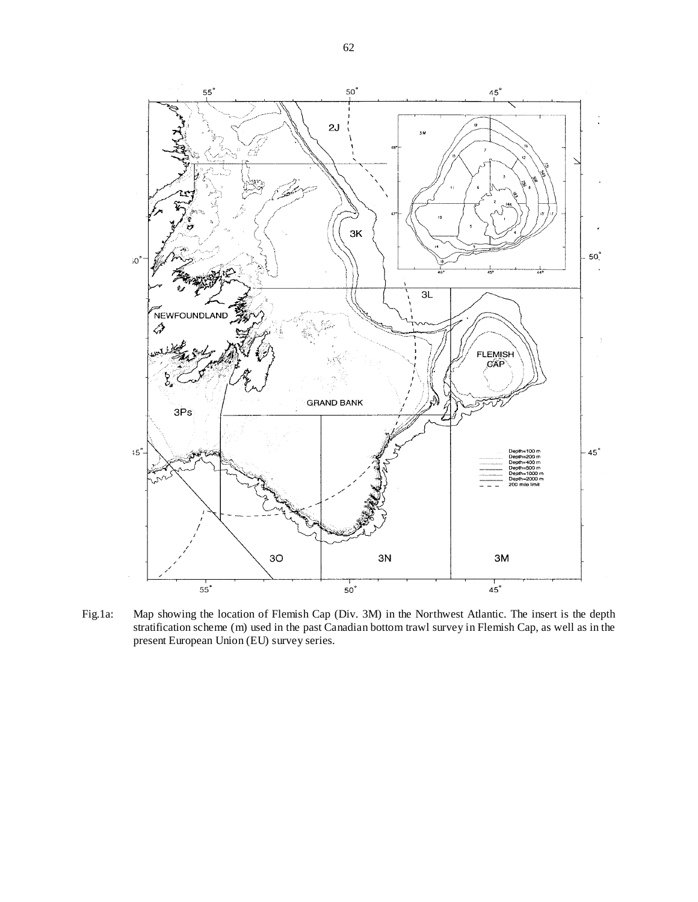

Fig.1a: Map showing the location of Flemish Cap (Div. 3M) in the Northwest Atlantic. The insert is the depth stratification scheme (m) used in the past Canadian bottom trawl survey in Flemish Cap, as well as in the present European Union (EU) survey series.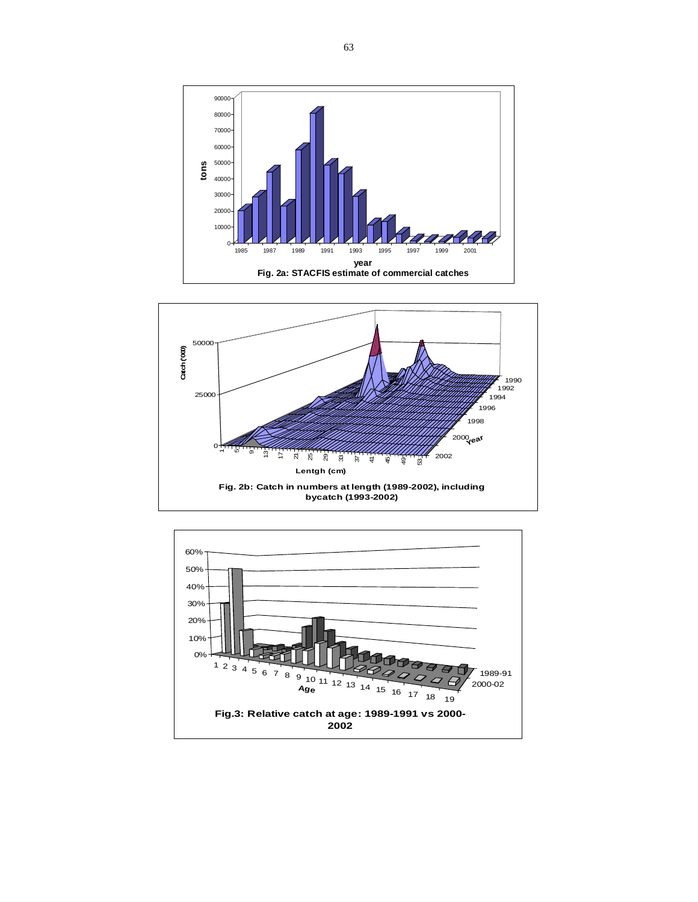



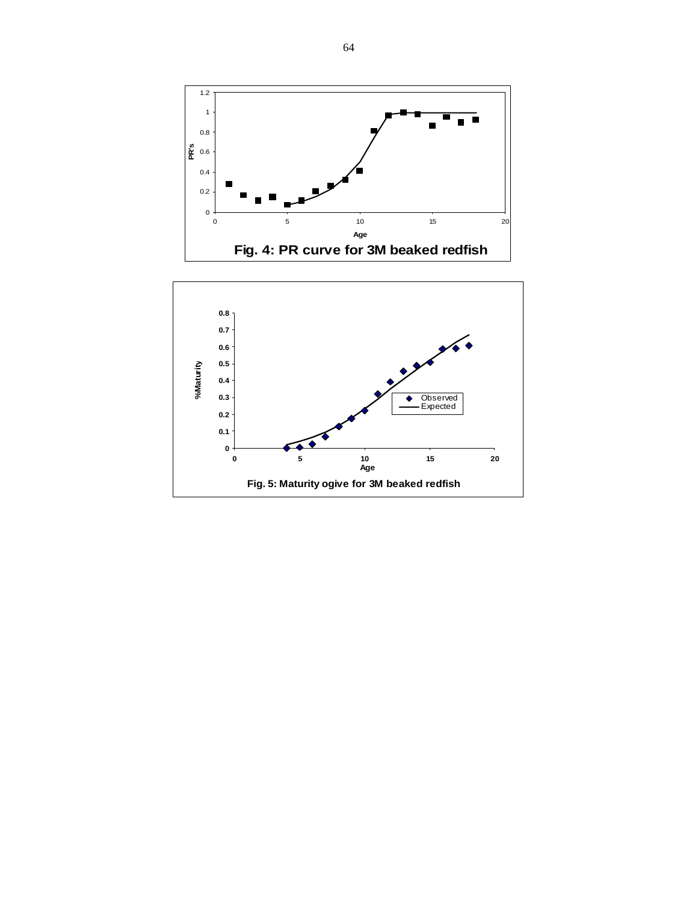

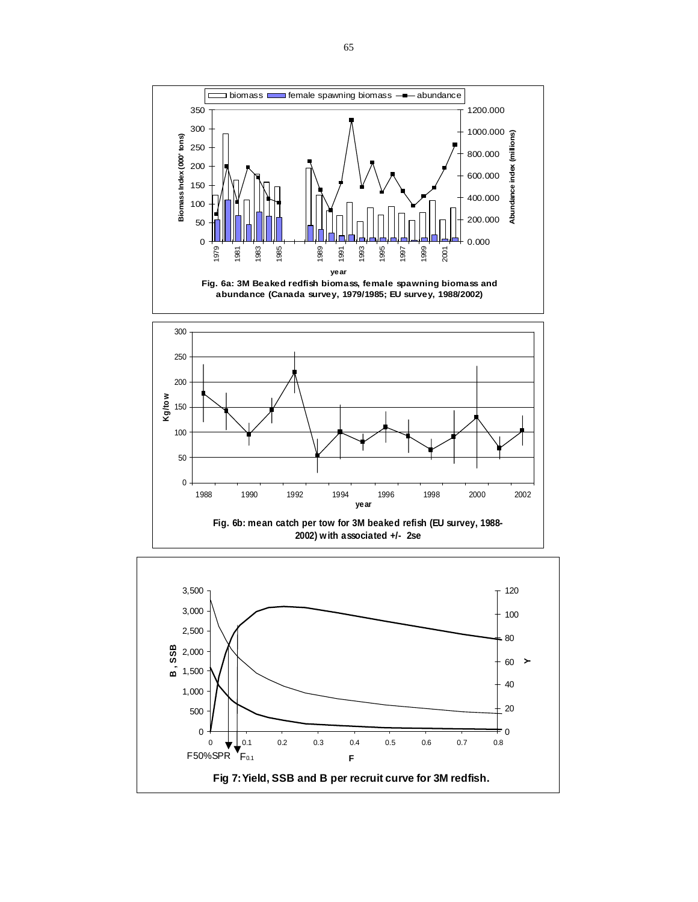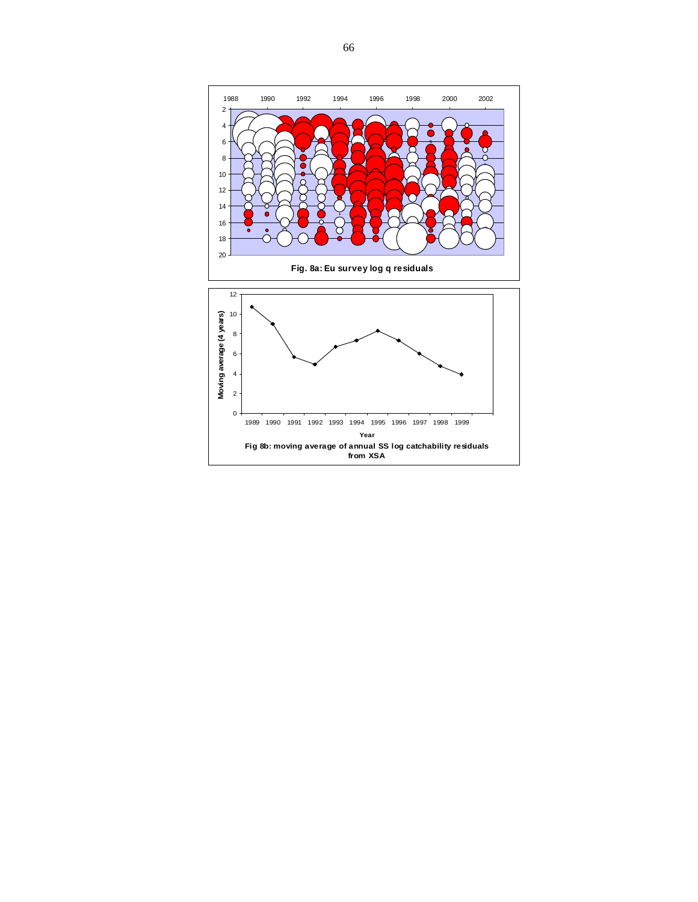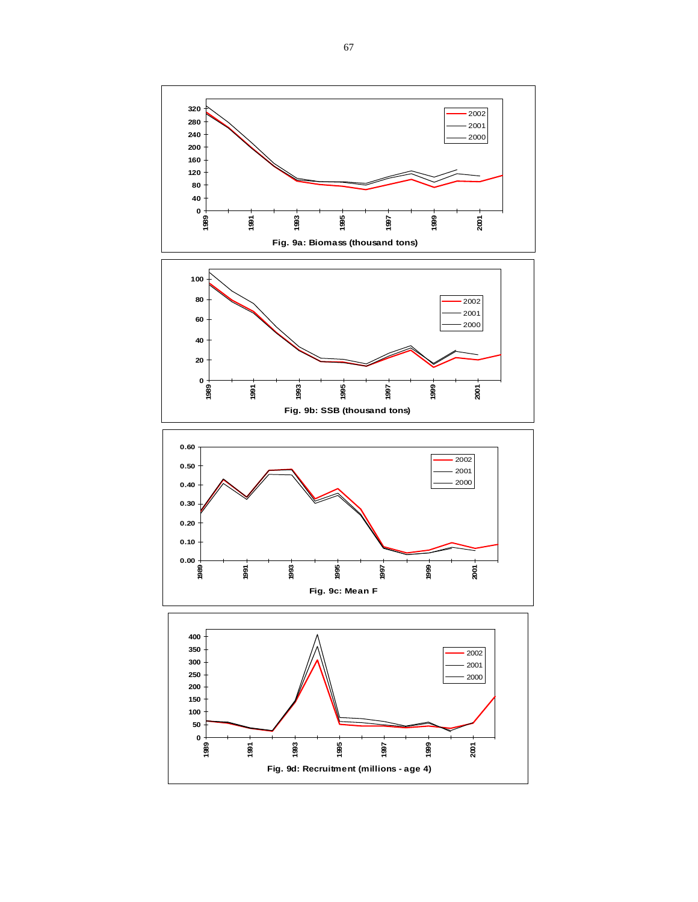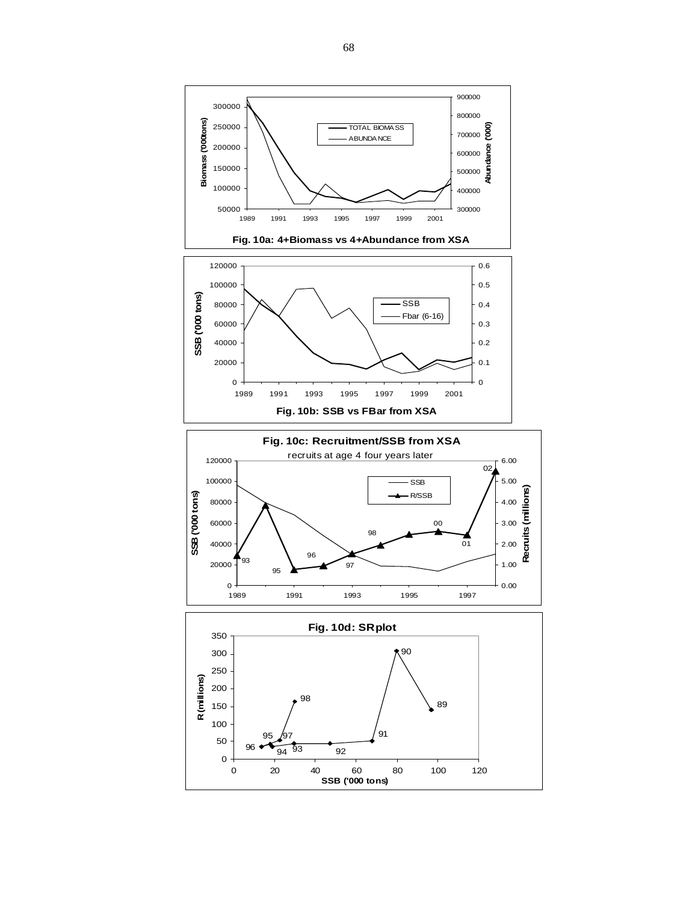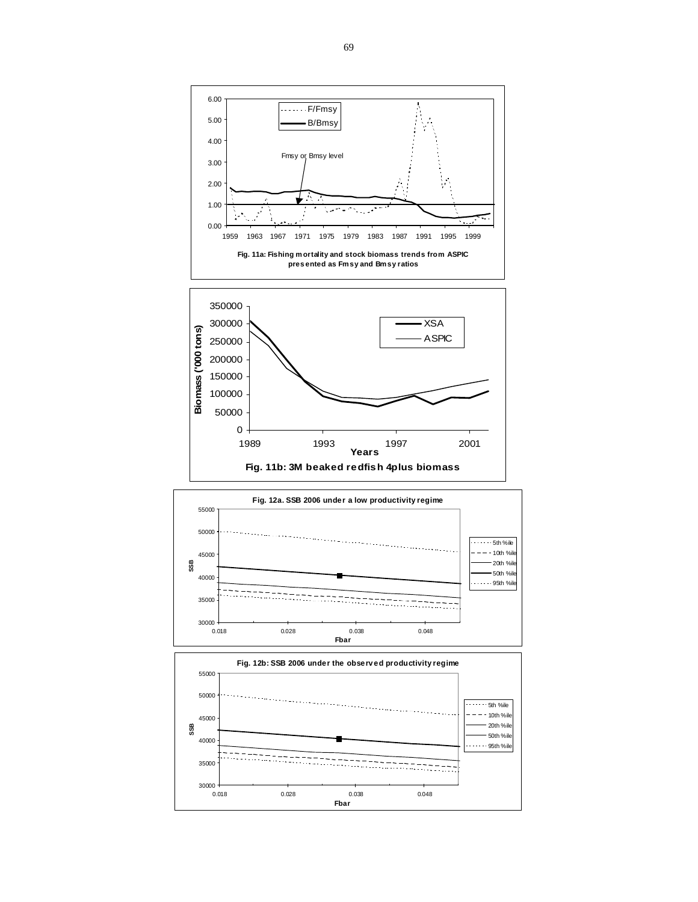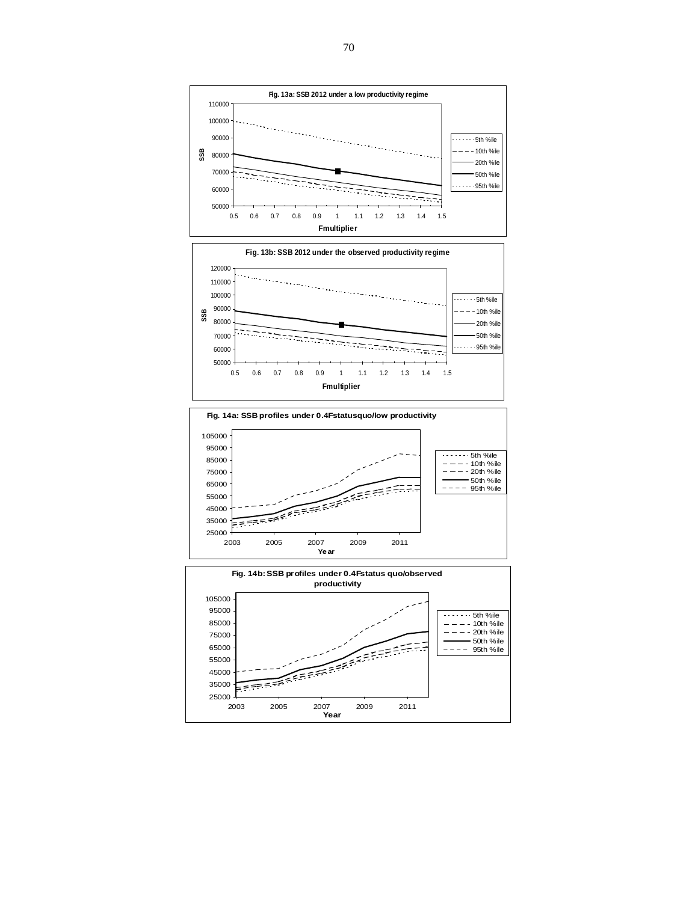





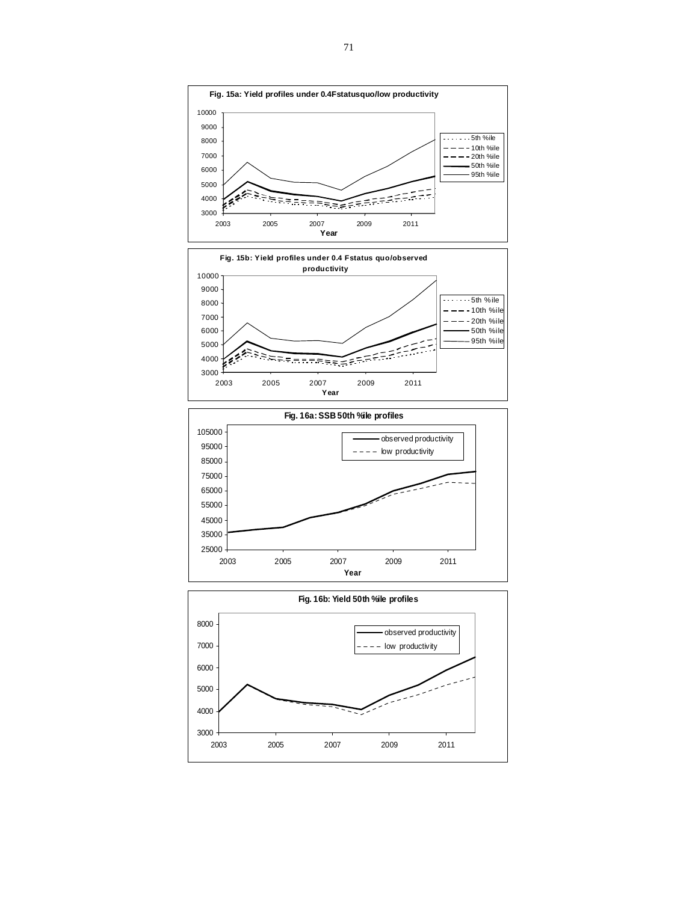